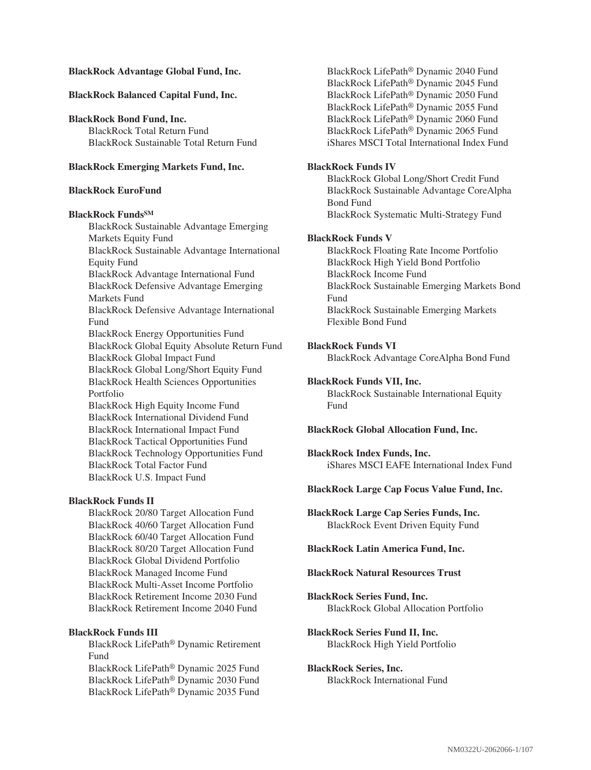#### **BlackRock Advantage Global Fund, Inc.**

#### **BlackRock Balanced Capital Fund, Inc.**

#### **BlackRock Bond Fund, Inc.**

BlackRock Total Return Fund BlackRock Sustainable Total Return Fund

#### **BlackRock Emerging Markets Fund, Inc.**

#### **BlackRock EuroFund**

#### **BlackRock FundsSM**

BlackRock Sustainable Advantage Emerging Markets Equity Fund BlackRock Sustainable Advantage International Equity Fund BlackRock Advantage International Fund BlackRock Defensive Advantage Emerging Markets Fund BlackRock Defensive Advantage International Fund BlackRock Energy Opportunities Fund BlackRock Global Equity Absolute Return Fund BlackRock Global Impact Fund BlackRock Global Long/Short Equity Fund BlackRock Health Sciences Opportunities Portfolio BlackRock High Equity Income Fund BlackRock International Dividend Fund BlackRock International Impact Fund BlackRock Tactical Opportunities Fund BlackRock Technology Opportunities Fund BlackRock Total Factor Fund BlackRock U.S. Impact Fund

#### **BlackRock Funds II**

BlackRock 20/80 Target Allocation Fund BlackRock 40/60 Target Allocation Fund BlackRock 60/40 Target Allocation Fund BlackRock 80/20 Target Allocation Fund BlackRock Global Dividend Portfolio BlackRock Managed Income Fund BlackRock Multi-Asset Income Portfolio BlackRock Retirement Income 2030 Fund BlackRock Retirement Income 2040 Fund

#### **BlackRock Funds III**

BlackRock LifePath® Dynamic Retirement Fund

BlackRock LifePath® Dynamic 2025 Fund BlackRock LifePath® Dynamic 2030 Fund BlackRock LifePath® Dynamic 2035 Fund

BlackRock LifePath® Dynamic 2040 Fund BlackRock LifePath® Dynamic 2045 Fund BlackRock LifePath® Dynamic 2050 Fund BlackRock LifePath® Dynamic 2055 Fund BlackRock LifePath® Dynamic 2060 Fund BlackRock LifePath® Dynamic 2065 Fund iShares MSCI Total International Index Fund

#### **BlackRock Funds IV**

BlackRock Global Long/Short Credit Fund BlackRock Sustainable Advantage CoreAlpha Bond Fund BlackRock Systematic Multi-Strategy Fund

#### **BlackRock Funds V**

BlackRock Floating Rate Income Portfolio BlackRock High Yield Bond Portfolio BlackRock Income Fund BlackRock Sustainable Emerging Markets Bond Fund BlackRock Sustainable Emerging Markets Flexible Bond Fund

#### **BlackRock Funds VI**

BlackRock Advantage CoreAlpha Bond Fund

#### **BlackRock Funds VII, Inc.**

BlackRock Sustainable International Equity Fund

#### **BlackRock Global Allocation Fund, Inc.**

**BlackRock Index Funds, Inc.** iShares MSCI EAFE International Index Fund

#### **BlackRock Large Cap Focus Value Fund, Inc.**

**BlackRock Large Cap Series Funds, Inc.** BlackRock Event Driven Equity Fund

**BlackRock Latin America Fund, Inc.**

**BlackRock Natural Resources Trust**

**BlackRock Series Fund, Inc.** BlackRock Global Allocation Portfolio

#### **BlackRock Series Fund II, Inc.** BlackRock High Yield Portfolio

**BlackRock Series, Inc.** BlackRock International Fund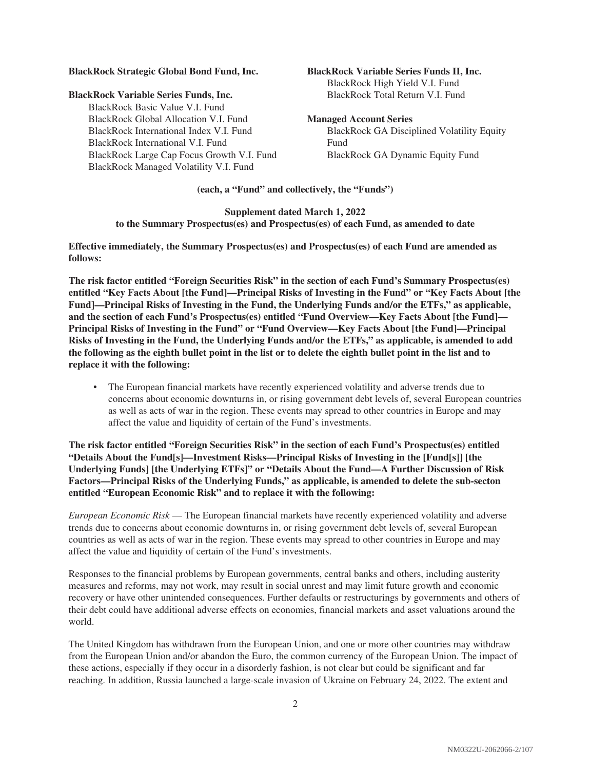#### **BlackRock Strategic Global Bond Fund, Inc.**

**BlackRock Variable Series Funds, Inc.** BlackRock Basic Value V.I. Fund BlackRock Global Allocation V.I. Fund BlackRock International Index V.I. Fund BlackRock International V.I. Fund BlackRock Large Cap Focus Growth V.I. Fund

BlackRock Managed Volatility V.I. Fund

# **BlackRock Variable Series Funds II, Inc.**

BlackRock High Yield V.I. Fund BlackRock Total Return V.I. Fund

#### **Managed Account Series**

BlackRock GA Disciplined Volatility Equity Fund BlackRock GA Dynamic Equity Fund

**(each, a "Fund" and collectively, the "Funds")**

**Supplement dated March 1, 2022 to the Summary Prospectus(es) and Prospectus(es) of each Fund, as amended to date**

**Effective immediately, the Summary Prospectus(es) and Prospectus(es) of each Fund are amended as follows:**

**The risk factor entitled "Foreign Securities Risk" in the section of each Fund's Summary Prospectus(es) entitled "Key Facts About [the Fund]—Principal Risks of Investing in the Fund" or "Key Facts About [the Fund]—Principal Risks of Investing in the Fund, the Underlying Funds and/or the ETFs," as applicable, and the section of each Fund's Prospectus(es) entitled "Fund Overview—Key Facts About [the Fund]— Principal Risks of Investing in the Fund" or "Fund Overview—Key Facts About [the Fund]—Principal Risks of Investing in the Fund, the Underlying Funds and/or the ETFs," as applicable, is amended to add the following as the eighth bullet point in the list or to delete the eighth bullet point in the list and to replace it with the following:**

• The European financial markets have recently experienced volatility and adverse trends due to concerns about economic downturns in, or rising government debt levels of, several European countries as well as acts of war in the region. These events may spread to other countries in Europe and may affect the value and liquidity of certain of the Fund's investments.

**The risk factor entitled "Foreign Securities Risk" in the section of each Fund's Prospectus(es) entitled "Details About the Fund[s]—Investment Risks—Principal Risks of Investing in the [Fund[s]] [the Underlying Funds] [the Underlying ETFs]" or "Details About the Fund—A Further Discussion of Risk Factors—Principal Risks of the Underlying Funds," as applicable, is amended to delete the sub-secton entitled "European Economic Risk" and to replace it with the following:**

*European Economic Risk* — The European financial markets have recently experienced volatility and adverse trends due to concerns about economic downturns in, or rising government debt levels of, several European countries as well as acts of war in the region. These events may spread to other countries in Europe and may affect the value and liquidity of certain of the Fund's investments.

Responses to the financial problems by European governments, central banks and others, including austerity measures and reforms, may not work, may result in social unrest and may limit future growth and economic recovery or have other unintended consequences. Further defaults or restructurings by governments and others of their debt could have additional adverse effects on economies, financial markets and asset valuations around the world.

The United Kingdom has withdrawn from the European Union, and one or more other countries may withdraw from the European Union and/or abandon the Euro, the common currency of the European Union. The impact of these actions, especially if they occur in a disorderly fashion, is not clear but could be significant and far reaching. In addition, Russia launched a large-scale invasion of Ukraine on February 24, 2022. The extent and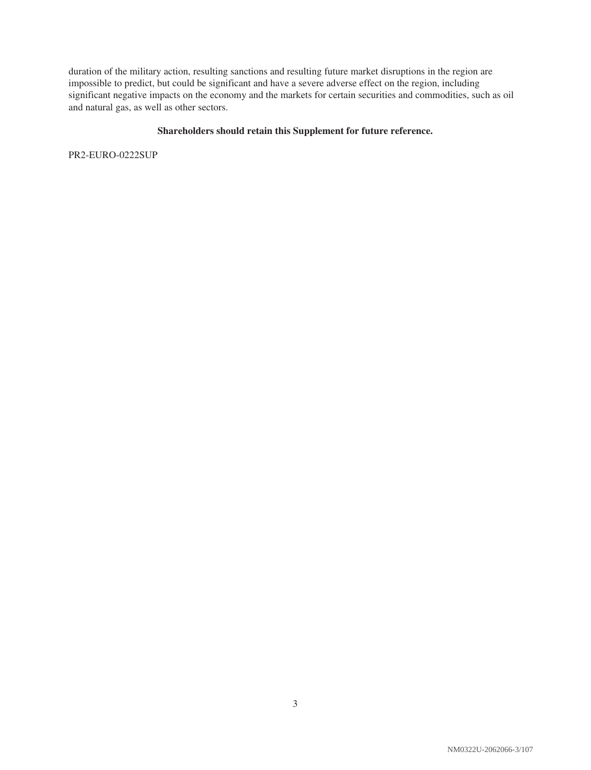duration of the military action, resulting sanctions and resulting future market disruptions in the region are impossible to predict, but could be significant and have a severe adverse effect on the region, including significant negative impacts on the economy and the markets for certain securities and commodities, such as oil and natural gas, as well as other sectors.

## **Shareholders should retain this Supplement for future reference.**

PR2-EURO-0222SUP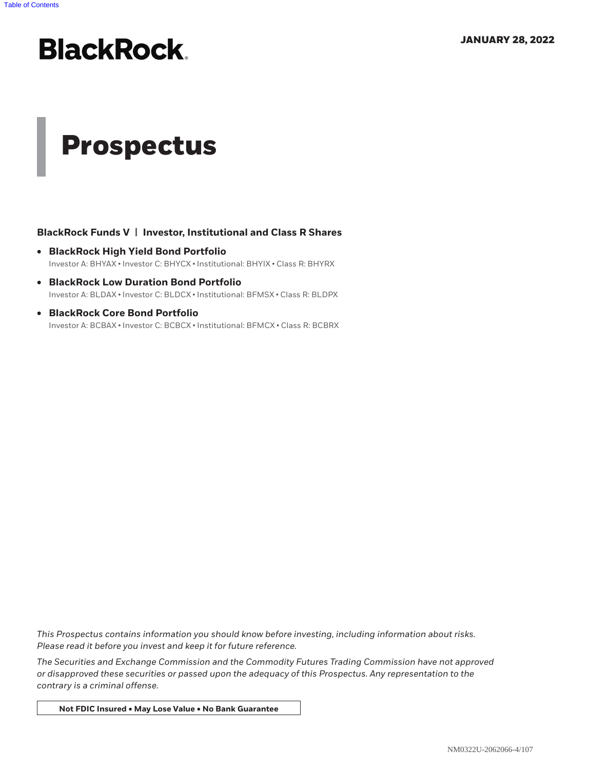# <span id="page-3-0"></span>**BlackRock.**

# **Prospectus**

## **BlackRock Funds V | Investor, Institutional and Class R Shares**

- **BlackRock High Yield Bond Portfolio** Investor A: BHYAX • Investor C: BHYCX • Institutional: BHYIX • Class R: BHYRX
- **BlackRock Low Duration Bond Portfolio** Investor A: BLDAX • Investor C: BLDCX • Institutional: BFMSX • Class R: BLDPX
- **BlackRock Core Bond Portfolio** Investor A: BCBAX • Investor C: BCBCX • Institutional: BFMCX • Class R: BCBRX

*This Prospectus contains information you should know before investing, including information about risks. Please read it before you invest and keep it for future reference.*

*The Securities and Exchange Commission and the Commodity Futures Trading Commission have not approved or disapproved these securities or passed upon the adequacy of this Prospectus. Any representation to the contrary is a criminal offense.*

**Not FDIC Insured** • **May Lose Value** • **No Bank Guarantee**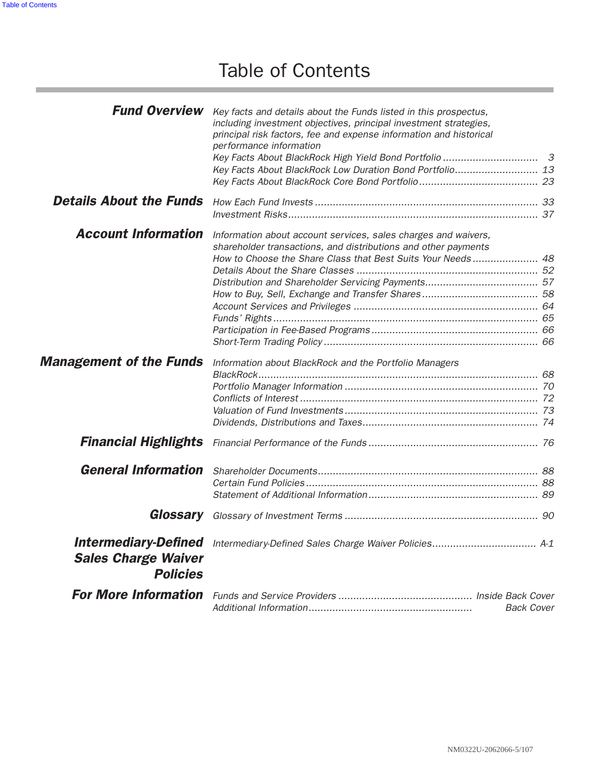|                                                                              | Fund Overview Key facts and details about the Funds listed in this prospectus,<br>including investment objectives, principal investment strategies,<br>principal risk factors, fee and expense information and historical<br>performance information<br>Key Facts About BlackRock Low Duration Bond Portfolio 13 |                   |
|------------------------------------------------------------------------------|------------------------------------------------------------------------------------------------------------------------------------------------------------------------------------------------------------------------------------------------------------------------------------------------------------------|-------------------|
| <b>Details About the Funds</b>                                               |                                                                                                                                                                                                                                                                                                                  |                   |
| <b>Account Information</b>                                                   | Information about account services, sales charges and waivers,<br>shareholder transactions, and distributions and other payments<br>How to Choose the Share Class that Best Suits Your Needs 48                                                                                                                  |                   |
|                                                                              | <b>Management of the Funds</b> Information about BlackRock and the Portfolio Managers                                                                                                                                                                                                                            |                   |
|                                                                              |                                                                                                                                                                                                                                                                                                                  |                   |
| <b>General Information</b>                                                   |                                                                                                                                                                                                                                                                                                                  |                   |
|                                                                              |                                                                                                                                                                                                                                                                                                                  |                   |
| <b>Intermediary-Defined</b><br><b>Sales Charge Waiver</b><br><b>Policies</b> |                                                                                                                                                                                                                                                                                                                  |                   |
|                                                                              |                                                                                                                                                                                                                                                                                                                  | <b>Back Cover</b> |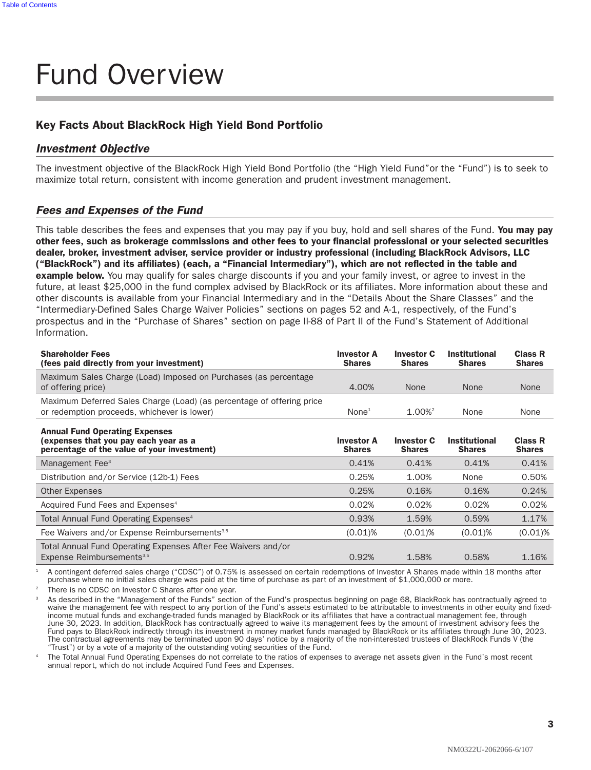# <span id="page-5-0"></span>Fund Overview

## Key Facts About BlackRock High Yield Bond Portfolio

## *Investment Objective*

The investment objective of the BlackRock High Yield Bond Portfolio (the "High Yield Fund"or the "Fund") is to seek to maximize total return, consistent with income generation and prudent investment management.

## *Fees and Expenses of the Fund*

This table describes the fees and expenses that you may pay if you buy, hold and sell shares of the Fund. You may pay other fees, such as brokerage commissions and other fees to your financial professional or your selected securities dealer, broker, investment adviser, service provider or industry professional (including BlackRock Advisors, LLC ("BlackRock") and its affiliates) (each, a "Financial Intermediary"), which are not reflected in the table and example below. You may qualify for sales charge discounts if you and your family invest, or agree to invest in the future, at least \$25,000 in the fund complex advised by BlackRock or its affiliates. More information about these and other discounts is available from your Financial Intermediary and in the "Details About the Share Classes" and the "Intermediary-Defined Sales Charge Waiver Policies" sections on pages 52 and A-1, respectively, of the Fund's prospectus and in the "Purchase of Shares" section on page II-88 of Part II of the Fund's Statement of Additional Information.

| <b>Shareholder Fees</b><br>(fees paid directly from your investment)                                                          | <b>Investor A</b><br><b>Shares</b> | <b>Investor C</b><br><b>Shares</b> | <b>Institutional</b><br><b>Shares</b> | <b>Class R</b><br><b>Shares</b> |
|-------------------------------------------------------------------------------------------------------------------------------|------------------------------------|------------------------------------|---------------------------------------|---------------------------------|
| Maximum Sales Charge (Load) Imposed on Purchases (as percentage<br>of offering price)                                         | 4.00%                              | None                               | None                                  | <b>None</b>                     |
| Maximum Deferred Sales Charge (Load) (as percentage of offering price<br>or redemption proceeds, whichever is lower)          | None <sup>1</sup>                  | 1.00% <sup>2</sup>                 | None                                  | None                            |
| <b>Annual Fund Operating Expenses</b><br>(expenses that you pay each year as a<br>percentage of the value of your investment) | <b>Investor A</b><br><b>Shares</b> | <b>Investor C</b><br><b>Shares</b> | <b>Institutional</b><br><b>Shares</b> | <b>Class R</b><br><b>Shares</b> |
| Management Fee <sup>3</sup>                                                                                                   | 0.41%                              | 0.41%                              | 0.41%                                 | 0.41%                           |
| Distribution and/or Service (12b-1) Fees                                                                                      | 0.25%                              | 1.00%                              | None                                  | 0.50%                           |
| <b>Other Expenses</b>                                                                                                         | 0.25%                              | 0.16%                              | 0.16%                                 | 0.24%                           |
| Acquired Fund Fees and Expenses <sup>4</sup>                                                                                  | 0.02%                              | 0.02%                              | 0.02%                                 | 0.02%                           |
| Total Annual Fund Operating Expenses <sup>4</sup>                                                                             | 0.93%                              | 1.59%                              | 0.59%                                 | 1.17%                           |
| Fee Waivers and/or Expense Reimbursements <sup>3,5</sup>                                                                      | $(0.01)\%$                         | $(0.01)\%$                         | $(0.01)\%$                            | $(0.01)\%$                      |
| Total Annual Fund Operating Expenses After Fee Waivers and/or<br>Expense Reimbursements <sup>3,5</sup>                        | 0.92%                              | 1.58%                              | 0.58%                                 | 1.16%                           |

<sup>1</sup> A contingent deferred sales charge ("CDSC") of 0.75% is assessed on certain redemptions of Investor A Shares made within 18 months after purchase where no initial sales charge was paid at the time of purchase as part of an investment of \$1,000,000 or more.

There is no CDSC on Investor C Shares after one year.

As described in the "Management of the Funds" section of the Fund's prospectus beginning on page 68, BlackRock has contractually agreed to waive the management fee with respect to any portion of the Fund's assets estimated to be attributable to investments in other equity and fixedincome mutual funds and exchange-traded funds managed by BlackRock or its affiliates that have a contractual management fee, through June 30, 2023. In addition, BlackRock has contractually agreed to waive its management fees by the amount of investment advisory fees the Fund pays to BlackRock indirectly through its investment in money market funds managed by BlackRock or its affiliates through June 30, 2023. The contractual agreements may be terminated upon 90 days' notice by a majority of the non-interested trustees of BlackRock Funds V (the "Trust") or by a vote of a majority of the outstanding voting securities of the Fund.

The Total Annual Fund Operating Expenses do not correlate to the ratios of expenses to average net assets given in the Fund's most recent annual report, which do not include Acquired Fund Fees and Expenses.

3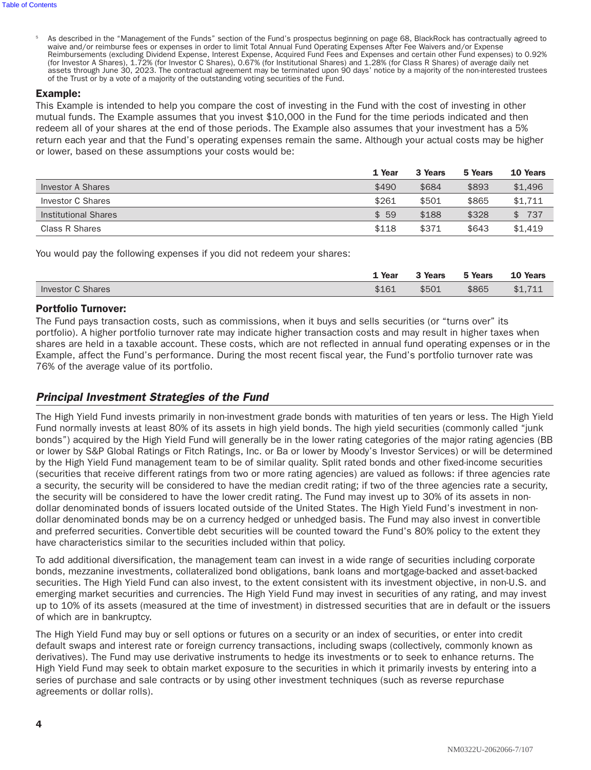As described in the "Management of the Funds" section of the Fund's prospectus beginning on page 68, BlackRock has contractually agreed to<br>waive and/or reimburse fees or expenses in order to limit Total Annual Fund Operati Reimbursements (excluding Dividend Expense, Interest Expense, Acquired Fund Fees and Expenses and certain other Fund expenses) to 0.92% (for Investor A Shares), 1.72% (for Investor C Shares), 0.67% (for Institutional Shares) and 1.28% (for Class R Shares) of average daily net assets through June 30, 2023. The contractual agreement may be terminated upon 90 days' notice by a majority of the non-interested trustees of the Trust or by a vote of a majority of the outstanding voting securities of the Fund.

### Example:

This Example is intended to help you compare the cost of investing in the Fund with the cost of investing in other mutual funds. The Example assumes that you invest \$10,000 in the Fund for the time periods indicated and then redeem all of your shares at the end of those periods. The Example also assumes that your investment has a 5% return each year and that the Fund's operating expenses remain the same. Although your actual costs may be higher or lower, based on these assumptions your costs would be:

|                             | 1 Year | 3 Years | 5 Years | 10 Years  |
|-----------------------------|--------|---------|---------|-----------|
| Investor A Shares           | \$490  | \$684   | \$893   | \$1,496   |
| Investor C Shares           | \$261  | \$501   | \$865   | \$1,711   |
| <b>Institutional Shares</b> | \$59   | \$188   | \$328   | 737<br>\$ |
| Class R Shares              | \$118  | \$371   | \$643   | \$1.419   |

You would pay the following expenses if you did not redeem your shares:

|                   | <b>Year</b> | <sup>2</sup> Years | 5 Years | 10 Years       |
|-------------------|-------------|--------------------|---------|----------------|
| Investor C Shares | \$161       | \$501              | \$865   | 711<br>\$1,711 |

## Portfolio Turnover:

The Fund pays transaction costs, such as commissions, when it buys and sells securities (or "turns over" its portfolio). A higher portfolio turnover rate may indicate higher transaction costs and may result in higher taxes when shares are held in a taxable account. These costs, which are not reflected in annual fund operating expenses or in the Example, affect the Fund's performance. During the most recent fiscal year, the Fund's portfolio turnover rate was 76% of the average value of its portfolio.

## *Principal Investment Strategies of the Fund*

The High Yield Fund invests primarily in non-investment grade bonds with maturities of ten years or less. The High Yield Fund normally invests at least 80% of its assets in high yield bonds. The high yield securities (commonly called "junk bonds") acquired by the High Yield Fund will generally be in the lower rating categories of the major rating agencies (BB or lower by S&P Global Ratings or Fitch Ratings, Inc. or Ba or lower by Moody's Investor Services) or will be determined by the High Yield Fund management team to be of similar quality. Split rated bonds and other fixed-income securities (securities that receive different ratings from two or more rating agencies) are valued as follows: if three agencies rate a security, the security will be considered to have the median credit rating; if two of the three agencies rate a security, the security will be considered to have the lower credit rating. The Fund may invest up to 30% of its assets in nondollar denominated bonds of issuers located outside of the United States. The High Yield Fund's investment in nondollar denominated bonds may be on a currency hedged or unhedged basis. The Fund may also invest in convertible and preferred securities. Convertible debt securities will be counted toward the Fund's 80% policy to the extent they have characteristics similar to the securities included within that policy.

To add additional diversification, the management team can invest in a wide range of securities including corporate bonds, mezzanine investments, collateralized bond obligations, bank loans and mortgage-backed and asset-backed securities. The High Yield Fund can also invest, to the extent consistent with its investment objective, in non-U.S. and emerging market securities and currencies. The High Yield Fund may invest in securities of any rating, and may invest up to 10% of its assets (measured at the time of investment) in distressed securities that are in default or the issuers of which are in bankruptcy.

The High Yield Fund may buy or sell options or futures on a security or an index of securities, or enter into credit default swaps and interest rate or foreign currency transactions, including swaps (collectively, commonly known as derivatives). The Fund may use derivative instruments to hedge its investments or to seek to enhance returns. The High Yield Fund may seek to obtain market exposure to the securities in which it primarily invests by entering into a series of purchase and sale contracts or by using other investment techniques (such as reverse repurchase agreements or dollar rolls).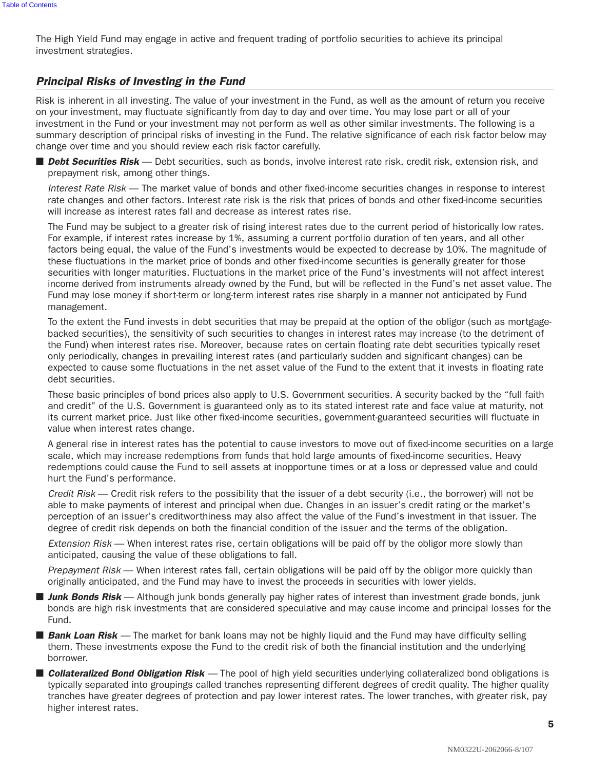The High Yield Fund may engage in active and frequent trading of portfolio securities to achieve its principal investment strategies.

## *Principal Risks of Investing in the Fund*

Risk is inherent in all investing. The value of your investment in the Fund, as well as the amount of return you receive on your investment, may fluctuate significantly from day to day and over time. You may lose part or all of your investment in the Fund or your investment may not perform as well as other similar investments. The following is a summary description of principal risks of investing in the Fund. The relative significance of each risk factor below may change over time and you should review each risk factor carefully.

■ Debt Securities Risk — Debt securities, such as bonds, involve interest rate risk, credit risk, extension risk, and prepayment risk, among other things.

*Interest Rate Risk* — The market value of bonds and other fixed-income securities changes in response to interest rate changes and other factors. Interest rate risk is the risk that prices of bonds and other fixed-income securities will increase as interest rates fall and decrease as interest rates rise.

The Fund may be subject to a greater risk of rising interest rates due to the current period of historically low rates. For example, if interest rates increase by 1%, assuming a current portfolio duration of ten years, and all other factors being equal, the value of the Fund's investments would be expected to decrease by 10%. The magnitude of these fluctuations in the market price of bonds and other fixed-income securities is generally greater for those securities with longer maturities. Fluctuations in the market price of the Fund's investments will not affect interest income derived from instruments already owned by the Fund, but will be reflected in the Fund's net asset value. The Fund may lose money if short-term or long-term interest rates rise sharply in a manner not anticipated by Fund management.

To the extent the Fund invests in debt securities that may be prepaid at the option of the obligor (such as mortgagebacked securities), the sensitivity of such securities to changes in interest rates may increase (to the detriment of the Fund) when interest rates rise. Moreover, because rates on certain floating rate debt securities typically reset only periodically, changes in prevailing interest rates (and particularly sudden and significant changes) can be expected to cause some fluctuations in the net asset value of the Fund to the extent that it invests in floating rate debt securities.

These basic principles of bond prices also apply to U.S. Government securities. A security backed by the "full faith and credit" of the U.S. Government is guaranteed only as to its stated interest rate and face value at maturity, not its current market price. Just like other fixed-income securities, government-guaranteed securities will fluctuate in value when interest rates change.

A general rise in interest rates has the potential to cause investors to move out of fixed-income securities on a large scale, which may increase redemptions from funds that hold large amounts of fixed-income securities. Heavy redemptions could cause the Fund to sell assets at inopportune times or at a loss or depressed value and could hurt the Fund's performance.

*Credit Risk* — Credit risk refers to the possibility that the issuer of a debt security (i.e., the borrower) will not be able to make payments of interest and principal when due. Changes in an issuer's credit rating or the market's perception of an issuer's creditworthiness may also affect the value of the Fund's investment in that issuer. The degree of credit risk depends on both the financial condition of the issuer and the terms of the obligation.

*Extension Risk* — When interest rates rise, certain obligations will be paid off by the obligor more slowly than anticipated, causing the value of these obligations to fall.

*Prepayment Risk* — When interest rates fall, certain obligations will be paid off by the obligor more quickly than originally anticipated, and the Fund may have to invest the proceeds in securities with lower yields.

- **Junk Bonds Risk** Although junk bonds generally pay higher rates of interest than investment grade bonds, junk bonds are high risk investments that are considered speculative and may cause income and principal losses for the Fund.
- **Bank Loan Risk** The market for bank loans may not be highly liquid and the Fund may have difficulty selling them. These investments expose the Fund to the credit risk of both the financial institution and the underlying borrower.
- **Collateralized Bond Obligation Risk** The pool of high yield securities underlying collateralized bond obligations is typically separated into groupings called tranches representing different degrees of credit quality. The higher quality tranches have greater degrees of protection and pay lower interest rates. The lower tranches, with greater risk, pay higher interest rates.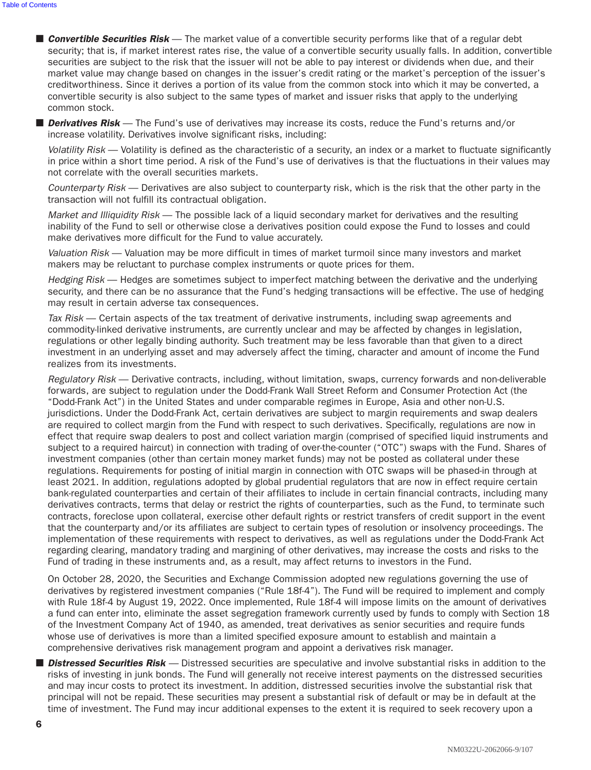■ **Convertible Securities Risk** — The market value of a convertible security performs like that of a regular debt security; that is, if market interest rates rise, the value of a convertible security usually falls. In addition, convertible securities are subject to the risk that the issuer will not be able to pay interest or dividends when due, and their market value may change based on changes in the issuer's credit rating or the market's perception of the issuer's creditworthiness. Since it derives a portion of its value from the common stock into which it may be converted, a convertible security is also subject to the same types of market and issuer risks that apply to the underlying common stock.

■ **Derivatives Risk** — The Fund's use of derivatives may increase its costs, reduce the Fund's returns and/or increase volatility. Derivatives involve significant risks, including:

*Volatility Risk* — Volatility is defined as the characteristic of a security, an index or a market to fluctuate significantly in price within a short time period. A risk of the Fund's use of derivatives is that the fluctuations in their values may not correlate with the overall securities markets.

*Counterpar ty Risk* — Derivatives are also subject to counterparty risk, which is the risk that the other party in the transaction will not fulfill its contractual obligation.

*Market and Illiquidity Risk* — The possible lack of a liquid secondary market for derivatives and the resulting inability of the Fund to sell or otherwise close a derivatives position could expose the Fund to losses and could make derivatives more difficult for the Fund to value accurately.

*Valuation Risk* — Valuation may be more difficult in times of market turmoil since many investors and market makers may be reluctant to purchase complex instruments or quote prices for them.

*Hedging Risk* — Hedges are sometimes subject to imperfect matching between the derivative and the underlying security, and there can be no assurance that the Fund's hedging transactions will be effective. The use of hedging may result in certain adverse tax consequences.

*Tax Risk* — Certain aspects of the tax treatment of derivative instruments, including swap agreements and commodity-linked derivative instruments, are currently unclear and may be affected by changes in legislation, regulations or other legally binding authority. Such treatment may be less favorable than that given to a direct investment in an underlying asset and may adversely affect the timing, character and amount of income the Fund realizes from its investments.

*Regulatory Risk* — Derivative contracts, including, without limitation, swaps, currency forwards and non-deliverable forwards, are subject to regulation under the Dodd-Frank Wall Street Reform and Consumer Protection Act (the "Dodd-Frank Act") in the United States and under comparable regimes in Europe, Asia and other non-U.S. jurisdictions. Under the Dodd-Frank Act, certain derivatives are subject to margin requirements and swap dealers are required to collect margin from the Fund with respect to such derivatives. Specifically, regulations are now in effect that require swap dealers to post and collect variation margin (comprised of specified liquid instruments and subject to a required haircut) in connection with trading of over-the-counter ("OTC") swaps with the Fund. Shares of investment companies (other than certain money market funds) may not be posted as collateral under these regulations. Requirements for posting of initial margin in connection with OTC swaps will be phased-in through at least 2021. In addition, regulations adopted by global prudential regulators that are now in effect require certain bank-regulated counterparties and certain of their affiliates to include in certain financial contracts, including many derivatives contracts, terms that delay or restrict the rights of counterparties, such as the Fund, to terminate such contracts, foreclose upon collateral, exercise other default rights or restrict transfers of credit support in the event that the counterparty and/or its affiliates are subject to certain types of resolution or insolvency proceedings. The implementation of these requirements with respect to derivatives, as well as regulations under the Dodd-Frank Act regarding clearing, mandatory trading and margining of other derivatives, may increase the costs and risks to the Fund of trading in these instruments and, as a result, may affect returns to investors in the Fund.

On October 28, 2020, the Securities and Exchange Commission adopted new regulations governing the use of derivatives by registered investment companies ("Rule 18f-4"). The Fund will be required to implement and comply with Rule 18f-4 by August 19, 2022. Once implemented, Rule 18f-4 will impose limits on the amount of derivatives a fund can enter into, eliminate the asset segregation framework currently used by funds to comply with Section 18 of the Investment Company Act of 1940, as amended, treat derivatives as senior securities and require funds whose use of derivatives is more than a limited specified exposure amount to establish and maintain a comprehensive derivatives risk management program and appoint a derivatives risk manager.

■ **Distressed Securities Risk** — Distressed securities are speculative and involve substantial risks in addition to the risks of investing in junk bonds. The Fund will generally not receive interest payments on the distressed securities and may incur costs to protect its investment. In addition, distressed securities involve the substantial risk that principal will not be repaid. These securities may present a substantial risk of default or may be in default at the time of investment. The Fund may incur additional expenses to the extent it is required to seek recovery upon a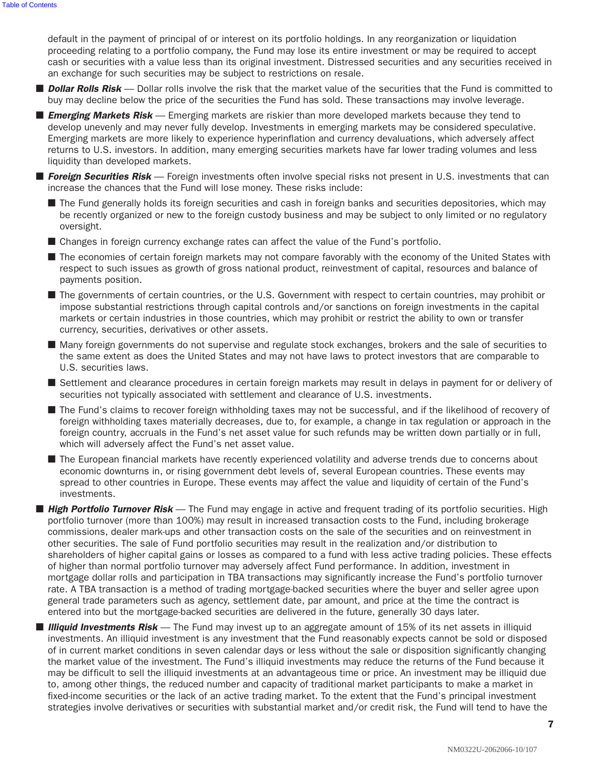default in the payment of principal of or interest on its portfolio holdings. In any reorganization or liquidation proceeding relating to a portfolio company, the Fund may lose its entire investment or may be required to accept cash or securities with a value less than its original investment. Distressed securities and any securities received in an exchange for such securities may be subject to restrictions on resale.

- **Dollar Rolls Risk** Dollar rolls involve the risk that the market value of the securities that the Fund is committed to buy may decline below the price of the securities the Fund has sold. These transactions may involve leverage.
- **Emerging Markets Risk** Emerging markets are riskier than more developed markets because they tend to develop unevenly and may never fully develop. Investments in emerging markets may be considered speculative. Emerging markets are more likely to experience hyperinflation and currency devaluations, which adversely affect returns to U.S. investors. In addition, many emerging securities markets have far lower trading volumes and less liquidity than developed markets.
- *Foreign Securities Risk* Foreign investments often involve special risks not present in U.S. investments that can increase the chances that the Fund will lose money. These risks include:
	- The Fund generally holds its foreign securities and cash in foreign banks and securities depositories, which may be recently organized or new to the foreign custody business and may be subject to only limited or no regulatory oversight.
	- Changes in foreign currency exchange rates can affect the value of the Fund's portfolio.
	- The economies of certain foreign markets may not compare favorably with the economy of the United States with respect to such issues as growth of gross national product, reinvestment of capital, resources and balance of payments position.
	- **The governments of certain countries, or the U.S. Government with respect to certain countries, may prohibit or** impose substantial restrictions through capital controls and/or sanctions on foreign investments in the capital markets or certain industries in those countries, which may prohibit or restrict the ability to own or transfer currency, securities, derivatives or other assets.
	- Many foreign governments do not supervise and regulate stock exchanges, brokers and the sale of securities to the same extent as does the United States and may not have laws to protect investors that are comparable to U.S. securities laws.
	- Settlement and clearance procedures in certain foreign markets may result in delays in payment for or delivery of securities not typically associated with settlement and clearance of U.S. investments.
	- The Fund's claims to recover foreign withholding taxes may not be successful, and if the likelihood of recovery of foreign withholding taxes materially decreases, due to, for example, a change in tax regulation or approach in the foreign country, accruals in the Fund's net asset value for such refunds may be written down partially or in full, which will adversely affect the Fund's net asset value.
	- The European financial markets have recently experienced volatility and adverse trends due to concerns about economic downturns in, or rising government debt levels of, several European countries. These events may spread to other countries in Europe. These events may affect the value and liquidity of certain of the Fund's investments.
- High Portfolio Turnover Risk The Fund may engage in active and frequent trading of its portfolio securities. High portfolio turnover (more than 100%) may result in increased transaction costs to the Fund, including brokerage commissions, dealer mark-ups and other transaction costs on the sale of the securities and on reinvestment in other securities. The sale of Fund portfolio securities may result in the realization and/or distribution to shareholders of higher capital gains or losses as compared to a fund with less active trading policies. These effects of higher than normal portfolio turnover may adversely affect Fund performance. In addition, investment in mortgage dollar rolls and participation in TBA transactions may significantly increase the Fund's portfolio turnover rate. A TBA transaction is a method of trading mortgage-backed securities where the buyer and seller agree upon general trade parameters such as agency, settlement date, par amount, and price at the time the contract is entered into but the mortgage-backed securities are delivered in the future, generally 30 days later.
- **Illiquid Investments Risk** The Fund may invest up to an aggregate amount of 15% of its net assets in illiquid investments. An illiquid investment is any investment that the Fund reasonably expects cannot be sold or disposed of in current market conditions in seven calendar days or less without the sale or disposition significantly changing the market value of the investment. The Fund's illiquid investments may reduce the returns of the Fund because it may be difficult to sell the illiquid investments at an advantageous time or price. An investment may be illiquid due to, among other things, the reduced number and capacity of traditional market participants to make a market in fixed-income securities or the lack of an active trading market. To the extent that the Fund's principal investment strategies involve derivatives or securities with substantial market and/or credit risk, the Fund will tend to have the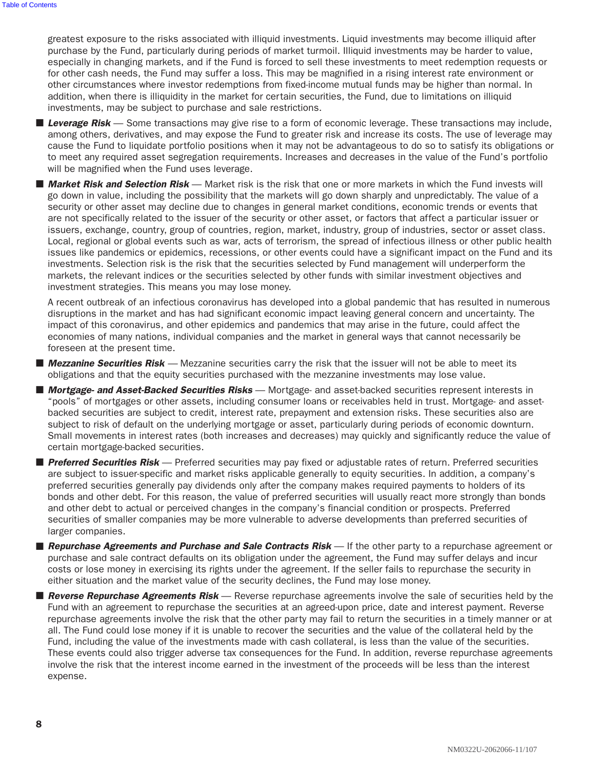greatest exposure to the risks associated with illiquid investments. Liquid investments may become illiquid after purchase by the Fund, particularly during periods of market turmoil. Illiquid investments may be harder to value, especially in changing markets, and if the Fund is forced to sell these investments to meet redemption requests or for other cash needs, the Fund may suffer a loss. This may be magnified in a rising interest rate environment or other circumstances where investor redemptions from fixed-income mutual funds may be higher than normal. In addition, when there is illiquidity in the market for certain securities, the Fund, due to limitations on illiquid investments, may be subject to purchase and sale restrictions.

- **Leverage Risk** Some transactions may give rise to a form of economic leverage. These transactions may include, among others, derivatives, and may expose the Fund to greater risk and increase its costs. The use of leverage may cause the Fund to liquidate portfolio positions when it may not be advantageous to do so to satisfy its obligations or to meet any required asset segregation requirements. Increases and decreases in the value of the Fund's portfolio will be magnified when the Fund uses leverage.
- Market Risk and Selection Risk Market risk is the risk that one or more markets in which the Fund invests will go down in value, including the possibility that the markets will go down sharply and unpredictably. The value of a security or other asset may decline due to changes in general market conditions, economic trends or events that are not specifically related to the issuer of the security or other asset, or factors that affect a particular issuer or issuers, exchange, country, group of countries, region, market, industry, group of industries, sector or asset class. Local, regional or global events such as war, acts of terrorism, the spread of infectious illness or other public health issues like pandemics or epidemics, recessions, or other events could have a significant impact on the Fund and its investments. Selection risk is the risk that the securities selected by Fund management will underperform the markets, the relevant indices or the securities selected by other funds with similar investment objectives and investment strategies. This means you may lose money.

A recent outbreak of an infectious coronavirus has developed into a global pandemic that has resulted in numerous disruptions in the market and has had significant economic impact leaving general concern and uncertainty. The impact of this coronavirus, and other epidemics and pandemics that may arise in the future, could affect the economies of many nations, individual companies and the market in general ways that cannot necessarily be foreseen at the present time.

- *Mezzanine Securities Risk* Mezzanine securities carry the risk that the issuer will not be able to meet its obligations and that the equity securities purchased with the mezzanine investments may lose value.
- *Mortgage- and Asset-Backed Securities Risks* Mortgage- and asset-backed securities represent interests in "pools" of mortgages or other assets, including consumer loans or receivables held in trust. Mortgage- and assetbacked securities are subject to credit, interest rate, prepayment and extension risks. These securities also are subject to risk of default on the underlying mortgage or asset, particularly during periods of economic downturn. Small movements in interest rates (both increases and decreases) may quickly and significantly reduce the value of certain mortgage-backed securities.
- Preferred Securities Risk Preferred securities may pay fixed or adjustable rates of return. Preferred securities are subject to issuer-specific and market risks applicable generally to equity securities. In addition, a company's preferred securities generally pay dividends only after the company makes required payments to holders of its bonds and other debt. For this reason, the value of preferred securities will usually react more strongly than bonds and other debt to actual or perceived changes in the company's financial condition or prospects. Preferred securities of smaller companies may be more vulnerable to adverse developments than preferred securities of larger companies.
- Repurchase Agreements and Purchase and Sale Contracts Risk If the other party to a repurchase agreement or purchase and sale contract defaults on its obligation under the agreement, the Fund may suffer delays and incur costs or lose money in exercising its rights under the agreement. If the seller fails to repurchase the security in either situation and the market value of the security declines, the Fund may lose money.
- **Reverse Repurchase Agreements Risk** Reverse repurchase agreements involve the sale of securities held by the Fund with an agreement to repurchase the securities at an agreed-upon price, date and interest payment. Reverse repurchase agreements involve the risk that the other party may fail to return the securities in a timely manner or at all. The Fund could lose money if it is unable to recover the securities and the value of the collateral held by the Fund, including the value of the investments made with cash collateral, is less than the value of the securities. These events could also trigger adverse tax consequences for the Fund. In addition, reverse repurchase agreements involve the risk that the interest income earned in the investment of the proceeds will be less than the interest expense.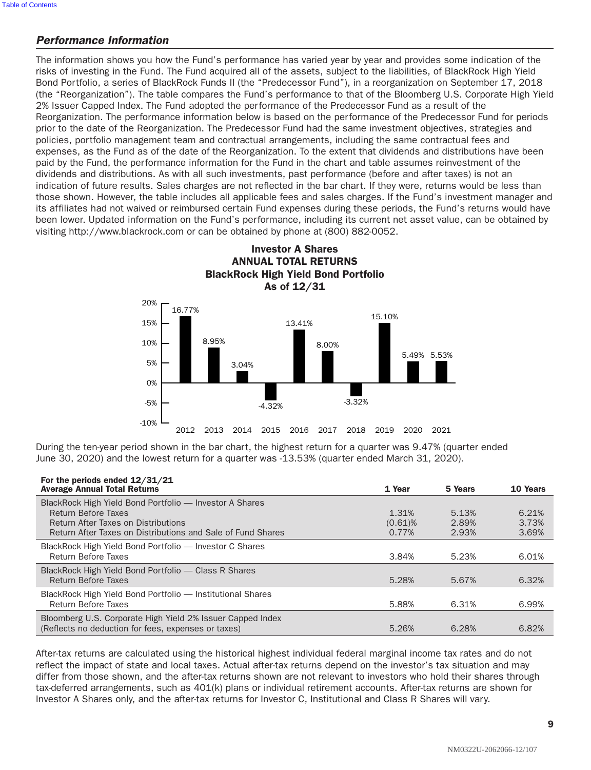# *Performance Information*

The information shows you how the Fund's performance has varied year by year and provides some indication of the risks of investing in the Fund. The Fund acquired all of the assets, subject to the liabilities, of BlackRock High Yield Bond Portfolio, a series of BlackRock Funds II (the "Predecessor Fund"), in a reorganization on September 17, 2018 (the "Reorganization"). The table compares the Fund's performance to that of the Bloomberg U.S. Corporate High Yield 2% Issuer Capped Index. The Fund adopted the performance of the Predecessor Fund as a result of the Reorganization. The performance information below is based on the performance of the Predecessor Fund for periods prior to the date of the Reorganization. The Predecessor Fund had the same investment objectives, strategies and policies, portfolio management team and contractual arrangements, including the same contractual fees and expenses, as the Fund as of the date of the Reorganization. To the extent that dividends and distributions have been paid by the Fund, the performance information for the Fund in the chart and table assumes reinvestment of the dividends and distributions. As with all such investments, past performance (before and after taxes) is not an indication of future results. Sales charges are not reflected in the bar chart. If they were, returns would be less than those shown. However, the table includes all applicable fees and sales charges. If the Fund's investment manager and its affiliates had not waived or reimbursed certain Fund expenses during these periods, the Fund's returns would have been lower. Updated information on the Fund's performance, including its current net asset value, can be obtained by visiting http://www.blackrock.com or can be obtained by phone at (800) 882-0052.



During the ten-year period shown in the bar chart, the highest return for a quarter was 9.47% (quarter ended June 30, 2020) and the lowest return for a quarter was -13.53% (quarter ended March 31, 2020).

| For the periods ended $12/31/21$<br><b>Average Annual Total Returns</b> | 1 Year     | 5 Years | 10 Years |
|-------------------------------------------------------------------------|------------|---------|----------|
| BlackRock High Yield Bond Portfolio - Investor A Shares                 |            |         |          |
| <b>Return Before Taxes</b>                                              | 1.31%      | 5.13%   | 6.21%    |
| Return After Taxes on Distributions                                     | $(0.61)\%$ | 2.89%   | 3.73%    |
| Return After Taxes on Distributions and Sale of Fund Shares             | 0.77%      | 2.93%   | 3.69%    |
| BlackRock High Yield Bond Portfolio — Investor C Shares                 |            |         |          |
| Return Before Taxes                                                     | 3.84%      | 5.23%   | 6.01%    |
| BlackRock High Yield Bond Portfolio — Class R Shares                    |            |         |          |
| Return Before Taxes                                                     | 5.28%      | 5.67%   | 6.32%    |
| BlackRock High Yield Bond Portfolio — Institutional Shares              |            |         |          |
| Return Before Taxes                                                     | 5.88%      | 6.31%   | 6.99%    |
| Bloomberg U.S. Corporate High Yield 2% Issuer Capped Index              |            |         |          |
| (Reflects no deduction for fees, expenses or taxes)                     | 5.26%      | 6.28%   | 6.82%    |

After-tax returns are calculated using the historical highest individual federal marginal income tax rates and do not reflect the impact of state and local taxes. Actual after-tax returns depend on the investor's tax situation and may differ from those shown, and the after-tax returns shown are not relevant to investors who hold their shares through tax-deferred arrangements, such as 401(k) plans or individual retirement accounts. After-tax returns are shown for Investor A Shares only, and the after-tax returns for Investor C, Institutional and Class R Shares will vary.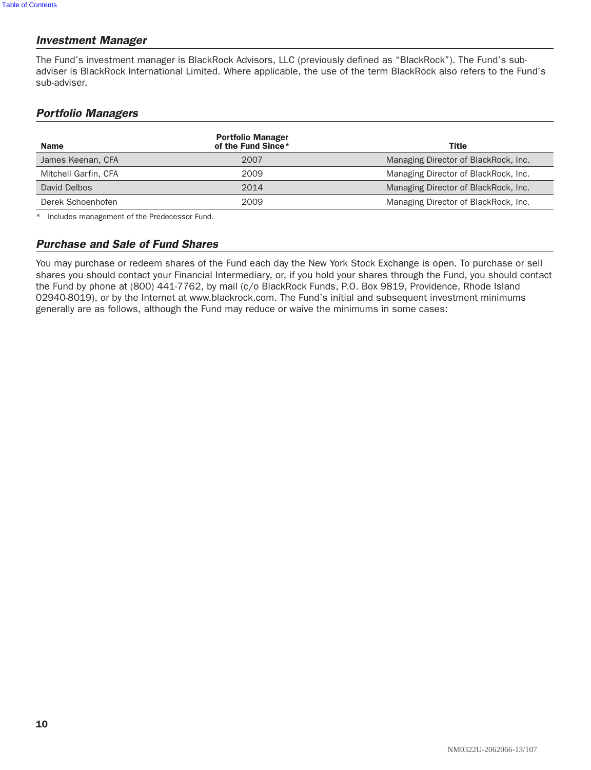## *Investment Manager*

The Fund's investment manager is BlackRock Advisors, LLC (previously defined as "BlackRock"). The Fund's subadviser is BlackRock International Limited. Where applicable, the use of the term BlackRock also refers to the Fund's sub-adviser.

# *Portfolio Managers*

| <b>Name</b>          | <b>Portfolio Manager</b><br>of the Fund Since* | <b>Title</b>                         |
|----------------------|------------------------------------------------|--------------------------------------|
| James Keenan, CFA    | 2007                                           | Managing Director of BlackRock, Inc. |
| Mitchell Garfin, CFA | 2009                                           | Managing Director of BlackRock, Inc. |
| David Delbos         | 2014                                           | Managing Director of BlackRock, Inc. |
| Derek Schoenhofen    | 2009                                           | Managing Director of BlackRock, Inc. |

\* Includes management of the Predecessor Fund.

## *Purchase and Sale of Fund Shares*

You may purchase or redeem shares of the Fund each day the New York Stock Exchange is open. To purchase or sell shares you should contact your Financial Intermediary, or, if you hold your shares through the Fund, you should contact the Fund by phone at (800) 441-7762, by mail (c/o BlackRock Funds, P.O. Box 9819, Providence, Rhode Island 02940-8019), or by the Internet at www.blackrock.com. The Fund's initial and subsequent investment minimums generally are as follows, although the Fund may reduce or waive the minimums in some cases: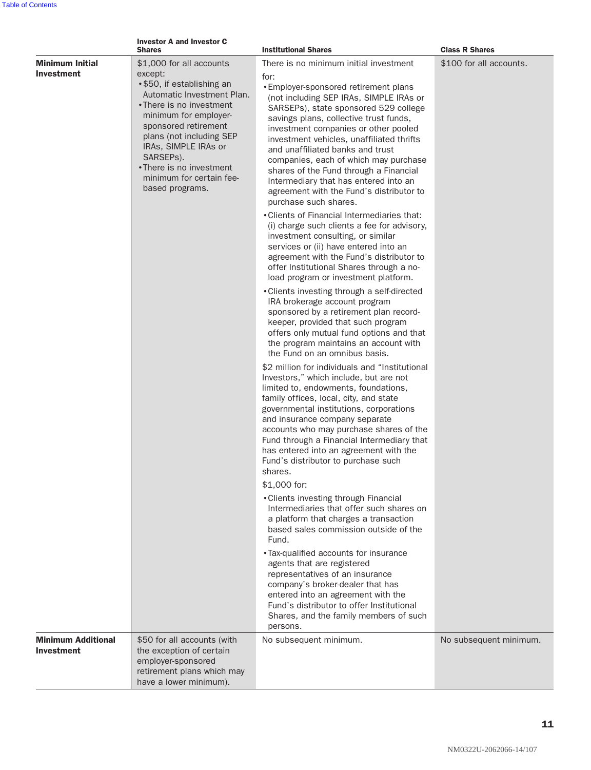|                                                | <b>Investor A and Investor C</b><br><b>Shares</b>                                                                                                                                                                                                                                                                        | <b>Institutional Shares</b>                                                                                                                                                                                                                                                                                                                                                                                                                                                                                                                     | <b>Class R Shares</b>   |
|------------------------------------------------|--------------------------------------------------------------------------------------------------------------------------------------------------------------------------------------------------------------------------------------------------------------------------------------------------------------------------|-------------------------------------------------------------------------------------------------------------------------------------------------------------------------------------------------------------------------------------------------------------------------------------------------------------------------------------------------------------------------------------------------------------------------------------------------------------------------------------------------------------------------------------------------|-------------------------|
| <b>Minimum Initial</b><br><b>Investment</b>    | \$1,000 for all accounts<br>except:<br>• \$50, if establishing an<br>Automatic Investment Plan.<br>• There is no investment<br>minimum for employer-<br>sponsored retirement<br>plans (not including SEP<br>IRAs, SIMPLE IRAs or<br>SARSEPS).<br>• There is no investment<br>minimum for certain fee-<br>based programs. | There is no minimum initial investment<br>for:<br>• Employer-sponsored retirement plans<br>(not including SEP IRAs, SIMPLE IRAs or<br>SARSEPs), state sponsored 529 college<br>savings plans, collective trust funds,<br>investment companies or other pooled<br>investment vehicles, unaffiliated thrifts<br>and unaffiliated banks and trust<br>companies, each of which may purchase<br>shares of the Fund through a Financial<br>Intermediary that has entered into an<br>agreement with the Fund's distributor to<br>purchase such shares. | \$100 for all accounts. |
|                                                |                                                                                                                                                                                                                                                                                                                          | . Clients of Financial Intermediaries that:<br>(i) charge such clients a fee for advisory,<br>investment consulting, or similar<br>services or (ii) have entered into an<br>agreement with the Fund's distributor to<br>offer Institutional Shares through a no-<br>load program or investment platform.                                                                                                                                                                                                                                        |                         |
|                                                |                                                                                                                                                                                                                                                                                                                          | • Clients investing through a self-directed<br>IRA brokerage account program<br>sponsored by a retirement plan record-<br>keeper, provided that such program<br>offers only mutual fund options and that<br>the program maintains an account with<br>the Fund on an omnibus basis.                                                                                                                                                                                                                                                              |                         |
|                                                |                                                                                                                                                                                                                                                                                                                          | \$2 million for individuals and "Institutional"<br>Investors," which include, but are not<br>limited to, endowments, foundations,<br>family offices, local, city, and state<br>governmental institutions, corporations<br>and insurance company separate<br>accounts who may purchase shares of the<br>Fund through a Financial Intermediary that<br>has entered into an agreement with the<br>Fund's distributor to purchase such<br>shares.                                                                                                   |                         |
|                                                |                                                                                                                                                                                                                                                                                                                          | \$1,000 for:<br>• Clients investing through Financial<br>Intermediaries that offer such shares on<br>a platform that charges a transaction<br>based sales commission outside of the<br>Fund.                                                                                                                                                                                                                                                                                                                                                    |                         |
|                                                |                                                                                                                                                                                                                                                                                                                          | · Tax-qualified accounts for insurance<br>agents that are registered<br>representatives of an insurance<br>company's broker-dealer that has<br>entered into an agreement with the<br>Fund's distributor to offer Institutional<br>Shares, and the family members of such<br>persons.                                                                                                                                                                                                                                                            |                         |
| <b>Minimum Additional</b><br><b>Investment</b> | \$50 for all accounts (with<br>the exception of certain<br>employer-sponsored<br>retirement plans which may<br>have a lower minimum).                                                                                                                                                                                    | No subsequent minimum.                                                                                                                                                                                                                                                                                                                                                                                                                                                                                                                          | No subsequent minimum.  |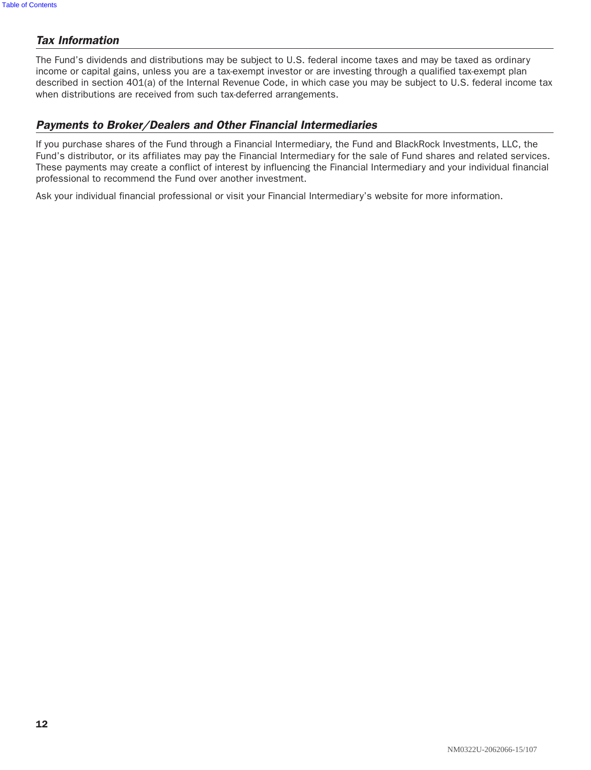# *Tax Information*

The Fund's dividends and distributions may be subject to U.S. federal income taxes and may be taxed as ordinary income or capital gains, unless you are a tax-exempt investor or are investing through a qualified tax-exempt plan described in section 401(a) of the Internal Revenue Code, in which case you may be subject to U.S. federal income tax when distributions are received from such tax-deferred arrangements.

## *Payments to Broker/Dealers and Other Financial Intermediaries*

If you purchase shares of the Fund through a Financial Intermediary, the Fund and BlackRock Investments, LLC, the Fund's distributor, or its affiliates may pay the Financial Intermediary for the sale of Fund shares and related services. These payments may create a conflict of interest by influencing the Financial Intermediary and your individual financial professional to recommend the Fund over another investment.

Ask your individual financial professional or visit your Financial Intermediary's website for more information.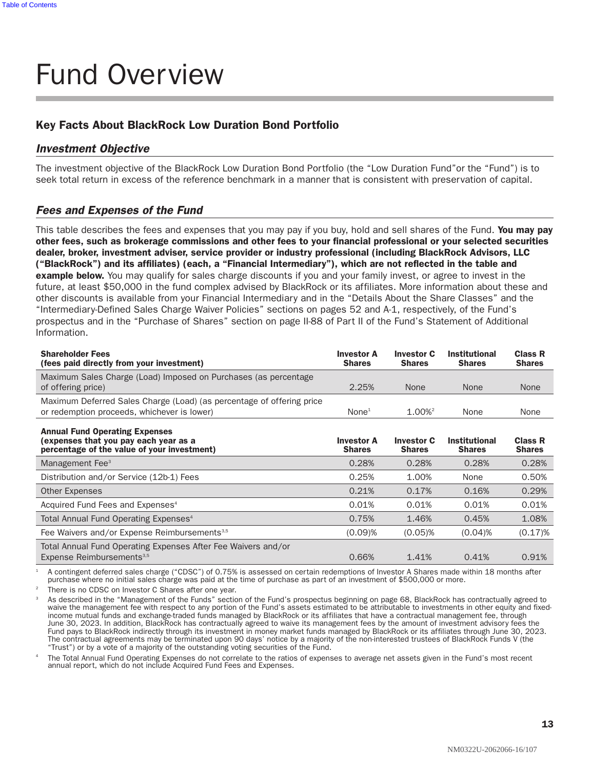# <span id="page-15-0"></span>Fund Overview

## Key Facts About BlackRock Low Duration Bond Portfolio

## *Investment Objective*

The investment objective of the BlackRock Low Duration Bond Portfolio (the "Low Duration Fund"or the "Fund") is to seek total return in excess of the reference benchmark in a manner that is consistent with preservation of capital.

## *Fees and Expenses of the Fund*

This table describes the fees and expenses that you may pay if you buy, hold and sell shares of the Fund. You may pay other fees, such as brokerage commissions and other fees to your financial professional or your selected securities dealer, broker, investment adviser, service provider or industry professional (including BlackRock Advisors, LLC ("BlackRock") and its affiliates) (each, a "Financial Intermediary"), which are not reflected in the table and example below. You may qualify for sales charge discounts if you and your family invest, or agree to invest in the future, at least \$50,000 in the fund complex advised by BlackRock or its affiliates. More information about these and other discounts is available from your Financial Intermediary and in the "Details About the Share Classes" and the "Intermediary-Defined Sales Charge Waiver Policies" sections on pages 52 and A-1, respectively, of the Fund's prospectus and in the "Purchase of Shares" section on page II-88 of Part II of the Fund's Statement of Additional Information.

| <b>Shareholder Fees</b><br>(fees paid directly from your investment)                                                          | <b>Investor A</b><br><b>Shares</b> | <b>Investor C</b><br><b>Shares</b> | <b>Institutional</b><br><b>Shares</b> | <b>Class R</b><br><b>Shares</b> |
|-------------------------------------------------------------------------------------------------------------------------------|------------------------------------|------------------------------------|---------------------------------------|---------------------------------|
| Maximum Sales Charge (Load) Imposed on Purchases (as percentage<br>of offering price)                                         | 2.25%                              | None                               | None                                  | <b>None</b>                     |
| Maximum Deferred Sales Charge (Load) (as percentage of offering price<br>or redemption proceeds, whichever is lower)          | None <sup>1</sup>                  | $1.00\%$ <sup>2</sup>              | None                                  | None                            |
| <b>Annual Fund Operating Expenses</b><br>(expenses that you pay each year as a<br>percentage of the value of your investment) | <b>Investor A</b><br><b>Shares</b> | <b>Investor C</b><br><b>Shares</b> | <b>Institutional</b><br><b>Shares</b> | <b>Class R</b><br><b>Shares</b> |
| Management Fee <sup>3</sup>                                                                                                   | 0.28%                              | 0.28%                              | 0.28%                                 | 0.28%                           |
| Distribution and/or Service (12b-1) Fees                                                                                      | 0.25%                              | 1.00%                              | None                                  | 0.50%                           |
| <b>Other Expenses</b>                                                                                                         | 0.21%                              | 0.17%                              | 0.16%                                 | 0.29%                           |
| Acquired Fund Fees and Expenses <sup>4</sup>                                                                                  | 0.01%                              | 0.01%                              | 0.01%                                 | 0.01%                           |
| Total Annual Fund Operating Expenses <sup>4</sup>                                                                             | 0.75%                              | 1.46%                              | 0.45%                                 | 1.08%                           |
| Fee Waivers and/or Expense Reimbursements <sup>3,5</sup>                                                                      | $(0.09)$ %                         | $(0.05)\%$                         | $(0.04)$ %                            | $(0.17)$ %                      |
| Total Annual Fund Operating Expenses After Fee Waivers and/or<br>Expense Reimbursements <sup>3,5</sup>                        | 0.66%                              | 1.41%                              | 0.41%                                 | 0.91%                           |

<sup>1</sup> A contingent deferred sales charge ("CDSC") of 0.75% is assessed on certain redemptions of Investor A Shares made within 18 months after purchase where no initial sales charge was paid at the time of purchase as part of an investment of \$500,000 or more.

There is no CDSC on Investor C Shares after one year.

As described in the "Management of the Funds" section of the Fund's prospectus beginning on page 68, BlackRock has contractually agreed to waive the management fee with respect to any portion of the Fund's assets estimated to be attributable to investments in other equity and fixedincome mutual funds and exchange-traded funds managed by BlackRock or its affiliates that have a contractual management fee, through June 30, 2023. In addition, BlackRock has contractually agreed to waive its management fees by the amount of investment advisory fees the Fund pays to BlackRock indirectly through its investment in money market funds managed by BlackRock or its affiliates through June 30, 2023. The contractual agreements may be terminated upon 90 days' notice by a majority of the non-interested trustees of BlackRock Funds V (the "Trust") or by a vote of a majority of the outstanding voting securities of the Fund.

<sup>4</sup> The Total Annual Fund Operating Expenses do not correlate to the ratios of expenses to average net assets given in the Fund's most recent annual report, which do not include Acquired Fund Fees and Expenses.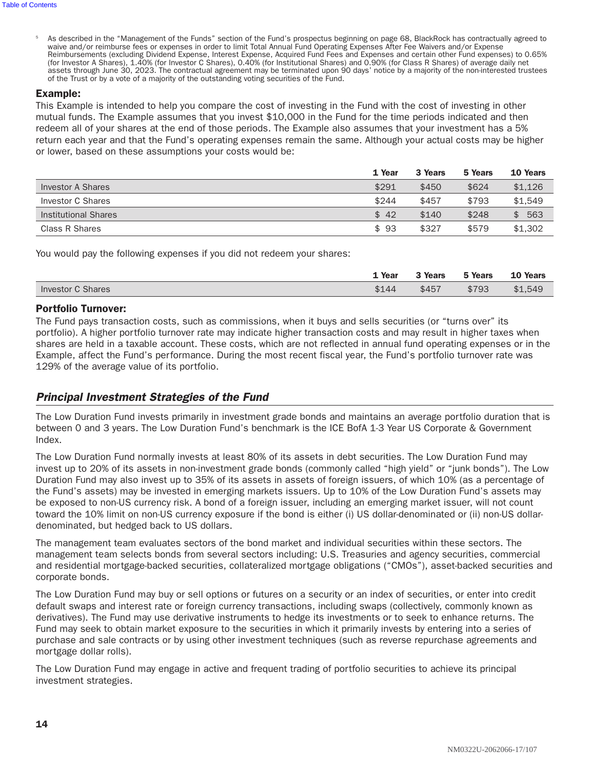As described in the "Management of the Funds" section of the Fund's prospectus beginning on page 68, BlackRock has contractually agreed to<br>waive and/or reimburse fees or expenses in order to limit Total Annual Fund Operati Reimbursements (excluding Dividend Expense, Interest Expense, Acquired Fund Fees and Expenses and certain other Fund expenses) to 0.65% (for Investor A Shares), 1.40% (for Investor C Shares), 0.40% (for Institutional Shares) and 0.90% (for Class R Shares) of average daily net assets through June 30, 2023. The contractual agreement may be terminated upon 90 days' notice by a majority of the non-interested trustees of the Trust or by a vote of a majority of the outstanding voting securities of the Fund.

### Example:

This Example is intended to help you compare the cost of investing in the Fund with the cost of investing in other mutual funds. The Example assumes that you invest \$10,000 in the Fund for the time periods indicated and then redeem all of your shares at the end of those periods. The Example also assumes that your investment has a 5% return each year and that the Fund's operating expenses remain the same. Although your actual costs may be higher or lower, based on these assumptions your costs would be:

|                      | 1 Year | 3 Years | 5 Years | 10 Years  |
|----------------------|--------|---------|---------|-----------|
| Investor A Shares    | \$291  | \$450   | \$624   | \$1,126   |
| Investor C Shares    | \$244  | \$457   | \$793   | \$1.549   |
| Institutional Shares | \$42   | \$140   | \$248   | 563<br>\$ |
| Class R Shares       | \$93   | \$327   | \$579   | \$1.302   |

You would pay the following expenses if you did not redeem your shares:

|                   | 'Year | <u>ໍ</u> ? Years | 5 Years | 10 Years |
|-------------------|-------|------------------|---------|----------|
| Investor C Shares | \$144 | \$457            | \$793   | \$1,549  |

## Portfolio Turnover:

The Fund pays transaction costs, such as commissions, when it buys and sells securities (or "turns over" its portfolio). A higher portfolio turnover rate may indicate higher transaction costs and may result in higher taxes when shares are held in a taxable account. These costs, which are not reflected in annual fund operating expenses or in the Example, affect the Fund's performance. During the most recent fiscal year, the Fund's portfolio turnover rate was 129% of the average value of its portfolio.

## *Principal Investment Strategies of the Fund*

The Low Duration Fund invests primarily in investment grade bonds and maintains an average portfolio duration that is between 0 and 3 years. The Low Duration Fund's benchmark is the ICE BofA 1-3 Year US Corporate & Government Index.

The Low Duration Fund normally invests at least 80% of its assets in debt securities. The Low Duration Fund may invest up to 20% of its assets in non-investment grade bonds (commonly called "high yield" or "junk bonds"). The Low Duration Fund may also invest up to 35% of its assets in assets of foreign issuers, of which 10% (as a percentage of the Fund's assets) may be invested in emerging markets issuers. Up to 10% of the Low Duration Fund's assets may be exposed to non-US currency risk. A bond of a foreign issuer, including an emerging market issuer, will not count toward the 10% limit on non-US currency exposure if the bond is either (i) US dollar-denominated or (ii) non-US dollardenominated, but hedged back to US dollars.

The management team evaluates sectors of the bond market and individual securities within these sectors. The management team selects bonds from several sectors including: U.S. Treasuries and agency securities, commercial and residential mortgage-backed securities, collateralized mortgage obligations ("CMOs"), asset-backed securities and corporate bonds.

The Low Duration Fund may buy or sell options or futures on a security or an index of securities, or enter into credit default swaps and interest rate or foreign currency transactions, including swaps (collectively, commonly known as derivatives). The Fund may use derivative instruments to hedge its investments or to seek to enhance returns. The Fund may seek to obtain market exposure to the securities in which it primarily invests by entering into a series of purchase and sale contracts or by using other investment techniques (such as reverse repurchase agreements and mortgage dollar rolls).

The Low Duration Fund may engage in active and frequent trading of portfolio securities to achieve its principal investment strategies.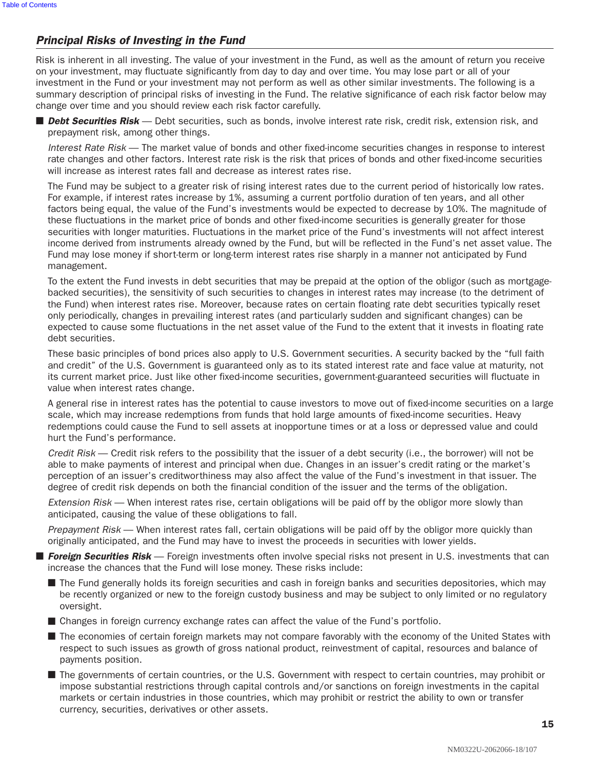# *Principal Risks of Investing in the Fund*

Risk is inherent in all investing. The value of your investment in the Fund, as well as the amount of return you receive on your investment, may fluctuate significantly from day to day and over time. You may lose part or all of your investment in the Fund or your investment may not perform as well as other similar investments. The following is a summary description of principal risks of investing in the Fund. The relative significance of each risk factor below may change over time and you should review each risk factor carefully.

■ Debt Securities Risk — Debt securities, such as bonds, involve interest rate risk, credit risk, extension risk, and prepayment risk, among other things.

*Interest Rate Risk* — The market value of bonds and other fixed-income securities changes in response to interest rate changes and other factors. Interest rate risk is the risk that prices of bonds and other fixed-income securities will increase as interest rates fall and decrease as interest rates rise.

The Fund may be subject to a greater risk of rising interest rates due to the current period of historically low rates. For example, if interest rates increase by 1%, assuming a current portfolio duration of ten years, and all other factors being equal, the value of the Fund's investments would be expected to decrease by 10%. The magnitude of these fluctuations in the market price of bonds and other fixed-income securities is generally greater for those securities with longer maturities. Fluctuations in the market price of the Fund's investments will not affect interest income derived from instruments already owned by the Fund, but will be reflected in the Fund's net asset value. The Fund may lose money if short-term or long-term interest rates rise sharply in a manner not anticipated by Fund management.

To the extent the Fund invests in debt securities that may be prepaid at the option of the obligor (such as mortgagebacked securities), the sensitivity of such securities to changes in interest rates may increase (to the detriment of the Fund) when interest rates rise. Moreover, because rates on certain floating rate debt securities typically reset only periodically, changes in prevailing interest rates (and particularly sudden and significant changes) can be expected to cause some fluctuations in the net asset value of the Fund to the extent that it invests in floating rate debt securities.

These basic principles of bond prices also apply to U.S. Government securities. A security backed by the "full faith and credit" of the U.S. Government is guaranteed only as to its stated interest rate and face value at maturity, not its current market price. Just like other fixed-income securities, government-guaranteed securities will fluctuate in value when interest rates change.

A general rise in interest rates has the potential to cause investors to move out of fixed-income securities on a large scale, which may increase redemptions from funds that hold large amounts of fixed-income securities. Heavy redemptions could cause the Fund to sell assets at inopportune times or at a loss or depressed value and could hurt the Fund's performance.

*Credit Risk* — Credit risk refers to the possibility that the issuer of a debt security (i.e., the borrower) will not be able to make payments of interest and principal when due. Changes in an issuer's credit rating or the market's perception of an issuer's creditworthiness may also affect the value of the Fund's investment in that issuer. The degree of credit risk depends on both the financial condition of the issuer and the terms of the obligation.

*Extension Risk* — When interest rates rise, certain obligations will be paid off by the obligor more slowly than anticipated, causing the value of these obligations to fall.

*Prepayment Risk* — When interest rates fall, certain obligations will be paid off by the obligor more quickly than originally anticipated, and the Fund may have to invest the proceeds in securities with lower yields.

■ *Foreign Securities Risk* — Foreign investments often involve special risks not present in U.S. investments that can increase the chances that the Fund will lose money. These risks include:

- The Fund generally holds its foreign securities and cash in foreign banks and securities depositories, which may be recently organized or new to the foreign custody business and may be subject to only limited or no regulatory oversight.
- Changes in foreign currency exchange rates can affect the value of the Fund's portfolio.
- The economies of certain foreign markets may not compare favorably with the economy of the United States with respect to such issues as growth of gross national product, reinvestment of capital, resources and balance of payments position.
- The governments of certain countries, or the U.S. Government with respect to certain countries, may prohibit or impose substantial restrictions through capital controls and/or sanctions on foreign investments in the capital markets or certain industries in those countries, which may prohibit or restrict the ability to own or transfer currency, securities, derivatives or other assets.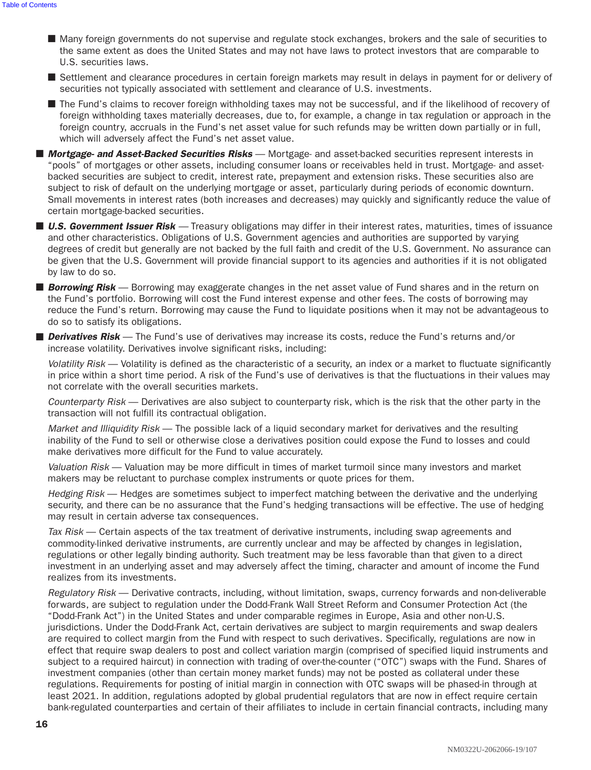- Many foreign governments do not supervise and regulate stock exchanges, brokers and the sale of securities to the same extent as does the United States and may not have laws to protect investors that are comparable to U.S. securities laws.
- Settlement and clearance procedures in certain foreign markets may result in delays in payment for or delivery of securities not typically associated with settlement and clearance of U.S. investments.
- The Fund's claims to recover foreign withholding taxes may not be successful, and if the likelihood of recovery of foreign withholding taxes materially decreases, due to, for example, a change in tax regulation or approach in the foreign country, accruals in the Fund's net asset value for such refunds may be written down partially or in full, which will adversely affect the Fund's net asset value.
- *Mortgage- and Asset-Backed Securities Risks* Mortgage- and asset-backed securities represent interests in "pools" of mortgages or other assets, including consumer loans or receivables held in trust. Mortgage- and assetbacked securities are subject to credit, interest rate, prepayment and extension risks. These securities also are subject to risk of default on the underlying mortgage or asset, particularly during periods of economic downturn. Small movements in interest rates (both increases and decreases) may quickly and significantly reduce the value of certain mortgage-backed securities.
- *U.S. Government Issuer Risk* Treasury obligations may differ in their interest rates, maturities, times of issuance and other characteristics. Obligations of U.S. Government agencies and authorities are supported by varying degrees of credit but generally are not backed by the full faith and credit of the U.S. Government. No assurance can be given that the U.S. Government will provide financial support to its agencies and authorities if it is not obligated by law to do so.
- **Borrowing Risk** Borrowing may exaggerate changes in the net asset value of Fund shares and in the return on the Fund's portfolio. Borrowing will cost the Fund interest expense and other fees. The costs of borrowing may reduce the Fund's return. Borrowing may cause the Fund to liquidate positions when it may not be advantageous to do so to satisfy its obligations.
- **Derivatives Risk** The Fund's use of derivatives may increase its costs, reduce the Fund's returns and/or increase volatility. Derivatives involve significant risks, including:

*Volatility Risk* — Volatility is defined as the characteristic of a security, an index or a market to fluctuate significantly in price within a short time period. A risk of the Fund's use of derivatives is that the fluctuations in their values may not correlate with the overall securities markets.

*Counterpar ty Risk* — Derivatives are also subject to counterparty risk, which is the risk that the other party in the transaction will not fulfill its contractual obligation.

*Market and Illiquidity Risk* — The possible lack of a liquid secondary market for derivatives and the resulting inability of the Fund to sell or otherwise close a derivatives position could expose the Fund to losses and could make derivatives more difficult for the Fund to value accurately.

*Valuation Risk* — Valuation may be more difficult in times of market turmoil since many investors and market makers may be reluctant to purchase complex instruments or quote prices for them.

*Hedging Risk* — Hedges are sometimes subject to imperfect matching between the derivative and the underlying security, and there can be no assurance that the Fund's hedging transactions will be effective. The use of hedging may result in certain adverse tax consequences.

*Tax Risk* — Certain aspects of the tax treatment of derivative instruments, including swap agreements and commodity-linked derivative instruments, are currently unclear and may be affected by changes in legislation, regulations or other legally binding authority. Such treatment may be less favorable than that given to a direct investment in an underlying asset and may adversely affect the timing, character and amount of income the Fund realizes from its investments.

*Regulatory Risk* — Derivative contracts, including, without limitation, swaps, currency forwards and non-deliverable forwards, are subject to regulation under the Dodd-Frank Wall Street Reform and Consumer Protection Act (the "Dodd-Frank Act") in the United States and under comparable regimes in Europe, Asia and other non-U.S. jurisdictions. Under the Dodd-Frank Act, certain derivatives are subject to margin requirements and swap dealers are required to collect margin from the Fund with respect to such derivatives. Specifically, regulations are now in effect that require swap dealers to post and collect variation margin (comprised of specified liquid instruments and subject to a required haircut) in connection with trading of over-the-counter ("OTC") swaps with the Fund. Shares of investment companies (other than certain money market funds) may not be posted as collateral under these regulations. Requirements for posting of initial margin in connection with OTC swaps will be phased-in through at least 2021. In addition, regulations adopted by global prudential regulators that are now in effect require certain bank-regulated counterparties and certain of their affiliates to include in certain financial contracts, including many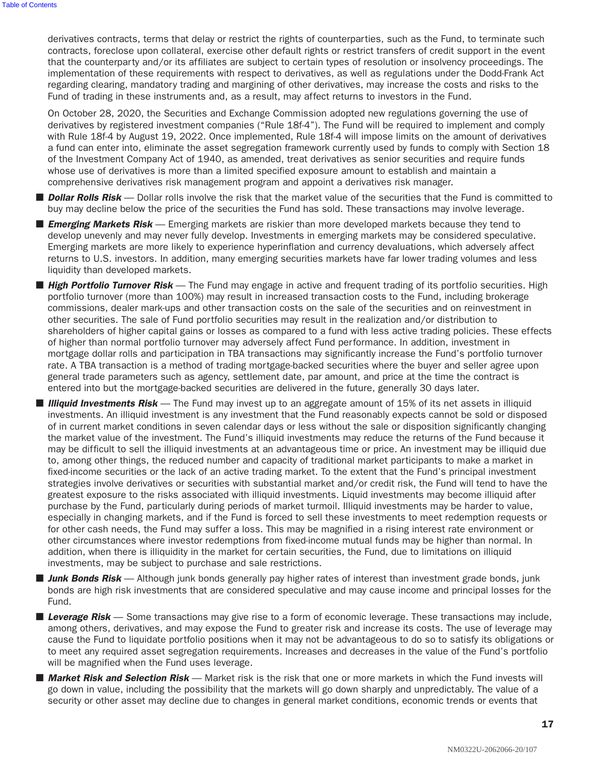derivatives contracts, terms that delay or restrict the rights of counterparties, such as the Fund, to terminate such contracts, foreclose upon collateral, exercise other default rights or restrict transfers of credit support in the event that the counterparty and/or its affiliates are subject to certain types of resolution or insolvency proceedings. The implementation of these requirements with respect to derivatives, as well as regulations under the Dodd-Frank Act regarding clearing, mandatory trading and margining of other derivatives, may increase the costs and risks to the Fund of trading in these instruments and, as a result, may affect returns to investors in the Fund.

On October 28, 2020, the Securities and Exchange Commission adopted new regulations governing the use of derivatives by registered investment companies ("Rule 18f-4"). The Fund will be required to implement and comply with Rule 18f-4 by August 19, 2022. Once implemented, Rule 18f-4 will impose limits on the amount of derivatives a fund can enter into, eliminate the asset segregation framework currently used by funds to comply with Section 18 of the Investment Company Act of 1940, as amended, treat derivatives as senior securities and require funds whose use of derivatives is more than a limited specified exposure amount to establish and maintain a comprehensive derivatives risk management program and appoint a derivatives risk manager.

- **Dollar Rolls Risk** Dollar rolls involve the risk that the market value of the securities that the Fund is committed to buy may decline below the price of the securities the Fund has sold. These transactions may involve leverage.
- **Emerging Markets Risk** Emerging markets are riskier than more developed markets because they tend to develop unevenly and may never fully develop. Investments in emerging markets may be considered speculative. Emerging markets are more likely to experience hyperinflation and currency devaluations, which adversely affect returns to U.S. investors. In addition, many emerging securities markets have far lower trading volumes and less liquidity than developed markets.
- High Portfolio Turnover Risk The Fund may engage in active and frequent trading of its portfolio securities. High portfolio turnover (more than 100%) may result in increased transaction costs to the Fund, including brokerage commissions, dealer mark-ups and other transaction costs on the sale of the securities and on reinvestment in other securities. The sale of Fund portfolio securities may result in the realization and/or distribution to shareholders of higher capital gains or losses as compared to a fund with less active trading policies. These effects of higher than normal portfolio turnover may adversely affect Fund performance. In addition, investment in mortgage dollar rolls and participation in TBA transactions may significantly increase the Fund's portfolio turnover rate. A TBA transaction is a method of trading mortgage-backed securities where the buyer and seller agree upon general trade parameters such as agency, settlement date, par amount, and price at the time the contract is entered into but the mortgage-backed securities are delivered in the future, generally 30 days later.
- **Illiquid Investments Risk** The Fund may invest up to an aggregate amount of 15% of its net assets in illiquid investments. An illiquid investment is any investment that the Fund reasonably expects cannot be sold or disposed of in current market conditions in seven calendar days or less without the sale or disposition significantly changing the market value of the investment. The Fund's illiquid investments may reduce the returns of the Fund because it may be difficult to sell the illiquid investments at an advantageous time or price. An investment may be illiquid due to, among other things, the reduced number and capacity of traditional market participants to make a market in fixed-income securities or the lack of an active trading market. To the extent that the Fund's principal investment strategies involve derivatives or securities with substantial market and/or credit risk, the Fund will tend to have the greatest exposure to the risks associated with illiquid investments. Liquid investments may become illiquid after purchase by the Fund, particularly during periods of market turmoil. Illiquid investments may be harder to value, especially in changing markets, and if the Fund is forced to sell these investments to meet redemption requests or for other cash needs, the Fund may suffer a loss. This may be magnified in a rising interest rate environment or other circumstances where investor redemptions from fixed-income mutual funds may be higher than normal. In addition, when there is illiquidity in the market for certain securities, the Fund, due to limitations on illiquid investments, may be subject to purchase and sale restrictions.
- **I Junk Bonds Risk** Although junk bonds generally pay higher rates of interest than investment grade bonds, junk bonds are high risk investments that are considered speculative and may cause income and principal losses for the Fund.
- **Leverage Risk** Some transactions may give rise to a form of economic leverage. These transactions may include, among others, derivatives, and may expose the Fund to greater risk and increase its costs. The use of leverage may cause the Fund to liquidate portfolio positions when it may not be advantageous to do so to satisfy its obligations or to meet any required asset segregation requirements. Increases and decreases in the value of the Fund's portfolio will be magnified when the Fund uses leverage.
- Market Risk and Selection Risk Market risk is the risk that one or more markets in which the Fund invests will go down in value, including the possibility that the markets will go down sharply and unpredictably. The value of a security or other asset may decline due to changes in general market conditions, economic trends or events that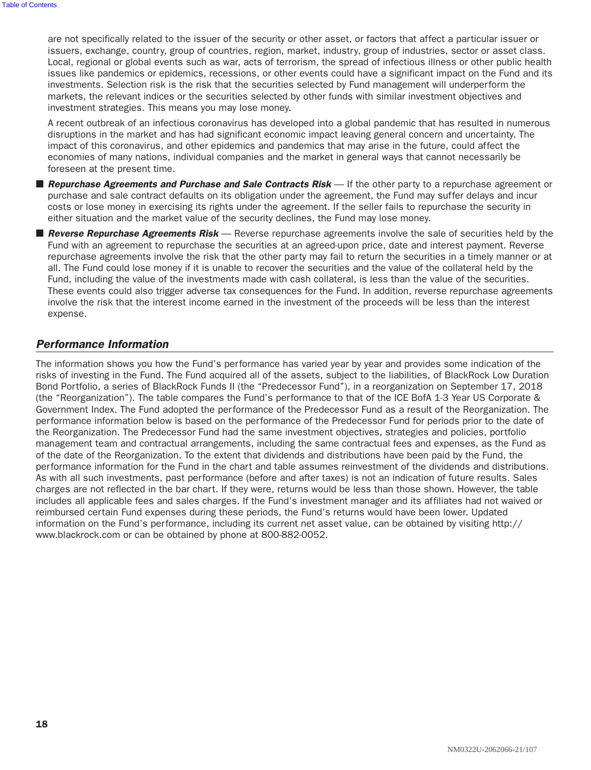are not specifically related to the issuer of the security or other asset, or factors that affect a particular issuer or issuers, exchange, country, group of countries, region, market, industry, group of industries, sector or asset class. Local, regional or global events such as war, acts of terrorism, the spread of infectious illness or other public health issues like pandemics or epidemics, recessions, or other events could have a significant impact on the Fund and its investments. Selection risk is the risk that the securities selected by Fund management will underperform the markets, the relevant indices or the securities selected by other funds with similar investment objectives and investment strategies. This means you may lose money.

A recent outbreak of an infectious coronavirus has developed into a global pandemic that has resulted in numerous disruptions in the market and has had significant economic impact leaving general concern and uncertainty. The impact of this coronavirus, and other epidemics and pandemics that may arise in the future, could affect the economies of many nations, individual companies and the market in general ways that cannot necessarily be foreseen at the present time.

**E** Repurchase Agreements and Purchase and Sale Contracts Risk — If the other party to a repurchase agreement or purchase and sale contract defaults on its obligation under the agreement, the Fund may suffer delays and incur costs or lose money in exercising its rights under the agreement. If the seller fails to repurchase the security in either situation and the market value of the security declines, the Fund may lose money.

■ **Reverse Repurchase Agreements Risk** — Reverse repurchase agreements involve the sale of securities held by the Fund with an agreement to repurchase the securities at an agreed-upon price, date and interest payment. Reverse repurchase agreements involve the risk that the other party may fail to return the securities in a timely manner or at all. The Fund could lose money if it is unable to recover the securities and the value of the collateral held by the Fund, including the value of the investments made with cash collateral, is less than the value of the securities. These events could also trigger adverse tax consequences for the Fund. In addition, reverse repurchase agreements involve the risk that the interest income earned in the investment of the proceeds will be less than the interest expense.

## *Performance Information*

The information shows you how the Fund's performance has varied year by year and provides some indication of the risks of investing in the Fund. The Fund acquired all of the assets, subject to the liabilities, of BlackRock Low Duration Bond Portfolio, a series of BlackRock Funds II (the "Predecessor Fund"), in a reorganization on September 17, 2018 (the "Reorganization"). The table compares the Fund's performance to that of the ICE BofA 1-3 Year US Corporate & Government Index. The Fund adopted the performance of the Predecessor Fund as a result of the Reorganization. The performance information below is based on the performance of the Predecessor Fund for periods prior to the date of the Reorganization. The Predecessor Fund had the same investment objectives, strategies and policies, portfolio management team and contractual arrangements, including the same contractual fees and expenses, as the Fund as of the date of the Reorganization. To the extent that dividends and distributions have been paid by the Fund, the performance information for the Fund in the chart and table assumes reinvestment of the dividends and distributions. As with all such investments, past performance (before and after taxes) is not an indication of future results. Sales charges are not reflected in the bar chart. If they were, returns would be less than those shown. However, the table includes all applicable fees and sales charges. If the Fund's investment manager and its affiliates had not waived or reimbursed certain Fund expenses during these periods, the Fund's returns would have been lower. Updated information on the Fund's performance, including its current net asset value, can be obtained by visiting http:// www.blackrock.com or can be obtained by phone at 800-882-0052.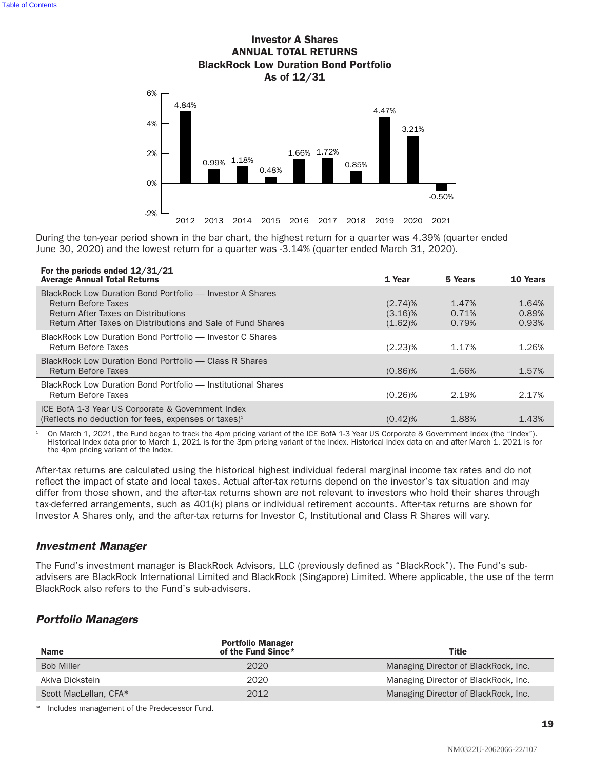## Investor A Shares ANNUAL TOTAL RETURNS BlackRock Low Duration Bond Portfolio As of 12/31



During the ten-year period shown in the bar chart, the highest return for a quarter was 4.39% (quarter ended June 30, 2020) and the lowest return for a quarter was -3.14% (quarter ended March 31, 2020).

| For the periods ended 12/31/21<br><b>Average Annual Total Returns</b>                                                                                                                  | 1 Year                           | 5 Years                 | 10 Years                |
|----------------------------------------------------------------------------------------------------------------------------------------------------------------------------------------|----------------------------------|-------------------------|-------------------------|
| BlackRock Low Duration Bond Portfolio — Investor A Shares<br>Return Before Taxes<br>Return After Taxes on Distributions<br>Return After Taxes on Distributions and Sale of Fund Shares | (2.74)%<br>$(3.16)\%$<br>(1.62)% | 1.47%<br>0.71%<br>0.79% | 1.64%<br>0.89%<br>0.93% |
| BlackRock Low Duration Bond Portfolio — Investor C Shares<br>Return Before Taxes                                                                                                       | (2.23)%                          | 1.17%                   | 1.26%                   |
| BlackRock Low Duration Bond Portfolio — Class R Shares<br>Return Before Taxes                                                                                                          | $(0.86)\%$                       | 1.66%                   | 1.57%                   |
| BlackRock Low Duration Bond Portfolio — Institutional Shares<br>Return Before Taxes                                                                                                    | $(0.26)$ %                       | 2.19%                   | 2.17%                   |
| ICE BofA 1-3 Year US Corporate & Government Index<br>(Reflects no deduction for fees, expenses or taxes) $1$                                                                           | $(0.42)\%$                       | 1.88%                   | 1.43%                   |

<sup>1</sup> On March 1, 2021, the Fund began to track the 4pm pricing variant of the ICE BofA 1-3 Year US Corporate & Government Index (the "Index"). Historical Index data prior to March 1, 2021 is for the 3pm pricing variant of the Index. Historical Index data on and after March 1, 2021 is for the 4pm pricing variant of the Index.

After-tax returns are calculated using the historical highest individual federal marginal income tax rates and do not reflect the impact of state and local taxes. Actual after-tax returns depend on the investor's tax situation and may differ from those shown, and the after-tax returns shown are not relevant to investors who hold their shares through tax-deferred arrangements, such as 401(k) plans or individual retirement accounts. After-tax returns are shown for Investor A Shares only, and the after-tax returns for Investor C, Institutional and Class R Shares will vary.

## *Investment Manager*

The Fund's investment manager is BlackRock Advisors, LLC (previously defined as "BlackRock"). The Fund's subadvisers are BlackRock International Limited and BlackRock (Singapore) Limited. Where applicable, the use of the term BlackRock also refers to the Fund's sub-advisers.

## *Portfolio Managers*

| <b>Name</b>           | <b>Portfolio Manager</b><br>of the Fund Since* | <b>Title</b>                         |
|-----------------------|------------------------------------------------|--------------------------------------|
| <b>Bob Miller</b>     | 2020                                           | Managing Director of BlackRock, Inc. |
| Akiva Dickstein       | 2020                                           | Managing Director of BlackRock, Inc. |
| Scott MacLellan, CFA* | 2012                                           | Managing Director of BlackRock, Inc. |

Includes management of the Predecessor Fund.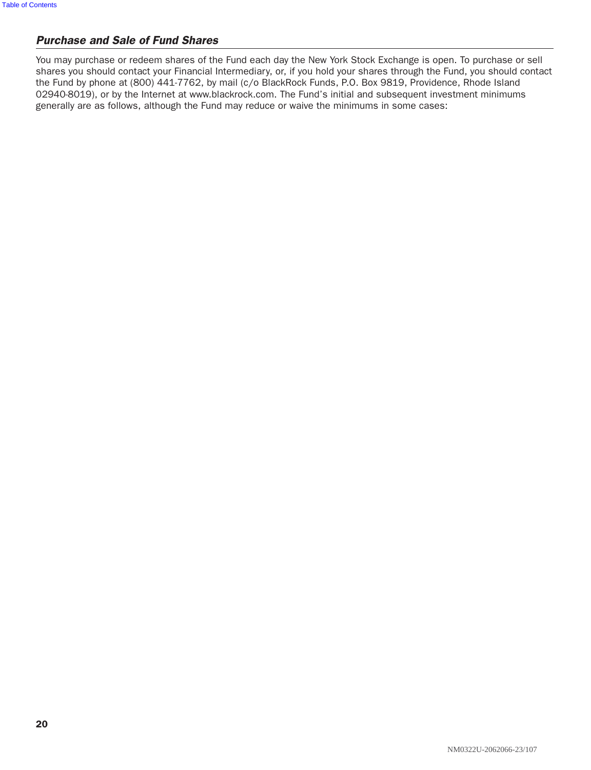# *Purchase and Sale of Fund Shares*

You may purchase or redeem shares of the Fund each day the New York Stock Exchange is open. To purchase or sell shares you should contact your Financial Intermediary, or, if you hold your shares through the Fund, you should contact the Fund by phone at (800) 441-7762, by mail (c/o BlackRock Funds, P.O. Box 9819, Providence, Rhode Island 02940-8019), or by the Internet at www.blackrock.com. The Fund's initial and subsequent investment minimums generally are as follows, although the Fund may reduce or waive the minimums in some cases: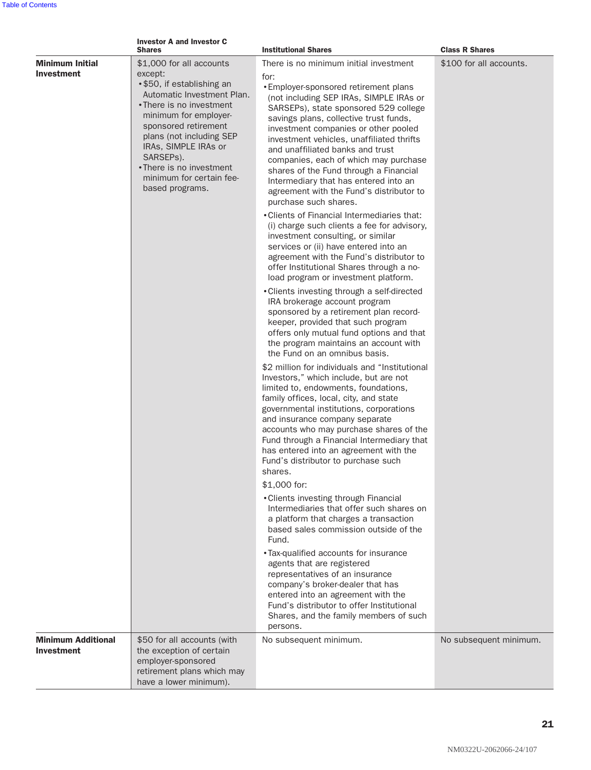|                                                | <b>Investor A and Investor C</b><br><b>Shares</b>                                                                                                                                                                                                                                                                        | <b>Institutional Shares</b>                                                                                                                                                                                                                                                                                                                                                                                                                                                                                                                     | <b>Class R Shares</b>   |
|------------------------------------------------|--------------------------------------------------------------------------------------------------------------------------------------------------------------------------------------------------------------------------------------------------------------------------------------------------------------------------|-------------------------------------------------------------------------------------------------------------------------------------------------------------------------------------------------------------------------------------------------------------------------------------------------------------------------------------------------------------------------------------------------------------------------------------------------------------------------------------------------------------------------------------------------|-------------------------|
| <b>Minimum Initial</b><br><b>Investment</b>    | \$1,000 for all accounts<br>except:<br>• \$50, if establishing an<br>Automatic Investment Plan.<br>• There is no investment<br>minimum for employer-<br>sponsored retirement<br>plans (not including SEP<br>IRAs, SIMPLE IRAs or<br>SARSEPS).<br>• There is no investment<br>minimum for certain fee-<br>based programs. | There is no minimum initial investment<br>for:<br>• Employer-sponsored retirement plans<br>(not including SEP IRAs, SIMPLE IRAs or<br>SARSEPs), state sponsored 529 college<br>savings plans, collective trust funds,<br>investment companies or other pooled<br>investment vehicles, unaffiliated thrifts<br>and unaffiliated banks and trust<br>companies, each of which may purchase<br>shares of the Fund through a Financial<br>Intermediary that has entered into an<br>agreement with the Fund's distributor to<br>purchase such shares. | \$100 for all accounts. |
|                                                |                                                                                                                                                                                                                                                                                                                          | . Clients of Financial Intermediaries that:<br>(i) charge such clients a fee for advisory,<br>investment consulting, or similar<br>services or (ii) have entered into an<br>agreement with the Fund's distributor to<br>offer Institutional Shares through a no-<br>load program or investment platform.                                                                                                                                                                                                                                        |                         |
|                                                |                                                                                                                                                                                                                                                                                                                          | • Clients investing through a self-directed<br>IRA brokerage account program<br>sponsored by a retirement plan record-<br>keeper, provided that such program<br>offers only mutual fund options and that<br>the program maintains an account with<br>the Fund on an omnibus basis.                                                                                                                                                                                                                                                              |                         |
|                                                |                                                                                                                                                                                                                                                                                                                          | \$2 million for individuals and "Institutional"<br>Investors," which include, but are not<br>limited to, endowments, foundations,<br>family offices, local, city, and state<br>governmental institutions, corporations<br>and insurance company separate<br>accounts who may purchase shares of the<br>Fund through a Financial Intermediary that<br>has entered into an agreement with the<br>Fund's distributor to purchase such<br>shares.                                                                                                   |                         |
|                                                |                                                                                                                                                                                                                                                                                                                          | \$1,000 for:<br>• Clients investing through Financial<br>Intermediaries that offer such shares on<br>a platform that charges a transaction<br>based sales commission outside of the<br>Fund.                                                                                                                                                                                                                                                                                                                                                    |                         |
|                                                |                                                                                                                                                                                                                                                                                                                          | • Tax-qualified accounts for insurance<br>agents that are registered<br>representatives of an insurance<br>company's broker-dealer that has<br>entered into an agreement with the<br>Fund's distributor to offer Institutional<br>Shares, and the family members of such<br>persons.                                                                                                                                                                                                                                                            |                         |
| <b>Minimum Additional</b><br><b>Investment</b> | \$50 for all accounts (with<br>the exception of certain<br>employer-sponsored<br>retirement plans which may<br>have a lower minimum).                                                                                                                                                                                    | No subsequent minimum.                                                                                                                                                                                                                                                                                                                                                                                                                                                                                                                          | No subsequent minimum.  |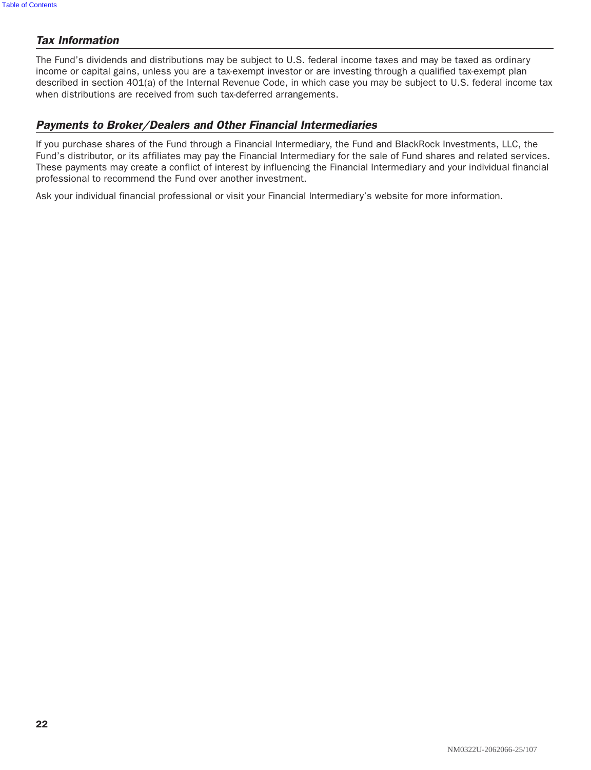# *Tax Information*

The Fund's dividends and distributions may be subject to U.S. federal income taxes and may be taxed as ordinary income or capital gains, unless you are a tax-exempt investor or are investing through a qualified tax-exempt plan described in section 401(a) of the Internal Revenue Code, in which case you may be subject to U.S. federal income tax when distributions are received from such tax-deferred arrangements.

## *Payments to Broker/Dealers and Other Financial Intermediaries*

If you purchase shares of the Fund through a Financial Intermediary, the Fund and BlackRock Investments, LLC, the Fund's distributor, or its affiliates may pay the Financial Intermediary for the sale of Fund shares and related services. These payments may create a conflict of interest by influencing the Financial Intermediary and your individual financial professional to recommend the Fund over another investment.

Ask your individual financial professional or visit your Financial Intermediary's website for more information.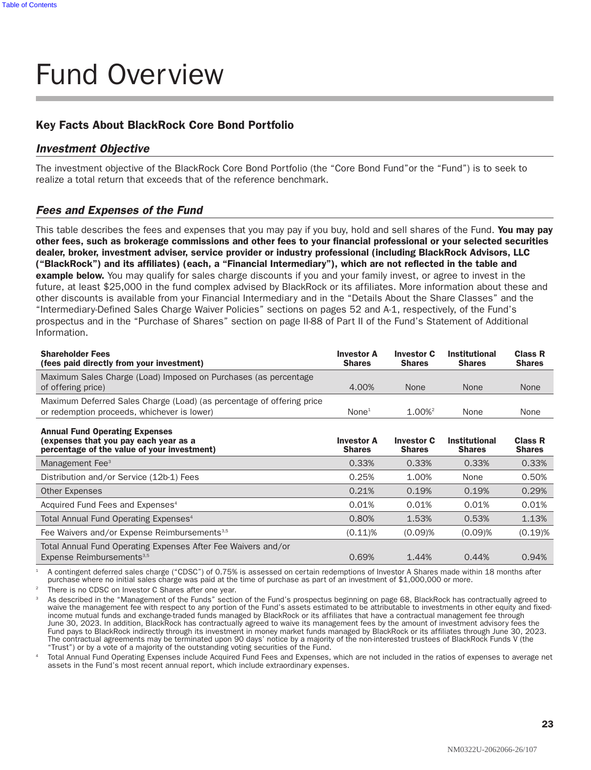# <span id="page-25-0"></span>Fund Overview

## Key Facts About BlackRock Core Bond Portfolio

## *Investment Objective*

The investment objective of the BlackRock Core Bond Portfolio (the "Core Bond Fund"or the "Fund") is to seek to realize a total return that exceeds that of the reference benchmark.

## *Fees and Expenses of the Fund*

This table describes the fees and expenses that you may pay if you buy, hold and sell shares of the Fund. You may pay other fees, such as brokerage commissions and other fees to your financial professional or your selected securities dealer, broker, investment adviser, service provider or industry professional (including BlackRock Advisors, LLC ("BlackRock") and its affiliates) (each, a "Financial Intermediary"), which are not reflected in the table and example below. You may qualify for sales charge discounts if you and your family invest, or agree to invest in the future, at least \$25,000 in the fund complex advised by BlackRock or its affiliates. More information about these and other discounts is available from your Financial Intermediary and in the "Details About the Share Classes" and the "Intermediary-Defined Sales Charge Waiver Policies" sections on pages 52 and A-1, respectively, of the Fund's prospectus and in the "Purchase of Shares" section on page II-88 of Part II of the Fund's Statement of Additional Information.

| <b>Shareholder Fees</b><br>(fees paid directly from your investment)                                                          | <b>Investor A</b><br><b>Shares</b> | <b>Investor C</b><br><b>Shares</b> | <b>Institutional</b><br><b>Shares</b> | <b>Class R</b><br><b>Shares</b> |
|-------------------------------------------------------------------------------------------------------------------------------|------------------------------------|------------------------------------|---------------------------------------|---------------------------------|
| Maximum Sales Charge (Load) Imposed on Purchases (as percentage<br>of offering price)                                         | 4.00%                              | None                               | None                                  | <b>None</b>                     |
| Maximum Deferred Sales Charge (Load) (as percentage of offering price<br>or redemption proceeds, whichever is lower)          | None <sup>1</sup>                  | 1.00% <sup>2</sup>                 | None                                  | None                            |
| <b>Annual Fund Operating Expenses</b><br>(expenses that you pay each year as a<br>percentage of the value of your investment) | <b>Investor A</b><br><b>Shares</b> | <b>Investor C</b><br><b>Shares</b> | <b>Institutional</b><br><b>Shares</b> | <b>Class R</b><br><b>Shares</b> |
| Management Fee <sup>3</sup>                                                                                                   | 0.33%                              | 0.33%                              | 0.33%                                 | 0.33%                           |
| Distribution and/or Service (12b-1) Fees                                                                                      | 0.25%                              | 1.00%                              | None                                  | 0.50%                           |
| <b>Other Expenses</b>                                                                                                         | 0.21%                              | 0.19%                              | 0.19%                                 | 0.29%                           |
| Acquired Fund Fees and Expenses <sup>4</sup>                                                                                  | 0.01%                              | 0.01%                              | 0.01%                                 | 0.01%                           |
| Total Annual Fund Operating Expenses <sup>4</sup>                                                                             | 0.80%                              | 1.53%                              | 0.53%                                 | 1.13%                           |
| Fee Waivers and/or Expense Reimbursements <sup>3,5</sup>                                                                      | $(0.11)\%$                         | $(0.09)$ %                         | $(0.09)$ %                            | $(0.19)$ %                      |
| Total Annual Fund Operating Expenses After Fee Waivers and/or<br>Expense Reimbursements <sup>3,5</sup>                        | 0.69%                              | 1.44%                              | 0.44%                                 | 0.94%                           |

<sup>1</sup> A contingent deferred sales charge ("CDSC") of 0.75% is assessed on certain redemptions of Investor A Shares made within 18 months after purchase where no initial sales charge was paid at the time of purchase as part of an investment of \$1,000,000 or more.

There is no CDSC on Investor C Shares after one year.

As described in the "Management of the Funds" section of the Fund's prospectus beginning on page 68, BlackRock has contractually agreed to waive the management fee with respect to any portion of the Fund's assets estimated to be attributable to investments in other equity and fixedincome mutual funds and exchange-traded funds managed by BlackRock or its affiliates that have a contractual management fee through June 30, 2023. In addition, BlackRock has contractually agreed to waive its management fees by the amount of investment advisory fees the Fund pays to BlackRock indirectly through its investment in money market funds managed by BlackRock or its affiliates through June 30, 2023. The contractual agreements may be terminated upon 90 days' notice by a majority of the non-interested trustees of BlackRock Funds V (the "Trust") or by a vote of a majority of the outstanding voting securities of the Fund.

Total Annual Fund Operating Expenses include Acquired Fund Fees and Expenses, which are not included in the ratios of expenses to average net assets in the Fund's most recent annual report, which include extraordinary expenses.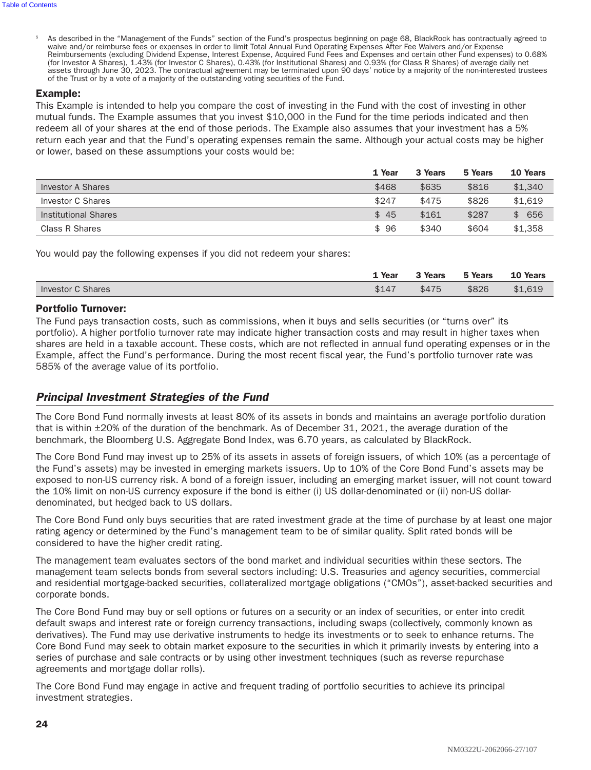As described in the "Management of the Funds" section of the Fund's prospectus beginning on page 68, BlackRock has contractually agreed to<br>waive and/or reimburse fees or expenses in order to limit Total Annual Fund Operati Reimbursements (excluding Dividend Expense, Interest Expense, Acquired Fund Fees and Expenses and certain other Fund expenses) to 0.68% (for Investor A Shares), 1.43% (for Investor C Shares), 0.43% (for Institutional Shares) and 0.93% (for Class R Shares) of average daily net assets through June 30, 2023. The contractual agreement may be terminated upon 90 days' notice by a majority of the non-interested trustees of the Trust or by a vote of a majority of the outstanding voting securities of the Fund.

### Example:

This Example is intended to help you compare the cost of investing in the Fund with the cost of investing in other mutual funds. The Example assumes that you invest \$10,000 in the Fund for the time periods indicated and then redeem all of your shares at the end of those periods. The Example also assumes that your investment has a 5% return each year and that the Fund's operating expenses remain the same. Although your actual costs may be higher or lower, based on these assumptions your costs would be:

|                      | 1 Year | 3 Years | 5 Years | 10 Years  |
|----------------------|--------|---------|---------|-----------|
| Investor A Shares    | \$468  | \$635   | \$816   | \$1,340   |
| Investor C Shares    | \$247  | \$475   | \$826   | \$1,619   |
| Institutional Shares | \$45   | \$161   | \$287   | 656<br>\$ |
| Class R Shares       | \$96   | \$340   | \$604   | \$1,358   |

You would pay the following expenses if you did not redeem your shares:

|                   | 'Year | <sup>2</sup> Years | 5 Years | 10 Years |
|-------------------|-------|--------------------|---------|----------|
| Investor C Shares | \$147 | \$475              | \$826   | \$1,619  |

## Portfolio Turnover:

The Fund pays transaction costs, such as commissions, when it buys and sells securities (or "turns over" its portfolio). A higher portfolio turnover rate may indicate higher transaction costs and may result in higher taxes when shares are held in a taxable account. These costs, which are not reflected in annual fund operating expenses or in the Example, affect the Fund's performance. During the most recent fiscal year, the Fund's portfolio turnover rate was 585% of the average value of its portfolio.

## *Principal Investment Strategies of the Fund*

The Core Bond Fund normally invests at least 80% of its assets in bonds and maintains an average portfolio duration that is within ±20% of the duration of the benchmark. As of December 31, 2021, the average duration of the benchmark, the Bloomberg U.S. Aggregate Bond Index, was 6.70 years, as calculated by BlackRock.

The Core Bond Fund may invest up to 25% of its assets in assets of foreign issuers, of which 10% (as a percentage of the Fund's assets) may be invested in emerging markets issuers. Up to 10% of the Core Bond Fund's assets may be exposed to non-US currency risk. A bond of a foreign issuer, including an emerging market issuer, will not count toward the 10% limit on non-US currency exposure if the bond is either (i) US dollar-denominated or (ii) non-US dollardenominated, but hedged back to US dollars.

The Core Bond Fund only buys securities that are rated investment grade at the time of purchase by at least one major rating agency or determined by the Fund's management team to be of similar quality. Split rated bonds will be considered to have the higher credit rating.

The management team evaluates sectors of the bond market and individual securities within these sectors. The management team selects bonds from several sectors including: U.S. Treasuries and agency securities, commercial and residential mortgage-backed securities, collateralized mortgage obligations ("CMOs"), asset-backed securities and corporate bonds.

The Core Bond Fund may buy or sell options or futures on a security or an index of securities, or enter into credit default swaps and interest rate or foreign currency transactions, including swaps (collectively, commonly known as derivatives). The Fund may use derivative instruments to hedge its investments or to seek to enhance returns. The Core Bond Fund may seek to obtain market exposure to the securities in which it primarily invests by entering into a series of purchase and sale contracts or by using other investment techniques (such as reverse repurchase agreements and mortgage dollar rolls).

The Core Bond Fund may engage in active and frequent trading of portfolio securities to achieve its principal investment strategies.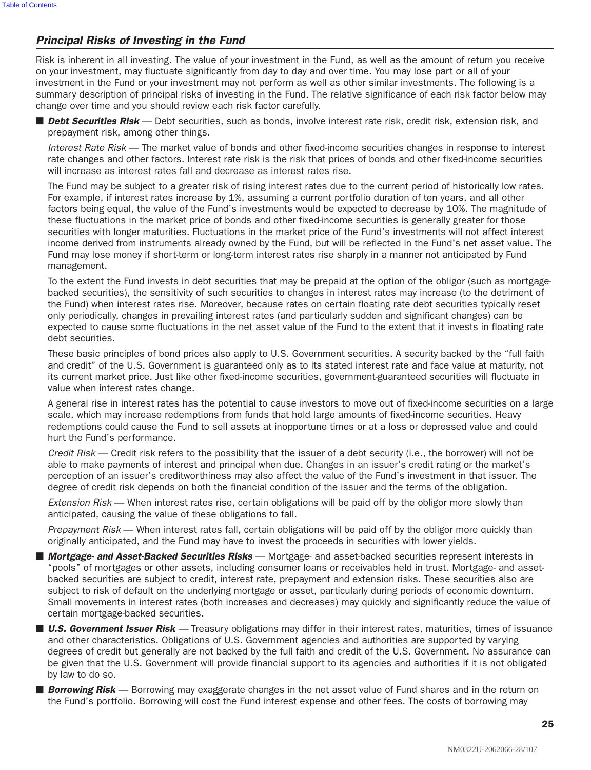# *Principal Risks of Investing in the Fund*

Risk is inherent in all investing. The value of your investment in the Fund, as well as the amount of return you receive on your investment, may fluctuate significantly from day to day and over time. You may lose part or all of your investment in the Fund or your investment may not perform as well as other similar investments. The following is a summary description of principal risks of investing in the Fund. The relative significance of each risk factor below may change over time and you should review each risk factor carefully.

■ Debt Securities Risk — Debt securities, such as bonds, involve interest rate risk, credit risk, extension risk, and prepayment risk, among other things.

*Interest Rate Risk* — The market value of bonds and other fixed-income securities changes in response to interest rate changes and other factors. Interest rate risk is the risk that prices of bonds and other fixed-income securities will increase as interest rates fall and decrease as interest rates rise.

The Fund may be subject to a greater risk of rising interest rates due to the current period of historically low rates. For example, if interest rates increase by 1%, assuming a current portfolio duration of ten years, and all other factors being equal, the value of the Fund's investments would be expected to decrease by 10%. The magnitude of these fluctuations in the market price of bonds and other fixed-income securities is generally greater for those securities with longer maturities. Fluctuations in the market price of the Fund's investments will not affect interest income derived from instruments already owned by the Fund, but will be reflected in the Fund's net asset value. The Fund may lose money if short-term or long-term interest rates rise sharply in a manner not anticipated by Fund management.

To the extent the Fund invests in debt securities that may be prepaid at the option of the obligor (such as mortgagebacked securities), the sensitivity of such securities to changes in interest rates may increase (to the detriment of the Fund) when interest rates rise. Moreover, because rates on certain floating rate debt securities typically reset only periodically, changes in prevailing interest rates (and particularly sudden and significant changes) can be expected to cause some fluctuations in the net asset value of the Fund to the extent that it invests in floating rate debt securities.

These basic principles of bond prices also apply to U.S. Government securities. A security backed by the "full faith and credit" of the U.S. Government is guaranteed only as to its stated interest rate and face value at maturity, not its current market price. Just like other fixed-income securities, government-guaranteed securities will fluctuate in value when interest rates change.

A general rise in interest rates has the potential to cause investors to move out of fixed-income securities on a large scale, which may increase redemptions from funds that hold large amounts of fixed-income securities. Heavy redemptions could cause the Fund to sell assets at inopportune times or at a loss or depressed value and could hurt the Fund's performance.

*Credit Risk* — Credit risk refers to the possibility that the issuer of a debt security (i.e., the borrower) will not be able to make payments of interest and principal when due. Changes in an issuer's credit rating or the market's perception of an issuer's creditworthiness may also affect the value of the Fund's investment in that issuer. The degree of credit risk depends on both the financial condition of the issuer and the terms of the obligation.

*Extension Risk* — When interest rates rise, certain obligations will be paid off by the obligor more slowly than anticipated, causing the value of these obligations to fall.

*Prepayment Risk* — When interest rates fall, certain obligations will be paid off by the obligor more quickly than originally anticipated, and the Fund may have to invest the proceeds in securities with lower yields.

- *Mortgage- and Asset-Backed Securities Risks* Mortgage- and asset-backed securities represent interests in "pools" of mortgages or other assets, including consumer loans or receivables held in trust. Mortgage- and assetbacked securities are subject to credit, interest rate, prepayment and extension risks. These securities also are subject to risk of default on the underlying mortgage or asset, particularly during periods of economic downturn. Small movements in interest rates (both increases and decreases) may quickly and significantly reduce the value of certain mortgage-backed securities.
- *U.S. Government Issuer Risk* Treasury obligations may differ in their interest rates, maturities, times of issuance and other characteristics. Obligations of U.S. Government agencies and authorities are supported by varying degrees of credit but generally are not backed by the full faith and credit of the U.S. Government. No assurance can be given that the U.S. Government will provide financial support to its agencies and authorities if it is not obligated by law to do so.
- **Borrowing Risk** Borrowing may exaggerate changes in the net asset value of Fund shares and in the return on the Fund's portfolio. Borrowing will cost the Fund interest expense and other fees. The costs of borrowing may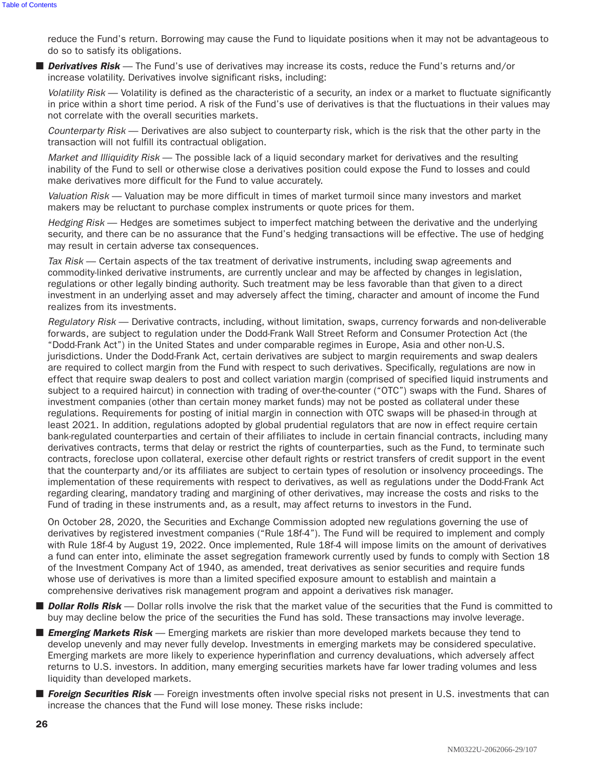reduce the Fund's return. Borrowing may cause the Fund to liquidate positions when it may not be advantageous to do so to satisfy its obligations.

■ **Derivatives Risk** — The Fund's use of derivatives may increase its costs, reduce the Fund's returns and/or increase volatility. Derivatives involve significant risks, including:

*Volatility Risk* — Volatility is defined as the characteristic of a security, an index or a market to fluctuate significantly in price within a short time period. A risk of the Fund's use of derivatives is that the fluctuations in their values may not correlate with the overall securities markets.

*Counterpar ty Risk* — Derivatives are also subject to counterparty risk, which is the risk that the other party in the transaction will not fulfill its contractual obligation.

*Market and Illiquidity Risk* — The possible lack of a liquid secondary market for derivatives and the resulting inability of the Fund to sell or otherwise close a derivatives position could expose the Fund to losses and could make derivatives more difficult for the Fund to value accurately.

*Valuation Risk* — Valuation may be more difficult in times of market turmoil since many investors and market makers may be reluctant to purchase complex instruments or quote prices for them.

*Hedging Risk* — Hedges are sometimes subject to imperfect matching between the derivative and the underlying security, and there can be no assurance that the Fund's hedging transactions will be effective. The use of hedging may result in certain adverse tax consequences.

*Tax Risk* — Certain aspects of the tax treatment of derivative instruments, including swap agreements and commodity-linked derivative instruments, are currently unclear and may be affected by changes in legislation, regulations or other legally binding authority. Such treatment may be less favorable than that given to a direct investment in an underlying asset and may adversely affect the timing, character and amount of income the Fund realizes from its investments.

*Regulatory Risk* — Derivative contracts, including, without limitation, swaps, currency forwards and non-deliverable forwards, are subject to regulation under the Dodd-Frank Wall Street Reform and Consumer Protection Act (the "Dodd-Frank Act") in the United States and under comparable regimes in Europe, Asia and other non-U.S. jurisdictions. Under the Dodd-Frank Act, certain derivatives are subject to margin requirements and swap dealers are required to collect margin from the Fund with respect to such derivatives. Specifically, regulations are now in effect that require swap dealers to post and collect variation margin (comprised of specified liquid instruments and subject to a required haircut) in connection with trading of over-the-counter ("OTC") swaps with the Fund. Shares of investment companies (other than certain money market funds) may not be posted as collateral under these regulations. Requirements for posting of initial margin in connection with OTC swaps will be phased-in through at least 2021. In addition, regulations adopted by global prudential regulators that are now in effect require certain bank-regulated counterparties and certain of their affiliates to include in certain financial contracts, including many derivatives contracts, terms that delay or restrict the rights of counterparties, such as the Fund, to terminate such contracts, foreclose upon collateral, exercise other default rights or restrict transfers of credit support in the event that the counterparty and/or its affiliates are subject to certain types of resolution or insolvency proceedings. The implementation of these requirements with respect to derivatives, as well as regulations under the Dodd-Frank Act regarding clearing, mandatory trading and margining of other derivatives, may increase the costs and risks to the Fund of trading in these instruments and, as a result, may affect returns to investors in the Fund.

On October 28, 2020, the Securities and Exchange Commission adopted new regulations governing the use of derivatives by registered investment companies ("Rule 18f-4"). The Fund will be required to implement and comply with Rule 18f-4 by August 19, 2022. Once implemented, Rule 18f-4 will impose limits on the amount of derivatives a fund can enter into, eliminate the asset segregation framework currently used by funds to comply with Section 18 of the Investment Company Act of 1940, as amended, treat derivatives as senior securities and require funds whose use of derivatives is more than a limited specified exposure amount to establish and maintain a comprehensive derivatives risk management program and appoint a derivatives risk manager.

**Dollar Rolls Risk** — Dollar rolls involve the risk that the market value of the securities that the Fund is committed to buy may decline below the price of the securities the Fund has sold. These transactions may involve leverage.

**Emerging Markets Risk** — Emerging markets are riskier than more developed markets because they tend to develop unevenly and may never fully develop. Investments in emerging markets may be considered speculative. Emerging markets are more likely to experience hyperinflation and currency devaluations, which adversely affect returns to U.S. investors. In addition, many emerging securities markets have far lower trading volumes and less liquidity than developed markets.

■ *Foreign Securities Risk* — Foreign investments often involve special risks not present in U.S. investments that can increase the chances that the Fund will lose money. These risks include: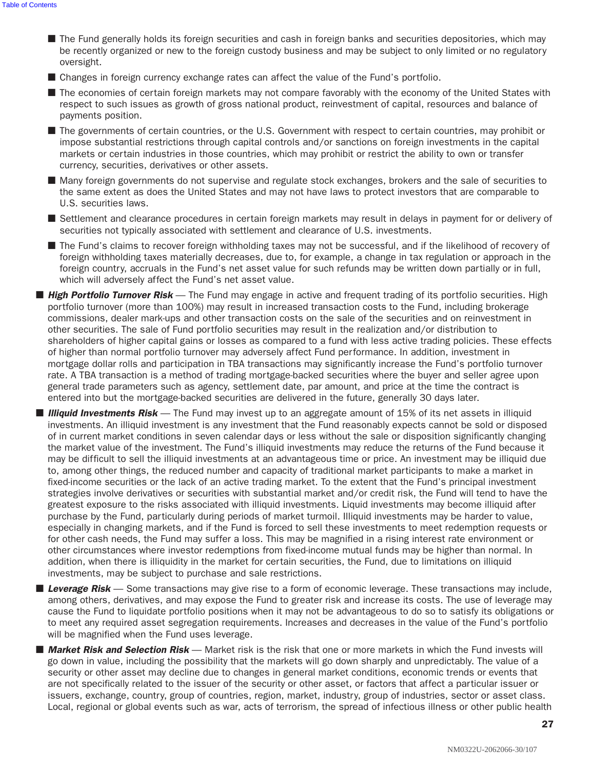- The Fund generally holds its foreign securities and cash in foreign banks and securities depositories, which may be recently organized or new to the foreign custody business and may be subject to only limited or no regulatory oversight.
- Changes in foreign currency exchange rates can affect the value of the Fund's portfolio.
- The economies of certain foreign markets may not compare favorably with the economy of the United States with respect to such issues as growth of gross national product, reinvestment of capital, resources and balance of payments position.
- The governments of certain countries, or the U.S. Government with respect to certain countries, may prohibit or impose substantial restrictions through capital controls and/or sanctions on foreign investments in the capital markets or certain industries in those countries, which may prohibit or restrict the ability to own or transfer currency, securities, derivatives or other assets.
- Many foreign governments do not supervise and regulate stock exchanges, brokers and the sale of securities to the same extent as does the United States and may not have laws to protect investors that are comparable to U.S. securities laws.
- Settlement and clearance procedures in certain foreign markets may result in delays in payment for or delivery of securities not typically associated with settlement and clearance of U.S. investments.
- The Fund's claims to recover foreign withholding taxes may not be successful, and if the likelihood of recovery of foreign withholding taxes materially decreases, due to, for example, a change in tax regulation or approach in the foreign country, accruals in the Fund's net asset value for such refunds may be written down partially or in full, which will adversely affect the Fund's net asset value.
- *High Portfolio Turnover Risk* The Fund may engage in active and frequent trading of its portfolio securities. High portfolio turnover (more than 100%) may result in increased transaction costs to the Fund, including brokerage commissions, dealer mark-ups and other transaction costs on the sale of the securities and on reinvestment in other securities. The sale of Fund portfolio securities may result in the realization and/or distribution to shareholders of higher capital gains or losses as compared to a fund with less active trading policies. These effects of higher than normal portfolio turnover may adversely affect Fund performance. In addition, investment in mortgage dollar rolls and participation in TBA transactions may significantly increase the Fund's portfolio turnover rate. A TBA transaction is a method of trading mortgage-backed securities where the buyer and seller agree upon general trade parameters such as agency, settlement date, par amount, and price at the time the contract is entered into but the mortgage-backed securities are delivered in the future, generally 30 days later.
- **Illiquid Investments Risk** The Fund may invest up to an aggregate amount of 15% of its net assets in illiquid investments. An illiquid investment is any investment that the Fund reasonably expects cannot be sold or disposed of in current market conditions in seven calendar days or less without the sale or disposition significantly changing the market value of the investment. The Fund's illiquid investments may reduce the returns of the Fund because it may be difficult to sell the illiquid investments at an advantageous time or price. An investment may be illiquid due to, among other things, the reduced number and capacity of traditional market participants to make a market in fixed-income securities or the lack of an active trading market. To the extent that the Fund's principal investment strategies involve derivatives or securities with substantial market and/or credit risk, the Fund will tend to have the greatest exposure to the risks associated with illiquid investments. Liquid investments may become illiquid after purchase by the Fund, particularly during periods of market turmoil. Illiquid investments may be harder to value, especially in changing markets, and if the Fund is forced to sell these investments to meet redemption requests or for other cash needs, the Fund may suffer a loss. This may be magnified in a rising interest rate environment or other circumstances where investor redemptions from fixed-income mutual funds may be higher than normal. In addition, when there is illiquidity in the market for certain securities, the Fund, due to limitations on illiquid investments, may be subject to purchase and sale restrictions.
- **Leverage Risk** Some transactions may give rise to a form of economic leverage. These transactions may include, among others, derivatives, and may expose the Fund to greater risk and increase its costs. The use of leverage may cause the Fund to liquidate portfolio positions when it may not be advantageous to do so to satisfy its obligations or to meet any required asset segregation requirements. Increases and decreases in the value of the Fund's portfolio will be magnified when the Fund uses leverage.
- *Market Risk and Selection Risk* Market risk is the risk that one or more markets in which the Fund invests will go down in value, including the possibility that the markets will go down sharply and unpredictably. The value of a security or other asset may decline due to changes in general market conditions, economic trends or events that are not specifically related to the issuer of the security or other asset, or factors that affect a particular issuer or issuers, exchange, country, group of countries, region, market, industry, group of industries, sector or asset class. Local, regional or global events such as war, acts of terrorism, the spread of infectious illness or other public health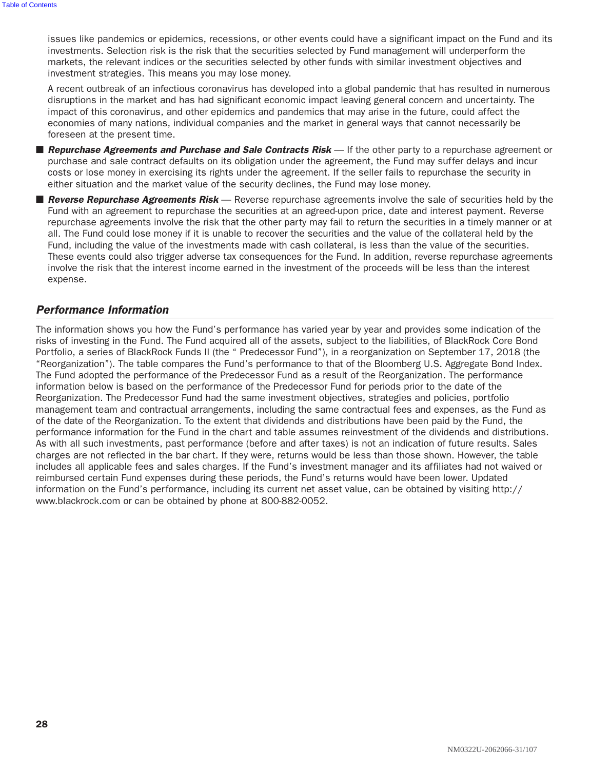issues like pandemics or epidemics, recessions, or other events could have a significant impact on the Fund and its investments. Selection risk is the risk that the securities selected by Fund management will underperform the markets, the relevant indices or the securities selected by other funds with similar investment objectives and investment strategies. This means you may lose money.

A recent outbreak of an infectious coronavirus has developed into a global pandemic that has resulted in numerous disruptions in the market and has had significant economic impact leaving general concern and uncertainty. The impact of this coronavirus, and other epidemics and pandemics that may arise in the future, could affect the economies of many nations, individual companies and the market in general ways that cannot necessarily be foreseen at the present time.

- Repurchase Agreements and Purchase and Sale Contracts Risk If the other party to a repurchase agreement or purchase and sale contract defaults on its obligation under the agreement, the Fund may suffer delays and incur costs or lose money in exercising its rights under the agreement. If the seller fails to repurchase the security in either situation and the market value of the security declines, the Fund may lose money.
- **Reverse Repurchase Agreements Risk** Reverse repurchase agreements involve the sale of securities held by the Fund with an agreement to repurchase the securities at an agreed-upon price, date and interest payment. Reverse repurchase agreements involve the risk that the other party may fail to return the securities in a timely manner or at all. The Fund could lose money if it is unable to recover the securities and the value of the collateral held by the Fund, including the value of the investments made with cash collateral, is less than the value of the securities. These events could also trigger adverse tax consequences for the Fund. In addition, reverse repurchase agreements involve the risk that the interest income earned in the investment of the proceeds will be less than the interest expense.

## *Performance Information*

The information shows you how the Fund's performance has varied year by year and provides some indication of the risks of investing in the Fund. The Fund acquired all of the assets, subject to the liabilities, of BlackRock Core Bond Portfolio, a series of BlackRock Funds II (the " Predecessor Fund"), in a reorganization on September 17, 2018 (the "Reorganization"). The table compares the Fund's performance to that of the Bloomberg U.S. Aggregate Bond Index. The Fund adopted the performance of the Predecessor Fund as a result of the Reorganization. The performance information below is based on the performance of the Predecessor Fund for periods prior to the date of the Reorganization. The Predecessor Fund had the same investment objectives, strategies and policies, portfolio management team and contractual arrangements, including the same contractual fees and expenses, as the Fund as of the date of the Reorganization. To the extent that dividends and distributions have been paid by the Fund, the performance information for the Fund in the chart and table assumes reinvestment of the dividends and distributions. As with all such investments, past performance (before and after taxes) is not an indication of future results. Sales charges are not reflected in the bar chart. If they were, returns would be less than those shown. However, the table includes all applicable fees and sales charges. If the Fund's investment manager and its affiliates had not waived or reimbursed certain Fund expenses during these periods, the Fund's returns would have been lower. Updated information on the Fund's performance, including its current net asset value, can be obtained by visiting http:// www.blackrock.com or can be obtained by phone at 800-882-0052.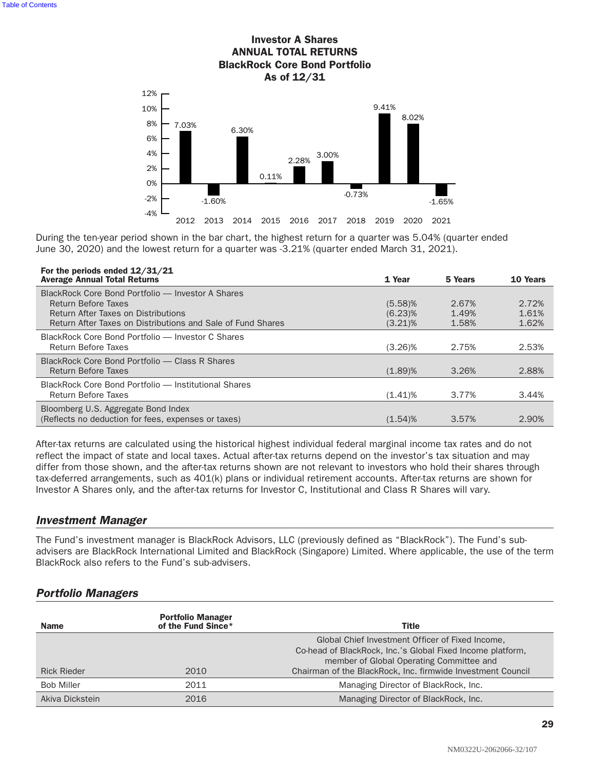## Investor A Shares ANNUAL TOTAL RETURNS BlackRock Core Bond Portfolio As of 12/31



During the ten-year period shown in the bar chart, the highest return for a quarter was 5.04% (quarter ended June 30, 2020) and the lowest return for a quarter was -3.21% (quarter ended March 31, 2021).

### For the periods ended 12/31/21 Average Annual Total Returns **1 Year 5 Years 10 Years** 10 Years 10 Years 10 Years 10 Years 10 Years 10 Years 10 Years 10 Years 10 Years 10 Years 10 Years 10 Years 10 Years 10 Years 10 Years 10 Years 10 Years 10 Years 10 Ye BlackRock Core Bond Portfolio — Investor A Shares Return Before Taxes (5.58)% 2.67% 2.72% Return After Taxes on Distributions (6.23)  $(6.23)$ % 1.49% 1.61% 1.61% Return After Taxes on Distributions and Sale of Fund Shares (3.21)% 1.58% 1.62% 1.62% BlackRock Core Bond Portfolio — Investor C Shares Return Before Taxes (3.26)% 2.75% 2.53% BlackRock Core Bond Portfolio — Class R Shares Return Before Taxes **2.88%** 3.26% 3.26% 3.26% 3.26% 3.26% 3.88% 3.26% 3.26% 3.26% 3.26% 3.26% 3.26% 3.26% 3.26% 3.26% 3.26% 3.26% 3.26% 3.26% 3.26% 3.26% 3.26% 3.26% 3.26% 3.26% 3.26% 3.26% 3.26% 3.26% 3.26% 3.26% 3.26% 3. BlackRock Core Bond Portfolio — Institutional Shares Return Before Taxes 3.44% 3.77% 3.44% 3.77% 3.44% Bloomberg U.S. Aggregate Bond Index (Reflects no deduction for fees, expenses or taxes) (1.54)% 3.57% 2.90%

After-tax returns are calculated using the historical highest individual federal marginal income tax rates and do not reflect the impact of state and local taxes. Actual after-tax returns depend on the investor's tax situation and may differ from those shown, and the after-tax returns shown are not relevant to investors who hold their shares through tax-deferred arrangements, such as 401(k) plans or individual retirement accounts. After-tax returns are shown for Investor A Shares only, and the after-tax returns for Investor C, Institutional and Class R Shares will vary.

## *Investment Manager*

The Fund's investment manager is BlackRock Advisors, LLC (previously defined as "BlackRock"). The Fund's subadvisers are BlackRock International Limited and BlackRock (Singapore) Limited. Where applicable, the use of the term BlackRock also refers to the Fund's sub-advisers.

## *Portfolio Managers*

| <b>Name</b>        | <b>Portfolio Manager</b><br>of the Fund Since* | <b>Title</b>                                                                                                   |
|--------------------|------------------------------------------------|----------------------------------------------------------------------------------------------------------------|
|                    |                                                | Global Chief Investment Officer of Fixed Income,<br>Co-head of BlackRock, Inc.'s Global Fixed Income platform, |
|                    |                                                | member of Global Operating Committee and                                                                       |
| <b>Rick Rieder</b> | 2010                                           | Chairman of the BlackRock, Inc. firmwide Investment Council                                                    |
| <b>Bob Miller</b>  | 2011                                           | Managing Director of BlackRock, Inc.                                                                           |
| Akiva Dickstein    | 2016                                           | Managing Director of BlackRock, Inc.                                                                           |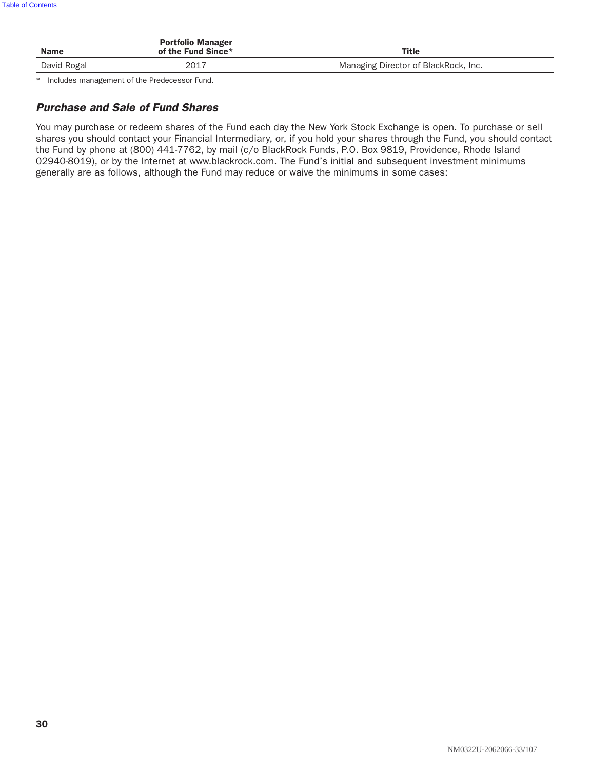| <b>Name</b> | <b>Portfolio Manager</b><br>of the Fund Since* | <b>Title</b>                         |  |
|-------------|------------------------------------------------|--------------------------------------|--|
| David Rogal | 2017                                           | Managing Director of BlackRock, Inc. |  |

\* Includes management of the Predecessor Fund.

## *Purchase and Sale of Fund Shares*

You may purchase or redeem shares of the Fund each day the New York Stock Exchange is open. To purchase or sell shares you should contact your Financial Intermediary, or, if you hold your shares through the Fund, you should contact the Fund by phone at (800) 441-7762, by mail (c/o BlackRock Funds, P.O. Box 9819, Providence, Rhode Island 02940-8019), or by the Internet at www.blackrock.com. The Fund's initial and subsequent investment minimums generally are as follows, although the Fund may reduce or waive the minimums in some cases: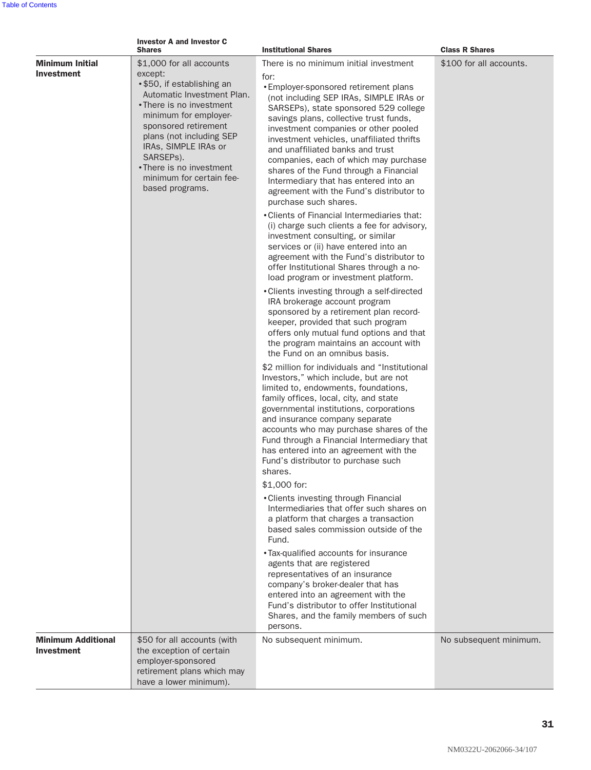|                                                | <b>Investor A and Investor C</b><br><b>Shares</b>                                                                                                                                                                                                                                                                        | <b>Institutional Shares</b>                                                                                                                                                                                                                                                                                                                                                                                                                                                                                                                     | <b>Class R Shares</b>   |
|------------------------------------------------|--------------------------------------------------------------------------------------------------------------------------------------------------------------------------------------------------------------------------------------------------------------------------------------------------------------------------|-------------------------------------------------------------------------------------------------------------------------------------------------------------------------------------------------------------------------------------------------------------------------------------------------------------------------------------------------------------------------------------------------------------------------------------------------------------------------------------------------------------------------------------------------|-------------------------|
| <b>Minimum Initial</b><br><b>Investment</b>    | \$1,000 for all accounts<br>except:<br>• \$50, if establishing an<br>Automatic Investment Plan.<br>• There is no investment<br>minimum for employer-<br>sponsored retirement<br>plans (not including SEP<br>IRAs, SIMPLE IRAs or<br>SARSEPS).<br>• There is no investment<br>minimum for certain fee-<br>based programs. | There is no minimum initial investment<br>for:<br>• Employer-sponsored retirement plans<br>(not including SEP IRAs, SIMPLE IRAs or<br>SARSEPs), state sponsored 529 college<br>savings plans, collective trust funds,<br>investment companies or other pooled<br>investment vehicles, unaffiliated thrifts<br>and unaffiliated banks and trust<br>companies, each of which may purchase<br>shares of the Fund through a Financial<br>Intermediary that has entered into an<br>agreement with the Fund's distributor to<br>purchase such shares. | \$100 for all accounts. |
|                                                |                                                                                                                                                                                                                                                                                                                          | . Clients of Financial Intermediaries that:<br>(i) charge such clients a fee for advisory,<br>investment consulting, or similar<br>services or (ii) have entered into an<br>agreement with the Fund's distributor to<br>offer Institutional Shares through a no-<br>load program or investment platform.                                                                                                                                                                                                                                        |                         |
|                                                |                                                                                                                                                                                                                                                                                                                          | • Clients investing through a self-directed<br>IRA brokerage account program<br>sponsored by a retirement plan record-<br>keeper, provided that such program<br>offers only mutual fund options and that<br>the program maintains an account with<br>the Fund on an omnibus basis.                                                                                                                                                                                                                                                              |                         |
|                                                |                                                                                                                                                                                                                                                                                                                          | \$2 million for individuals and "Institutional"<br>Investors," which include, but are not<br>limited to, endowments, foundations,<br>family offices, local, city, and state<br>governmental institutions, corporations<br>and insurance company separate<br>accounts who may purchase shares of the<br>Fund through a Financial Intermediary that<br>has entered into an agreement with the<br>Fund's distributor to purchase such<br>shares.                                                                                                   |                         |
|                                                |                                                                                                                                                                                                                                                                                                                          | \$1,000 for:<br>• Clients investing through Financial<br>Intermediaries that offer such shares on<br>a platform that charges a transaction<br>based sales commission outside of the<br>Fund.                                                                                                                                                                                                                                                                                                                                                    |                         |
|                                                |                                                                                                                                                                                                                                                                                                                          | • Tax-qualified accounts for insurance<br>agents that are registered<br>representatives of an insurance<br>company's broker-dealer that has<br>entered into an agreement with the<br>Fund's distributor to offer Institutional<br>Shares, and the family members of such<br>persons.                                                                                                                                                                                                                                                            |                         |
| <b>Minimum Additional</b><br><b>Investment</b> | \$50 for all accounts (with<br>the exception of certain<br>employer-sponsored<br>retirement plans which may<br>have a lower minimum).                                                                                                                                                                                    | No subsequent minimum.                                                                                                                                                                                                                                                                                                                                                                                                                                                                                                                          | No subsequent minimum.  |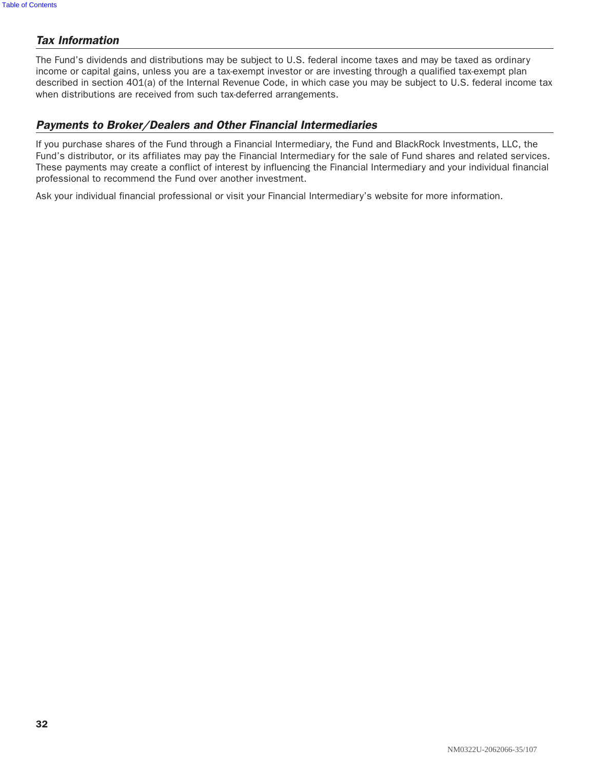# *Tax Information*

The Fund's dividends and distributions may be subject to U.S. federal income taxes and may be taxed as ordinary income or capital gains, unless you are a tax-exempt investor or are investing through a qualified tax-exempt plan described in section 401(a) of the Internal Revenue Code, in which case you may be subject to U.S. federal income tax when distributions are received from such tax-deferred arrangements.

## *Payments to Broker/Dealers and Other Financial Intermediaries*

If you purchase shares of the Fund through a Financial Intermediary, the Fund and BlackRock Investments, LLC, the Fund's distributor, or its affiliates may pay the Financial Intermediary for the sale of Fund shares and related services. These payments may create a conflict of interest by influencing the Financial Intermediary and your individual financial professional to recommend the Fund over another investment.

Ask your individual financial professional or visit your Financial Intermediary's website for more information.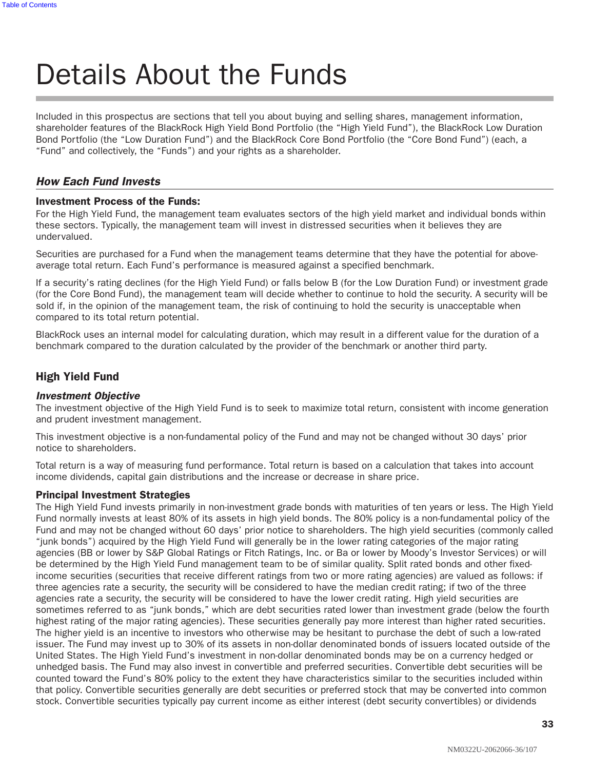# <span id="page-35-0"></span>Details About the Funds

Included in this prospectus are sections that tell you about buying and selling shares, management information, shareholder features of the BlackRock High Yield Bond Portfolio (the "High Yield Fund"), the BlackRock Low Duration Bond Portfolio (the "Low Duration Fund") and the BlackRock Core Bond Portfolio (the "Core Bond Fund") (each, a "Fund" and collectively, the "Funds") and your rights as a shareholder.

## *How Each Fund Invests*

## Investment Process of the Funds:

For the High Yield Fund, the management team evaluates sectors of the high yield market and individual bonds within these sectors. Typically, the management team will invest in distressed securities when it believes they are undervalued.

Securities are purchased for a Fund when the management teams determine that they have the potential for aboveaverage total return. Each Fund's performance is measured against a specified benchmark.

If a security's rating declines (for the High Yield Fund) or falls below B (for the Low Duration Fund) or investment grade (for the Core Bond Fund), the management team will decide whether to continue to hold the security. A security will be sold if, in the opinion of the management team, the risk of continuing to hold the security is unacceptable when compared to its total return potential.

BlackRock uses an internal model for calculating duration, which may result in a different value for the duration of a benchmark compared to the duration calculated by the provider of the benchmark or another third party.

## High Yield Fund

#### *Investment Objective*

The investment objective of the High Yield Fund is to seek to maximize total return, consistent with income generation and prudent investment management.

This investment objective is a non-fundamental policy of the Fund and may not be changed without 30 days' prior notice to shareholders.

Total return is a way of measuring fund performance. Total return is based on a calculation that takes into account income dividends, capital gain distributions and the increase or decrease in share price.

#### Principal Investment Strategies

The High Yield Fund invests primarily in non-investment grade bonds with maturities of ten years or less. The High Yield Fund normally invests at least 80% of its assets in high yield bonds. The 80% policy is a non-fundamental policy of the Fund and may not be changed without 60 days' prior notice to shareholders. The high yield securities (commonly called "junk bonds") acquired by the High Yield Fund will generally be in the lower rating categories of the major rating agencies (BB or lower by S&P Global Ratings or Fitch Ratings, Inc. or Ba or lower by Moody's Investor Services) or will be determined by the High Yield Fund management team to be of similar quality. Split rated bonds and other fixedincome securities (securities that receive different ratings from two or more rating agencies) are valued as follows: if three agencies rate a security, the security will be considered to have the median credit rating; if two of the three agencies rate a security, the security will be considered to have the lower credit rating. High yield securities are sometimes referred to as "junk bonds," which are debt securities rated lower than investment grade (below the fourth highest rating of the major rating agencies). These securities generally pay more interest than higher rated securities. The higher yield is an incentive to investors who otherwise may be hesitant to purchase the debt of such a low-rated issuer. The Fund may invest up to 30% of its assets in non-dollar denominated bonds of issuers located outside of the United States. The High Yield Fund's investment in non-dollar denominated bonds may be on a currency hedged or unhedged basis. The Fund may also invest in convertible and preferred securities. Convertible debt securities will be counted toward the Fund's 80% policy to the extent they have characteristics similar to the securities included within that policy. Convertible securities generally are debt securities or preferred stock that may be converted into common stock. Convertible securities typically pay current income as either interest (debt security convertibles) or dividends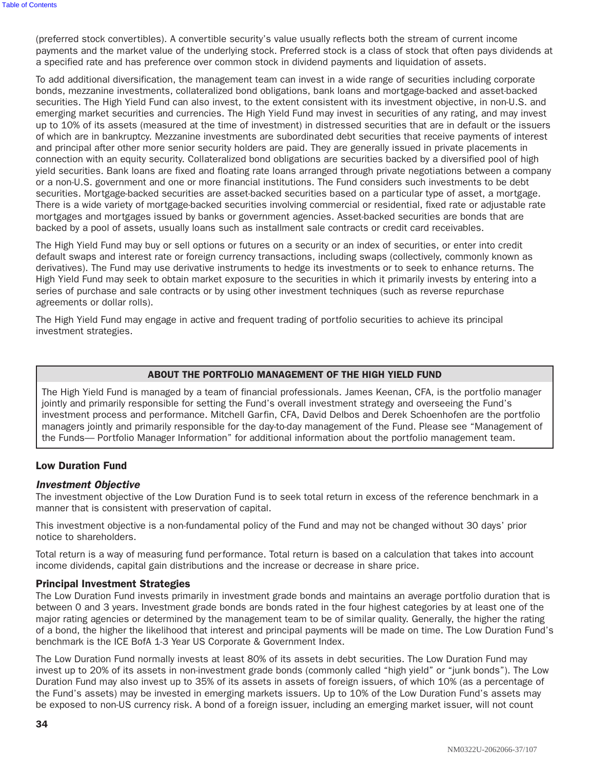(preferred stock convertibles). A convertible security's value usually reflects both the stream of current income payments and the market value of the underlying stock. Preferred stock is a class of stock that often pays dividends at a specified rate and has preference over common stock in dividend payments and liquidation of assets.

To add additional diversification, the management team can invest in a wide range of securities including corporate bonds, mezzanine investments, collateralized bond obligations, bank loans and mortgage-backed and asset-backed securities. The High Yield Fund can also invest, to the extent consistent with its investment objective, in non-U.S. and emerging market securities and currencies. The High Yield Fund may invest in securities of any rating, and may invest up to 10% of its assets (measured at the time of investment) in distressed securities that are in default or the issuers of which are in bankruptcy. Mezzanine investments are subordinated debt securities that receive payments of interest and principal after other more senior security holders are paid. They are generally issued in private placements in connection with an equity security. Collateralized bond obligations are securities backed by a diversified pool of high yield securities. Bank loans are fixed and floating rate loans arranged through private negotiations between a company or a non-U.S. government and one or more financial institutions. The Fund considers such investments to be debt securities. Mortgage-backed securities are asset-backed securities based on a particular type of asset, a mortgage. There is a wide variety of mortgage-backed securities involving commercial or residential, fixed rate or adjustable rate mortgages and mortgages issued by banks or government agencies. Asset-backed securities are bonds that are backed by a pool of assets, usually loans such as installment sale contracts or credit card receivables.

The High Yield Fund may buy or sell options or futures on a security or an index of securities, or enter into credit default swaps and interest rate or foreign currency transactions, including swaps (collectively, commonly known as derivatives). The Fund may use derivative instruments to hedge its investments or to seek to enhance returns. The High Yield Fund may seek to obtain market exposure to the securities in which it primarily invests by entering into a series of purchase and sale contracts or by using other investment techniques (such as reverse repurchase agreements or dollar rolls).

The High Yield Fund may engage in active and frequent trading of portfolio securities to achieve its principal investment strategies.

#### ABOUT THE PORTFOLIO MANAGEMENT OF THE HIGH YIELD FUND

The High Yield Fund is managed by a team of financial professionals. James Keenan, CFA, is the portfolio manager jointly and primarily responsible for setting the Fund's overall investment strategy and overseeing the Fund's investment process and performance. Mitchell Garfin, CFA, David Delbos and Derek Schoenhofen are the portfolio managers jointly and primarily responsible for the day-to-day management of the Fund. Please see "Management of the Funds— Portfolio Manager Information" for additional information about the portfolio management team.

#### Low Duration Fund

#### *Investment Objective*

The investment objective of the Low Duration Fund is to seek total return in excess of the reference benchmark in a manner that is consistent with preservation of capital.

This investment objective is a non-fundamental policy of the Fund and may not be changed without 30 days' prior notice to shareholders.

Total return is a way of measuring fund performance. Total return is based on a calculation that takes into account income dividends, capital gain distributions and the increase or decrease in share price.

#### Principal Investment Strategies

The Low Duration Fund invests primarily in investment grade bonds and maintains an average portfolio duration that is between 0 and 3 years. Investment grade bonds are bonds rated in the four highest categories by at least one of the major rating agencies or determined by the management team to be of similar quality. Generally, the higher the rating of a bond, the higher the likelihood that interest and principal payments will be made on time. The Low Duration Fund's benchmark is the ICE BofA 1-3 Year US Corporate & Government Index.

The Low Duration Fund normally invests at least 80% of its assets in debt securities. The Low Duration Fund may invest up to 20% of its assets in non-investment grade bonds (commonly called "high yield" or "junk bonds"). The Low Duration Fund may also invest up to 35% of its assets in assets of foreign issuers, of which 10% (as a percentage of the Fund's assets) may be invested in emerging markets issuers. Up to 10% of the Low Duration Fund's assets may be exposed to non-US currency risk. A bond of a foreign issuer, including an emerging market issuer, will not count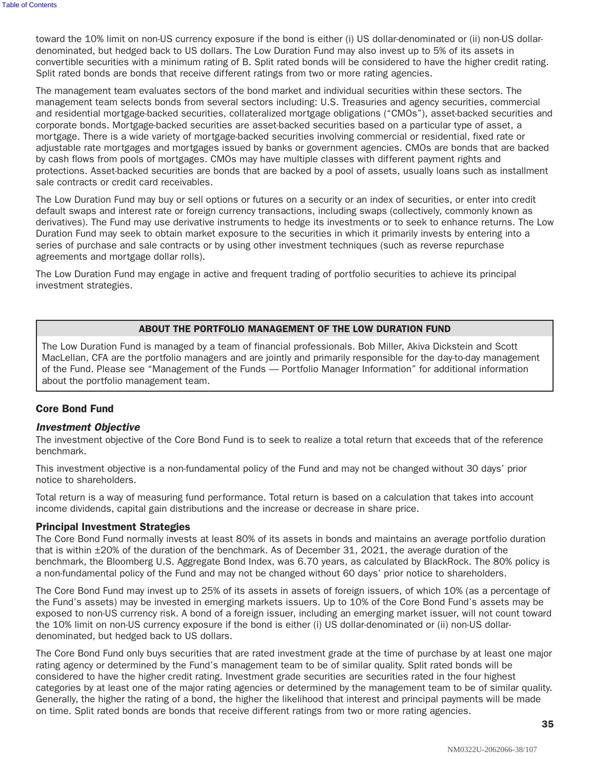toward the 10% limit on non-US currency exposure if the bond is either (i) US dollar-denominated or (ii) non-US dollardenominated, but hedged back to US dollars. The Low Duration Fund may also invest up to 5% of its assets in convertible securities with a minimum rating of B. Split rated bonds will be considered to have the higher credit rating. Split rated bonds are bonds that receive different ratings from two or more rating agencies.

The management team evaluates sectors of the bond market and individual securities within these sectors. The management team selects bonds from several sectors including: U.S. Treasuries and agency securities, commercial and residential mortgage-backed securities, collateralized mortgage obligations ("CMOs"), asset-backed securities and corporate bonds. Mortgage-backed securities are asset-backed securities based on a particular type of asset, a mortgage. There is a wide variety of mortgage-backed securities involving commercial or residential, fixed rate or adjustable rate mortgages and mortgages issued by banks or government agencies. CMOs are bonds that are backed by cash flows from pools of mortgages. CMOs may have multiple classes with different payment rights and protections. Asset-backed securities are bonds that are backed by a pool of assets, usually loans such as installment sale contracts or credit card receivables.

The Low Duration Fund may buy or sell options or futures on a security or an index of securities, or enter into credit default swaps and interest rate or foreign currency transactions, including swaps (collectively, commonly known as derivatives). The Fund may use derivative instruments to hedge its investments or to seek to enhance returns. The Low Duration Fund may seek to obtain market exposure to the securities in which it primarily invests by entering into a series of purchase and sale contracts or by using other investment techniques (such as reverse repurchase agreements and mortgage dollar rolls).

The Low Duration Fund may engage in active and frequent trading of portfolio securities to achieve its principal investment strategies.

#### ABOUT THE PORTFOLIO MANAGEMENT OF THE LOW DURATION FUND

The Low Duration Fund is managed by a team of financial professionals. Bob Miller, Akiva Dickstein and Scott MacLellan, CFA are the portfolio managers and are jointly and primarily responsible for the day-to-day management of the Fund. Please see "Management of the Funds — Portfolio Manager Information" for additional information about the portfolio management team.

#### Core Bond Fund

#### *Investment Objective*

The investment objective of the Core Bond Fund is to seek to realize a total return that exceeds that of the reference benchmark.

This investment objective is a non-fundamental policy of the Fund and may not be changed without 30 days' prior notice to shareholders.

Total return is a way of measuring fund performance. Total return is based on a calculation that takes into account income dividends, capital gain distributions and the increase or decrease in share price.

#### Principal Investment Strategies

The Core Bond Fund normally invests at least 80% of its assets in bonds and maintains an average portfolio duration that is within ±20% of the duration of the benchmark. As of December 31, 2021, the average duration of the benchmark, the Bloomberg U.S. Aggregate Bond Index, was 6.70 years, as calculated by BlackRock. The 80% policy is a non-fundamental policy of the Fund and may not be changed without 60 days' prior notice to shareholders.

The Core Bond Fund may invest up to 25% of its assets in assets of foreign issuers, of which 10% (as a percentage of the Fund's assets) may be invested in emerging markets issuers. Up to 10% of the Core Bond Fund's assets may be exposed to non-US currency risk. A bond of a foreign issuer, including an emerging market issuer, will not count toward the 10% limit on non-US currency exposure if the bond is either (i) US dollar-denominated or (ii) non-US dollardenominated, but hedged back to US dollars.

The Core Bond Fund only buys securities that are rated investment grade at the time of purchase by at least one major rating agency or determined by the Fund's management team to be of similar quality. Split rated bonds will be considered to have the higher credit rating. Investment grade securities are securities rated in the four highest categories by at least one of the major rating agencies or determined by the management team to be of similar quality. Generally, the higher the rating of a bond, the higher the likelihood that interest and principal payments will be made on time. Split rated bonds are bonds that receive different ratings from two or more rating agencies.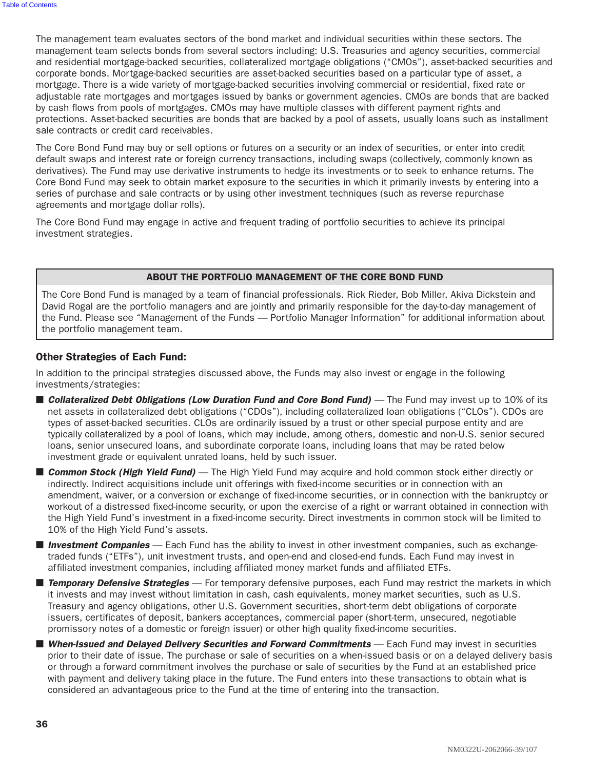The management team evaluates sectors of the bond market and individual securities within these sectors. The management team selects bonds from several sectors including: U.S. Treasuries and agency securities, commercial and residential mortgage-backed securities, collateralized mortgage obligations ("CMOs"), asset-backed securities and corporate bonds. Mortgage-backed securities are asset-backed securities based on a particular type of asset, a mortgage. There is a wide variety of mortgage-backed securities involving commercial or residential, fixed rate or adjustable rate mortgages and mortgages issued by banks or government agencies. CMOs are bonds that are backed by cash flows from pools of mortgages. CMOs may have multiple classes with different payment rights and protections. Asset-backed securities are bonds that are backed by a pool of assets, usually loans such as installment sale contracts or credit card receivables.

The Core Bond Fund may buy or sell options or futures on a security or an index of securities, or enter into credit default swaps and interest rate or foreign currency transactions, including swaps (collectively, commonly known as derivatives). The Fund may use derivative instruments to hedge its investments or to seek to enhance returns. The Core Bond Fund may seek to obtain market exposure to the securities in which it primarily invests by entering into a series of purchase and sale contracts or by using other investment techniques (such as reverse repurchase agreements and mortgage dollar rolls).

The Core Bond Fund may engage in active and frequent trading of portfolio securities to achieve its principal investment strategies.

#### ABOUT THE PORTFOLIO MANAGEMENT OF THE CORE BOND FUND

The Core Bond Fund is managed by a team of financial professionals. Rick Rieder, Bob Miller, Akiva Dickstein and David Rogal are the portfolio managers and are jointly and primarily responsible for the day-to-day management of the Fund. Please see "Management of the Funds — Portfolio Manager Information" for additional information about the portfolio management team.

#### Other Strategies of Each Fund:

In addition to the principal strategies discussed above, the Funds may also invest or engage in the following investments/strategies:

- *Collateralized Debt Obligations (Low Duration Fund and Core Bond Fund) The Fund may invest up to 10% of its* net assets in collateralized debt obligations ("CDOs"), including collateralized loan obligations ("CLOs"). CDOs are types of asset-backed securities. CLOs are ordinarily issued by a trust or other special purpose entity and are typically collateralized by a pool of loans, which may include, among others, domestic and non-U.S. senior secured loans, senior unsecured loans, and subordinate corporate loans, including loans that may be rated below investment grade or equivalent unrated loans, held by such issuer.
- - *Common Stock (High Yield Fund)* — The High Yield Fund may acquire and hold common stock either directly or indirectly. Indirect acquisitions include unit offerings with fixed-income securities or in connection with an amendment, waiver, or a conversion or exchange of fixed-income securities, or in connection with the bankruptcy or workout of a distressed fixed-income security, or upon the exercise of a right or warrant obtained in connection with the High Yield Fund's investment in a fixed-income security. Direct investments in common stock will be limited to 10% of the High Yield Fund's assets.
- **Investment Companies** Each Fund has the ability to invest in other investment companies, such as exchangetraded funds ("ETFs"), unit investment trusts, and open-end and closed-end funds. Each Fund may invest in affiliated investment companies, including affiliated money market funds and affiliated ETFs.
- *Temporary Defensive Strategies* For temporary defensive purposes, each Fund may restrict the markets in which it invests and may invest without limitation in cash, cash equivalents, money market securities, such as U.S. Treasury and agency obligations, other U.S. Government securities, short-term debt obligations of corporate issuers, certificates of deposit, bankers acceptances, commercial paper (short-term, unsecured, negotiable promissory notes of a domestic or foreign issuer) or other high quality fixed-income securities.
- When-Issued and Delayed Delivery Securities and Forward Commitments Each Fund may invest in securities prior to their date of issue. The purchase or sale of securities on a when-issued basis or on a delayed delivery basis or through a forward commitment involves the purchase or sale of securities by the Fund at an established price with payment and delivery taking place in the future. The Fund enters into these transactions to obtain what is considered an advantageous price to the Fund at the time of entering into the transaction.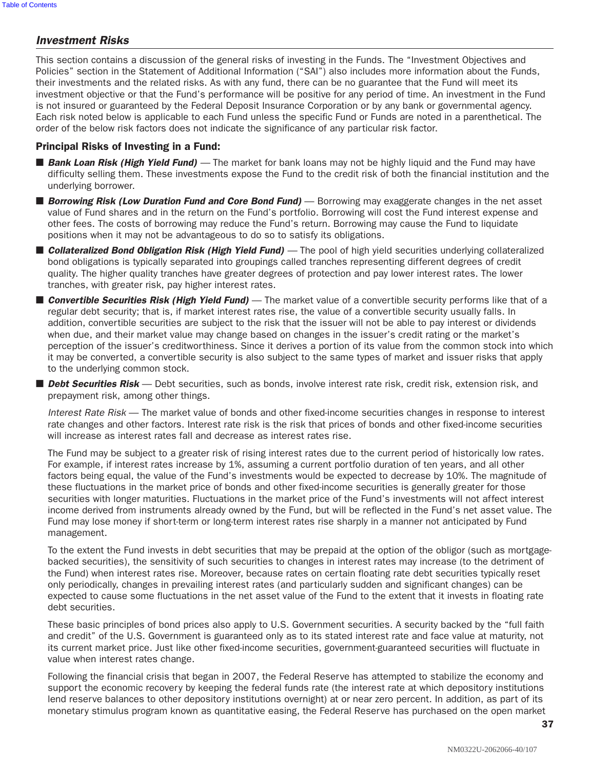# *Investment Risks*

This section contains a discussion of the general risks of investing in the Funds. The "Investment Objectives and Policies" section in the Statement of Additional Information ("SAI") also includes more information about the Funds, their investments and the related risks. As with any fund, there can be no guarantee that the Fund will meet its investment objective or that the Fund's performance will be positive for any period of time. An investment in the Fund is not insured or guaranteed by the Federal Deposit Insurance Corporation or by any bank or governmental agency. Each risk noted below is applicable to each Fund unless the specific Fund or Funds are noted in a parenthetical. The order of the below risk factors does not indicate the significance of any particular risk factor.

#### Principal Risks of Investing in a Fund:

- **Bank Loan Risk (High Yield Fund)** The market for bank loans may not be highly liquid and the Fund may have difficulty selling them. These investments expose the Fund to the credit risk of both the financial institution and the underlying borrower.
- **Borrowing Risk (Low Duration Fund and Core Bond Fund)** Borrowing may exaggerate changes in the net asset value of Fund shares and in the return on the Fund's portfolio. Borrowing will cost the Fund interest expense and other fees. The costs of borrowing may reduce the Fund's return. Borrowing may cause the Fund to liquidate positions when it may not be advantageous to do so to satisfy its obligations.
- **Collateralized Bond Obligation Risk (High Yield Fund)** The pool of high yield securities underlying collateralized bond obligations is typically separated into groupings called tranches representing different degrees of credit quality. The higher quality tranches have greater degrees of protection and pay lower interest rates. The lower tranches, with greater risk, pay higher interest rates.
- *Convertible Securities Risk (High Yield Fund)* The market value of a convertible security performs like that of a regular debt security; that is, if market interest rates rise, the value of a convertible security usually falls. In addition, convertible securities are subject to the risk that the issuer will not be able to pay interest or dividends when due, and their market value may change based on changes in the issuer's credit rating or the market's perception of the issuer's creditworthiness. Since it derives a portion of its value from the common stock into which it may be converted, a convertible security is also subject to the same types of market and issuer risks that apply to the underlying common stock.
- Debt Securities Risk Debt securities, such as bonds, involve interest rate risk, credit risk, extension risk, and prepayment risk, among other things.

*Interest Rate Risk* — The market value of bonds and other fixed-income securities changes in response to interest rate changes and other factors. Interest rate risk is the risk that prices of bonds and other fixed-income securities will increase as interest rates fall and decrease as interest rates rise.

The Fund may be subject to a greater risk of rising interest rates due to the current period of historically low rates. For example, if interest rates increase by 1%, assuming a current portfolio duration of ten years, and all other factors being equal, the value of the Fund's investments would be expected to decrease by 10%. The magnitude of these fluctuations in the market price of bonds and other fixed-income securities is generally greater for those securities with longer maturities. Fluctuations in the market price of the Fund's investments will not affect interest income derived from instruments already owned by the Fund, but will be reflected in the Fund's net asset value. The Fund may lose money if short-term or long-term interest rates rise sharply in a manner not anticipated by Fund management.

To the extent the Fund invests in debt securities that may be prepaid at the option of the obligor (such as mortgagebacked securities), the sensitivity of such securities to changes in interest rates may increase (to the detriment of the Fund) when interest rates rise. Moreover, because rates on certain floating rate debt securities typically reset only periodically, changes in prevailing interest rates (and particularly sudden and significant changes) can be expected to cause some fluctuations in the net asset value of the Fund to the extent that it invests in floating rate debt securities.

These basic principles of bond prices also apply to U.S. Government securities. A security backed by the "full faith and credit" of the U.S. Government is guaranteed only as to its stated interest rate and face value at maturity, not its current market price. Just like other fixed-income securities, government-guaranteed securities will fluctuate in value when interest rates change.

Following the financial crisis that began in 2007, the Federal Reserve has attempted to stabilize the economy and support the economic recovery by keeping the federal funds rate (the interest rate at which depository institutions lend reserve balances to other depository institutions overnight) at or near zero percent. In addition, as part of its monetary stimulus program known as quantitative easing, the Federal Reserve has purchased on the open market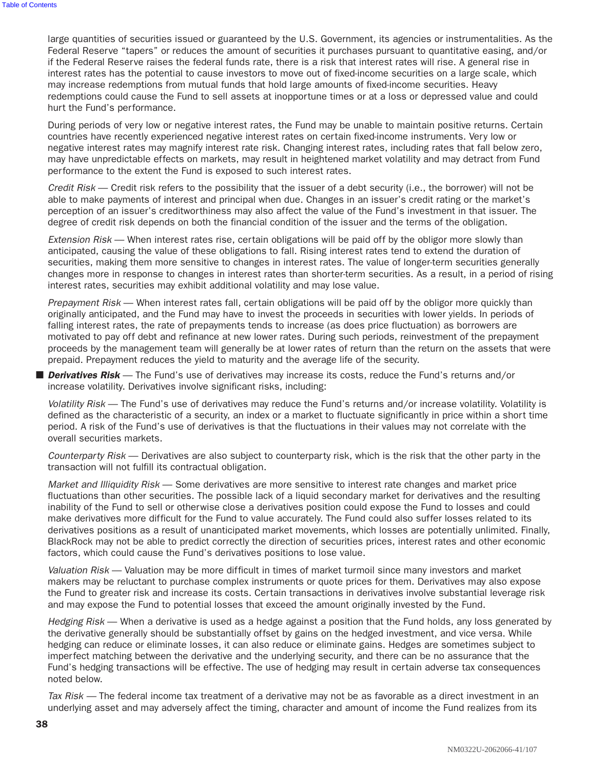large quantities of securities issued or guaranteed by the U.S. Government, its agencies or instrumentalities. As the Federal Reserve "tapers" or reduces the amount of securities it purchases pursuant to quantitative easing, and/or if the Federal Reserve raises the federal funds rate, there is a risk that interest rates will rise. A general rise in interest rates has the potential to cause investors to move out of fixed-income securities on a large scale, which may increase redemptions from mutual funds that hold large amounts of fixed-income securities. Heavy redemptions could cause the Fund to sell assets at inopportune times or at a loss or depressed value and could hurt the Fund's performance.

During periods of very low or negative interest rates, the Fund may be unable to maintain positive returns. Certain countries have recently experienced negative interest rates on certain fixed-income instruments. Very low or negative interest rates may magnify interest rate risk. Changing interest rates, including rates that fall below zero, may have unpredictable effects on markets, may result in heightened market volatility and may detract from Fund performance to the extent the Fund is exposed to such interest rates.

*Credit Risk* — Credit risk refers to the possibility that the issuer of a debt security (i.e., the borrower) will not be able to make payments of interest and principal when due. Changes in an issuer's credit rating or the market's perception of an issuer's creditworthiness may also affect the value of the Fund's investment in that issuer. The degree of credit risk depends on both the financial condition of the issuer and the terms of the obligation.

*Extension Risk* — When interest rates rise, certain obligations will be paid off by the obligor more slowly than anticipated, causing the value of these obligations to fall. Rising interest rates tend to extend the duration of securities, making them more sensitive to changes in interest rates. The value of longer-term securities generally changes more in response to changes in interest rates than shorter-term securities. As a result, in a period of rising interest rates, securities may exhibit additional volatility and may lose value.

*Prepayment Risk* — When interest rates fall, certain obligations will be paid off by the obligor more quickly than originally anticipated, and the Fund may have to invest the proceeds in securities with lower yields. In periods of falling interest rates, the rate of prepayments tends to increase (as does price fluctuation) as borrowers are motivated to pay off debt and refinance at new lower rates. During such periods, reinvestment of the prepayment proceeds by the management team will generally be at lower rates of return than the return on the assets that were prepaid. Prepayment reduces the yield to maturity and the average life of the security.

■ **Derivatives Risk** — The Fund's use of derivatives may increase its costs, reduce the Fund's returns and/or increase volatility. Derivatives involve significant risks, including:

*Volatility Risk* — The Fund's use of derivatives may reduce the Fund's returns and/or increase volatility. Volatility is defined as the characteristic of a security, an index or a market to fluctuate significantly in price within a short time period. A risk of the Fund's use of derivatives is that the fluctuations in their values may not correlate with the overall securities markets.

*Counterpar ty Risk* — Derivatives are also subject to counterparty risk, which is the risk that the other party in the transaction will not fulfill its contractual obligation.

*Market and Illiquidity Risk* — Some derivatives are more sensitive to interest rate changes and market price fluctuations than other securities. The possible lack of a liquid secondary market for derivatives and the resulting inability of the Fund to sell or otherwise close a derivatives position could expose the Fund to losses and could make derivatives more difficult for the Fund to value accurately. The Fund could also suffer losses related to its derivatives positions as a result of unanticipated market movements, which losses are potentially unlimited. Finally, BlackRock may not be able to predict correctly the direction of securities prices, interest rates and other economic factors, which could cause the Fund's derivatives positions to lose value.

*Valuation Risk* — Valuation may be more difficult in times of market turmoil since many investors and market makers may be reluctant to purchase complex instruments or quote prices for them. Derivatives may also expose the Fund to greater risk and increase its costs. Certain transactions in derivatives involve substantial leverage risk and may expose the Fund to potential losses that exceed the amount originally invested by the Fund.

*Hedging Risk* — When a derivative is used as a hedge against a position that the Fund holds, any loss generated by the derivative generally should be substantially offset by gains on the hedged investment, and vice versa. While hedging can reduce or eliminate losses, it can also reduce or eliminate gains. Hedges are sometimes subject to imperfect matching between the derivative and the underlying security, and there can be no assurance that the Fund's hedging transactions will be effective. The use of hedging may result in certain adverse tax consequences noted below.

*Tax Risk —* The federal income tax treatment of a derivative may not be as favorable as a direct investment in an underlying asset and may adversely affect the timing, character and amount of income the Fund realizes from its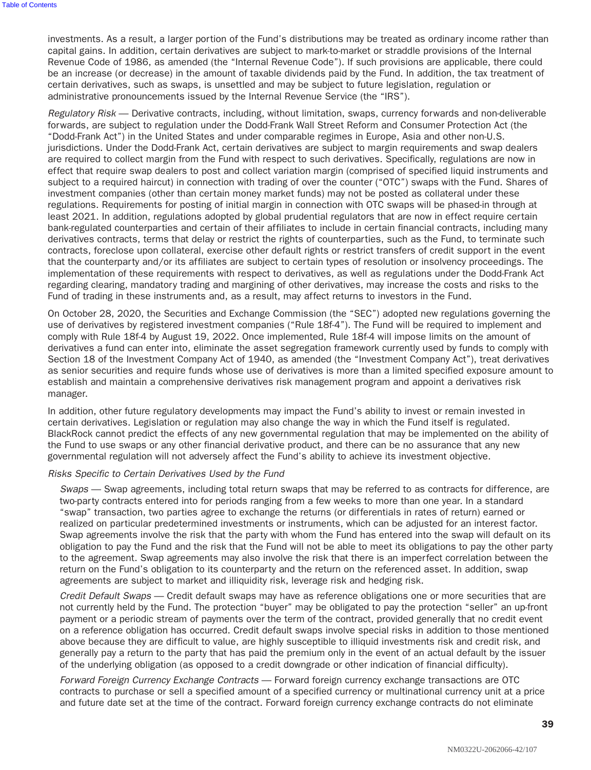investments. As a result, a larger portion of the Fund's distributions may be treated as ordinary income rather than capital gains. In addition, certain derivatives are subject to mark-to-market or straddle provisions of the Internal Revenue Code of 1986, as amended (the "Internal Revenue Code"). If such provisions are applicable, there could be an increase (or decrease) in the amount of taxable dividends paid by the Fund. In addition, the tax treatment of certain derivatives, such as swaps, is unsettled and may be subject to future legislation, regulation or administrative pronouncements issued by the Internal Revenue Service (the "IRS").

*Regulatory Risk* — Derivative contracts, including, without limitation, swaps, currency forwards and non-deliverable forwards, are subject to regulation under the Dodd-Frank Wall Street Reform and Consumer Protection Act (the "Dodd-Frank Act") in the United States and under comparable regimes in Europe, Asia and other non-U.S. jurisdictions. Under the Dodd-Frank Act, certain derivatives are subject to margin requirements and swap dealers are required to collect margin from the Fund with respect to such derivatives. Specifically, regulations are now in effect that require swap dealers to post and collect variation margin (comprised of specified liquid instruments and subject to a required haircut) in connection with trading of over the counter ("OTC") swaps with the Fund. Shares of investment companies (other than certain money market funds) may not be posted as collateral under these regulations. Requirements for posting of initial margin in connection with OTC swaps will be phased-in through at least 2021. In addition, regulations adopted by global prudential regulators that are now in effect require certain bank-regulated counterparties and certain of their affiliates to include in certain financial contracts, including many derivatives contracts, terms that delay or restrict the rights of counterparties, such as the Fund, to terminate such contracts, foreclose upon collateral, exercise other default rights or restrict transfers of credit support in the event that the counterparty and/or its affiliates are subject to certain types of resolution or insolvency proceedings. The implementation of these requirements with respect to derivatives, as well as regulations under the Dodd-Frank Act regarding clearing, mandatory trading and margining of other derivatives, may increase the costs and risks to the Fund of trading in these instruments and, as a result, may affect returns to investors in the Fund.

On October 28, 2020, the Securities and Exchange Commission (the "SEC") adopted new regulations governing the use of derivatives by registered investment companies ("Rule 18f-4"). The Fund will be required to implement and comply with Rule 18f-4 by August 19, 2022. Once implemented, Rule 18f-4 will impose limits on the amount of derivatives a fund can enter into, eliminate the asset segregation framework currently used by funds to comply with Section 18 of the Investment Company Act of 1940, as amended (the "Investment Company Act"), treat derivatives as senior securities and require funds whose use of derivatives is more than a limited specified exposure amount to establish and maintain a comprehensive derivatives risk management program and appoint a derivatives risk manager.

In addition, other future regulatory developments may impact the Fund's ability to invest or remain invested in certain derivatives. Legislation or regulation may also change the way in which the Fund itself is regulated. BlackRock cannot predict the effects of any new governmental regulation that may be implemented on the ability of the Fund to use swaps or any other financial derivative product, and there can be no assurance that any new governmental regulation will not adversely affect the Fund's ability to achieve its investment objective.

#### *Risks Specific to Cer tain Derivatives Used by the Fund*

*Swaps* — Swap agreements, including total return swaps that may be referred to as contracts for difference, are two-party contracts entered into for periods ranging from a few weeks to more than one year. In a standard "swap" transaction, two parties agree to exchange the returns (or differentials in rates of return) earned or realized on particular predetermined investments or instruments, which can be adjusted for an interest factor. Swap agreements involve the risk that the party with whom the Fund has entered into the swap will default on its obligation to pay the Fund and the risk that the Fund will not be able to meet its obligations to pay the other party to the agreement. Swap agreements may also involve the risk that there is an imperfect correlation between the return on the Fund's obligation to its counterparty and the return on the referenced asset. In addition, swap agreements are subject to market and illiquidity risk, leverage risk and hedging risk.

*Credit Default Swaps* — Credit default swaps may have as reference obligations one or more securities that are not currently held by the Fund. The protection "buyer" may be obligated to pay the protection "seller" an up-front payment or a periodic stream of payments over the term of the contract, provided generally that no credit event on a reference obligation has occurred. Credit default swaps involve special risks in addition to those mentioned above because they are difficult to value, are highly susceptible to illiquid investments risk and credit risk, and generally pay a return to the party that has paid the premium only in the event of an actual default by the issuer of the underlying obligation (as opposed to a credit downgrade or other indication of financial difficulty).

*Forward Foreign Currency Exchange Contracts* — Forward foreign currency exchange transactions are OTC contracts to purchase or sell a specified amount of a specified currency or multinational currency unit at a price and future date set at the time of the contract. Forward foreign currency exchange contracts do not eliminate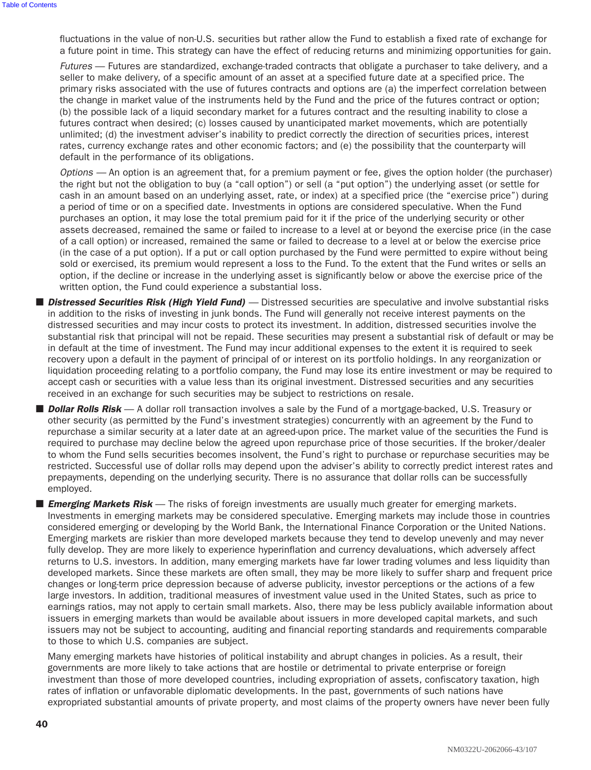fluctuations in the value of non-U.S. securities but rather allow the Fund to establish a fixed rate of exchange for a future point in time. This strategy can have the effect of reducing returns and minimizing opportunities for gain.

*Futures* — Futures are standardized, exchange-traded contracts that obligate a purchaser to take delivery, and a seller to make delivery, of a specific amount of an asset at a specified future date at a specified price. The primary risks associated with the use of futures contracts and options are (a) the imperfect correlation between the change in market value of the instruments held by the Fund and the price of the futures contract or option; (b) the possible lack of a liquid secondary market for a futures contract and the resulting inability to close a futures contract when desired; (c) losses caused by unanticipated market movements, which are potentially unlimited; (d) the investment adviser's inability to predict correctly the direction of securities prices, interest rates, currency exchange rates and other economic factors; and (e) the possibility that the counterparty will default in the performance of its obligations.

*Options —* An option is an agreement that, for a premium payment or fee, gives the option holder (the purchaser) the right but not the obligation to buy (a "call option") or sell (a "put option") the underlying asset (or settle for cash in an amount based on an underlying asset, rate, or index) at a specified price (the "exercise price") during a period of time or on a specified date. Investments in options are considered speculative. When the Fund purchases an option, it may lose the total premium paid for it if the price of the underlying security or other assets decreased, remained the same or failed to increase to a level at or beyond the exercise price (in the case of a call option) or increased, remained the same or failed to decrease to a level at or below the exercise price (in the case of a put option). If a put or call option purchased by the Fund were permitted to expire without being sold or exercised, its premium would represent a loss to the Fund. To the extent that the Fund writes or sells an option, if the decline or increase in the underlying asset is significantly below or above the exercise price of the written option, the Fund could experience a substantial loss.

■ **Distressed Securities Risk (High Yield Fund)** — Distressed securities are speculative and involve substantial risks in addition to the risks of investing in junk bonds. The Fund will generally not receive interest payments on the distressed securities and may incur costs to protect its investment. In addition, distressed securities involve the substantial risk that principal will not be repaid. These securities may present a substantial risk of default or may be in default at the time of investment. The Fund may incur additional expenses to the extent it is required to seek recovery upon a default in the payment of principal of or interest on its portfolio holdings. In any reorganization or liquidation proceeding relating to a portfolio company, the Fund may lose its entire investment or may be required to accept cash or securities with a value less than its original investment. Distressed securities and any securities received in an exchange for such securities may be subject to restrictions on resale.

■ *Dollar Rolls Risk* — A dollar roll transaction involves a sale by the Fund of a mortgage-backed, U.S. Treasury or other security (as permitted by the Fund's investment strategies) concurrently with an agreement by the Fund to repurchase a similar security at a later date at an agreed-upon price. The market value of the securities the Fund is required to purchase may decline below the agreed upon repurchase price of those securities. If the broker/dealer to whom the Fund sells securities becomes insolvent, the Fund's right to purchase or repurchase securities may be restricted. Successful use of dollar rolls may depend upon the adviser's ability to correctly predict interest rates and prepayments, depending on the underlying security. There is no assurance that dollar rolls can be successfully employed.

**E** *Emerging Markets Risk* — The risks of foreign investments are usually much greater for emerging markets. Investments in emerging markets may be considered speculative. Emerging markets may include those in countries considered emerging or developing by the World Bank, the International Finance Corporation or the United Nations. Emerging markets are riskier than more developed markets because they tend to develop unevenly and may never fully develop. They are more likely to experience hyperinflation and currency devaluations, which adversely affect returns to U.S. investors. In addition, many emerging markets have far lower trading volumes and less liquidity than developed markets. Since these markets are often small, they may be more likely to suffer sharp and frequent price changes or long-term price depression because of adverse publicity, investor perceptions or the actions of a few large investors. In addition, traditional measures of investment value used in the United States, such as price to earnings ratios, may not apply to certain small markets. Also, there may be less publicly available information about issuers in emerging markets than would be available about issuers in more developed capital markets, and such issuers may not be subject to accounting, auditing and financial reporting standards and requirements comparable to those to which U.S. companies are subject.

Many emerging markets have histories of political instability and abrupt changes in policies. As a result, their governments are more likely to take actions that are hostile or detrimental to private enterprise or foreign investment than those of more developed countries, including expropriation of assets, confiscatory taxation, high rates of inflation or unfavorable diplomatic developments. In the past, governments of such nations have expropriated substantial amounts of private property, and most claims of the property owners have never been fully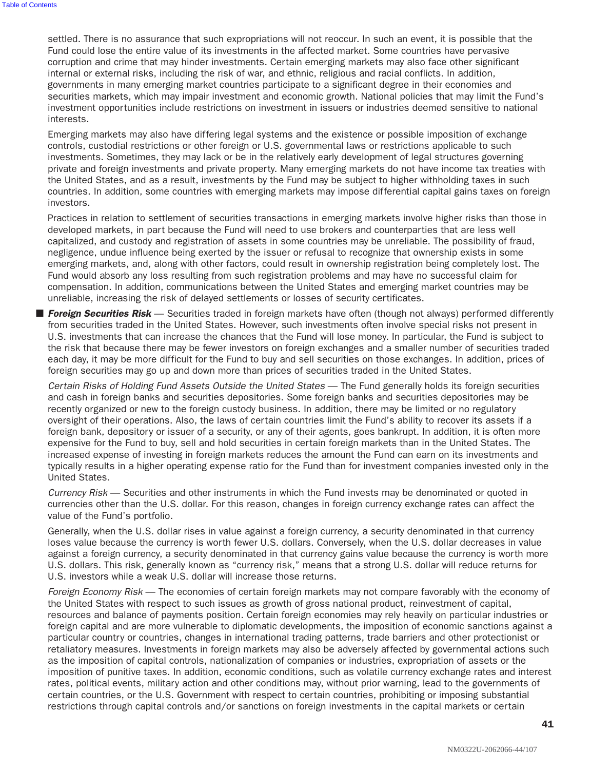settled. There is no assurance that such expropriations will not reoccur. In such an event, it is possible that the Fund could lose the entire value of its investments in the affected market. Some countries have pervasive corruption and crime that may hinder investments. Certain emerging markets may also face other significant internal or external risks, including the risk of war, and ethnic, religious and racial conflicts. In addition, governments in many emerging market countries participate to a significant degree in their economies and securities markets, which may impair investment and economic growth. National policies that may limit the Fund's investment opportunities include restrictions on investment in issuers or industries deemed sensitive to national interests.

Emerging markets may also have differing legal systems and the existence or possible imposition of exchange controls, custodial restrictions or other foreign or U.S. governmental laws or restrictions applicable to such investments. Sometimes, they may lack or be in the relatively early development of legal structures governing private and foreign investments and private property. Many emerging markets do not have income tax treaties with the United States, and as a result, investments by the Fund may be subject to higher withholding taxes in such countries. In addition, some countries with emerging markets may impose differential capital gains taxes on foreign investors.

Practices in relation to settlement of securities transactions in emerging markets involve higher risks than those in developed markets, in part because the Fund will need to use brokers and counterparties that are less well capitalized, and custody and registration of assets in some countries may be unreliable. The possibility of fraud, negligence, undue influence being exerted by the issuer or refusal to recognize that ownership exists in some emerging markets, and, along with other factors, could result in ownership registration being completely lost. The Fund would absorb any loss resulting from such registration problems and may have no successful claim for compensation. In addition, communications between the United States and emerging market countries may be unreliable, increasing the risk of delayed settlements or losses of security certificates.

**Foreign Securities Risk** — Securities traded in foreign markets have often (though not always) performed differently from securities traded in the United States. However, such investments often involve special risks not present in U.S. investments that can increase the chances that the Fund will lose money. In particular, the Fund is subject to the risk that because there may be fewer investors on foreign exchanges and a smaller number of securities traded each day, it may be more difficult for the Fund to buy and sell securities on those exchanges. In addition, prices of foreign securities may go up and down more than prices of securities traded in the United States.

*Cer tain Risks of Holding Fund Assets Outside the United States* — The Fund generally holds its foreign securities and cash in foreign banks and securities depositories. Some foreign banks and securities depositories may be recently organized or new to the foreign custody business. In addition, there may be limited or no regulatory oversight of their operations. Also, the laws of certain countries limit the Fund's ability to recover its assets if a foreign bank, depository or issuer of a security, or any of their agents, goes bankrupt. In addition, it is often more expensive for the Fund to buy, sell and hold securities in certain foreign markets than in the United States. The increased expense of investing in foreign markets reduces the amount the Fund can earn on its investments and typically results in a higher operating expense ratio for the Fund than for investment companies invested only in the United States.

*Currency Risk* — Securities and other instruments in which the Fund invests may be denominated or quoted in currencies other than the U.S. dollar. For this reason, changes in foreign currency exchange rates can affect the value of the Fund's portfolio.

Generally, when the U.S. dollar rises in value against a foreign currency, a security denominated in that currency loses value because the currency is worth fewer U.S. dollars. Conversely, when the U.S. dollar decreases in value against a foreign currency, a security denominated in that currency gains value because the currency is worth more U.S. dollars. This risk, generally known as "currency risk," means that a strong U.S. dollar will reduce returns for U.S. investors while a weak U.S. dollar will increase those returns.

*Foreign Economy Risk* — The economies of certain foreign markets may not compare favorably with the economy of the United States with respect to such issues as growth of gross national product, reinvestment of capital, resources and balance of payments position. Certain foreign economies may rely heavily on particular industries or foreign capital and are more vulnerable to diplomatic developments, the imposition of economic sanctions against a particular country or countries, changes in international trading patterns, trade barriers and other protectionist or retaliatory measures. Investments in foreign markets may also be adversely affected by governmental actions such as the imposition of capital controls, nationalization of companies or industries, expropriation of assets or the imposition of punitive taxes. In addition, economic conditions, such as volatile currency exchange rates and interest rates, political events, military action and other conditions may, without prior warning, lead to the governments of certain countries, or the U.S. Government with respect to certain countries, prohibiting or imposing substantial restrictions through capital controls and/or sanctions on foreign investments in the capital markets or certain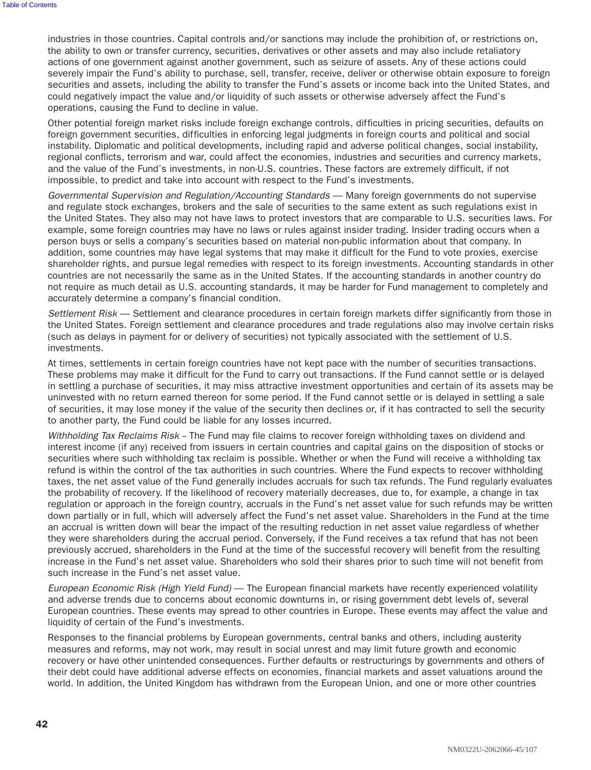industries in those countries. Capital controls and/or sanctions may include the prohibition of, or restrictions on, the ability to own or transfer currency, securities, derivatives or other assets and may also include retaliatory actions of one government against another government, such as seizure of assets. Any of these actions could severely impair the Fund's ability to purchase, sell, transfer, receive, deliver or otherwise obtain exposure to foreign securities and assets, including the ability to transfer the Fund's assets or income back into the United States, and could negatively impact the value and/or liquidity of such assets or otherwise adversely affect the Fund's operations, causing the Fund to decline in value.

Other potential foreign market risks include foreign exchange controls, difficulties in pricing securities, defaults on foreign government securities, difficulties in enforcing legal judgments in foreign courts and political and social instability. Diplomatic and political developments, including rapid and adverse political changes, social instability, regional conflicts, terrorism and war, could affect the economies, industries and securities and currency markets, and the value of the Fund's investments, in non-U.S. countries. These factors are extremely difficult, if not impossible, to predict and take into account with respect to the Fund's investments.

*Governmental Supervision and Regulation/Accounting Standards* — Many foreign governments do not supervise and regulate stock exchanges, brokers and the sale of securities to the same extent as such regulations exist in the United States. They also may not have laws to protect investors that are comparable to U.S. securities laws. For example, some foreign countries may have no laws or rules against insider trading. Insider trading occurs when a person buys or sells a company's securities based on material non-public information about that company. In addition, some countries may have legal systems that may make it difficult for the Fund to vote proxies, exercise shareholder rights, and pursue legal remedies with respect to its foreign investments. Accounting standards in other countries are not necessarily the same as in the United States. If the accounting standards in another country do not require as much detail as U.S. accounting standards, it may be harder for Fund management to completely and accurately determine a company's financial condition.

*Settlement Risk* — Settlement and clearance procedures in certain foreign markets differ significantly from those in the United States. Foreign settlement and clearance procedures and trade regulations also may involve certain risks (such as delays in payment for or delivery of securities) not typically associated with the settlement of U.S. investments.

At times, settlements in certain foreign countries have not kept pace with the number of securities transactions. These problems may make it difficult for the Fund to carry out transactions. If the Fund cannot settle or is delayed in settling a purchase of securities, it may miss attractive investment opportunities and certain of its assets may be uninvested with no return earned thereon for some period. If the Fund cannot settle or is delayed in settling a sale of securities, it may lose money if the value of the security then declines or, if it has contracted to sell the security to another party, the Fund could be liable for any losses incurred.

*Withholding Tax Reclaims Risk* – The Fund may file claims to recover foreign withholding taxes on dividend and interest income (if any) received from issuers in certain countries and capital gains on the disposition of stocks or securities where such withholding tax reclaim is possible. Whether or when the Fund will receive a withholding tax refund is within the control of the tax authorities in such countries. Where the Fund expects to recover withholding taxes, the net asset value of the Fund generally includes accruals for such tax refunds. The Fund regularly evaluates the probability of recovery. If the likelihood of recovery materially decreases, due to, for example, a change in tax regulation or approach in the foreign country, accruals in the Fund's net asset value for such refunds may be written down partially or in full, which will adversely affect the Fund's net asset value. Shareholders in the Fund at the time an accrual is written down will bear the impact of the resulting reduction in net asset value regardless of whether they were shareholders during the accrual period. Conversely, if the Fund receives a tax refund that has not been previously accrued, shareholders in the Fund at the time of the successful recovery will benefit from the resulting increase in the Fund's net asset value. Shareholders who sold their shares prior to such time will not benefit from such increase in the Fund's net asset value.

*European Economic Risk (High Yield Fund)* — The European financial markets have recently experienced volatility and adverse trends due to concerns about economic downturns in, or rising government debt levels of, several European countries. These events may spread to other countries in Europe. These events may affect the value and liquidity of certain of the Fund's investments.

Responses to the financial problems by European governments, central banks and others, including austerity measures and reforms, may not work, may result in social unrest and may limit future growth and economic recovery or have other unintended consequences. Further defaults or restructurings by governments and others of their debt could have additional adverse effects on economies, financial markets and asset valuations around the world. In addition, the United Kingdom has withdrawn from the European Union, and one or more other countries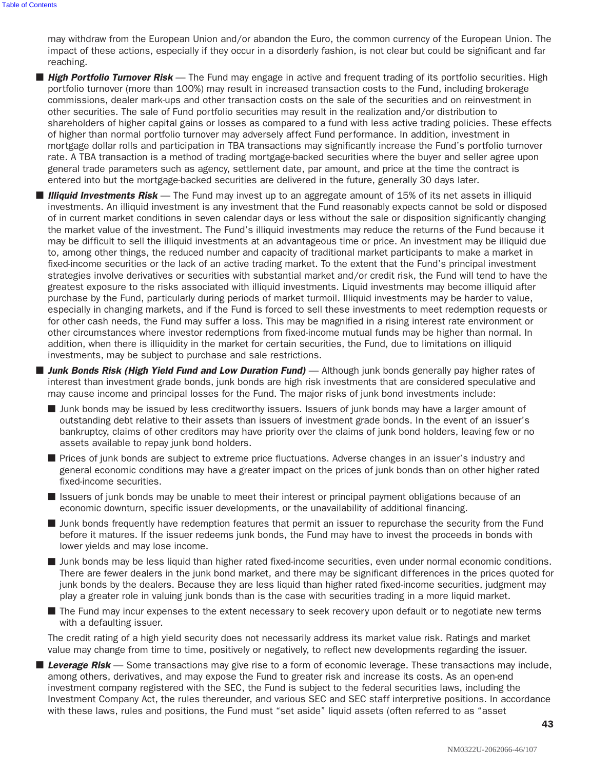may withdraw from the European Union and/or abandon the Euro, the common currency of the European Union. The impact of these actions, especially if they occur in a disorderly fashion, is not clear but could be significant and far reaching.

- *High Portfolio Turnover Risk* The Fund may engage in active and frequent trading of its portfolio securities. High portfolio turnover (more than 100%) may result in increased transaction costs to the Fund, including brokerage commissions, dealer mark-ups and other transaction costs on the sale of the securities and on reinvestment in other securities. The sale of Fund portfolio securities may result in the realization and/or distribution to shareholders of higher capital gains or losses as compared to a fund with less active trading policies. These effects of higher than normal portfolio turnover may adversely affect Fund performance. In addition, investment in mortgage dollar rolls and participation in TBA transactions may significantly increase the Fund's portfolio turnover rate. A TBA transaction is a method of trading mortgage-backed securities where the buyer and seller agree upon general trade parameters such as agency, settlement date, par amount, and price at the time the contract is entered into but the mortgage-backed securities are delivered in the future, generally 30 days later.
- **Illiquid Investments Risk** The Fund may invest up to an aggregate amount of 15% of its net assets in illiquid investments. An illiquid investment is any investment that the Fund reasonably expects cannot be sold or disposed of in current market conditions in seven calendar days or less without the sale or disposition significantly changing the market value of the investment. The Fund's illiquid investments may reduce the returns of the Fund because it may be difficult to sell the illiquid investments at an advantageous time or price. An investment may be illiquid due to, among other things, the reduced number and capacity of traditional market participants to make a market in fixed-income securities or the lack of an active trading market. To the extent that the Fund's principal investment strategies involve derivatives or securities with substantial market and/or credit risk, the Fund will tend to have the greatest exposure to the risks associated with illiquid investments. Liquid investments may become illiquid after purchase by the Fund, particularly during periods of market turmoil. Illiquid investments may be harder to value, especially in changing markets, and if the Fund is forced to sell these investments to meet redemption requests or for other cash needs, the Fund may suffer a loss. This may be magnified in a rising interest rate environment or other circumstances where investor redemptions from fixed-income mutual funds may be higher than normal. In addition, when there is illiquidity in the market for certain securities, the Fund, due to limitations on illiquid investments, may be subject to purchase and sale restrictions.
- *Junk Bonds Risk (High Yield Fund and Low Duration Fund)* **Although junk bonds generally pay higher rates of** interest than investment grade bonds, junk bonds are high risk investments that are considered speculative and may cause income and principal losses for the Fund. The major risks of junk bond investments include:
	- If Junk bonds may be issued by less creditworthy issuers. Issuers of junk bonds may have a larger amount of outstanding debt relative to their assets than issuers of investment grade bonds. In the event of an issuer's bankruptcy, claims of other creditors may have priority over the claims of junk bond holders, leaving few or no assets available to repay junk bond holders.
	- Prices of junk bonds are subject to extreme price fluctuations. Adverse changes in an issuer's industry and general economic conditions may have a greater impact on the prices of junk bonds than on other higher rated fixed-income securities.
	- **If** Issuers of junk bonds may be unable to meet their interest or principal payment obligations because of an economic downturn, specific issuer developments, or the unavailability of additional financing.
	- If Junk bonds frequently have redemption features that permit an issuer to repurchase the security from the Fund before it matures. If the issuer redeems junk bonds, the Fund may have to invest the proceeds in bonds with lower yields and may lose income.
	- If Junk bonds may be less liquid than higher rated fixed-income securities, even under normal economic conditions. There are fewer dealers in the junk bond market, and there may be significant differences in the prices quoted for junk bonds by the dealers. Because they are less liquid than higher rated fixed-income securities, judgment may play a greater role in valuing junk bonds than is the case with securities trading in a more liquid market.
	- The Fund may incur expenses to the extent necessary to seek recovery upon default or to negotiate new terms with a defaulting issuer.

The credit rating of a high yield security does not necessarily address its market value risk. Ratings and market value may change from time to time, positively or negatively, to reflect new developments regarding the issuer.

**Leverage Risk** — Some transactions may give rise to a form of economic leverage. These transactions may include, among others, derivatives, and may expose the Fund to greater risk and increase its costs. As an open-end investment company registered with the SEC, the Fund is subject to the federal securities laws, including the Investment Company Act, the rules thereunder, and various SEC and SEC staff interpretive positions. In accordance with these laws, rules and positions, the Fund must "set aside" liquid assets (often referred to as "asset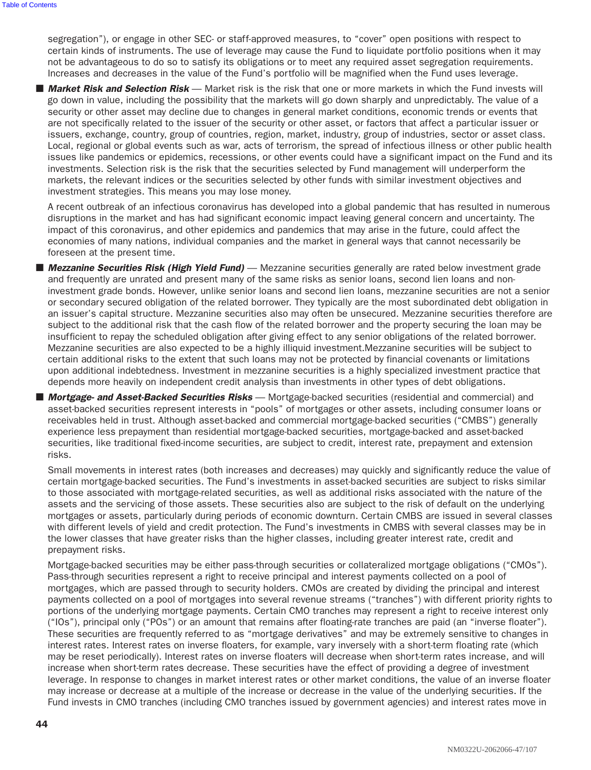segregation"), or engage in other SEC- or staff-approved measures, to "cover" open positions with respect to certain kinds of instruments. The use of leverage may cause the Fund to liquidate portfolio positions when it may not be advantageous to do so to satisfy its obligations or to meet any required asset segregation requirements. Increases and decreases in the value of the Fund's portfolio will be magnified when the Fund uses leverage.

■ Market Risk and Selection Risk — Market risk is the risk that one or more markets in which the Fund invests will go down in value, including the possibility that the markets will go down sharply and unpredictably. The value of a security or other asset may decline due to changes in general market conditions, economic trends or events that are not specifically related to the issuer of the security or other asset, or factors that affect a particular issuer or issuers, exchange, country, group of countries, region, market, industry, group of industries, sector or asset class. Local, regional or global events such as war, acts of terrorism, the spread of infectious illness or other public health issues like pandemics or epidemics, recessions, or other events could have a significant impact on the Fund and its investments. Selection risk is the risk that the securities selected by Fund management will underperform the markets, the relevant indices or the securities selected by other funds with similar investment objectives and investment strategies. This means you may lose money.

A recent outbreak of an infectious coronavirus has developed into a global pandemic that has resulted in numerous disruptions in the market and has had significant economic impact leaving general concern and uncertainty. The impact of this coronavirus, and other epidemics and pandemics that may arise in the future, could affect the economies of many nations, individual companies and the market in general ways that cannot necessarily be foreseen at the present time.

■ *Mezzanine Securities Risk (High Yield Fund)* — Mezzanine securities generally are rated below investment grade and frequently are unrated and present many of the same risks as senior loans, second lien loans and noninvestment grade bonds. However, unlike senior loans and second lien loans, mezzanine securities are not a senior or secondary secured obligation of the related borrower. They typically are the most subordinated debt obligation in an issuer's capital structure. Mezzanine securities also may often be unsecured. Mezzanine securities therefore are subject to the additional risk that the cash flow of the related borrower and the property securing the loan may be insufficient to repay the scheduled obligation after giving effect to any senior obligations of the related borrower. Mezzanine securities are also expected to be a highly illiquid investment.Mezzanine securities will be subject to certain additional risks to the extent that such loans may not be protected by financial covenants or limitations upon additional indebtedness. Investment in mezzanine securities is a highly specialized investment practice that depends more heavily on independent credit analysis than investments in other types of debt obligations.

■ *Mortgage- and Asset-Backed Securities Risks* — Mortgage-backed securities (residential and commercial) and asset-backed securities represent interests in "pools" of mortgages or other assets, including consumer loans or receivables held in trust. Although asset-backed and commercial mortgage-backed securities ("CMBS") generally experience less prepayment than residential mortgage-backed securities, mortgage-backed and asset-backed securities, like traditional fixed-income securities, are subject to credit, interest rate, prepayment and extension risks.

Small movements in interest rates (both increases and decreases) may quickly and significantly reduce the value of certain mortgage-backed securities. The Fund's investments in asset-backed securities are subject to risks similar to those associated with mortgage-related securities, as well as additional risks associated with the nature of the assets and the servicing of those assets. These securities also are subject to the risk of default on the underlying mortgages or assets, particularly during periods of economic downturn. Certain CMBS are issued in several classes with different levels of yield and credit protection. The Fund's investments in CMBS with several classes may be in the lower classes that have greater risks than the higher classes, including greater interest rate, credit and prepayment risks.

Mortgage-backed securities may be either pass-through securities or collateralized mortgage obligations ("CMOs"). Pass-through securities represent a right to receive principal and interest payments collected on a pool of mortgages, which are passed through to security holders. CMOs are created by dividing the principal and interest payments collected on a pool of mortgages into several revenue streams ("tranches") with different priority rights to portions of the underlying mortgage payments. Certain CMO tranches may represent a right to receive interest only ("IOs"), principal only ("POs") or an amount that remains after floating-rate tranches are paid (an "inverse floater"). These securities are frequently referred to as "mortgage derivatives" and may be extremely sensitive to changes in interest rates. Interest rates on inverse floaters, for example, vary inversely with a short-term floating rate (which may be reset periodically). Interest rates on inverse floaters will decrease when short-term rates increase, and will increase when short-term rates decrease. These securities have the effect of providing a degree of investment leverage. In response to changes in market interest rates or other market conditions, the value of an inverse floater may increase or decrease at a multiple of the increase or decrease in the value of the underlying securities. If the Fund invests in CMO tranches (including CMO tranches issued by government agencies) and interest rates move in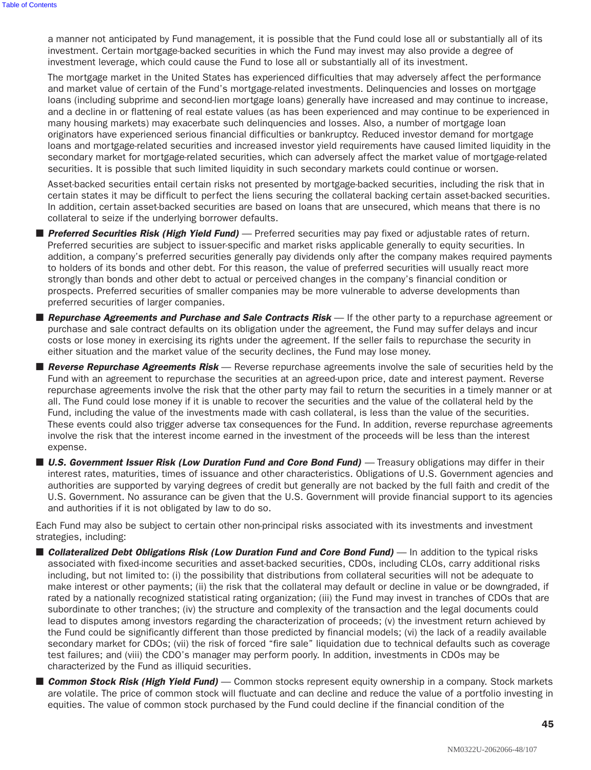a manner not anticipated by Fund management, it is possible that the Fund could lose all or substantially all of its investment. Certain mortgage-backed securities in which the Fund may invest may also provide a degree of investment leverage, which could cause the Fund to lose all or substantially all of its investment.

The mortgage market in the United States has experienced difficulties that may adversely affect the performance and market value of certain of the Fund's mortgage-related investments. Delinquencies and losses on mortgage loans (including subprime and second-lien mortgage loans) generally have increased and may continue to increase, and a decline in or flattening of real estate values (as has been experienced and may continue to be experienced in many housing markets) may exacerbate such delinquencies and losses. Also, a number of mortgage loan originators have experienced serious financial difficulties or bankruptcy. Reduced investor demand for mortgage loans and mortgage-related securities and increased investor yield requirements have caused limited liquidity in the secondary market for mortgage-related securities, which can adversely affect the market value of mortgage-related securities. It is possible that such limited liquidity in such secondary markets could continue or worsen.

Asset-backed securities entail certain risks not presented by mortgage-backed securities, including the risk that in certain states it may be difficult to perfect the liens securing the collateral backing certain asset-backed securities. In addition, certain asset-backed securities are based on loans that are unsecured, which means that there is no collateral to seize if the underlying borrower defaults.

- **Preferred Securities Risk (High Yield Fund)** Preferred securities may pay fixed or adjustable rates of return. Preferred securities are subject to issuer-specific and market risks applicable generally to equity securities. In addition, a company's preferred securities generally pay dividends only after the company makes required payments to holders of its bonds and other debt. For this reason, the value of preferred securities will usually react more strongly than bonds and other debt to actual or perceived changes in the company's financial condition or prospects. Preferred securities of smaller companies may be more vulnerable to adverse developments than preferred securities of larger companies.
- Repurchase Agreements and Purchase and Sale Contracts Risk If the other party to a repurchase agreement or purchase and sale contract defaults on its obligation under the agreement, the Fund may suffer delays and incur costs or lose money in exercising its rights under the agreement. If the seller fails to repurchase the security in either situation and the market value of the security declines, the Fund may lose money.
- **Reverse Repurchase Agreements Risk** Reverse repurchase agreements involve the sale of securities held by the Fund with an agreement to repurchase the securities at an agreed-upon price, date and interest payment. Reverse repurchase agreements involve the risk that the other party may fail to return the securities in a timely manner or at all. The Fund could lose money if it is unable to recover the securities and the value of the collateral held by the Fund, including the value of the investments made with cash collateral, is less than the value of the securities. These events could also trigger adverse tax consequences for the Fund. In addition, reverse repurchase agreements involve the risk that the interest income earned in the investment of the proceeds will be less than the interest expense.
- *U.S. Government Issuer Risk (Low Duration Fund and Core Bond Fund) Treasury obligations may differ in their* interest rates, maturities, times of issuance and other characteristics. Obligations of U.S. Government agencies and authorities are supported by varying degrees of credit but generally are not backed by the full faith and credit of the U.S. Government. No assurance can be given that the U.S. Government will provide financial support to its agencies and authorities if it is not obligated by law to do so.

Each Fund may also be subject to certain other non-principal risks associated with its investments and investment strategies, including:

- **E** Collateralized Debt Obligations Risk (Low Duration Fund and Core Bond Fund) In addition to the typical risks associated with fixed-income securities and asset-backed securities, CDOs, including CLOs, carry additional risks including, but not limited to: (i) the possibility that distributions from collateral securities will not be adequate to make interest or other payments; (ii) the risk that the collateral may default or decline in value or be downgraded, if rated by a nationally recognized statistical rating organization; (iii) the Fund may invest in tranches of CDOs that are subordinate to other tranches; (iv) the structure and complexity of the transaction and the legal documents could lead to disputes among investors regarding the characterization of proceeds; (v) the investment return achieved by the Fund could be significantly different than those predicted by financial models; (vi) the lack of a readily available secondary market for CDOs; (vii) the risk of forced "fire sale" liquidation due to technical defaults such as coverage test failures; and (viii) the CDO's manager may perform poorly. In addition, investments in CDOs may be characterized by the Fund as illiquid securities.
- **Common Stock Risk (High Yield Fund)** Common stocks represent equity ownership in a company. Stock markets are volatile. The price of common stock will fluctuate and can decline and reduce the value of a portfolio investing in equities. The value of common stock purchased by the Fund could decline if the financial condition of the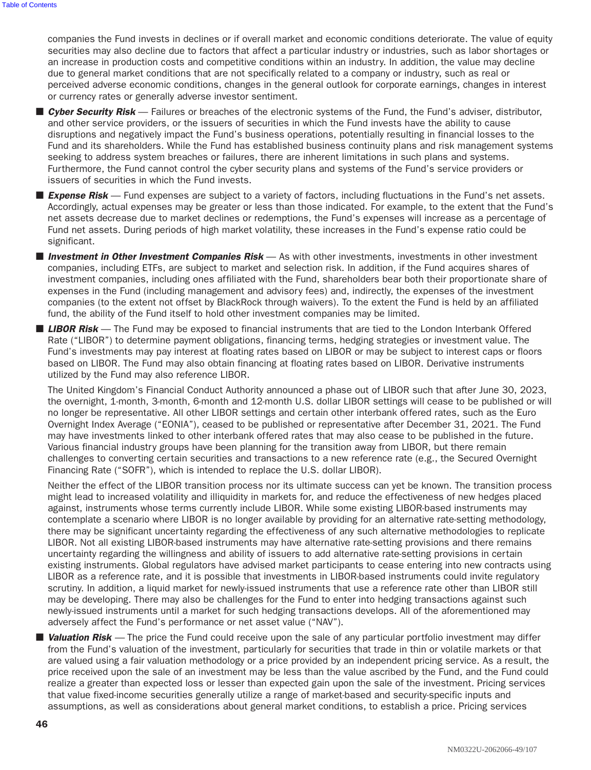companies the Fund invests in declines or if overall market and economic conditions deteriorate. The value of equity securities may also decline due to factors that affect a particular industry or industries, such as labor shortages or an increase in production costs and competitive conditions within an industry. In addition, the value may decline due to general market conditions that are not specifically related to a company or industry, such as real or perceived adverse economic conditions, changes in the general outlook for corporate earnings, changes in interest or currency rates or generally adverse investor sentiment.

- Cyber Security Risk Failures or breaches of the electronic systems of the Fund, the Fund's adviser, distributor, and other service providers, or the issuers of securities in which the Fund invests have the ability to cause disruptions and negatively impact the Fund's business operations, potentially resulting in financial losses to the Fund and its shareholders. While the Fund has established business continuity plans and risk management systems seeking to address system breaches or failures, there are inherent limitations in such plans and systems. Furthermore, the Fund cannot control the cyber security plans and systems of the Fund's service providers or issuers of securities in which the Fund invests.
- **Expense Risk** Fund expenses are subject to a variety of factors, including fluctuations in the Fund's net assets. Accordingly, actual expenses may be greater or less than those indicated. For example, to the extent that the Fund's net assets decrease due to market declines or redemptions, the Fund's expenses will increase as a percentage of Fund net assets. During periods of high market volatility, these increases in the Fund's expense ratio could be significant.
- **Investment in Other Investment Companies Risk** As with other investments, investments in other investment companies, including ETFs, are subject to market and selection risk. In addition, if the Fund acquires shares of investment companies, including ones affiliated with the Fund, shareholders bear both their proportionate share of expenses in the Fund (including management and advisory fees) and, indirectly, the expenses of the investment companies (to the extent not offset by BlackRock through waivers). To the extent the Fund is held by an affiliated fund, the ability of the Fund itself to hold other investment companies may be limited.
- **LIBOR Risk** The Fund may be exposed to financial instruments that are tied to the London Interbank Offered Rate ("LIBOR") to determine payment obligations, financing terms, hedging strategies or investment value. The Fund's investments may pay interest at floating rates based on LIBOR or may be subject to interest caps or floors based on LIBOR. The Fund may also obtain financing at floating rates based on LIBOR. Derivative instruments utilized by the Fund may also reference LIBOR.

The United Kingdom's Financial Conduct Authority announced a phase out of LIBOR such that after June 30, 2023, the overnight, 1-month, 3-month, 6-month and 12-month U.S. dollar LIBOR settings will cease to be published or will no longer be representative. All other LIBOR settings and certain other interbank offered rates, such as the Euro Overnight Index Average ("EONIA"), ceased to be published or representative after December 31, 2021. The Fund may have investments linked to other interbank offered rates that may also cease to be published in the future. Various financial industry groups have been planning for the transition away from LIBOR, but there remain challenges to converting certain securities and transactions to a new reference rate (e.g., the Secured Overnight Financing Rate ("SOFR"), which is intended to replace the U.S. dollar LIBOR).

Neither the effect of the LIBOR transition process nor its ultimate success can yet be known. The transition process might lead to increased volatility and illiquidity in markets for, and reduce the effectiveness of new hedges placed against, instruments whose terms currently include LIBOR. While some existing LIBOR-based instruments may contemplate a scenario where LIBOR is no longer available by providing for an alternative rate-setting methodology, there may be significant uncertainty regarding the effectiveness of any such alternative methodologies to replicate LIBOR. Not all existing LIBOR-based instruments may have alternative rate-setting provisions and there remains uncertainty regarding the willingness and ability of issuers to add alternative rate-setting provisions in certain existing instruments. Global regulators have advised market participants to cease entering into new contracts using LIBOR as a reference rate, and it is possible that investments in LIBOR-based instruments could invite regulatory scrutiny. In addition, a liquid market for newly-issued instruments that use a reference rate other than LIBOR still may be developing. There may also be challenges for the Fund to enter into hedging transactions against such newly-issued instruments until a market for such hedging transactions develops. All of the aforementioned may adversely affect the Fund's performance or net asset value ("NAV").

■ *Valuation Risk* — The price the Fund could receive upon the sale of any particular portfolio investment may differ from the Fund's valuation of the investment, particularly for securities that trade in thin or volatile markets or that are valued using a fair valuation methodology or a price provided by an independent pricing service. As a result, the price received upon the sale of an investment may be less than the value ascribed by the Fund, and the Fund could realize a greater than expected loss or lesser than expected gain upon the sale of the investment. Pricing services that value fixed-income securities generally utilize a range of market-based and security-specific inputs and assumptions, as well as considerations about general market conditions, to establish a price. Pricing services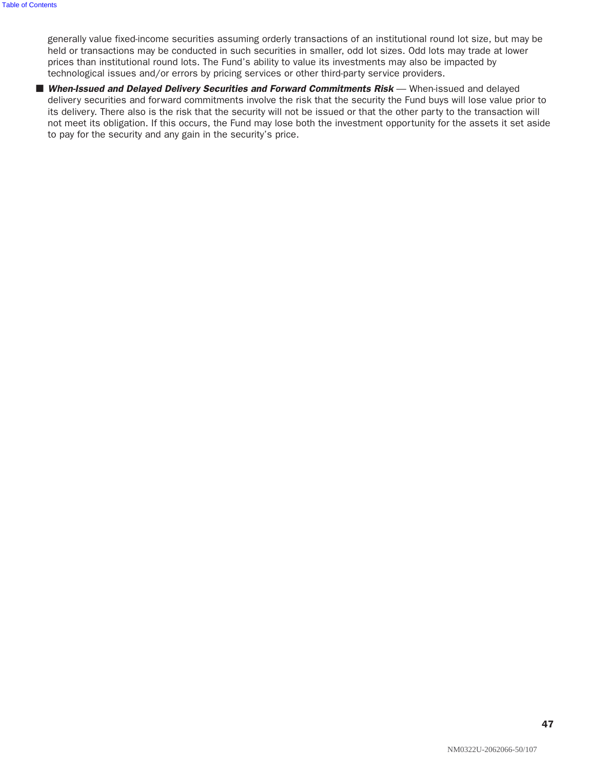generally value fixed-income securities assuming orderly transactions of an institutional round lot size, but may be held or transactions may be conducted in such securities in smaller, odd lot sizes. Odd lots may trade at lower prices than institutional round lots. The Fund's ability to value its investments may also be impacted by technological issues and/or errors by pricing services or other third-party service providers.

■ When-Issued and Delayed Delivery Securities and Forward Commitments Risk — When-issued and delayed delivery securities and forward commitments involve the risk that the security the Fund buys will lose value prior to its delivery. There also is the risk that the security will not be issued or that the other party to the transaction will not meet its obligation. If this occurs, the Fund may lose both the investment opportunity for the assets it set aside to pay for the security and any gain in the security's price.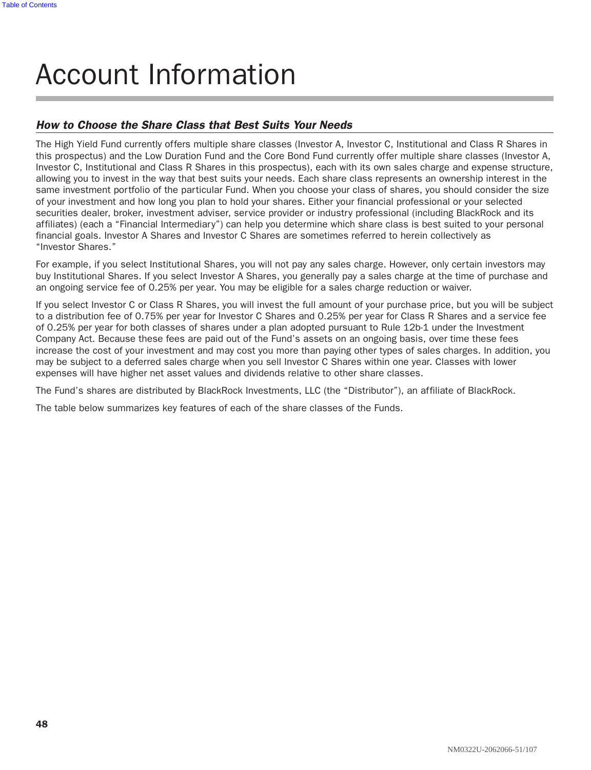# Account Information

# *How to Choose the Share Class that Best Suits Your Needs*

The High Yield Fund currently offers multiple share classes (Investor A, Investor C, Institutional and Class R Shares in this prospectus) and the Low Duration Fund and the Core Bond Fund currently offer multiple share classes (Investor A, Investor C, Institutional and Class R Shares in this prospectus), each with its own sales charge and expense structure, allowing you to invest in the way that best suits your needs. Each share class represents an ownership interest in the same investment portfolio of the particular Fund. When you choose your class of shares, you should consider the size of your investment and how long you plan to hold your shares. Either your financial professional or your selected securities dealer, broker, investment adviser, service provider or industry professional (including BlackRock and its affiliates) (each a "Financial Intermediary") can help you determine which share class is best suited to your personal financial goals. Investor A Shares and Investor C Shares are sometimes referred to herein collectively as "Investor Shares."

For example, if you select Institutional Shares, you will not pay any sales charge. However, only certain investors may buy Institutional Shares. If you select Investor A Shares, you generally pay a sales charge at the time of purchase and an ongoing service fee of 0.25% per year. You may be eligible for a sales charge reduction or waiver.

If you select Investor C or Class R Shares, you will invest the full amount of your purchase price, but you will be subject to a distribution fee of 0.75% per year for Investor C Shares and 0.25% per year for Class R Shares and a service fee of 0.25% per year for both classes of shares under a plan adopted pursuant to Rule 12b-1 under the Investment Company Act. Because these fees are paid out of the Fund's assets on an ongoing basis, over time these fees increase the cost of your investment and may cost you more than paying other types of sales charges. In addition, you may be subject to a deferred sales charge when you sell Investor C Shares within one year. Classes with lower expenses will have higher net asset values and dividends relative to other share classes.

The Fund's shares are distributed by BlackRock Investments, LLC (the "Distributor"), an affiliate of BlackRock.

The table below summarizes key features of each of the share classes of the Funds.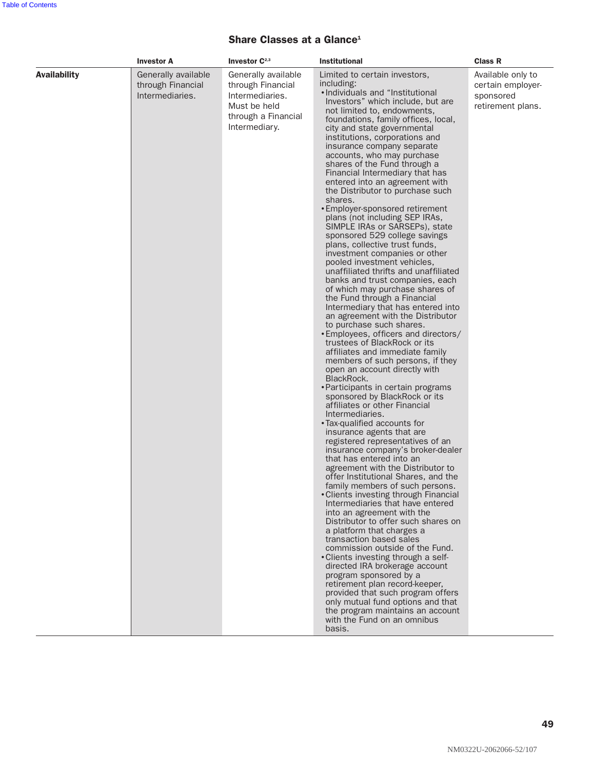#### Share Classes at a Glance<sup>1</sup>

|                     | <b>Investor A</b>                                           | Investor C <sup>2,3</sup>                                                                                           | <b>Institutional</b>                                                                                                                                                                                                                                                                                                                                                                                                                                                                                                                                                                                                                                                                                                                                                                                                                                                                                                                                                                                                                                                                                                                                                                                                                                                                                                                                                                                                                                                                                                                                                                                                                                                                                                                                                                                                                                                                                                                                                                                                                                                                                                          | <b>Class R</b>                                                           |
|---------------------|-------------------------------------------------------------|---------------------------------------------------------------------------------------------------------------------|-------------------------------------------------------------------------------------------------------------------------------------------------------------------------------------------------------------------------------------------------------------------------------------------------------------------------------------------------------------------------------------------------------------------------------------------------------------------------------------------------------------------------------------------------------------------------------------------------------------------------------------------------------------------------------------------------------------------------------------------------------------------------------------------------------------------------------------------------------------------------------------------------------------------------------------------------------------------------------------------------------------------------------------------------------------------------------------------------------------------------------------------------------------------------------------------------------------------------------------------------------------------------------------------------------------------------------------------------------------------------------------------------------------------------------------------------------------------------------------------------------------------------------------------------------------------------------------------------------------------------------------------------------------------------------------------------------------------------------------------------------------------------------------------------------------------------------------------------------------------------------------------------------------------------------------------------------------------------------------------------------------------------------------------------------------------------------------------------------------------------------|--------------------------------------------------------------------------|
| <b>Availability</b> | Generally available<br>through Financial<br>Intermediaries. | Generally available<br>through Financial<br>Intermediaries.<br>Must be held<br>through a Financial<br>Intermediary. | Limited to certain investors,<br>including:<br>•Individuals and "Institutional<br>Investors" which include, but are<br>not limited to, endowments,<br>foundations, family offices, local,<br>city and state governmental<br>institutions, corporations and<br>insurance company separate<br>accounts, who may purchase<br>shares of the Fund through a<br>Financial Intermediary that has<br>entered into an agreement with<br>the Distributor to purchase such<br>shares.<br>• Employer-sponsored retirement<br>plans (not including SEP IRAs,<br>SIMPLE IRAs or SARSEPs), state<br>sponsored 529 college savings<br>plans, collective trust funds,<br>investment companies or other<br>pooled investment vehicles,<br>unaffiliated thrifts and unaffiliated<br>banks and trust companies, each<br>of which may purchase shares of<br>the Fund through a Financial<br>Intermediary that has entered into<br>an agreement with the Distributor<br>to purchase such shares.<br>• Employees, officers and directors/<br>trustees of BlackRock or its<br>affiliates and immediate family<br>members of such persons, if they<br>open an account directly with<br>BlackRock.<br>• Participants in certain programs<br>sponsored by BlackRock or its<br>affiliates or other Financial<br>Intermediaries.<br>• Tax-qualified accounts for<br>insurance agents that are<br>registered representatives of an<br>insurance company's broker-dealer<br>that has entered into an<br>agreement with the Distributor to<br>offer Institutional Shares, and the<br>family members of such persons.<br>• Clients investing through Financial<br>Intermediaries that have entered<br>into an agreement with the<br>Distributor to offer such shares on<br>a platform that charges a<br>transaction based sales<br>commission outside of the Fund.<br>• Clients investing through a self-<br>directed IRA brokerage account<br>program sponsored by a<br>retirement plan record-keeper,<br>provided that such program offers<br>only mutual fund options and that<br>the program maintains an account<br>with the Fund on an omnibus<br>basis. | Available only to<br>certain employer-<br>sponsored<br>retirement plans. |

49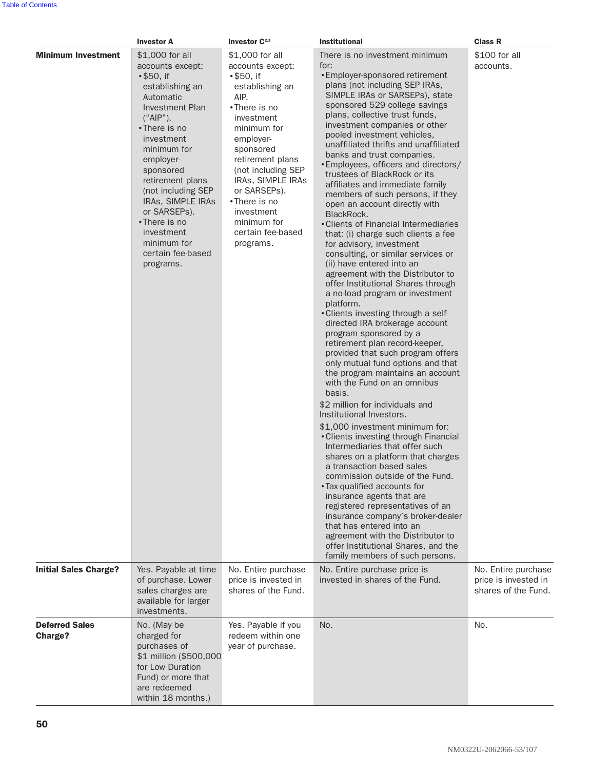|                                         | <b>Investor A</b>                                                                                                                                                                                                                                                                                                                                               | Investor C <sup>2,3</sup>                                                                                                                                                                                                                                                                                         | <b>Institutional</b>                                                                                                                                                                                                                                                                                                                                                                                                                                                                                                                                                                                                                                                                                                                                                                                                                                                                                                                                                                                                                                                                                                                                                                                                                                                                                                                                                                                                                                                                                                                                                                                                                                                                                                           | <b>Class R</b>                                                     |
|-----------------------------------------|-----------------------------------------------------------------------------------------------------------------------------------------------------------------------------------------------------------------------------------------------------------------------------------------------------------------------------------------------------------------|-------------------------------------------------------------------------------------------------------------------------------------------------------------------------------------------------------------------------------------------------------------------------------------------------------------------|--------------------------------------------------------------------------------------------------------------------------------------------------------------------------------------------------------------------------------------------------------------------------------------------------------------------------------------------------------------------------------------------------------------------------------------------------------------------------------------------------------------------------------------------------------------------------------------------------------------------------------------------------------------------------------------------------------------------------------------------------------------------------------------------------------------------------------------------------------------------------------------------------------------------------------------------------------------------------------------------------------------------------------------------------------------------------------------------------------------------------------------------------------------------------------------------------------------------------------------------------------------------------------------------------------------------------------------------------------------------------------------------------------------------------------------------------------------------------------------------------------------------------------------------------------------------------------------------------------------------------------------------------------------------------------------------------------------------------------|--------------------------------------------------------------------|
| <b>Minimum Investment</b>               | \$1,000 for all<br>accounts except:<br>• \$50, if<br>establishing an<br>Automatic<br><b>Investment Plan</b><br>$($ "AIP").<br>•There is no<br>investment<br>minimum for<br>employer-<br>sponsored<br>retirement plans<br>(not including SEP<br>IRAS, SIMPLE IRAS<br>or SARSEPs).<br>•There is no<br>investment<br>minimum for<br>certain fee-based<br>programs. | \$1,000 for all<br>accounts except:<br>• \$50, if<br>establishing an<br>AIP.<br>•There is no<br>investment<br>minimum for<br>employer-<br>sponsored<br>retirement plans<br>(not including SEP<br>IRAS, SIMPLE IRAS<br>or SARSEPs).<br>•There is no<br>investment<br>minimum for<br>certain fee-based<br>programs. | There is no investment minimum<br>for:<br>• Employer-sponsored retirement<br>plans (not including SEP IRAs,<br>SIMPLE IRAs or SARSEPs), state<br>sponsored 529 college savings<br>plans, collective trust funds,<br>investment companies or other<br>pooled investment vehicles,<br>unaffiliated thrifts and unaffiliated<br>banks and trust companies.<br>• Employees, officers and directors/<br>trustees of BlackRock or its<br>affiliates and immediate family<br>members of such persons, if they<br>open an account directly with<br>BlackRock.<br>• Clients of Financial Intermediaries<br>that: (i) charge such clients a fee<br>for advisory, investment<br>consulting, or similar services or<br>(ii) have entered into an<br>agreement with the Distributor to<br>offer Institutional Shares through<br>a no-load program or investment<br>platform.<br>. Clients investing through a self-<br>directed IRA brokerage account<br>program sponsored by a<br>retirement plan record-keeper,<br>provided that such program offers<br>only mutual fund options and that<br>the program maintains an account<br>with the Fund on an omnibus<br>basis.<br>\$2 million for individuals and<br>Institutional Investors.<br>\$1,000 investment minimum for:<br>• Clients investing through Financial<br>Intermediaries that offer such<br>shares on a platform that charges<br>a transaction based sales<br>commission outside of the Fund.<br>• Tax-qualified accounts for<br>insurance agents that are<br>registered representatives of an<br>insurance company's broker-dealer<br>that has entered into an<br>agreement with the Distributor to<br>offer Institutional Shares, and the<br>family members of such persons. | \$100 for all<br>accounts.                                         |
| <b>Initial Sales Charge?</b>            | Yes. Payable at time<br>of purchase. Lower<br>sales charges are<br>available for larger<br>investments.                                                                                                                                                                                                                                                         | No. Entire purchase<br>price is invested in<br>shares of the Fund.                                                                                                                                                                                                                                                | No. Entire purchase price is<br>invested in shares of the Fund.                                                                                                                                                                                                                                                                                                                                                                                                                                                                                                                                                                                                                                                                                                                                                                                                                                                                                                                                                                                                                                                                                                                                                                                                                                                                                                                                                                                                                                                                                                                                                                                                                                                                | No. Entire purchase<br>price is invested in<br>shares of the Fund. |
| <b>Deferred Sales</b><br><b>Charge?</b> | No. (May be<br>charged for<br>purchases of<br>\$1 million (\$500,000<br>for Low Duration<br>Fund) or more that<br>are redeemed<br>within 18 months.)                                                                                                                                                                                                            | Yes. Payable if you<br>redeem within one<br>year of purchase.                                                                                                                                                                                                                                                     | No.                                                                                                                                                                                                                                                                                                                                                                                                                                                                                                                                                                                                                                                                                                                                                                                                                                                                                                                                                                                                                                                                                                                                                                                                                                                                                                                                                                                                                                                                                                                                                                                                                                                                                                                            | No.                                                                |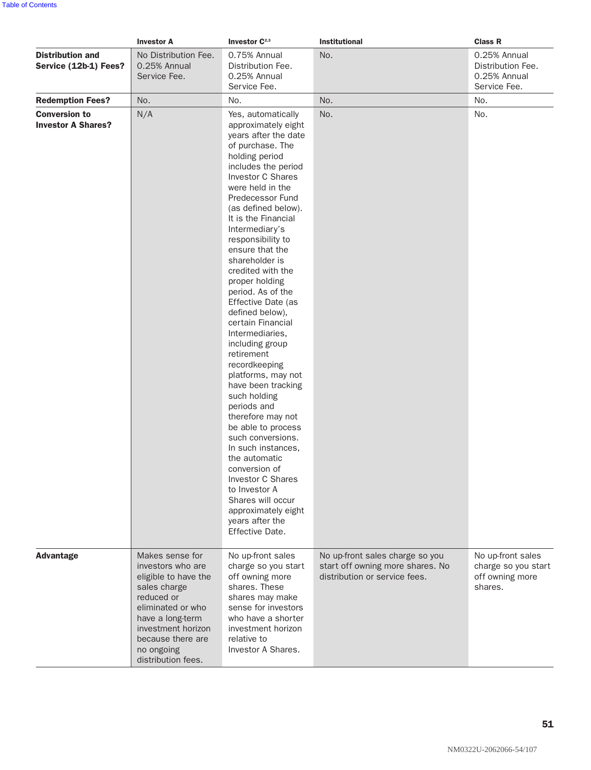|                                                   | <b>Investor A</b>                                                                                                                                                                                                  | Investor C <sup>2,3</sup>                                                                                                                                                                                                                                                                                                                                                                                                                                                                                                                                                                                                                                                                                                                                                                                                                       | <b>Institutional</b>                                                                                 | <b>Class R</b>                                                         |
|---------------------------------------------------|--------------------------------------------------------------------------------------------------------------------------------------------------------------------------------------------------------------------|-------------------------------------------------------------------------------------------------------------------------------------------------------------------------------------------------------------------------------------------------------------------------------------------------------------------------------------------------------------------------------------------------------------------------------------------------------------------------------------------------------------------------------------------------------------------------------------------------------------------------------------------------------------------------------------------------------------------------------------------------------------------------------------------------------------------------------------------------|------------------------------------------------------------------------------------------------------|------------------------------------------------------------------------|
| <b>Distribution and</b><br>Service (12b-1) Fees?  | No Distribution Fee.<br>0.25% Annual<br>Service Fee.                                                                                                                                                               | 0.75% Annual<br>Distribution Fee.<br>0.25% Annual<br>Service Fee.                                                                                                                                                                                                                                                                                                                                                                                                                                                                                                                                                                                                                                                                                                                                                                               | No.                                                                                                  | 0.25% Annual<br>Distribution Fee.<br>0.25% Annual<br>Service Fee.      |
| <b>Redemption Fees?</b>                           | No.                                                                                                                                                                                                                | No.                                                                                                                                                                                                                                                                                                                                                                                                                                                                                                                                                                                                                                                                                                                                                                                                                                             | No.                                                                                                  | No.                                                                    |
| <b>Conversion to</b><br><b>Investor A Shares?</b> | N/A                                                                                                                                                                                                                | Yes, automatically<br>approximately eight<br>years after the date<br>of purchase. The<br>holding period<br>includes the period<br>Investor C Shares<br>were held in the<br>Predecessor Fund<br>(as defined below).<br>It is the Financial<br>Intermediary's<br>responsibility to<br>ensure that the<br>shareholder is<br>credited with the<br>proper holding<br>period. As of the<br>Effective Date (as<br>defined below),<br>certain Financial<br>Intermediaries,<br>including group<br>retirement<br>recordkeeping<br>platforms, may not<br>have been tracking<br>such holding<br>periods and<br>therefore may not<br>be able to process<br>such conversions.<br>In such instances,<br>the automatic<br>conversion of<br>Investor C Shares<br>to Investor A<br>Shares will occur<br>approximately eight<br>years after the<br>Effective Date. | No.                                                                                                  | No.                                                                    |
| Advantage                                         | Makes sense for<br>investors who are<br>eligible to have the<br>sales charge<br>reduced or<br>eliminated or who<br>have a long-term<br>investment horizon<br>because there are<br>no ongoing<br>distribution fees. | No up-front sales<br>charge so you start<br>off owning more<br>shares. These<br>shares may make<br>sense for investors<br>who have a shorter<br>investment horizon<br>relative to<br>Investor A Shares.                                                                                                                                                                                                                                                                                                                                                                                                                                                                                                                                                                                                                                         | No up-front sales charge so you<br>start off owning more shares. No<br>distribution or service fees. | No up-front sales<br>charge so you start<br>off owning more<br>shares. |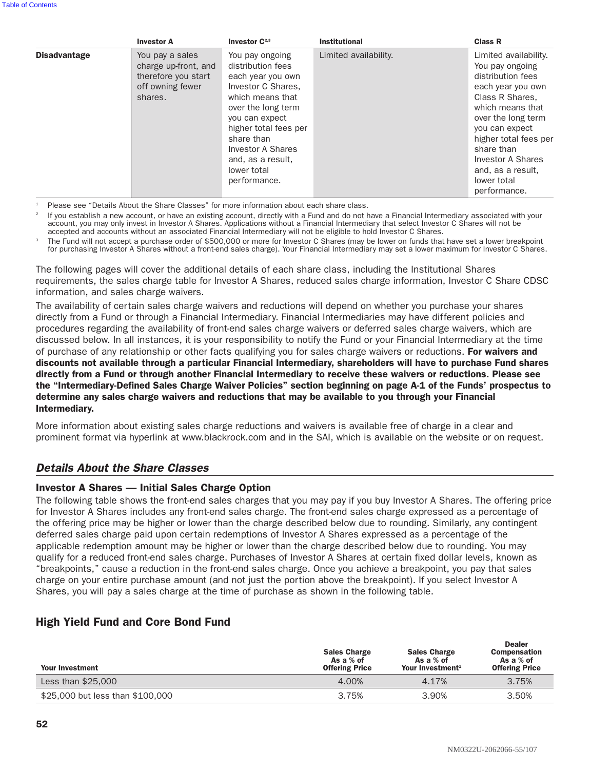|                     | <b>Investor A</b>                                                                             | Investor C <sup>2,3</sup>                                                                                                                                                                                                                                          | <b>Institutional</b>  | <b>Class R</b>                                                                                                                                                                                                                                                                    |
|---------------------|-----------------------------------------------------------------------------------------------|--------------------------------------------------------------------------------------------------------------------------------------------------------------------------------------------------------------------------------------------------------------------|-----------------------|-----------------------------------------------------------------------------------------------------------------------------------------------------------------------------------------------------------------------------------------------------------------------------------|
| <b>Disadvantage</b> | You pay a sales<br>charge up-front, and<br>therefore you start<br>off owning fewer<br>shares. | You pay ongoing<br>distribution fees<br>each year you own<br>Investor C Shares.<br>which means that<br>over the long term<br>you can expect<br>higher total fees per<br>share than<br><b>Investor A Shares</b><br>and, as a result,<br>lower total<br>performance. | Limited availability. | Limited availability.<br>You pay ongoing<br>distribution fees<br>each year you own<br>Class R Shares.<br>which means that<br>over the long term<br>you can expect<br>higher total fees per<br>share than<br>Investor A Shares<br>and, as a result,<br>lower total<br>performance. |

Please see "Details About the Share Classes" for more information about each share class.

If you establish a new account, or have an existing account, directly with a Fund and do not have a Financial Intermediary associated with your account, you may only invest in Investor A Shares. Applications without a Financial Intermediary that select Investor C Shares will not be accepted and accounts without an associated Financial Intermediary will not be eligible to hold Investor C Shares.

The Fund will not accept a purchase order of \$500,000 or more for Investor C Shares (may be lower on funds that have set a lower breakpoint for purchasing Investor A Shares without a front-end sales charge). Your Financial Intermediary may set a lower maximum for Investor C Shares.

The following pages will cover the additional details of each share class, including the Institutional Shares requirements, the sales charge table for Investor A Shares, reduced sales charge information, Investor C Share CDSC information, and sales charge waivers.

The availability of certain sales charge waivers and reductions will depend on whether you purchase your shares directly from a Fund or through a Financial Intermediary. Financial Intermediaries may have different policies and procedures regarding the availability of front-end sales charge waivers or deferred sales charge waivers, which are discussed below. In all instances, it is your responsibility to notify the Fund or your Financial Intermediary at the time of purchase of any relationship or other facts qualifying you for sales charge waivers or reductions. For waivers and discounts not available through a particular Financial Intermediary, shareholders will have to purchase Fund shares directly from a Fund or through another Financial Intermediary to receive these waivers or reductions. Please see the "Intermediary-Defined Sales Charge Waiver Policies" section beginning on page A-1 of the Funds' prospectus to determine any sales charge waivers and reductions that may be available to you through your Financial Intermediary.

More information about existing sales charge reductions and waivers is available free of charge in a clear and prominent format via hyperlink at www.blackrock.com and in the SAI, which is available on the website or on request.

# *Details About the Share Classes*

#### Investor A Shares — Initial Sales Charge Option

The following table shows the front-end sales charges that you may pay if you buy Investor A Shares. The offering price for Investor A Shares includes any front-end sales charge. The front-end sales charge expressed as a percentage of the offering price may be higher or lower than the charge described below due to rounding. Similarly, any contingent deferred sales charge paid upon certain redemptions of Investor A Shares expressed as a percentage of the applicable redemption amount may be higher or lower than the charge described below due to rounding. You may qualify for a reduced front-end sales charge. Purchases of Investor A Shares at certain fixed dollar levels, known as "breakpoints," cause a reduction in the front-end sales charge. Once you achieve a breakpoint, you pay that sales charge on your entire purchase amount (and not just the portion above the breakpoint). If you select Investor A Shares, you will pay a sales charge at the time of purchase as shown in the following table.

### High Yield Fund and Core Bond Fund

| Your Investment                  | <b>Sales Charge</b><br>As a % of<br><b>Offering Price</b> | <b>Sales Charge</b><br>As a % of<br>Your Investment <sup>1</sup> | <b>Dealer</b><br><b>Compensation</b><br>As a % of<br><b>Offering Price</b> |
|----------------------------------|-----------------------------------------------------------|------------------------------------------------------------------|----------------------------------------------------------------------------|
| Less than $$25,000$              | 4.00%                                                     | 4.17%                                                            | 3.75%                                                                      |
| \$25,000 but less than \$100,000 | 3.75%                                                     | 3.90%                                                            | 3.50%                                                                      |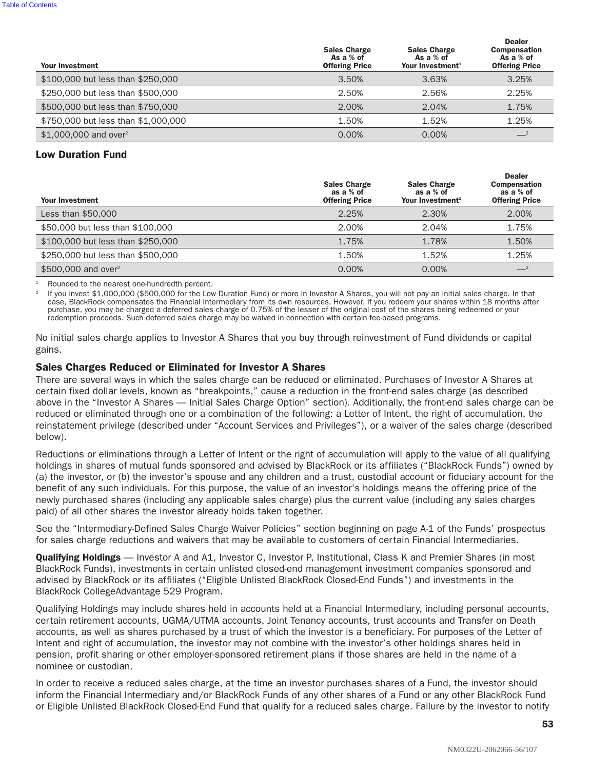| <b>Your Investment</b>              | <b>Sales Charge</b><br>As a $%$ of<br><b>Offering Price</b> | <b>Sales Charge</b><br>As a % of<br>Your Investment <sup>1</sup> | <b>Dealer</b><br><b>Compensation</b><br>As a $%$ of<br><b>Offering Price</b> |
|-------------------------------------|-------------------------------------------------------------|------------------------------------------------------------------|------------------------------------------------------------------------------|
| \$100,000 but less than \$250,000   | 3.50%                                                       | 3.63%                                                            | 3.25%                                                                        |
| \$250,000 but less than \$500,000   | 2.50%                                                       | 2.56%                                                            | 2.25%                                                                        |
| \$500,000 but less than \$750,000   | 2.00%                                                       | 2.04%                                                            | 1.75%                                                                        |
| \$750,000 but less than \$1,000,000 | 1.50%                                                       | 1.52%                                                            | 1.25%                                                                        |
| \$1,000,000 and over <sup>2</sup>   | 0.00%                                                       | $0.00\%$                                                         | $-2$                                                                         |

#### Low Duration Fund

| <b>Your Investment</b>            | <b>Sales Charge</b><br>as a % of<br><b>Offering Price</b> | <b>Sales Charge</b><br>as a % of<br>Your Investment <sup>1</sup> | <b>Dealer</b><br><b>Compensation</b><br>as a % of<br><b>Offering Price</b> |
|-----------------------------------|-----------------------------------------------------------|------------------------------------------------------------------|----------------------------------------------------------------------------|
| Less than \$50,000                | 2.25%                                                     | 2.30%                                                            | 2.00%                                                                      |
| \$50,000 but less than \$100,000  | 2.00%                                                     | 2.04%                                                            | 1.75%                                                                      |
| \$100,000 but less than \$250,000 | 1.75%                                                     | 1.78%                                                            | 1.50%                                                                      |
| \$250,000 but less than \$500,000 | 1.50%                                                     | 1.52%                                                            | 1.25%                                                                      |
| $$500,000$ and over <sup>2</sup>  | 0.00%                                                     | 0.00%                                                            | $-2$                                                                       |

Rounded to the nearest one-hundredth percent.

If you invest \$1,000,000 (\$500,000 for the Low Duration Fund) or more in Investor A Shares, you will not pay an initial sales charge. In that<br>case, BlackRock compensates the Financial Intermediary from its own resources. H purchase, you may be charged a deferred sales charge of 0.75% of the lesser of the original cost of the shares being redeemed or your redemption proceeds. Such deferred sales charge may be waived in connection with certain fee-based programs.

No initial sales charge applies to Investor A Shares that you buy through reinvestment of Fund dividends or capital gains.

#### Sales Charges Reduced or Eliminated for Investor A Shares

There are several ways in which the sales charge can be reduced or eliminated. Purchases of Investor A Shares at certain fixed dollar levels, known as "breakpoints," cause a reduction in the front-end sales charge (as described above in the "Investor A Shares — Initial Sales Charge Option" section). Additionally, the front-end sales charge can be reduced or eliminated through one or a combination of the following: a Letter of Intent, the right of accumulation, the reinstatement privilege (described under "Account Services and Privileges"), or a waiver of the sales charge (described below).

Reductions or eliminations through a Letter of Intent or the right of accumulation will apply to the value of all qualifying holdings in shares of mutual funds sponsored and advised by BlackRock or its affiliates ("BlackRock Funds") owned by (a) the investor, or (b) the investor's spouse and any children and a trust, custodial account or fiduciary account for the benefit of any such individuals. For this purpose, the value of an investor's holdings means the offering price of the newly purchased shares (including any applicable sales charge) plus the current value (including any sales charges paid) of all other shares the investor already holds taken together.

See the "Intermediary-Defined Sales Charge Waiver Policies" section beginning on page A-1 of the Funds' prospectus for sales charge reductions and waivers that may be available to customers of certain Financial Intermediaries.

Qualifying Holdings — Investor A and A1, Investor C, Investor P, Institutional, Class K and Premier Shares (in most BlackRock Funds), investments in certain unlisted closed-end management investment companies sponsored and advised by BlackRock or its affiliates ("Eligible Unlisted BlackRock Closed-End Funds") and investments in the BlackRock CollegeAdvantage 529 Program.

Qualifying Holdings may include shares held in accounts held at a Financial Intermediary, including personal accounts, certain retirement accounts, UGMA/UTMA accounts, Joint Tenancy accounts, trust accounts and Transfer on Death accounts, as well as shares purchased by a trust of which the investor is a beneficiary. For purposes of the Letter of Intent and right of accumulation, the investor may not combine with the investor's other holdings shares held in pension, profit sharing or other employer-sponsored retirement plans if those shares are held in the name of a nominee or custodian.

In order to receive a reduced sales charge, at the time an investor purchases shares of a Fund, the investor should inform the Financial Intermediary and/or BlackRock Funds of any other shares of a Fund or any other BlackRock Fund or Eligible Unlisted BlackRock Closed-End Fund that qualify for a reduced sales charge. Failure by the investor to notify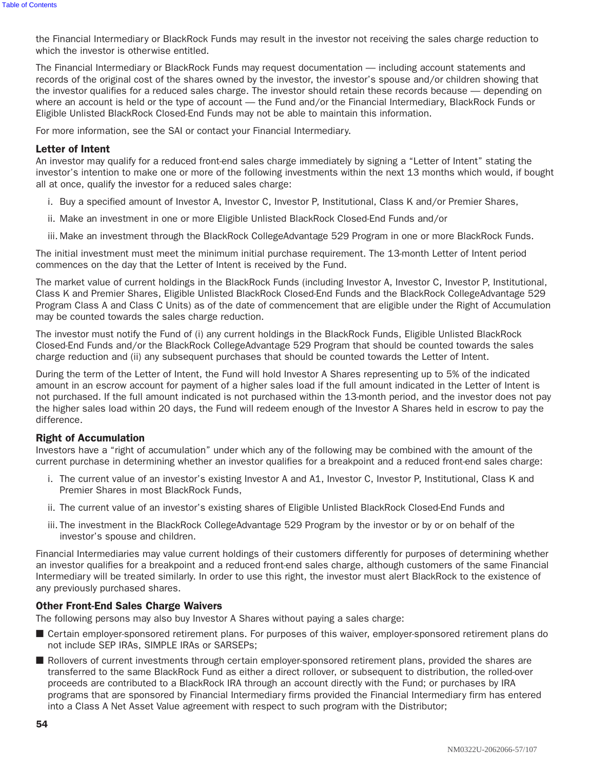the Financial Intermediary or BlackRock Funds may result in the investor not receiving the sales charge reduction to which the investor is otherwise entitled.

The Financial Intermediary or BlackRock Funds may request documentation — including account statements and records of the original cost of the shares owned by the investor, the investor's spouse and/or children showing that the investor qualifies for a reduced sales charge. The investor should retain these records because — depending on where an account is held or the type of account — the Fund and/or the Financial Intermediary, BlackRock Funds or Eligible Unlisted BlackRock Closed-End Funds may not be able to maintain this information.

For more information, see the SAI or contact your Financial Intermediary.

#### Letter of Intent

An investor may qualify for a reduced front-end sales charge immediately by signing a "Letter of Intent" stating the investor's intention to make one or more of the following investments within the next 13 months which would, if bought all at once, qualify the investor for a reduced sales charge:

- i. Buy a specified amount of Investor A, Investor C, Investor P, Institutional, Class K and/or Premier Shares,
- ii. Make an investment in one or more Eligible Unlisted BlackRock Closed-End Funds and/or
- iii. Make an investment through the BlackRock CollegeAdvantage 529 Program in one or more BlackRock Funds.

The initial investment must meet the minimum initial purchase requirement. The 13-month Letter of Intent period commences on the day that the Letter of Intent is received by the Fund.

The market value of current holdings in the BlackRock Funds (including Investor A, Investor C, Investor P, Institutional, Class K and Premier Shares, Eligible Unlisted BlackRock Closed-End Funds and the BlackRock CollegeAdvantage 529 Program Class A and Class C Units) as of the date of commencement that are eligible under the Right of Accumulation may be counted towards the sales charge reduction.

The investor must notify the Fund of (i) any current holdings in the BlackRock Funds, Eligible Unlisted BlackRock Closed-End Funds and/or the BlackRock CollegeAdvantage 529 Program that should be counted towards the sales charge reduction and (ii) any subsequent purchases that should be counted towards the Letter of Intent.

During the term of the Letter of Intent, the Fund will hold Investor A Shares representing up to 5% of the indicated amount in an escrow account for payment of a higher sales load if the full amount indicated in the Letter of Intent is not purchased. If the full amount indicated is not purchased within the 13-month period, and the investor does not pay the higher sales load within 20 days, the Fund will redeem enough of the Investor A Shares held in escrow to pay the difference.

#### Right of Accumulation

Investors have a "right of accumulation" under which any of the following may be combined with the amount of the current purchase in determining whether an investor qualifies for a breakpoint and a reduced front-end sales charge:

- i. The current value of an investor's existing Investor A and A1, Investor C, Investor P, Institutional, Class K and Premier Shares in most BlackRock Funds,
- ii. The current value of an investor's existing shares of Eligible Unlisted BlackRock Closed-End Funds and
- iii. The investment in the BlackRock CollegeAdvantage 529 Program by the investor or by or on behalf of the investor's spouse and children.

Financial Intermediaries may value current holdings of their customers differently for purposes of determining whether an investor qualifies for a breakpoint and a reduced front-end sales charge, although customers of the same Financial Intermediary will be treated similarly. In order to use this right, the investor must alert BlackRock to the existence of any previously purchased shares.

#### **Other Front-End Sales Charge Waivers**

The following persons may also buy Investor A Shares without paying a sales charge:

- Certain employer-sponsored retirement plans. For purposes of this waiver, employer-sponsored retirement plans do not include SEP IRAs, SIMPLE IRAs or SARSEPs;
- Rollovers of current investments through certain employer-sponsored retirement plans, provided the shares are transferred to the same BlackRock Fund as either a direct rollover, or subsequent to distribution, the rolled-over proceeds are contributed to a BlackRock IRA through an account directly with the Fund; or purchases by IRA programs that are sponsored by Financial Intermediary firms provided the Financial Intermediary firm has entered into a Class A Net Asset Value agreement with respect to such program with the Distributor;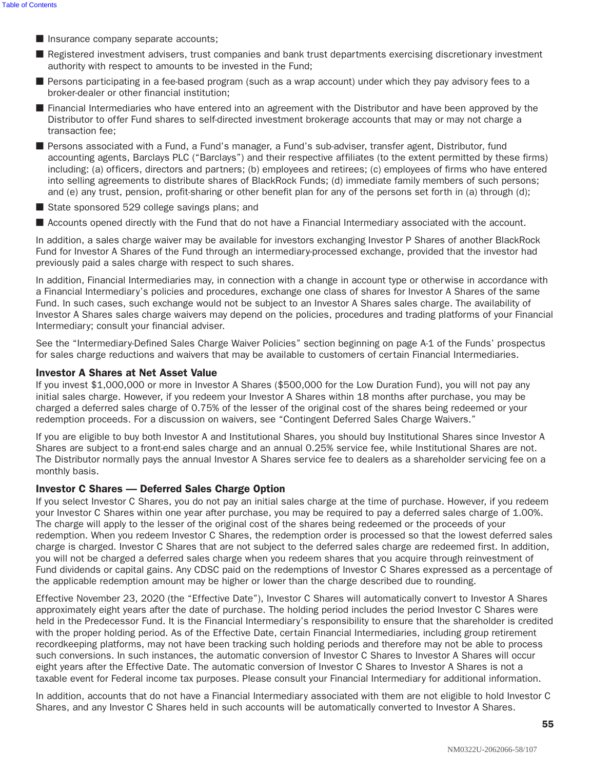- **Insurance company separate accounts;**
- Registered investment advisers, trust companies and bank trust departments exercising discretionary investment authority with respect to amounts to be invested in the Fund;
- Persons participating in a fee-based program (such as a wrap account) under which they pay advisory fees to a broker-dealer or other financial institution;
- **E** Financial Intermediaries who have entered into an agreement with the Distributor and have been approved by the Distributor to offer Fund shares to self-directed investment brokerage accounts that may or may not charge a transaction fee;
- Persons associated with a Fund, a Fund's manager, a Fund's sub-adviser, transfer agent, Distributor, fund accounting agents, Barclays PLC ("Barclays") and their respective affiliates (to the extent permitted by these firms) including: (a) officers, directors and partners; (b) employees and retirees; (c) employees of firms who have entered into selling agreements to distribute shares of BlackRock Funds; (d) immediate family members of such persons; and (e) any trust, pension, profit-sharing or other benefit plan for any of the persons set forth in (a) through (d);
- State sponsored 529 college savings plans; and
- Accounts opened directly with the Fund that do not have a Financial Intermediary associated with the account.

In addition, a sales charge waiver may be available for investors exchanging Investor P Shares of another BlackRock Fund for Investor A Shares of the Fund through an intermediary-processed exchange, provided that the investor had previously paid a sales charge with respect to such shares.

In addition, Financial Intermediaries may, in connection with a change in account type or otherwise in accordance with a Financial Intermediary's policies and procedures, exchange one class of shares for Investor A Shares of the same Fund. In such cases, such exchange would not be subject to an Investor A Shares sales charge. The availability of Investor A Shares sales charge waivers may depend on the policies, procedures and trading platforms of your Financial Intermediary; consult your financial adviser.

See the "Intermediary-Defined Sales Charge Waiver Policies" section beginning on page A-1 of the Funds' prospectus for sales charge reductions and waivers that may be available to customers of certain Financial Intermediaries.

#### Investor A Shares at Net Asset Value

If you invest \$1,000,000 or more in Investor A Shares (\$500,000 for the Low Duration Fund), you will not pay any initial sales charge. However, if you redeem your Investor A Shares within 18 months after purchase, you may be charged a deferred sales charge of 0.75% of the lesser of the original cost of the shares being redeemed or your redemption proceeds. For a discussion on waivers, see "Contingent Deferred Sales Charge Waivers."

If you are eligible to buy both Investor A and Institutional Shares, you should buy Institutional Shares since Investor A Shares are subject to a front-end sales charge and an annual 0.25% service fee, while Institutional Shares are not. The Distributor normally pays the annual Investor A Shares service fee to dealers as a shareholder servicing fee on a monthly basis.

#### Investor C Shares — Deferred Sales Charge Option

If you select Investor C Shares, you do not pay an initial sales charge at the time of purchase. However, if you redeem your Investor C Shares within one year after purchase, you may be required to pay a deferred sales charge of 1.00%. The charge will apply to the lesser of the original cost of the shares being redeemed or the proceeds of your redemption. When you redeem Investor C Shares, the redemption order is processed so that the lowest deferred sales charge is charged. Investor C Shares that are not subject to the deferred sales charge are redeemed first. In addition, you will not be charged a deferred sales charge when you redeem shares that you acquire through reinvestment of Fund dividends or capital gains. Any CDSC paid on the redemptions of Investor C Shares expressed as a percentage of the applicable redemption amount may be higher or lower than the charge described due to rounding.

Effective November 23, 2020 (the "Effective Date"), Investor C Shares will automatically convert to Investor A Shares approximately eight years after the date of purchase. The holding period includes the period Investor C Shares were held in the Predecessor Fund. It is the Financial Intermediary's responsibility to ensure that the shareholder is credited with the proper holding period. As of the Effective Date, certain Financial Intermediaries, including group retirement recordkeeping platforms, may not have been tracking such holding periods and therefore may not be able to process such conversions. In such instances, the automatic conversion of Investor C Shares to Investor A Shares will occur eight years after the Effective Date. The automatic conversion of Investor C Shares to Investor A Shares is not a taxable event for Federal income tax purposes. Please consult your Financial Intermediary for additional information.

In addition, accounts that do not have a Financial Intermediary associated with them are not eligible to hold Investor C Shares, and any Investor C Shares held in such accounts will be automatically converted to Investor A Shares.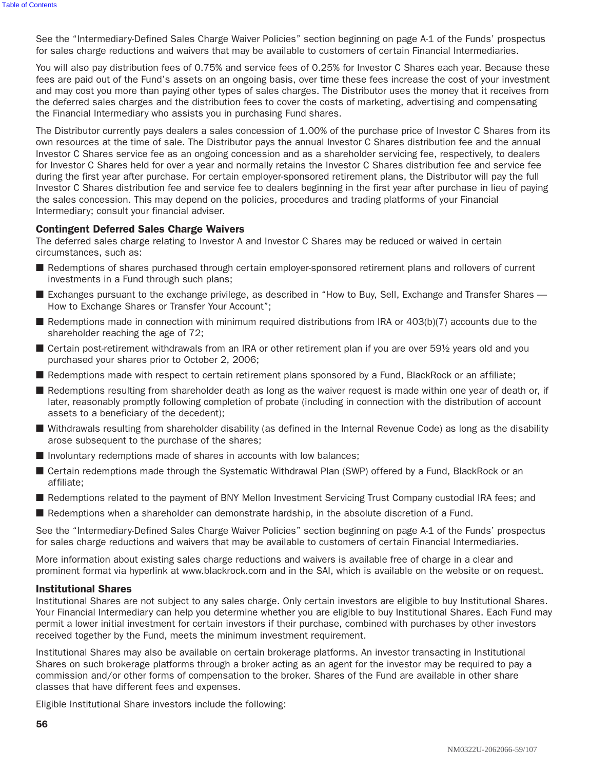See the "Intermediary-Defined Sales Charge Waiver Policies" section beginning on page A-1 of the Funds' prospectus for sales charge reductions and waivers that may be available to customers of certain Financial Intermediaries.

You will also pay distribution fees of 0.75% and service fees of 0.25% for Investor C Shares each year. Because these fees are paid out of the Fund's assets on an ongoing basis, over time these fees increase the cost of your investment and may cost you more than paying other types of sales charges. The Distributor uses the money that it receives from the deferred sales charges and the distribution fees to cover the costs of marketing, advertising and compensating the Financial Intermediary who assists you in purchasing Fund shares.

The Distributor currently pays dealers a sales concession of 1.00% of the purchase price of Investor C Shares from its own resources at the time of sale. The Distributor pays the annual Investor C Shares distribution fee and the annual Investor C Shares service fee as an ongoing concession and as a shareholder servicing fee, respectively, to dealers for Investor C Shares held for over a year and normally retains the Investor C Shares distribution fee and service fee during the first year after purchase. For certain employer-sponsored retirement plans, the Distributor will pay the full Investor C Shares distribution fee and service fee to dealers beginning in the first year after purchase in lieu of paying the sales concession. This may depend on the policies, procedures and trading platforms of your Financial Intermediary; consult your financial adviser.

#### Contingent Deferred Sales Charge Waivers

The deferred sales charge relating to Investor A and Investor C Shares may be reduced or waived in certain circumstances, such as:

- Redemptions of shares purchased through certain employer-sponsored retirement plans and rollovers of current investments in a Fund through such plans;
- Exchanges pursuant to the exchange privilege, as described in "How to Buy, Sell, Exchange and Transfer Shares How to Exchange Shares or Transfer Your Account";
- Redemptions made in connection with minimum required distributions from IRA or 403(b)(7) accounts due to the shareholder reaching the age of 72;
- Certain post-retirement withdrawals from an IRA or other retirement plan if you are over 59½ years old and you purchased your shares prior to October 2, 2006;
- Redemptions made with respect to certain retirement plans sponsored by a Fund, BlackRock or an affiliate;
- Redemptions resulting from shareholder death as long as the waiver request is made within one year of death or, if later, reasonably promptly following completion of probate (including in connection with the distribution of account assets to a beneficiary of the decedent);
- Withdrawals resulting from shareholder disability (as defined in the Internal Revenue Code) as long as the disability arose subsequent to the purchase of the shares;
- **Involuntary redemptions made of shares in accounts with low balances;**
- Certain redemptions made through the Systematic Withdrawal Plan (SWP) offered by a Fund, BlackRock or an affiliate;
- Redemptions related to the payment of BNY Mellon Investment Servicing Trust Company custodial IRA fees; and
- **E** Redemptions when a shareholder can demonstrate hardship, in the absolute discretion of a Fund.

See the "Intermediary-Defined Sales Charge Waiver Policies" section beginning on page A-1 of the Funds' prospectus for sales charge reductions and waivers that may be available to customers of certain Financial Intermediaries.

More information about existing sales charge reductions and waivers is available free of charge in a clear and prominent format via hyperlink at www.blackrock.com and in the SAI, which is available on the website or on request.

#### Institutional Shares

Institutional Shares are not subject to any sales charge. Only certain investors are eligible to buy Institutional Shares. Your Financial Intermediary can help you determine whether you are eligible to buy Institutional Shares. Each Fund may permit a lower initial investment for certain investors if their purchase, combined with purchases by other investors received together by the Fund, meets the minimum investment requirement.

Institutional Shares may also be available on certain brokerage platforms. An investor transacting in Institutional Shares on such brokerage platforms through a broker acting as an agent for the investor may be required to pay a commission and/or other forms of compensation to the broker. Shares of the Fund are available in other share classes that have different fees and expenses.

Eligible Institutional Share investors include the following: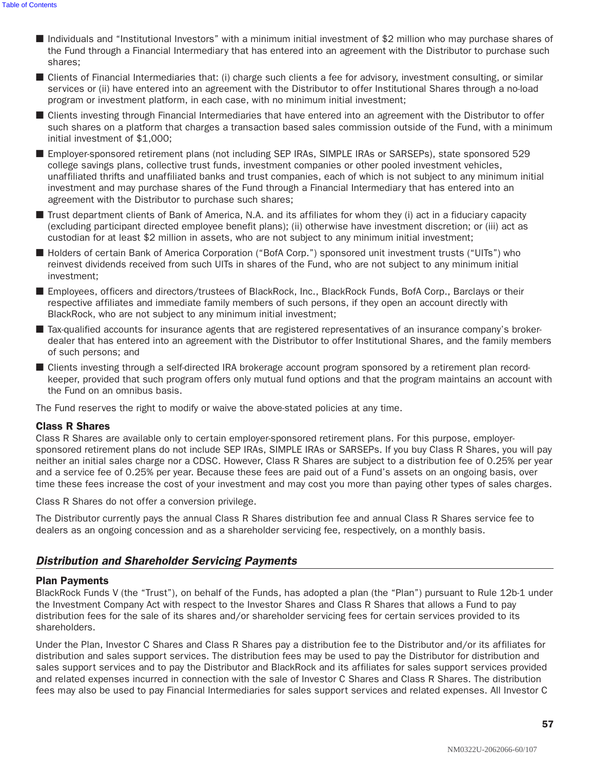- Individuals and "Institutional Investors" with a minimum initial investment of \$2 million who may purchase shares of the Fund through a Financial Intermediary that has entered into an agreement with the Distributor to purchase such shares;
- Clients of Financial Intermediaries that: (i) charge such clients a fee for advisory, investment consulting, or similar services or (ii) have entered into an agreement with the Distributor to offer Institutional Shares through a no-load program or investment platform, in each case, with no minimum initial investment;
- **E** Clients investing through Financial Intermediaries that have entered into an agreement with the Distributor to offer such shares on a platform that charges a transaction based sales commission outside of the Fund, with a minimum initial investment of \$1,000;
- Employer-sponsored retirement plans (not including SEP IRAs, SIMPLE IRAs or SARSEPs), state sponsored 529 college savings plans, collective trust funds, investment companies or other pooled investment vehicles, unaffiliated thrifts and unaffiliated banks and trust companies, each of which is not subject to any minimum initial investment and may purchase shares of the Fund through a Financial Intermediary that has entered into an agreement with the Distributor to purchase such shares;
- Trust department clients of Bank of America, N.A. and its affiliates for whom they (i) act in a fiduciary capacity (excluding participant directed employee benefit plans); (ii) otherwise have investment discretion; or (iii) act as custodian for at least \$2 million in assets, who are not subject to any minimum initial investment;
- Holders of certain Bank of America Corporation ("BofA Corp.") sponsored unit investment trusts ("UITs") who reinvest dividends received from such UITs in shares of the Fund, who are not subject to any minimum initial investment;
- Employees, officers and directors/trustees of BlackRock, Inc., BlackRock Funds, BofA Corp., Barclays or their respective affiliates and immediate family members of such persons, if they open an account directly with BlackRock, who are not subject to any minimum initial investment;
- Tax-qualified accounts for insurance agents that are registered representatives of an insurance company's brokerdealer that has entered into an agreement with the Distributor to offer Institutional Shares, and the family members of such persons; and
- Clients investing through a self-directed IRA brokerage account program sponsored by a retirement plan recordkeeper, provided that such program offers only mutual fund options and that the program maintains an account with the Fund on an omnibus basis.

The Fund reserves the right to modify or waive the above-stated policies at any time.

#### Class R Shares

Class R Shares are available only to certain employer-sponsored retirement plans. For this purpose, employersponsored retirement plans do not include SEP IRAs, SIMPLE IRAs or SARSEPs. If you buy Class R Shares, you will pay neither an initial sales charge nor a CDSC. However, Class R Shares are subject to a distribution fee of 0.25% per year and a service fee of 0.25% per year. Because these fees are paid out of a Fund's assets on an ongoing basis, over time these fees increase the cost of your investment and may cost you more than paying other types of sales charges.

Class R Shares do not offer a conversion privilege.

The Distributor currently pays the annual Class R Shares distribution fee and annual Class R Shares service fee to dealers as an ongoing concession and as a shareholder servicing fee, respectively, on a monthly basis.

#### *Distribution and Shareholder Servicing Payments*

#### Plan Payments

BlackRock Funds V (the "Trust"), on behalf of the Funds, has adopted a plan (the "Plan") pursuant to Rule 12b-1 under the Investment Company Act with respect to the Investor Shares and Class R Shares that allows a Fund to pay distribution fees for the sale of its shares and/or shareholder servicing fees for certain services provided to its shareholders.

Under the Plan, Investor C Shares and Class R Shares pay a distribution fee to the Distributor and/or its affiliates for distribution and sales support services. The distribution fees may be used to pay the Distributor for distribution and sales support services and to pay the Distributor and BlackRock and its affiliates for sales support services provided and related expenses incurred in connection with the sale of Investor C Shares and Class R Shares. The distribution fees may also be used to pay Financial Intermediaries for sales support services and related expenses. All Investor C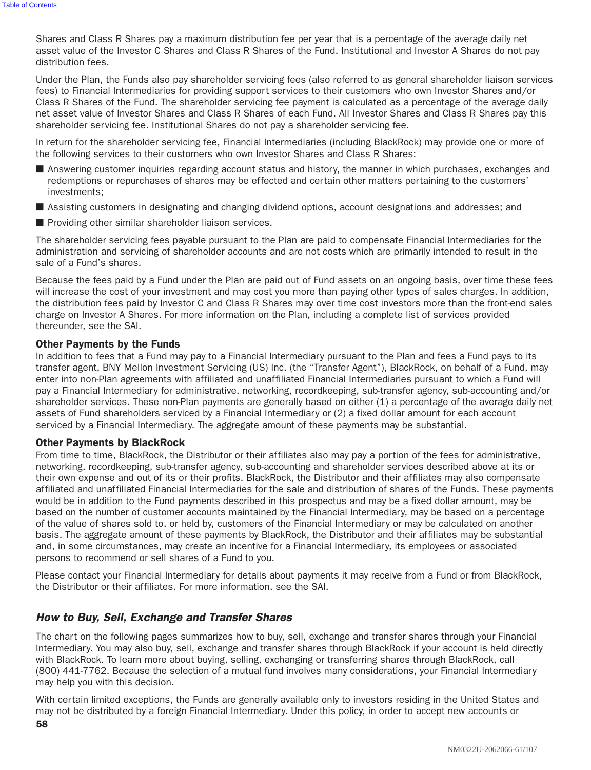Shares and Class R Shares pay a maximum distribution fee per year that is a percentage of the average daily net asset value of the Investor C Shares and Class R Shares of the Fund. Institutional and Investor A Shares do not pay distribution fees.

Under the Plan, the Funds also pay shareholder servicing fees (also referred to as general shareholder liaison services fees) to Financial Intermediaries for providing support services to their customers who own Investor Shares and/or Class R Shares of the Fund. The shareholder servicing fee payment is calculated as a percentage of the average daily net asset value of Investor Shares and Class R Shares of each Fund. All Investor Shares and Class R Shares pay this shareholder servicing fee. Institutional Shares do not pay a shareholder servicing fee.

In return for the shareholder servicing fee, Financial Intermediaries (including BlackRock) may provide one or more of the following services to their customers who own Investor Shares and Class R Shares:

- Answering customer inquiries regarding account status and history, the manner in which purchases, exchanges and redemptions or repurchases of shares may be effected and certain other matters pertaining to the customers' investments;
- Assisting customers in designating and changing dividend options, account designations and addresses; and
- **Providing other similar shareholder liaison services.**

The shareholder servicing fees payable pursuant to the Plan are paid to compensate Financial Intermediaries for the administration and servicing of shareholder accounts and are not costs which are primarily intended to result in the sale of a Fund's shares.

Because the fees paid by a Fund under the Plan are paid out of Fund assets on an ongoing basis, over time these fees will increase the cost of your investment and may cost you more than paying other types of sales charges. In addition, the distribution fees paid by Investor C and Class R Shares may over time cost investors more than the front-end sales charge on Investor A Shares. For more information on the Plan, including a complete list of services provided thereunder, see the SAI.

#### Other Payments by the Funds

In addition to fees that a Fund may pay to a Financial Intermediary pursuant to the Plan and fees a Fund pays to its transfer agent, BNY Mellon Investment Servicing (US) Inc. (the "Transfer Agent"), BlackRock, on behalf of a Fund, may enter into non-Plan agreements with affiliated and unaffiliated Financial Intermediaries pursuant to which a Fund will pay a Financial Intermediary for administrative, networking, recordkeeping, sub-transfer agency, sub-accounting and/or shareholder services. These non-Plan payments are generally based on either (1) a percentage of the average daily net assets of Fund shareholders serviced by a Financial Intermediary or (2) a fixed dollar amount for each account serviced by a Financial Intermediary. The aggregate amount of these payments may be substantial.

#### Other Payments by BlackRock

From time to time, BlackRock, the Distributor or their affiliates also may pay a portion of the fees for administrative, networking, recordkeeping, sub-transfer agency, sub-accounting and shareholder services described above at its or their own expense and out of its or their profits. BlackRock, the Distributor and their affiliates may also compensate affiliated and unaffiliated Financial Intermediaries for the sale and distribution of shares of the Funds. These payments would be in addition to the Fund payments described in this prospectus and may be a fixed dollar amount, may be based on the number of customer accounts maintained by the Financial Intermediary, may be based on a percentage of the value of shares sold to, or held by, customers of the Financial Intermediary or may be calculated on another basis. The aggregate amount of these payments by BlackRock, the Distributor and their affiliates may be substantial and, in some circumstances, may create an incentive for a Financial Intermediary, its employees or associated persons to recommend or sell shares of a Fund to you.

Please contact your Financial Intermediary for details about payments it may receive from a Fund or from BlackRock, the Distributor or their affiliates. For more information, see the SAI.

#### *How to Buy, Sell, Exchange and Transfer Shares*

The chart on the following pages summarizes how to buy, sell, exchange and transfer shares through your Financial Intermediary. You may also buy, sell, exchange and transfer shares through BlackRock if your account is held directly with BlackRock. To learn more about buying, selling, exchanging or transferring shares through BlackRock, call (800) 441-7762. Because the selection of a mutual fund involves many considerations, your Financial Intermediary may help you with this decision.

With certain limited exceptions, the Funds are generally available only to investors residing in the United States and may not be distributed by a foreign Financial Intermediary. Under this policy, in order to accept new accounts or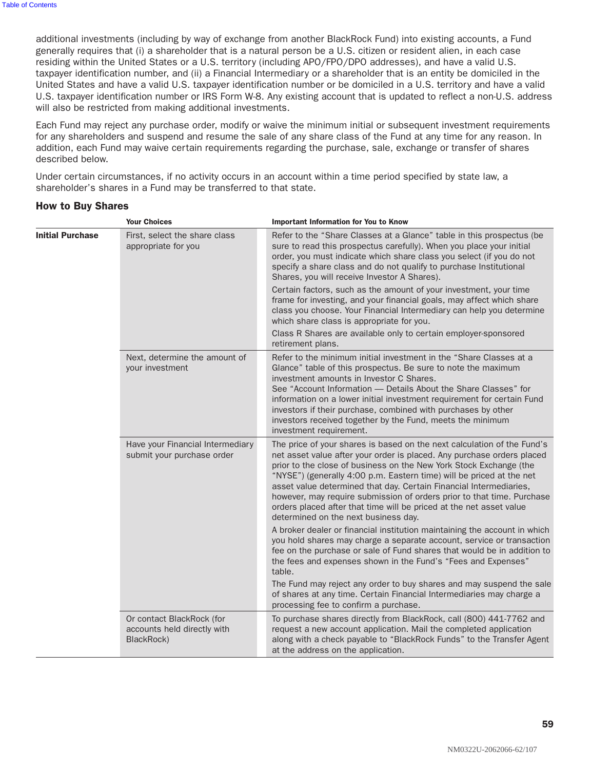additional investments (including by way of exchange from another BlackRock Fund) into existing accounts, a Fund generally requires that (i) a shareholder that is a natural person be a U.S. citizen or resident alien, in each case residing within the United States or a U.S. territory (including APO/FPO/DPO addresses), and have a valid U.S. taxpayer identification number, and (ii) a Financial Intermediary or a shareholder that is an entity be domiciled in the United States and have a valid U.S. taxpayer identification number or be domiciled in a U.S. territory and have a valid U.S. taxpayer identification number or IRS Form W-8. Any existing account that is updated to reflect a non-U.S. address will also be restricted from making additional investments.

Each Fund may reject any purchase order, modify or waive the minimum initial or subsequent investment requirements for any shareholders and suspend and resume the sale of any share class of the Fund at any time for any reason. In addition, each Fund may waive certain requirements regarding the purchase, sale, exchange or transfer of shares described below.

Under certain circumstances, if no activity occurs in an account within a time period specified by state law, a shareholder's shares in a Fund may be transferred to that state.

|                         | <b>Your Choices</b>                                                    | <b>Important Information for You to Know</b>                                                                                                                                                                                                                                                                                                                                                                                                                                                                                                                   |
|-------------------------|------------------------------------------------------------------------|----------------------------------------------------------------------------------------------------------------------------------------------------------------------------------------------------------------------------------------------------------------------------------------------------------------------------------------------------------------------------------------------------------------------------------------------------------------------------------------------------------------------------------------------------------------|
| <b>Initial Purchase</b> | First, select the share class<br>appropriate for you                   | Refer to the "Share Classes at a Glance" table in this prospectus (be<br>sure to read this prospectus carefully). When you place your initial<br>order, you must indicate which share class you select (if you do not<br>specify a share class and do not qualify to purchase Institutional<br>Shares, you will receive Investor A Shares).                                                                                                                                                                                                                    |
|                         |                                                                        | Certain factors, such as the amount of your investment, your time<br>frame for investing, and your financial goals, may affect which share<br>class you choose. Your Financial Intermediary can help you determine<br>which share class is appropriate for you.                                                                                                                                                                                                                                                                                                |
|                         |                                                                        | Class R Shares are available only to certain employer-sponsored<br>retirement plans.                                                                                                                                                                                                                                                                                                                                                                                                                                                                           |
|                         | Next, determine the amount of<br>your investment                       | Refer to the minimum initial investment in the "Share Classes at a<br>Glance" table of this prospectus. Be sure to note the maximum<br>investment amounts in Investor C Shares.<br>See "Account Information - Details About the Share Classes" for<br>information on a lower initial investment requirement for certain Fund<br>investors if their purchase, combined with purchases by other<br>investors received together by the Fund, meets the minimum<br>investment requirement.                                                                         |
|                         | Have your Financial Intermediary<br>submit your purchase order         | The price of your shares is based on the next calculation of the Fund's<br>net asset value after your order is placed. Any purchase orders placed<br>prior to the close of business on the New York Stock Exchange (the<br>"NYSE") (generally 4:00 p.m. Eastern time) will be priced at the net<br>asset value determined that day. Certain Financial Intermediaries,<br>however, may require submission of orders prior to that time. Purchase<br>orders placed after that time will be priced at the net asset value<br>determined on the next business day. |
|                         |                                                                        | A broker dealer or financial institution maintaining the account in which<br>you hold shares may charge a separate account, service or transaction<br>fee on the purchase or sale of Fund shares that would be in addition to<br>the fees and expenses shown in the Fund's "Fees and Expenses"<br>table.                                                                                                                                                                                                                                                       |
|                         |                                                                        | The Fund may reject any order to buy shares and may suspend the sale<br>of shares at any time. Certain Financial Intermediaries may charge a<br>processing fee to confirm a purchase.                                                                                                                                                                                                                                                                                                                                                                          |
|                         | Or contact BlackRock (for<br>accounts held directly with<br>BlackRock) | To purchase shares directly from BlackRock, call (800) 441-7762 and<br>request a new account application. Mail the completed application<br>along with a check payable to "BlackRock Funds" to the Transfer Agent<br>at the address on the application.                                                                                                                                                                                                                                                                                                        |
|                         |                                                                        |                                                                                                                                                                                                                                                                                                                                                                                                                                                                                                                                                                |

#### How to Buy Shares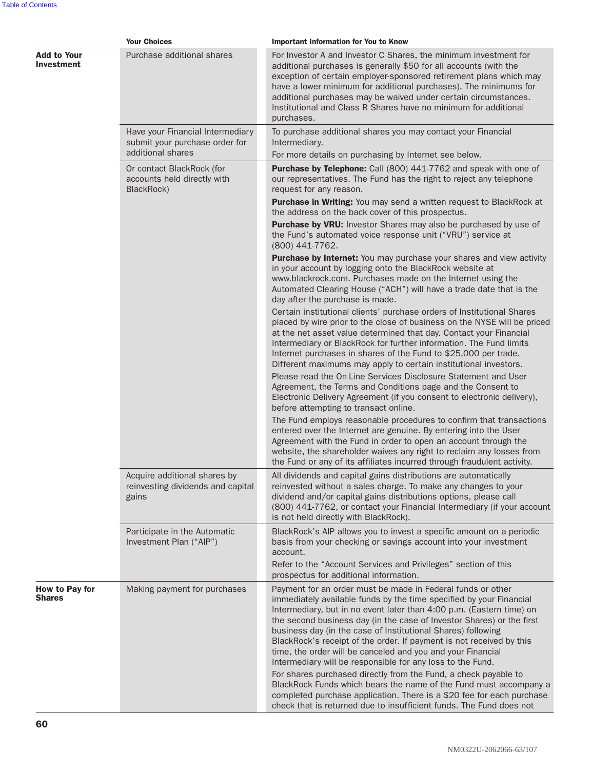|                                  | <b>Your Choices</b>                                                                     | <b>Important Information for You to Know</b>                                                                                                                                                                                                                                                                                                                                                                                                                                                                                                                                                                                |
|----------------------------------|-----------------------------------------------------------------------------------------|-----------------------------------------------------------------------------------------------------------------------------------------------------------------------------------------------------------------------------------------------------------------------------------------------------------------------------------------------------------------------------------------------------------------------------------------------------------------------------------------------------------------------------------------------------------------------------------------------------------------------------|
| <b>Add to Your</b><br>Investment | Purchase additional shares                                                              | For Investor A and Investor C Shares, the minimum investment for<br>additional purchases is generally \$50 for all accounts (with the<br>exception of certain employer-sponsored retirement plans which may<br>have a lower minimum for additional purchases). The minimums for<br>additional purchases may be waived under certain circumstances.<br>Institutional and Class R Shares have no minimum for additional<br>purchases.                                                                                                                                                                                         |
|                                  | Have your Financial Intermediary<br>submit your purchase order for<br>additional shares | To purchase additional shares you may contact your Financial<br>Intermediary.                                                                                                                                                                                                                                                                                                                                                                                                                                                                                                                                               |
|                                  |                                                                                         | For more details on purchasing by Internet see below.                                                                                                                                                                                                                                                                                                                                                                                                                                                                                                                                                                       |
|                                  | Or contact BlackRock (for<br>accounts held directly with<br>BlackRock)                  | <b>Purchase by Telephone:</b> Call (800) 441-7762 and speak with one of<br>our representatives. The Fund has the right to reject any telephone<br>request for any reason.                                                                                                                                                                                                                                                                                                                                                                                                                                                   |
|                                  |                                                                                         | <b>Purchase in Writing:</b> You may send a written request to BlackRock at<br>the address on the back cover of this prospectus.                                                                                                                                                                                                                                                                                                                                                                                                                                                                                             |
|                                  |                                                                                         | Purchase by VRU: Investor Shares may also be purchased by use of<br>the Fund's automated voice response unit ("VRU") service at<br>(800) 441-7762.                                                                                                                                                                                                                                                                                                                                                                                                                                                                          |
|                                  |                                                                                         | <b>Purchase by Internet:</b> You may purchase your shares and view activity<br>in your account by logging onto the BlackRock website at<br>www.blackrock.com. Purchases made on the Internet using the<br>Automated Clearing House ("ACH") will have a trade date that is the<br>day after the purchase is made.                                                                                                                                                                                                                                                                                                            |
|                                  |                                                                                         | Certain institutional clients' purchase orders of Institutional Shares<br>placed by wire prior to the close of business on the NYSE will be priced<br>at the net asset value determined that day. Contact your Financial<br>Intermediary or BlackRock for further information. The Fund limits<br>Internet purchases in shares of the Fund to \$25,000 per trade.<br>Different maximums may apply to certain institutional investors.<br>Please read the On-Line Services Disclosure Statement and User<br>Agreement, the Terms and Conditions page and the Consent to                                                      |
|                                  |                                                                                         | Electronic Delivery Agreement (if you consent to electronic delivery),<br>before attempting to transact online.                                                                                                                                                                                                                                                                                                                                                                                                                                                                                                             |
|                                  |                                                                                         | The Fund employs reasonable procedures to confirm that transactions<br>entered over the Internet are genuine. By entering into the User<br>Agreement with the Fund in order to open an account through the<br>website, the shareholder waives any right to reclaim any losses from<br>the Fund or any of its affiliates incurred through fraudulent activity.                                                                                                                                                                                                                                                               |
|                                  | Acquire additional shares by<br>reinvesting dividends and capital<br>gains              | All dividends and capital gains distributions are automatically<br>reinvested without a sales charge. To make any changes to your<br>dividend and/or capital gains distributions options, please call<br>(800) 441-7762, or contact your Financial Intermediary (if your account<br>is not held directly with BlackRock).                                                                                                                                                                                                                                                                                                   |
|                                  | Participate in the Automatic<br>Investment Plan ("AIP")                                 | BlackRock's AIP allows you to invest a specific amount on a periodic<br>basis from your checking or savings account into your investment<br>account.<br>Refer to the "Account Services and Privileges" section of this                                                                                                                                                                                                                                                                                                                                                                                                      |
|                                  |                                                                                         | prospectus for additional information.                                                                                                                                                                                                                                                                                                                                                                                                                                                                                                                                                                                      |
| How to Pay for<br><b>Shares</b>  | Making payment for purchases                                                            | Payment for an order must be made in Federal funds or other<br>immediately available funds by the time specified by your Financial<br>Intermediary, but in no event later than 4:00 p.m. (Eastern time) on<br>the second business day (in the case of Investor Shares) or the first<br>business day (in the case of Institutional Shares) following<br>BlackRock's receipt of the order. If payment is not received by this<br>time, the order will be canceled and you and your Financial<br>Intermediary will be responsible for any loss to the Fund.<br>For shares purchased directly from the Fund, a check payable to |
|                                  |                                                                                         | BlackRock Funds which bears the name of the Fund must accompany a<br>completed purchase application. There is a \$20 fee for each purchase<br>check that is returned due to insufficient funds. The Fund does not                                                                                                                                                                                                                                                                                                                                                                                                           |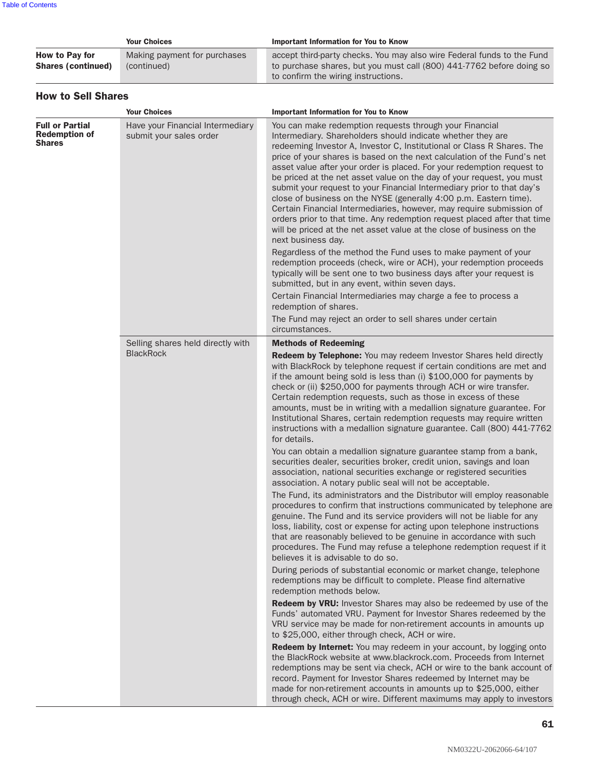|                                             | <b>Your Choices</b>                         | <b>Important Information for You to Know</b>                                                                                                                                          |
|---------------------------------------------|---------------------------------------------|---------------------------------------------------------------------------------------------------------------------------------------------------------------------------------------|
| How to Pay for<br><b>Shares (continued)</b> | Making payment for purchases<br>(continued) | accept third-party checks. You may also wire Federal funds to the Fund<br>to purchase shares, but you must call (800) 441-7762 before doing so<br>to confirm the wiring instructions. |

#### How to Sell Shares

|                                                                 | <b>Your Choices</b>                                         | <b>Important Information for You to Know</b>                                                                                                                                                                                                                                                                                                                                                                                                                                                                                                                                                                                                                                                                                                                                                                                     |
|-----------------------------------------------------------------|-------------------------------------------------------------|----------------------------------------------------------------------------------------------------------------------------------------------------------------------------------------------------------------------------------------------------------------------------------------------------------------------------------------------------------------------------------------------------------------------------------------------------------------------------------------------------------------------------------------------------------------------------------------------------------------------------------------------------------------------------------------------------------------------------------------------------------------------------------------------------------------------------------|
| <b>Full or Partial</b><br><b>Redemption of</b><br><b>Shares</b> | Have your Financial Intermediary<br>submit your sales order | You can make redemption requests through your Financial<br>Intermediary. Shareholders should indicate whether they are<br>redeeming Investor A, Investor C, Institutional or Class R Shares. The<br>price of your shares is based on the next calculation of the Fund's net<br>asset value after your order is placed. For your redemption request to<br>be priced at the net asset value on the day of your request, you must<br>submit your request to your Financial Intermediary prior to that day's<br>close of business on the NYSE (generally 4:00 p.m. Eastern time).<br>Certain Financial Intermediaries, however, may require submission of<br>orders prior to that time. Any redemption request placed after that time<br>will be priced at the net asset value at the close of business on the<br>next business day. |
|                                                                 |                                                             | Regardless of the method the Fund uses to make payment of your<br>redemption proceeds (check, wire or ACH), your redemption proceeds<br>typically will be sent one to two business days after your request is<br>submitted, but in any event, within seven days.                                                                                                                                                                                                                                                                                                                                                                                                                                                                                                                                                                 |
|                                                                 |                                                             | Certain Financial Intermediaries may charge a fee to process a<br>redemption of shares.                                                                                                                                                                                                                                                                                                                                                                                                                                                                                                                                                                                                                                                                                                                                          |
|                                                                 |                                                             | The Fund may reject an order to sell shares under certain<br>circumstances.                                                                                                                                                                                                                                                                                                                                                                                                                                                                                                                                                                                                                                                                                                                                                      |
|                                                                 | Selling shares held directly with                           | <b>Methods of Redeeming</b>                                                                                                                                                                                                                                                                                                                                                                                                                                                                                                                                                                                                                                                                                                                                                                                                      |
|                                                                 | <b>BlackRock</b>                                            | Redeem by Telephone: You may redeem Investor Shares held directly<br>with BlackRock by telephone request if certain conditions are met and<br>if the amount being sold is less than (i) \$100,000 for payments by<br>check or (ii) \$250,000 for payments through ACH or wire transfer.<br>Certain redemption requests, such as those in excess of these<br>amounts, must be in writing with a medallion signature guarantee. For<br>Institutional Shares, certain redemption requests may require written<br>instructions with a medallion signature guarantee. Call (800) 441-7762<br>for details.                                                                                                                                                                                                                             |
|                                                                 |                                                             | You can obtain a medallion signature guarantee stamp from a bank,<br>securities dealer, securities broker, credit union, savings and loan<br>association, national securities exchange or registered securities<br>association. A notary public seal will not be acceptable.                                                                                                                                                                                                                                                                                                                                                                                                                                                                                                                                                     |
|                                                                 |                                                             | The Fund, its administrators and the Distributor will employ reasonable<br>procedures to confirm that instructions communicated by telephone are<br>genuine. The Fund and its service providers will not be liable for any<br>loss, liability, cost or expense for acting upon telephone instructions<br>that are reasonably believed to be genuine in accordance with such<br>procedures. The Fund may refuse a telephone redemption request if it<br>believes it is advisable to do so.                                                                                                                                                                                                                                                                                                                                        |
|                                                                 |                                                             | During periods of substantial economic or market change, telephone<br>redemptions may be difficult to complete. Please find alternative<br>redemption methods below.                                                                                                                                                                                                                                                                                                                                                                                                                                                                                                                                                                                                                                                             |
|                                                                 |                                                             | <b>Redeem by VRU:</b> Investor Shares may also be redeemed by use of the<br>Funds' automated VRU. Payment for Investor Shares redeemed by the<br>VRU service may be made for non-retirement accounts in amounts up<br>to \$25,000, either through check, ACH or wire.                                                                                                                                                                                                                                                                                                                                                                                                                                                                                                                                                            |
|                                                                 |                                                             | Redeem by Internet: You may redeem in your account, by logging onto<br>the BlackRock website at www.blackrock.com. Proceeds from Internet<br>redemptions may be sent via check, ACH or wire to the bank account of<br>record. Payment for Investor Shares redeemed by Internet may be<br>made for non-retirement accounts in amounts up to \$25,000, either<br>through check, ACH or wire. Different maximums may apply to investors                                                                                                                                                                                                                                                                                                                                                                                             |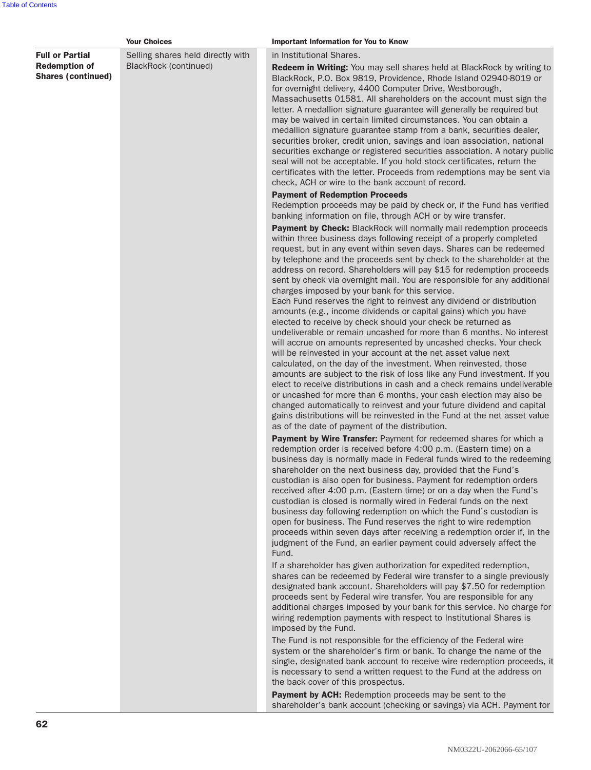|                                                                             | <b>Your Choices</b>                                        | <b>Important Information for You to Know</b>                                                                                                                                                                                                                                                                                                                                                                                                                                                                                                                                                                                                                                                                                                                                                                                                                                                                                                                                                                                                                                                                                                                                                                                                                                                                                                                                                                                             |
|-----------------------------------------------------------------------------|------------------------------------------------------------|------------------------------------------------------------------------------------------------------------------------------------------------------------------------------------------------------------------------------------------------------------------------------------------------------------------------------------------------------------------------------------------------------------------------------------------------------------------------------------------------------------------------------------------------------------------------------------------------------------------------------------------------------------------------------------------------------------------------------------------------------------------------------------------------------------------------------------------------------------------------------------------------------------------------------------------------------------------------------------------------------------------------------------------------------------------------------------------------------------------------------------------------------------------------------------------------------------------------------------------------------------------------------------------------------------------------------------------------------------------------------------------------------------------------------------------|
| <b>Full or Partial</b><br><b>Redemption of</b><br><b>Shares (continued)</b> | Selling shares held directly with<br>BlackRock (continued) | in Institutional Shares.<br>Redeem in Writing: You may sell shares held at BlackRock by writing to<br>BlackRock, P.O. Box 9819, Providence, Rhode Island 02940-8019 or<br>for overnight delivery, 4400 Computer Drive, Westborough,                                                                                                                                                                                                                                                                                                                                                                                                                                                                                                                                                                                                                                                                                                                                                                                                                                                                                                                                                                                                                                                                                                                                                                                                      |
|                                                                             |                                                            | Massachusetts 01581. All shareholders on the account must sign the<br>letter. A medallion signature guarantee will generally be required but<br>may be waived in certain limited circumstances. You can obtain a<br>medallion signature guarantee stamp from a bank, securities dealer,<br>securities broker, credit union, savings and loan association, national<br>securities exchange or registered securities association. A notary public<br>seal will not be acceptable. If you hold stock certificates, return the<br>certificates with the letter. Proceeds from redemptions may be sent via<br>check, ACH or wire to the bank account of record.                                                                                                                                                                                                                                                                                                                                                                                                                                                                                                                                                                                                                                                                                                                                                                               |
|                                                                             |                                                            | <b>Payment of Redemption Proceeds</b><br>Redemption proceeds may be paid by check or, if the Fund has verified<br>banking information on file, through ACH or by wire transfer.                                                                                                                                                                                                                                                                                                                                                                                                                                                                                                                                                                                                                                                                                                                                                                                                                                                                                                                                                                                                                                                                                                                                                                                                                                                          |
|                                                                             |                                                            | Payment by Check: BlackRock will normally mail redemption proceeds<br>within three business days following receipt of a properly completed<br>request, but in any event within seven days. Shares can be redeemed<br>by telephone and the proceeds sent by check to the shareholder at the<br>address on record. Shareholders will pay \$15 for redemption proceeds<br>sent by check via overnight mail. You are responsible for any additional<br>charges imposed by your bank for this service.<br>Each Fund reserves the right to reinvest any dividend or distribution<br>amounts (e.g., income dividends or capital gains) which you have<br>elected to receive by check should your check be returned as<br>undeliverable or remain uncashed for more than 6 months. No interest<br>will accrue on amounts represented by uncashed checks. Your check<br>will be reinvested in your account at the net asset value next<br>calculated, on the day of the investment. When reinvested, those<br>amounts are subject to the risk of loss like any Fund investment. If you<br>elect to receive distributions in cash and a check remains undeliverable<br>or uncashed for more than 6 months, your cash election may also be<br>changed automatically to reinvest and your future dividend and capital<br>gains distributions will be reinvested in the Fund at the net asset value<br>as of the date of payment of the distribution. |
|                                                                             |                                                            | Payment by Wire Transfer: Payment for redeemed shares for which a<br>redemption order is received before 4:00 p.m. (Eastern time) on a<br>business day is normally made in Federal funds wired to the redeeming<br>shareholder on the next business day, provided that the Fund's<br>custodian is also open for business. Payment for redemption orders<br>received after 4:00 p.m. (Eastern time) or on a day when the Fund's<br>custodian is closed is normally wired in Federal funds on the next<br>business day following redemption on which the Fund's custodian is<br>open for business. The Fund reserves the right to wire redemption<br>proceeds within seven days after receiving a redemption order if, in the<br>judgment of the Fund, an earlier payment could adversely affect the<br>Fund.                                                                                                                                                                                                                                                                                                                                                                                                                                                                                                                                                                                                                              |
|                                                                             |                                                            | If a shareholder has given authorization for expedited redemption,<br>shares can be redeemed by Federal wire transfer to a single previously<br>designated bank account. Shareholders will pay \$7.50 for redemption<br>proceeds sent by Federal wire transfer. You are responsible for any<br>additional charges imposed by your bank for this service. No charge for<br>wiring redemption payments with respect to Institutional Shares is<br>imposed by the Fund.                                                                                                                                                                                                                                                                                                                                                                                                                                                                                                                                                                                                                                                                                                                                                                                                                                                                                                                                                                     |
|                                                                             |                                                            | The Fund is not responsible for the efficiency of the Federal wire<br>system or the shareholder's firm or bank. To change the name of the<br>single, designated bank account to receive wire redemption proceeds, it<br>is necessary to send a written request to the Fund at the address on<br>the back cover of this prospectus.                                                                                                                                                                                                                                                                                                                                                                                                                                                                                                                                                                                                                                                                                                                                                                                                                                                                                                                                                                                                                                                                                                       |
|                                                                             |                                                            | Payment by ACH: Redemption proceeds may be sent to the<br>shareholder's bank account (checking or savings) via ACH. Payment for                                                                                                                                                                                                                                                                                                                                                                                                                                                                                                                                                                                                                                                                                                                                                                                                                                                                                                                                                                                                                                                                                                                                                                                                                                                                                                          |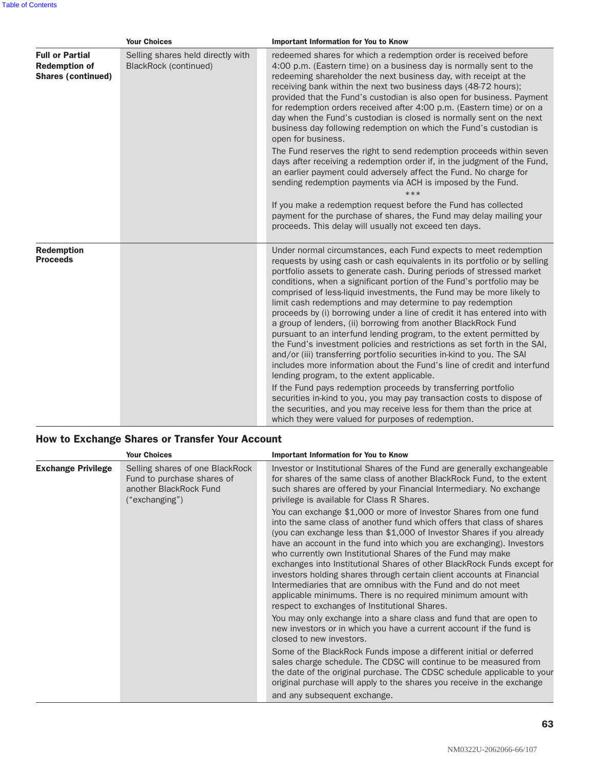|                                                                             | <b>Your Choices</b>                                        | <b>Important Information for You to Know</b>                                                                                                                                                                                                                                                                                                                                                                                                                                                                                                                                                                                                                                                                                                                                                                                                                                                                                                                                                                                                                                                                                                                                                                        |
|-----------------------------------------------------------------------------|------------------------------------------------------------|---------------------------------------------------------------------------------------------------------------------------------------------------------------------------------------------------------------------------------------------------------------------------------------------------------------------------------------------------------------------------------------------------------------------------------------------------------------------------------------------------------------------------------------------------------------------------------------------------------------------------------------------------------------------------------------------------------------------------------------------------------------------------------------------------------------------------------------------------------------------------------------------------------------------------------------------------------------------------------------------------------------------------------------------------------------------------------------------------------------------------------------------------------------------------------------------------------------------|
| <b>Full or Partial</b><br><b>Redemption of</b><br><b>Shares (continued)</b> | Selling shares held directly with<br>BlackRock (continued) | redeemed shares for which a redemption order is received before<br>4:00 p.m. (Eastern time) on a business day is normally sent to the<br>redeeming shareholder the next business day, with receipt at the<br>receiving bank within the next two business days (48-72 hours);<br>provided that the Fund's custodian is also open for business. Payment<br>for redemption orders received after 4:00 p.m. (Eastern time) or on a<br>day when the Fund's custodian is closed is normally sent on the next<br>business day following redemption on which the Fund's custodian is<br>open for business.<br>The Fund reserves the right to send redemption proceeds within seven<br>days after receiving a redemption order if, in the judgment of the Fund,<br>an earlier payment could adversely affect the Fund. No charge for<br>sending redemption payments via ACH is imposed by the Fund.<br>$***$<br>If you make a redemption request before the Fund has collected                                                                                                                                                                                                                                               |
|                                                                             |                                                            | payment for the purchase of shares, the Fund may delay mailing your<br>proceeds. This delay will usually not exceed ten days.                                                                                                                                                                                                                                                                                                                                                                                                                                                                                                                                                                                                                                                                                                                                                                                                                                                                                                                                                                                                                                                                                       |
| <b>Redemption</b><br><b>Proceeds</b>                                        |                                                            | Under normal circumstances, each Fund expects to meet redemption<br>requests by using cash or cash equivalents in its portfolio or by selling<br>portfolio assets to generate cash. During periods of stressed market<br>conditions, when a significant portion of the Fund's portfolio may be<br>comprised of less-liquid investments, the Fund may be more likely to<br>limit cash redemptions and may determine to pay redemption<br>proceeds by (i) borrowing under a line of credit it has entered into with<br>a group of lenders, (ii) borrowing from another BlackRock Fund<br>pursuant to an interfund lending program, to the extent permitted by<br>the Fund's investment policies and restrictions as set forth in the SAI,<br>and/or (iii) transferring portfolio securities in-kind to you. The SAI<br>includes more information about the Fund's line of credit and interfund<br>lending program, to the extent applicable.<br>If the Fund pays redemption proceeds by transferring portfolio<br>securities in-kind to you, you may pay transaction costs to dispose of<br>the securities, and you may receive less for them than the price at<br>which they were valued for purposes of redemption. |

# How to Exchange Shares or Transfer Your Account

|                           | <b>Your Choices</b>                                                                                       | <b>Important Information for You to Know</b>                                                                                                                                                                                                                                                                                                                                                                                                                                                                                                                                                                                                                                                       |
|---------------------------|-----------------------------------------------------------------------------------------------------------|----------------------------------------------------------------------------------------------------------------------------------------------------------------------------------------------------------------------------------------------------------------------------------------------------------------------------------------------------------------------------------------------------------------------------------------------------------------------------------------------------------------------------------------------------------------------------------------------------------------------------------------------------------------------------------------------------|
| <b>Exchange Privilege</b> | Selling shares of one BlackRock<br>Fund to purchase shares of<br>another BlackRock Fund<br>("exchanging") | Investor or Institutional Shares of the Fund are generally exchangeable<br>for shares of the same class of another BlackRock Fund, to the extent<br>such shares are offered by your Financial Intermediary. No exchange<br>privilege is available for Class R Shares.                                                                                                                                                                                                                                                                                                                                                                                                                              |
|                           |                                                                                                           | You can exchange \$1,000 or more of Investor Shares from one fund<br>into the same class of another fund which offers that class of shares<br>(you can exchange less than \$1,000 of Investor Shares if you already<br>have an account in the fund into which you are exchanging). Investors<br>who currently own Institutional Shares of the Fund may make<br>exchanges into Institutional Shares of other BlackRock Funds except for<br>investors holding shares through certain client accounts at Financial<br>Intermediaries that are omnibus with the Fund and do not meet<br>applicable minimums. There is no required minimum amount with<br>respect to exchanges of Institutional Shares. |
|                           |                                                                                                           | You may only exchange into a share class and fund that are open to<br>new investors or in which you have a current account if the fund is<br>closed to new investors.                                                                                                                                                                                                                                                                                                                                                                                                                                                                                                                              |
|                           |                                                                                                           | Some of the BlackRock Funds impose a different initial or deferred<br>sales charge schedule. The CDSC will continue to be measured from<br>the date of the original purchase. The CDSC schedule applicable to your<br>original purchase will apply to the shares you receive in the exchange                                                                                                                                                                                                                                                                                                                                                                                                       |
|                           |                                                                                                           | and any subsequent exchange.                                                                                                                                                                                                                                                                                                                                                                                                                                                                                                                                                                                                                                                                       |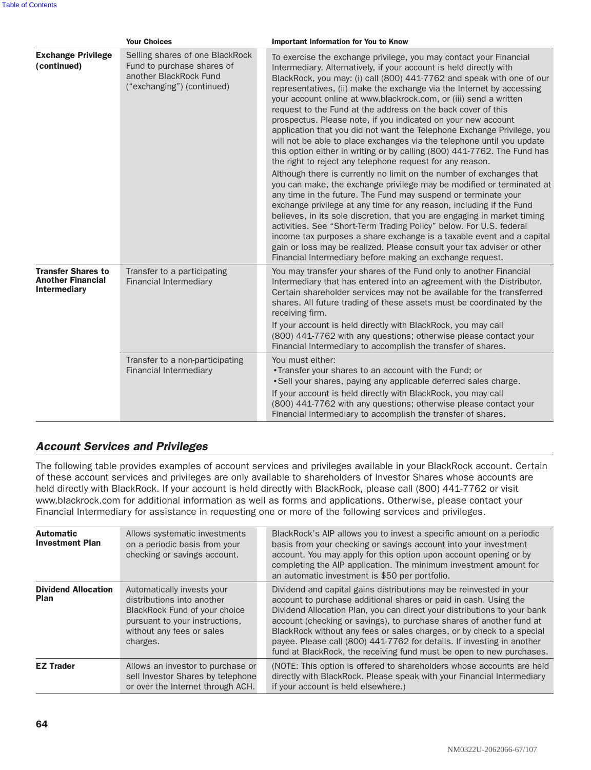|                                                                              | <b>Your Choices</b>                                                                                                   | <b>Important Information for You to Know</b>                                                                                                                                                                                                                                                                                                                                                                                                                                                                                                                                                                                                                                                                                                                                                                                                                                                                                                                                                                                                                                                                                                                                                                                                                                                                                                                                                                                                                 |
|------------------------------------------------------------------------------|-----------------------------------------------------------------------------------------------------------------------|--------------------------------------------------------------------------------------------------------------------------------------------------------------------------------------------------------------------------------------------------------------------------------------------------------------------------------------------------------------------------------------------------------------------------------------------------------------------------------------------------------------------------------------------------------------------------------------------------------------------------------------------------------------------------------------------------------------------------------------------------------------------------------------------------------------------------------------------------------------------------------------------------------------------------------------------------------------------------------------------------------------------------------------------------------------------------------------------------------------------------------------------------------------------------------------------------------------------------------------------------------------------------------------------------------------------------------------------------------------------------------------------------------------------------------------------------------------|
| <b>Exchange Privilege</b><br>(continued)                                     | Selling shares of one BlackRock<br>Fund to purchase shares of<br>another BlackRock Fund<br>("exchanging") (continued) | To exercise the exchange privilege, you may contact your Financial<br>Intermediary. Alternatively, if your account is held directly with<br>BlackRock, you may: (i) call (800) 441-7762 and speak with one of our<br>representatives, (ii) make the exchange via the Internet by accessing<br>your account online at www.blackrock.com, or (iii) send a written<br>request to the Fund at the address on the back cover of this<br>prospectus. Please note, if you indicated on your new account<br>application that you did not want the Telephone Exchange Privilege, you<br>will not be able to place exchanges via the telephone until you update<br>this option either in writing or by calling (800) 441-7762. The Fund has<br>the right to reject any telephone request for any reason.<br>Although there is currently no limit on the number of exchanges that<br>you can make, the exchange privilege may be modified or terminated at<br>any time in the future. The Fund may suspend or terminate your<br>exchange privilege at any time for any reason, including if the Fund<br>believes, in its sole discretion, that you are engaging in market timing<br>activities. See "Short-Term Trading Policy" below. For U.S. federal<br>income tax purposes a share exchange is a taxable event and a capital<br>gain or loss may be realized. Please consult your tax adviser or other<br>Financial Intermediary before making an exchange request. |
| <b>Transfer Shares to</b><br><b>Another Financial</b><br><b>Intermediary</b> | Transfer to a participating<br>Financial Intermediary                                                                 | You may transfer your shares of the Fund only to another Financial<br>Intermediary that has entered into an agreement with the Distributor.<br>Certain shareholder services may not be available for the transferred<br>shares. All future trading of these assets must be coordinated by the<br>receiving firm.<br>If your account is held directly with BlackRock, you may call<br>(800) 441-7762 with any questions; otherwise please contact your<br>Financial Intermediary to accomplish the transfer of shares.                                                                                                                                                                                                                                                                                                                                                                                                                                                                                                                                                                                                                                                                                                                                                                                                                                                                                                                                        |
|                                                                              | Transfer to a non-participating<br>Financial Intermediary                                                             | You must either:<br>• Transfer your shares to an account with the Fund; or<br>. Sell your shares, paying any applicable deferred sales charge.<br>If your account is held directly with BlackRock, you may call<br>(800) 441-7762 with any questions; otherwise please contact your<br>Financial Intermediary to accomplish the transfer of shares.                                                                                                                                                                                                                                                                                                                                                                                                                                                                                                                                                                                                                                                                                                                                                                                                                                                                                                                                                                                                                                                                                                          |

# *Account Services and Privileges*

The following table provides examples of account services and privileges available in your BlackRock account. Certain of these account services and privileges are only available to shareholders of Investor Shares whose accounts are held directly with BlackRock. If your account is held directly with BlackRock, please call (800) 441-7762 or visit www.blackrock.com for additional information as well as forms and applications. Otherwise, please contact your Financial Intermediary for assistance in requesting one or more of the following services and privileges.

| <b>Automatic</b><br><b>Investment Plan</b> | Allows systematic investments<br>on a periodic basis from your                                                                                                       | BlackRock's AIP allows you to invest a specific amount on a periodic<br>basis from your checking or savings account into your investment                                                                                                                                                                                                                                                                                                                                                                              |
|--------------------------------------------|----------------------------------------------------------------------------------------------------------------------------------------------------------------------|-----------------------------------------------------------------------------------------------------------------------------------------------------------------------------------------------------------------------------------------------------------------------------------------------------------------------------------------------------------------------------------------------------------------------------------------------------------------------------------------------------------------------|
|                                            | checking or savings account.                                                                                                                                         | account. You may apply for this option upon account opening or by<br>completing the AIP application. The minimum investment amount for<br>an automatic investment is \$50 per portfolio.                                                                                                                                                                                                                                                                                                                              |
| <b>Dividend Allocation</b><br>Plan         | Automatically invests your<br>distributions into another<br>BlackRock Fund of your choice<br>pursuant to your instructions,<br>without any fees or sales<br>charges. | Dividend and capital gains distributions may be reinvested in your<br>account to purchase additional shares or paid in cash. Using the<br>Dividend Allocation Plan, you can direct your distributions to your bank<br>account (checking or savings), to purchase shares of another fund at<br>BlackRock without any fees or sales charges, or by check to a special<br>payee. Please call (800) 441-7762 for details. If investing in another<br>fund at BlackRock, the receiving fund must be open to new purchases. |
| <b>EZ Trader</b>                           | Allows an investor to purchase or<br>sell Investor Shares by telephone<br>or over the Internet through ACH.                                                          | (NOTE: This option is offered to shareholders whose accounts are held<br>directly with BlackRock. Please speak with your Financial Intermediary<br>if your account is held elsewhere.)                                                                                                                                                                                                                                                                                                                                |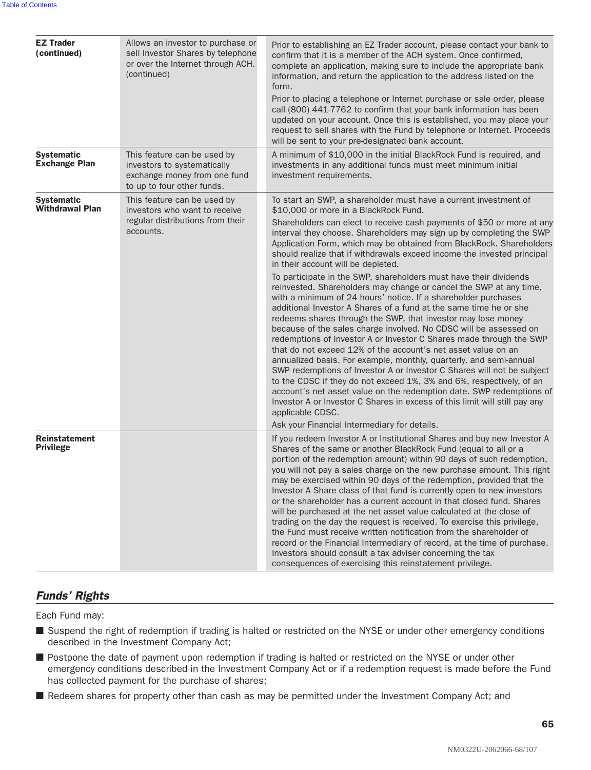| <b>EZ Trader</b><br>(continued)             | Allows an investor to purchase or<br>sell Investor Shares by telephone<br>or over the Internet through ACH.<br>(continued) | Prior to establishing an EZ Trader account, please contact your bank to<br>confirm that it is a member of the ACH system. Once confirmed,<br>complete an application, making sure to include the appropriate bank<br>information, and return the application to the address listed on the<br>form.<br>Prior to placing a telephone or Internet purchase or sale order, please<br>call (800) 441-7762 to confirm that your bank information has been<br>updated on your account. Once this is established, you may place your<br>request to sell shares with the Fund by telephone or Internet. Proceeds<br>will be sent to your pre-designated bank account.                                                                                                                                                                                                                                                                                                                                                                                                                                                                                                                                                                                                                                                                                                                                                                                                          |
|---------------------------------------------|----------------------------------------------------------------------------------------------------------------------------|-----------------------------------------------------------------------------------------------------------------------------------------------------------------------------------------------------------------------------------------------------------------------------------------------------------------------------------------------------------------------------------------------------------------------------------------------------------------------------------------------------------------------------------------------------------------------------------------------------------------------------------------------------------------------------------------------------------------------------------------------------------------------------------------------------------------------------------------------------------------------------------------------------------------------------------------------------------------------------------------------------------------------------------------------------------------------------------------------------------------------------------------------------------------------------------------------------------------------------------------------------------------------------------------------------------------------------------------------------------------------------------------------------------------------------------------------------------------------|
| <b>Systematic</b><br><b>Exchange Plan</b>   | This feature can be used by<br>investors to systematically<br>exchange money from one fund<br>to up to four other funds.   | A minimum of \$10,000 in the initial BlackRock Fund is required, and<br>investments in any additional funds must meet minimum initial<br>investment requirements.                                                                                                                                                                                                                                                                                                                                                                                                                                                                                                                                                                                                                                                                                                                                                                                                                                                                                                                                                                                                                                                                                                                                                                                                                                                                                                     |
| <b>Systematic</b><br><b>Withdrawal Plan</b> | This feature can be used by<br>investors who want to receive<br>regular distributions from their<br>accounts.              | To start an SWP, a shareholder must have a current investment of<br>\$10,000 or more in a BlackRock Fund.<br>Shareholders can elect to receive cash payments of \$50 or more at any<br>interval they choose. Shareholders may sign up by completing the SWP<br>Application Form, which may be obtained from BlackRock. Shareholders<br>should realize that if withdrawals exceed income the invested principal<br>in their account will be depleted.<br>To participate in the SWP, shareholders must have their dividends<br>reinvested. Shareholders may change or cancel the SWP at any time,<br>with a minimum of 24 hours' notice. If a shareholder purchases<br>additional Investor A Shares of a fund at the same time he or she<br>redeems shares through the SWP, that investor may lose money<br>because of the sales charge involved. No CDSC will be assessed on<br>redemptions of Investor A or Investor C Shares made through the SWP<br>that do not exceed 12% of the account's net asset value on an<br>annualized basis. For example, monthly, quarterly, and semi-annual<br>SWP redemptions of Investor A or Investor C Shares will not be subject<br>to the CDSC if they do not exceed 1%, 3% and 6%, respectively, of an<br>account's net asset value on the redemption date. SWP redemptions of<br>Investor A or Investor C Shares in excess of this limit will still pay any<br>applicable CDSC.<br>Ask your Financial Intermediary for details. |
| <b>Reinstatement</b><br><b>Privilege</b>    |                                                                                                                            | If you redeem Investor A or Institutional Shares and buy new Investor A<br>Shares of the same or another BlackRock Fund (equal to all or a<br>portion of the redemption amount) within 90 days of such redemption,<br>you will not pay a sales charge on the new purchase amount. This right<br>may be exercised within 90 days of the redemption, provided that the<br>Investor A Share class of that fund is currently open to new investors<br>or the shareholder has a current account in that closed fund. Shares<br>will be purchased at the net asset value calculated at the close of<br>trading on the day the request is received. To exercise this privilege,<br>the Fund must receive written notification from the shareholder of<br>record or the Financial Intermediary of record, at the time of purchase.<br>Investors should consult a tax adviser concerning the tax<br>consequences of exercising this reinstatement privilege.                                                                                                                                                                                                                                                                                                                                                                                                                                                                                                                   |

# *Funds' Rights*

Each Fund may:

- Suspend the right of redemption if trading is halted or restricted on the NYSE or under other emergency conditions described in the Investment Company Act;
- **Postpone the date of payment upon redemption if trading is halted or restricted on the NYSE or under other** emergency conditions described in the Investment Company Act or if a redemption request is made before the Fund has collected payment for the purchase of shares;
- Redeem shares for property other than cash as may be permitted under the Investment Company Act; and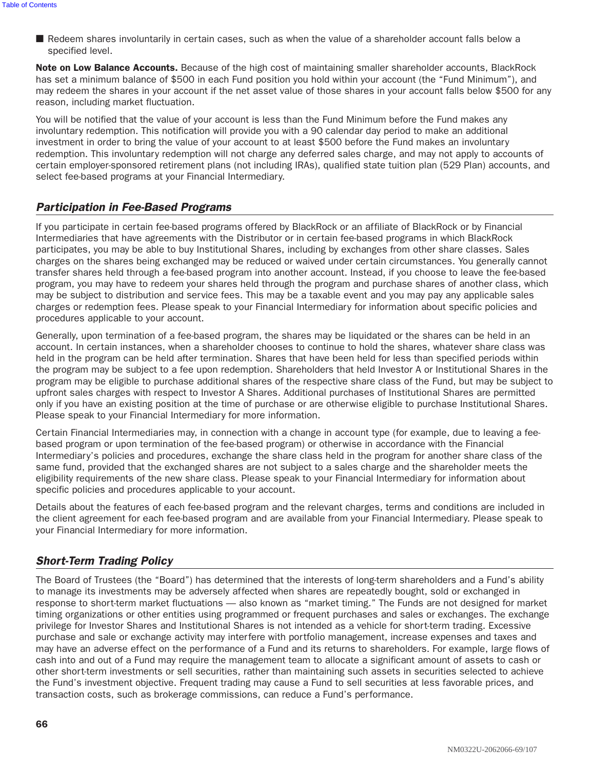■ Redeem shares involuntarily in certain cases, such as when the value of a shareholder account falls below a specified level.

Note on Low Balance Accounts. Because of the high cost of maintaining smaller shareholder accounts, BlackRock has set a minimum balance of \$500 in each Fund position you hold within your account (the "Fund Minimum"), and may redeem the shares in your account if the net asset value of those shares in your account falls below \$500 for any reason, including market fluctuation.

You will be notified that the value of your account is less than the Fund Minimum before the Fund makes any involuntary redemption. This notification will provide you with a 90 calendar day period to make an additional investment in order to bring the value of your account to at least \$500 before the Fund makes an involuntary redemption. This involuntary redemption will not charge any deferred sales charge, and may not apply to accounts of certain employer-sponsored retirement plans (not including IRAs), qualified state tuition plan (529 Plan) accounts, and select fee-based programs at your Financial Intermediary.

# *Participation in Fee-Based Programs*

If you participate in certain fee-based programs offered by BlackRock or an affiliate of BlackRock or by Financial Intermediaries that have agreements with the Distributor or in certain fee-based programs in which BlackRock participates, you may be able to buy Institutional Shares, including by exchanges from other share classes. Sales charges on the shares being exchanged may be reduced or waived under certain circumstances. You generally cannot transfer shares held through a fee-based program into another account. Instead, if you choose to leave the fee-based program, you may have to redeem your shares held through the program and purchase shares of another class, which may be subject to distribution and service fees. This may be a taxable event and you may pay any applicable sales charges or redemption fees. Please speak to your Financial Intermediary for information about specific policies and procedures applicable to your account.

Generally, upon termination of a fee-based program, the shares may be liquidated or the shares can be held in an account. In certain instances, when a shareholder chooses to continue to hold the shares, whatever share class was held in the program can be held after termination. Shares that have been held for less than specified periods within the program may be subject to a fee upon redemption. Shareholders that held Investor A or Institutional Shares in the program may be eligible to purchase additional shares of the respective share class of the Fund, but may be subject to upfront sales charges with respect to Investor A Shares. Additional purchases of Institutional Shares are permitted only if you have an existing position at the time of purchase or are otherwise eligible to purchase Institutional Shares. Please speak to your Financial Intermediary for more information.

Certain Financial Intermediaries may, in connection with a change in account type (for example, due to leaving a feebased program or upon termination of the fee-based program) or otherwise in accordance with the Financial Intermediary's policies and procedures, exchange the share class held in the program for another share class of the same fund, provided that the exchanged shares are not subject to a sales charge and the shareholder meets the eligibility requirements of the new share class. Please speak to your Financial Intermediary for information about specific policies and procedures applicable to your account.

Details about the features of each fee-based program and the relevant charges, terms and conditions are included in the client agreement for each fee-based program and are available from your Financial Intermediary. Please speak to your Financial Intermediary for more information.

# *Short-Term Trading Policy*

The Board of Trustees (the "Board") has determined that the interests of long-term shareholders and a Fund's ability to manage its investments may be adversely affected when shares are repeatedly bought, sold or exchanged in response to short-term market fluctuations — also known as "market timing." The Funds are not designed for market timing organizations or other entities using programmed or frequent purchases and sales or exchanges. The exchange privilege for Investor Shares and Institutional Shares is not intended as a vehicle for short-term trading. Excessive purchase and sale or exchange activity may interfere with portfolio management, increase expenses and taxes and may have an adverse effect on the performance of a Fund and its returns to shareholders. For example, large flows of cash into and out of a Fund may require the management team to allocate a significant amount of assets to cash or other short-term investments or sell securities, rather than maintaining such assets in securities selected to achieve the Fund's investment objective. Frequent trading may cause a Fund to sell securities at less favorable prices, and transaction costs, such as brokerage commissions, can reduce a Fund's performance.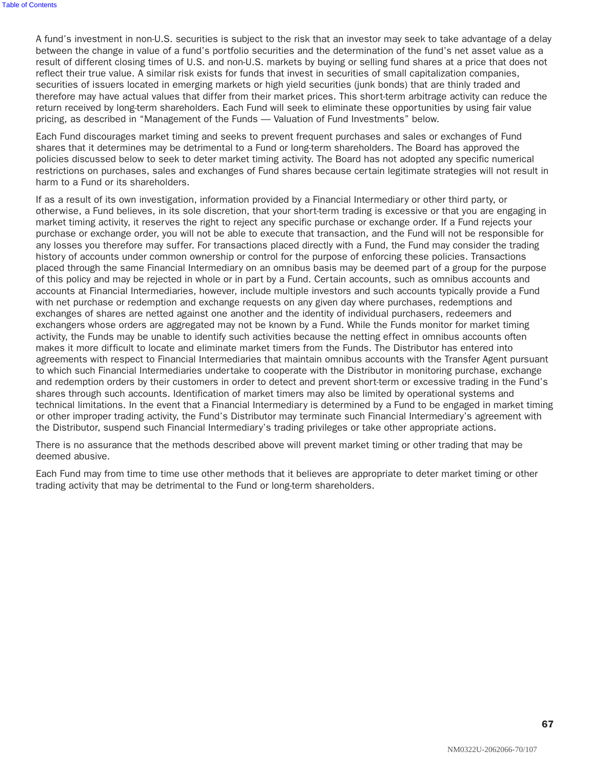A fund's investment in non-U.S. securities is subject to the risk that an investor may seek to take advantage of a delay between the change in value of a fund's portfolio securities and the determination of the fund's net asset value as a result of different closing times of U.S. and non-U.S. markets by buying or selling fund shares at a price that does not reflect their true value. A similar risk exists for funds that invest in securities of small capitalization companies, securities of issuers located in emerging markets or high yield securities (junk bonds) that are thinly traded and therefore may have actual values that differ from their market prices. This short-term arbitrage activity can reduce the return received by long-term shareholders. Each Fund will seek to eliminate these opportunities by using fair value pricing, as described in "Management of the Funds — Valuation of Fund Investments" below.

Each Fund discourages market timing and seeks to prevent frequent purchases and sales or exchanges of Fund shares that it determines may be detrimental to a Fund or long-term shareholders. The Board has approved the policies discussed below to seek to deter market timing activity. The Board has not adopted any specific numerical restrictions on purchases, sales and exchanges of Fund shares because certain legitimate strategies will not result in harm to a Fund or its shareholders.

If as a result of its own investigation, information provided by a Financial Intermediary or other third party, or otherwise, a Fund believes, in its sole discretion, that your short-term trading is excessive or that you are engaging in market timing activity, it reserves the right to reject any specific purchase or exchange order. If a Fund rejects your purchase or exchange order, you will not be able to execute that transaction, and the Fund will not be responsible for any losses you therefore may suffer. For transactions placed directly with a Fund, the Fund may consider the trading history of accounts under common ownership or control for the purpose of enforcing these policies. Transactions placed through the same Financial Intermediary on an omnibus basis may be deemed part of a group for the purpose of this policy and may be rejected in whole or in part by a Fund. Certain accounts, such as omnibus accounts and accounts at Financial Intermediaries, however, include multiple investors and such accounts typically provide a Fund with net purchase or redemption and exchange requests on any given day where purchases, redemptions and exchanges of shares are netted against one another and the identity of individual purchasers, redeemers and exchangers whose orders are aggregated may not be known by a Fund. While the Funds monitor for market timing activity, the Funds may be unable to identify such activities because the netting effect in omnibus accounts often makes it more difficult to locate and eliminate market timers from the Funds. The Distributor has entered into agreements with respect to Financial Intermediaries that maintain omnibus accounts with the Transfer Agent pursuant to which such Financial Intermediaries undertake to cooperate with the Distributor in monitoring purchase, exchange and redemption orders by their customers in order to detect and prevent short-term or excessive trading in the Fund's shares through such accounts. Identification of market timers may also be limited by operational systems and technical limitations. In the event that a Financial Intermediary is determined by a Fund to be engaged in market timing or other improper trading activity, the Fund's Distributor may terminate such Financial Intermediary's agreement with the Distributor, suspend such Financial Intermediary's trading privileges or take other appropriate actions.

There is no assurance that the methods described above will prevent market timing or other trading that may be deemed abusive.

Each Fund may from time to time use other methods that it believes are appropriate to deter market timing or other trading activity that may be detrimental to the Fund or long-term shareholders.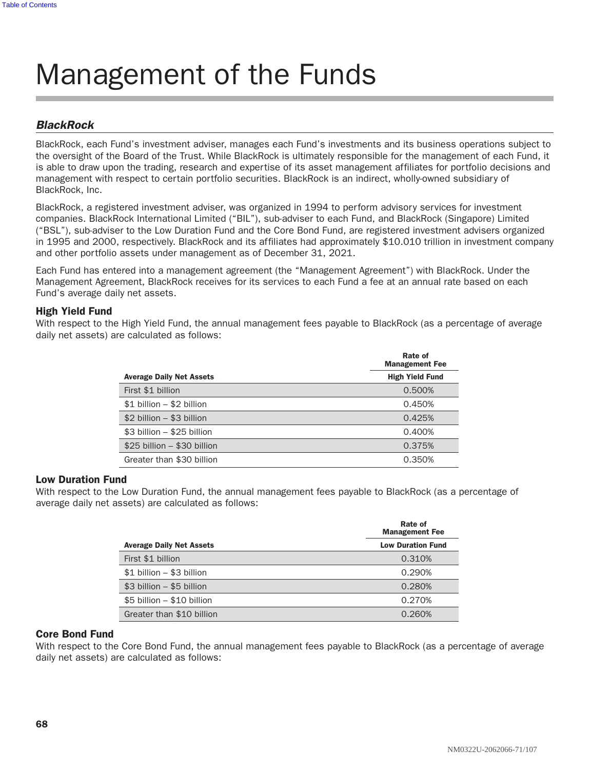# Management of the Funds

# *BlackRock*

BlackRock, each Fund's investment adviser, manages each Fund's investments and its business operations subject to the oversight of the Board of the Trust. While BlackRock is ultimately responsible for the management of each Fund, it is able to draw upon the trading, research and expertise of its asset management affiliates for portfolio decisions and management with respect to certain portfolio securities. BlackRock is an indirect, wholly-owned subsidiary of BlackRock, Inc.

BlackRock, a registered investment adviser, was organized in 1994 to perform advisory services for investment companies. BlackRock International Limited ("BIL"), sub-adviser to each Fund, and BlackRock (Singapore) Limited ("BSL"), sub-adviser to the Low Duration Fund and the Core Bond Fund, are registered investment advisers organized in 1995 and 2000, respectively. BlackRock and its affiliates had approximately \$10.010 trillion in investment company and other portfolio assets under management as of December 31, 2021.

Each Fund has entered into a management agreement (the "Management Agreement") with BlackRock. Under the Management Agreement, BlackRock receives for its services to each Fund a fee at an annual rate based on each Fund's average daily net assets.

#### High Yield Fund

With respect to the High Yield Fund, the annual management fees payable to BlackRock (as a percentage of average daily net assets) are calculated as follows:

|                                 | Rate of<br><b>Management Fee</b> |
|---------------------------------|----------------------------------|
| <b>Average Daily Net Assets</b> | <b>High Yield Fund</b>           |
| First \$1 billion               | 0.500%                           |
| \$1 billion - \$2 billion       | 0.450%                           |
| \$2 billion - \$3 billion       | 0.425%                           |
| \$3 billion - \$25 billion      | 0.400%                           |
| \$25 billion - \$30 billion     | 0.375%                           |
| Greater than \$30 billion       | 0.350%                           |

#### Low Duration Fund

With respect to the Low Duration Fund, the annual management fees payable to BlackRock (as a percentage of average daily net assets) are calculated as follows:

|                                 | Rate of<br><b>Management Fee</b> |
|---------------------------------|----------------------------------|
| <b>Average Daily Net Assets</b> | <b>Low Duration Fund</b>         |
| First \$1 billion               | 0.310%                           |
| \$1 billion - \$3 billion       | 0.290%                           |
| \$3 billion - \$5 billion       | 0.280%                           |
| \$5 billion - \$10 billion      | 0.270%                           |
| Greater than \$10 billion       | 0.260%                           |

#### Core Bond Fund

With respect to the Core Bond Fund, the annual management fees payable to BlackRock (as a percentage of average daily net assets) are calculated as follows: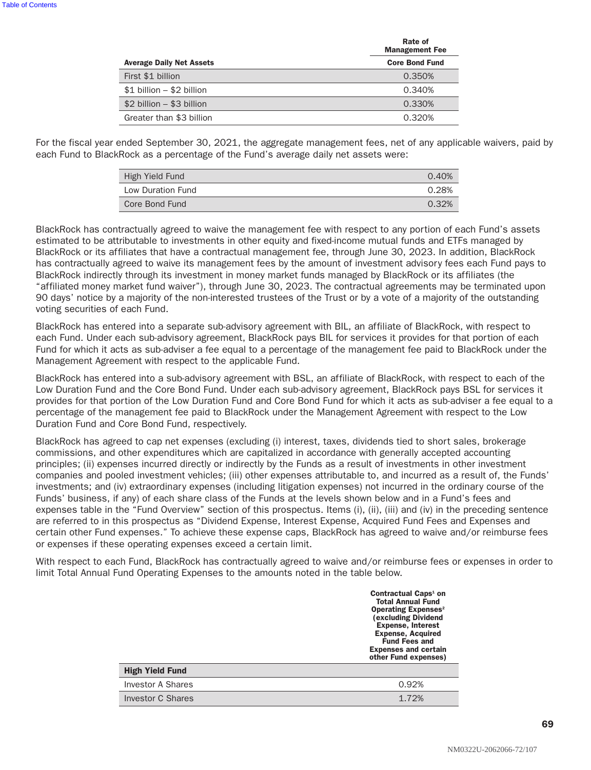|                                 | Rate of<br><b>Management Fee</b> |
|---------------------------------|----------------------------------|
| <b>Average Daily Net Assets</b> | <b>Core Bond Fund</b>            |
| First \$1 billion               | 0.350%                           |
| \$1 billion - \$2 billion       | 0.340%                           |
| \$2 billion - \$3 billion       | 0.330%                           |
| Greater than \$3 billion        | 0.320%                           |

For the fiscal year ended September 30, 2021, the aggregate management fees, net of any applicable waivers, paid by each Fund to BlackRock as a percentage of the Fund's average daily net assets were:

| <b>High Yield Fund</b> | 0.40%    |
|------------------------|----------|
| Low Duration Fund      | 0.28%    |
| Core Bond Fund         | $0.32\%$ |

BlackRock has contractually agreed to waive the management fee with respect to any portion of each Fund's assets estimated to be attributable to investments in other equity and fixed-income mutual funds and ETFs managed by BlackRock or its affiliates that have a contractual management fee, through June 30, 2023. In addition, BlackRock has contractually agreed to waive its management fees by the amount of investment advisory fees each Fund pays to BlackRock indirectly through its investment in money market funds managed by BlackRock or its affiliates (the "affiliated money market fund waiver"), through June 30, 2023. The contractual agreements may be terminated upon 90 days' notice by a majority of the non-interested trustees of the Trust or by a vote of a majority of the outstanding voting securities of each Fund.

BlackRock has entered into a separate sub-advisory agreement with BIL, an affiliate of BlackRock, with respect to each Fund. Under each sub-advisory agreement, BlackRock pays BIL for services it provides for that portion of each Fund for which it acts as sub-adviser a fee equal to a percentage of the management fee paid to BlackRock under the Management Agreement with respect to the applicable Fund.

BlackRock has entered into a sub-advisory agreement with BSL, an affiliate of BlackRock, with respect to each of the Low Duration Fund and the Core Bond Fund. Under each sub-advisory agreement, BlackRock pays BSL for services it provides for that portion of the Low Duration Fund and Core Bond Fund for which it acts as sub-adviser a fee equal to a percentage of the management fee paid to BlackRock under the Management Agreement with respect to the Low Duration Fund and Core Bond Fund, respectively.

BlackRock has agreed to cap net expenses (excluding (i) interest, taxes, dividends tied to short sales, brokerage commissions, and other expenditures which are capitalized in accordance with generally accepted accounting principles; (ii) expenses incurred directly or indirectly by the Funds as a result of investments in other investment companies and pooled investment vehicles; (iii) other expenses attributable to, and incurred as a result of, the Funds' investments; and (iv) extraordinary expenses (including litigation expenses) not incurred in the ordinary course of the Funds' business, if any) of each share class of the Funds at the levels shown below and in a Fund's fees and expenses table in the "Fund Overview" section of this prospectus. Items (i), (ii), (iii) and (iv) in the preceding sentence are referred to in this prospectus as "Dividend Expense, Interest Expense, Acquired Fund Fees and Expenses and certain other Fund expenses." To achieve these expense caps, BlackRock has agreed to waive and/or reimburse fees or expenses if these operating expenses exceed a certain limit.

With respect to each Fund, BlackRock has contractually agreed to waive and/or reimburse fees or expenses in order to limit Total Annual Fund Operating Expenses to the amounts noted in the table below.

|                          | Contractual Caps <sup>1</sup> on<br><b>Total Annual Fund</b><br><b>Operating Expenses<sup>2</sup></b><br>(excluding Dividend<br><b>Expense, Interest</b><br><b>Expense, Acquired</b><br><b>Fund Fees and</b><br><b>Expenses and certain</b><br>other Fund expenses) |
|--------------------------|---------------------------------------------------------------------------------------------------------------------------------------------------------------------------------------------------------------------------------------------------------------------|
| <b>High Yield Fund</b>   |                                                                                                                                                                                                                                                                     |
| <b>Investor A Shares</b> | 0.92%                                                                                                                                                                                                                                                               |
| Investor C Shares        | 1.72%                                                                                                                                                                                                                                                               |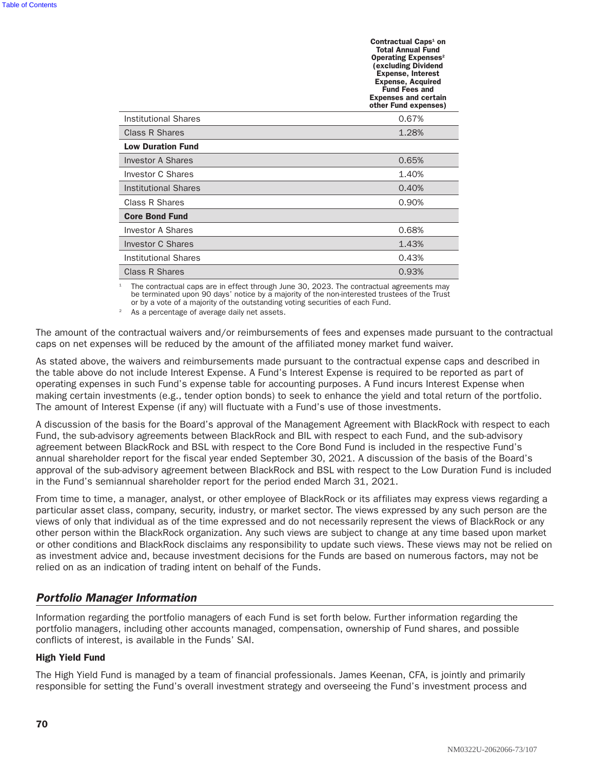| Contractual Caps <sup>1</sup> on<br><b>Total Annual Fund</b><br><b>Operating Expenses<sup>2</sup></b><br>(excluding Dividend<br><b>Expense, Interest</b><br><b>Expense, Acquired</b><br><b>Fund Fees and</b><br><b>Expenses and certain</b><br>other Fund expenses) |
|---------------------------------------------------------------------------------------------------------------------------------------------------------------------------------------------------------------------------------------------------------------------|
| 0.67%                                                                                                                                                                                                                                                               |
| 1.28%                                                                                                                                                                                                                                                               |
|                                                                                                                                                                                                                                                                     |
| 0.65%                                                                                                                                                                                                                                                               |
| 1.40%                                                                                                                                                                                                                                                               |
| 0.40%                                                                                                                                                                                                                                                               |
| 0.90%                                                                                                                                                                                                                                                               |
|                                                                                                                                                                                                                                                                     |
| 0.68%                                                                                                                                                                                                                                                               |
| 1.43%                                                                                                                                                                                                                                                               |
| 0.43%                                                                                                                                                                                                                                                               |
| 0.93%                                                                                                                                                                                                                                                               |
|                                                                                                                                                                                                                                                                     |

The contractual caps are in effect through June 30, 2023. The contractual agreements may be terminated upon 90 days' notice by a majority of the non-interested trustees of the Trust or by a vote of a majority of the outstanding voting securities of each Fund.

<sup>2</sup> As a percentage of average daily net assets.

The amount of the contractual waivers and/or reimbursements of fees and expenses made pursuant to the contractual caps on net expenses will be reduced by the amount of the affiliated money market fund waiver.

As stated above, the waivers and reimbursements made pursuant to the contractual expense caps and described in the table above do not include Interest Expense. A Fund's Interest Expense is required to be reported as part of operating expenses in such Fund's expense table for accounting purposes. A Fund incurs Interest Expense when making certain investments (e.g., tender option bonds) to seek to enhance the yield and total return of the portfolio. The amount of Interest Expense (if any) will fluctuate with a Fund's use of those investments.

A discussion of the basis for the Board's approval of the Management Agreement with BlackRock with respect to each Fund, the sub-advisory agreements between BlackRock and BIL with respect to each Fund, and the sub-advisory agreement between BlackRock and BSL with respect to the Core Bond Fund is included in the respective Fund's annual shareholder report for the fiscal year ended September 30, 2021. A discussion of the basis of the Board's approval of the sub-advisory agreement between BlackRock and BSL with respect to the Low Duration Fund is included in the Fund's semiannual shareholder report for the period ended March 31, 2021.

From time to time, a manager, analyst, or other employee of BlackRock or its affiliates may express views regarding a particular asset class, company, security, industry, or market sector. The views expressed by any such person are the views of only that individual as of the time expressed and do not necessarily represent the views of BlackRock or any other person within the BlackRock organization. Any such views are subject to change at any time based upon market or other conditions and BlackRock disclaims any responsibility to update such views. These views may not be relied on as investment advice and, because investment decisions for the Funds are based on numerous factors, may not be relied on as an indication of trading intent on behalf of the Funds.

## *Portfolio Manager Information*

Information regarding the portfolio managers of each Fund is set forth below. Further information regarding the portfolio managers, including other accounts managed, compensation, ownership of Fund shares, and possible conflicts of interest, is available in the Funds' SAI.

#### High Yield Fund

The High Yield Fund is managed by a team of financial professionals. James Keenan, CFA, is jointly and primarily responsible for setting the Fund's overall investment strategy and overseeing the Fund's investment process and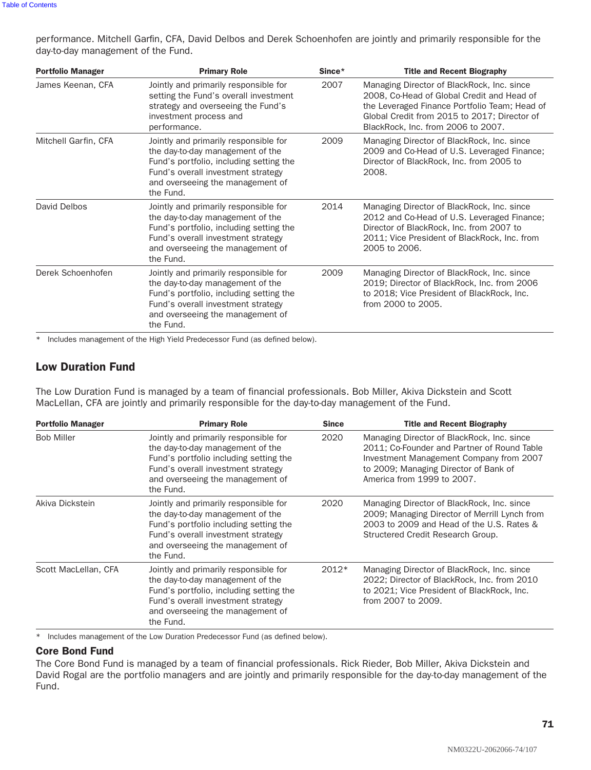performance. Mitchell Garfin, CFA, David Delbos and Derek Schoenhofen are jointly and primarily responsible for the day-to-day management of the Fund.

| <b>Portfolio Manager</b> | <b>Primary Role</b>                                                                                                                                                                                         | $Since *$                                                                                                                                      | <b>Title and Recent Biography</b>                                                                                                                                                                                               |
|--------------------------|-------------------------------------------------------------------------------------------------------------------------------------------------------------------------------------------------------------|------------------------------------------------------------------------------------------------------------------------------------------------|---------------------------------------------------------------------------------------------------------------------------------------------------------------------------------------------------------------------------------|
| James Keenan, CFA        | Jointly and primarily responsible for<br>setting the Fund's overall investment<br>strategy and overseeing the Fund's<br>investment process and<br>performance.                                              | 2007                                                                                                                                           | Managing Director of BlackRock, Inc. since<br>2008, Co-Head of Global Credit and Head of<br>the Leveraged Finance Portfolio Team; Head of<br>Global Credit from 2015 to 2017; Director of<br>BlackRock, Inc. from 2006 to 2007. |
| Mitchell Garfin, CFA     | Jointly and primarily responsible for<br>the day-to-day management of the<br>Fund's portfolio, including setting the<br>Fund's overall investment strategy<br>and overseeing the management of<br>the Fund. | Managing Director of BlackRock, Inc. since<br>2009 and Co-Head of U.S. Leveraged Finance;<br>Director of BlackRock, Inc. from 2005 to<br>2008. |                                                                                                                                                                                                                                 |
| David Delbos             | Jointly and primarily responsible for<br>the day-to-day management of the<br>Fund's portfolio, including setting the<br>Fund's overall investment strategy<br>and overseeing the management of<br>the Fund. | 2014                                                                                                                                           | Managing Director of BlackRock, Inc. since<br>2012 and Co-Head of U.S. Leveraged Finance;<br>Director of BlackRock, Inc. from 2007 to<br>2011; Vice President of BlackRock, Inc. from<br>2005 to 2006.                          |
| Derek Schoenhofen        | Jointly and primarily responsible for<br>the day-to-day management of the<br>Fund's portfolio, including setting the<br>Fund's overall investment strategy<br>and overseeing the management of<br>the Fund. | 2009                                                                                                                                           | Managing Director of BlackRock, Inc. since<br>2019; Director of BlackRock, Inc. from 2006<br>to 2018; Vice President of BlackRock, Inc.<br>from 2000 to 2005.                                                                   |

\* Includes management of the High Yield Predecessor Fund (as defined below).

# Low Duration Fund

The Low Duration Fund is managed by a team of financial professionals. Bob Miller, Akiva Dickstein and Scott MacLellan, CFA are jointly and primarily responsible for the day-to-day management of the Fund.

| <b>Portfolio Manager</b> | <b>Primary Role</b>                                                                                                                                                                                         | <b>Since</b> | <b>Title and Recent Biography</b>                                                                                                                                                                           |
|--------------------------|-------------------------------------------------------------------------------------------------------------------------------------------------------------------------------------------------------------|--------------|-------------------------------------------------------------------------------------------------------------------------------------------------------------------------------------------------------------|
| <b>Bob Miller</b>        | Jointly and primarily responsible for<br>the day-to-day management of the<br>Fund's portfolio including setting the<br>Fund's overall investment strategy<br>and overseeing the management of<br>the Fund.  | 2020         | Managing Director of BlackRock, Inc. since<br>2011; Co-Founder and Partner of Round Table<br>Investment Management Company from 2007<br>to 2009; Managing Director of Bank of<br>America from 1999 to 2007. |
| Akiva Dickstein          | Jointly and primarily responsible for<br>the day-to-day management of the<br>Fund's portfolio including setting the<br>Fund's overall investment strategy<br>and overseeing the management of<br>the Fund.  | 2020         | Managing Director of BlackRock, Inc. since<br>2009; Managing Director of Merrill Lynch from<br>2003 to 2009 and Head of the U.S. Rates &<br>Structered Credit Research Group.                               |
| Scott MacLellan, CFA     | Jointly and primarily responsible for<br>the day-to-day management of the<br>Fund's portfolio, including setting the<br>Fund's overall investment strategy<br>and overseeing the management of<br>the Fund. | $2012*$      | Managing Director of BlackRock, Inc. since<br>2022; Director of BlackRock, Inc. from 2010<br>to 2021; Vice President of BlackRock, Inc.<br>from 2007 to 2009.                                               |

\* Includes management of the Low Duration Predecessor Fund (as defined below).

#### Core Bond Fund

The Core Bond Fund is managed by a team of financial professionals. Rick Rieder, Bob Miller, Akiva Dickstein and David Rogal are the portfolio managers and are jointly and primarily responsible for the day-to-day management of the Fund.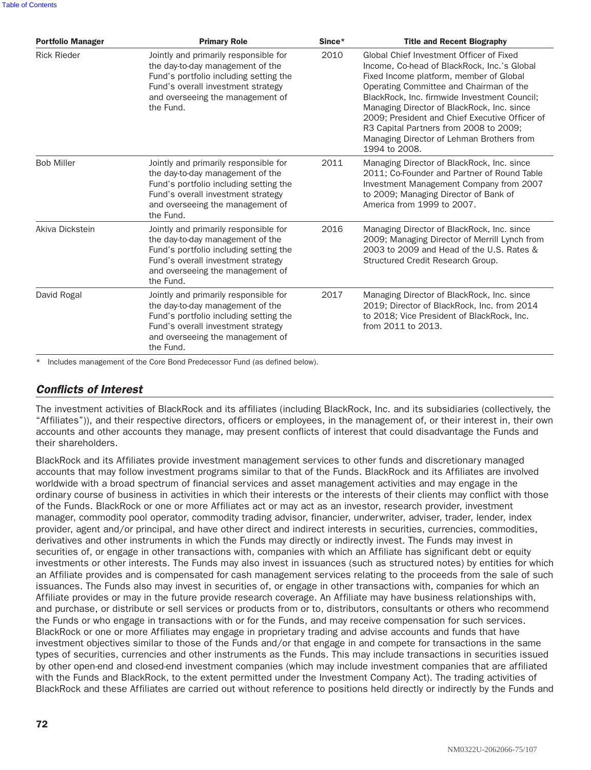| <b>Portfolio Manager</b> | <b>Primary Role</b>                                                                                                                                                                                        | $Since *$ | <b>Title and Recent Biography</b>                                                                                                                                                                                                                                                                                                                                                                                                     |
|--------------------------|------------------------------------------------------------------------------------------------------------------------------------------------------------------------------------------------------------|-----------|---------------------------------------------------------------------------------------------------------------------------------------------------------------------------------------------------------------------------------------------------------------------------------------------------------------------------------------------------------------------------------------------------------------------------------------|
| <b>Rick Rieder</b>       | Jointly and primarily responsible for<br>the day-to-day management of the<br>Fund's portfolio including setting the<br>Fund's overall investment strategy<br>and overseeing the management of<br>the Fund. | 2010      | Global Chief Investment Officer of Fixed<br>Income, Co-head of BlackRock, Inc.'s Global<br>Fixed Income platform, member of Global<br>Operating Committee and Chairman of the<br>BlackRock, Inc. firmwide Investment Council;<br>Managing Director of BlackRock, Inc. since<br>2009; President and Chief Executive Officer of<br>R3 Capital Partners from 2008 to 2009;<br>Managing Director of Lehman Brothers from<br>1994 to 2008. |
| <b>Bob Miller</b>        | Jointly and primarily responsible for<br>the day-to-day management of the<br>Fund's portfolio including setting the<br>Fund's overall investment strategy<br>and overseeing the management of<br>the Fund. | 2011      | Managing Director of BlackRock, Inc. since<br>2011; Co-Founder and Partner of Round Table<br>Investment Management Company from 2007<br>to 2009; Managing Director of Bank of<br>America from 1999 to 2007.                                                                                                                                                                                                                           |
| Akiva Dickstein          | Jointly and primarily responsible for<br>the day-to-day management of the<br>Fund's portfolio including setting the<br>Fund's overall investment strategy<br>and overseeing the management of<br>the Fund. | 2016      | Managing Director of BlackRock, Inc. since<br>2009; Managing Director of Merrill Lynch from<br>2003 to 2009 and Head of the U.S. Rates &<br>Structured Credit Research Group.                                                                                                                                                                                                                                                         |
| David Rogal              | Jointly and primarily responsible for<br>the day-to-day management of the<br>Fund's portfolio including setting the<br>Fund's overall investment strategy<br>and overseeing the management of<br>the Fund. | 2017      | Managing Director of BlackRock, Inc. since<br>2019; Director of BlackRock, Inc. from 2014<br>to 2018; Vice President of BlackRock, Inc.<br>from 2011 to 2013.                                                                                                                                                                                                                                                                         |

Includes management of the Core Bond Predecessor Fund (as defined below).

## *Conflicts of Interest*

The investment activities of BlackRock and its affiliates (including BlackRock, Inc. and its subsidiaries (collectively, the "Affiliates")), and their respective directors, officers or employees, in the management of, or their interest in, their own accounts and other accounts they manage, may present conflicts of interest that could disadvantage the Funds and their shareholders.

BlackRock and its Affiliates provide investment management services to other funds and discretionary managed accounts that may follow investment programs similar to that of the Funds. BlackRock and its Affiliates are involved worldwide with a broad spectrum of financial services and asset management activities and may engage in the ordinary course of business in activities in which their interests or the interests of their clients may conflict with those of the Funds. BlackRock or one or more Affiliates act or may act as an investor, research provider, investment manager, commodity pool operator, commodity trading advisor, financier, underwriter, adviser, trader, lender, index provider, agent and/or principal, and have other direct and indirect interests in securities, currencies, commodities, derivatives and other instruments in which the Funds may directly or indirectly invest. The Funds may invest in securities of, or engage in other transactions with, companies with which an Affiliate has significant debt or equity investments or other interests. The Funds may also invest in issuances (such as structured notes) by entities for which an Affiliate provides and is compensated for cash management services relating to the proceeds from the sale of such issuances. The Funds also may invest in securities of, or engage in other transactions with, companies for which an Affiliate provides or may in the future provide research coverage. An Affiliate may have business relationships with, and purchase, or distribute or sell services or products from or to, distributors, consultants or others who recommend the Funds or who engage in transactions with or for the Funds, and may receive compensation for such services. BlackRock or one or more Affiliates may engage in proprietary trading and advise accounts and funds that have investment objectives similar to those of the Funds and/or that engage in and compete for transactions in the same types of securities, currencies and other instruments as the Funds. This may include transactions in securities issued by other open-end and closed-end investment companies (which may include investment companies that are affiliated with the Funds and BlackRock, to the extent permitted under the Investment Company Act). The trading activities of BlackRock and these Affiliates are carried out without reference to positions held directly or indirectly by the Funds and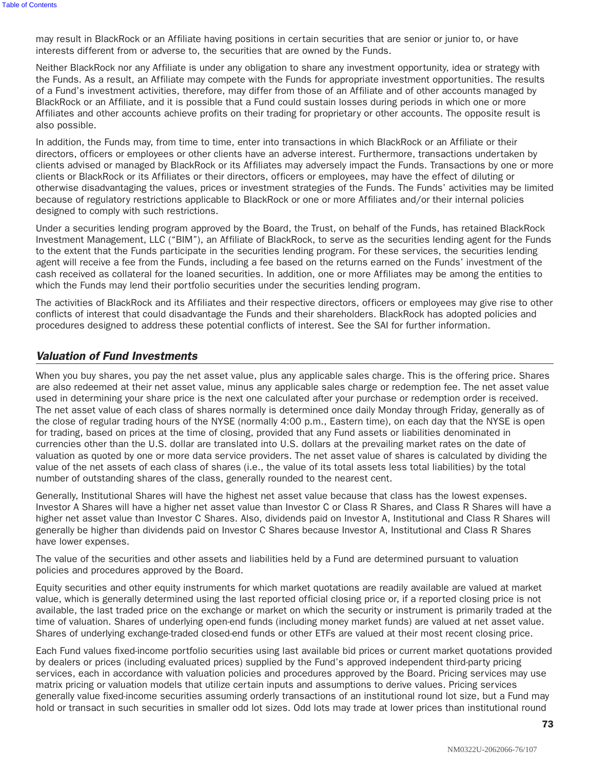may result in BlackRock or an Affiliate having positions in certain securities that are senior or junior to, or have interests different from or adverse to, the securities that are owned by the Funds.

Neither BlackRock nor any Affiliate is under any obligation to share any investment opportunity, idea or strategy with the Funds. As a result, an Affiliate may compete with the Funds for appropriate investment opportunities. The results of a Fund's investment activities, therefore, may differ from those of an Affiliate and of other accounts managed by BlackRock or an Affiliate, and it is possible that a Fund could sustain losses during periods in which one or more Affiliates and other accounts achieve profits on their trading for proprietary or other accounts. The opposite result is also possible.

In addition, the Funds may, from time to time, enter into transactions in which BlackRock or an Affiliate or their directors, officers or employees or other clients have an adverse interest. Furthermore, transactions undertaken by clients advised or managed by BlackRock or its Affiliates may adversely impact the Funds. Transactions by one or more clients or BlackRock or its Affiliates or their directors, officers or employees, may have the effect of diluting or otherwise disadvantaging the values, prices or investment strategies of the Funds. The Funds' activities may be limited because of regulatory restrictions applicable to BlackRock or one or more Affiliates and/or their internal policies designed to comply with such restrictions.

Under a securities lending program approved by the Board, the Trust, on behalf of the Funds, has retained BlackRock Investment Management, LLC ("BIM"), an Affiliate of BlackRock, to serve as the securities lending agent for the Funds to the extent that the Funds participate in the securities lending program. For these services, the securities lending agent will receive a fee from the Funds, including a fee based on the returns earned on the Funds' investment of the cash received as collateral for the loaned securities. In addition, one or more Affiliates may be among the entities to which the Funds may lend their portfolio securities under the securities lending program.

The activities of BlackRock and its Affiliates and their respective directors, officers or employees may give rise to other conflicts of interest that could disadvantage the Funds and their shareholders. BlackRock has adopted policies and procedures designed to address these potential conflicts of interest. See the SAI for further information.

## *Valuation of Fund Investments*

When you buy shares, you pay the net asset value, plus any applicable sales charge. This is the offering price. Shares are also redeemed at their net asset value, minus any applicable sales charge or redemption fee. The net asset value used in determining your share price is the next one calculated after your purchase or redemption order is received. The net asset value of each class of shares normally is determined once daily Monday through Friday, generally as of the close of regular trading hours of the NYSE (normally 4:00 p.m., Eastern time), on each day that the NYSE is open for trading, based on prices at the time of closing, provided that any Fund assets or liabilities denominated in currencies other than the U.S. dollar are translated into U.S. dollars at the prevailing market rates on the date of valuation as quoted by one or more data service providers. The net asset value of shares is calculated by dividing the value of the net assets of each class of shares (i.e., the value of its total assets less total liabilities) by the total number of outstanding shares of the class, generally rounded to the nearest cent.

Generally, Institutional Shares will have the highest net asset value because that class has the lowest expenses. Investor A Shares will have a higher net asset value than Investor C or Class R Shares, and Class R Shares will have a higher net asset value than Investor C Shares. Also, dividends paid on Investor A, Institutional and Class R Shares will generally be higher than dividends paid on Investor C Shares because Investor A, Institutional and Class R Shares have lower expenses.

The value of the securities and other assets and liabilities held by a Fund are determined pursuant to valuation policies and procedures approved by the Board.

Equity securities and other equity instruments for which market quotations are readily available are valued at market value, which is generally determined using the last reported official closing price or, if a reported closing price is not available, the last traded price on the exchange or market on which the security or instrument is primarily traded at the time of valuation. Shares of underlying open-end funds (including money market funds) are valued at net asset value. Shares of underlying exchange-traded closed-end funds or other ETFs are valued at their most recent closing price.

Each Fund values fixed-income portfolio securities using last available bid prices or current market quotations provided by dealers or prices (including evaluated prices) supplied by the Fund's approved independent third-party pricing services, each in accordance with valuation policies and procedures approved by the Board. Pricing services may use matrix pricing or valuation models that utilize certain inputs and assumptions to derive values. Pricing services generally value fixed-income securities assuming orderly transactions of an institutional round lot size, but a Fund may hold or transact in such securities in smaller odd lot sizes. Odd lots may trade at lower prices than institutional round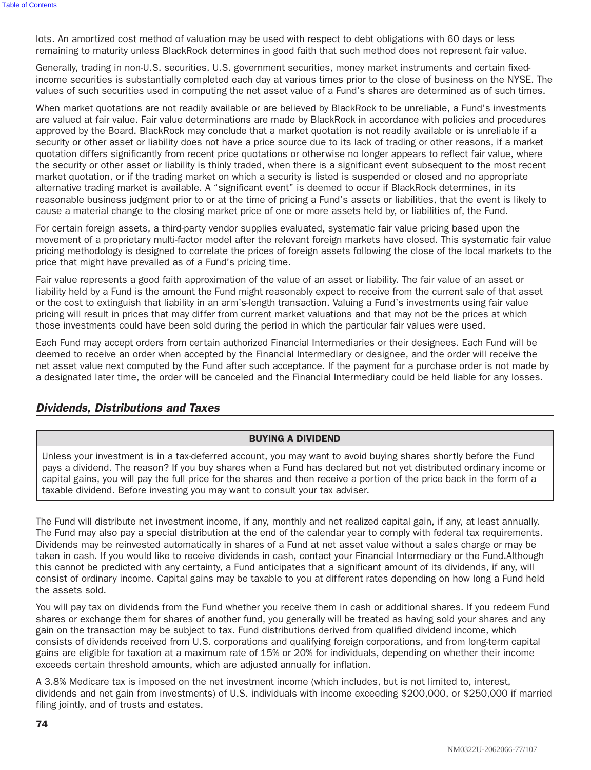lots. An amortized cost method of valuation may be used with respect to debt obligations with 60 days or less remaining to maturity unless BlackRock determines in good faith that such method does not represent fair value.

Generally, trading in non-U.S. securities, U.S. government securities, money market instruments and certain fixedincome securities is substantially completed each day at various times prior to the close of business on the NYSE. The values of such securities used in computing the net asset value of a Fund's shares are determined as of such times.

When market quotations are not readily available or are believed by BlackRock to be unreliable, a Fund's investments are valued at fair value. Fair value determinations are made by BlackRock in accordance with policies and procedures approved by the Board. BlackRock may conclude that a market quotation is not readily available or is unreliable if a security or other asset or liability does not have a price source due to its lack of trading or other reasons, if a market quotation differs significantly from recent price quotations or otherwise no longer appears to reflect fair value, where the security or other asset or liability is thinly traded, when there is a significant event subsequent to the most recent market quotation, or if the trading market on which a security is listed is suspended or closed and no appropriate alternative trading market is available. A "significant event" is deemed to occur if BlackRock determines, in its reasonable business judgment prior to or at the time of pricing a Fund's assets or liabilities, that the event is likely to cause a material change to the closing market price of one or more assets held by, or liabilities of, the Fund.

For certain foreign assets, a third-party vendor supplies evaluated, systematic fair value pricing based upon the movement of a proprietary multi-factor model after the relevant foreign markets have closed. This systematic fair value pricing methodology is designed to correlate the prices of foreign assets following the close of the local markets to the price that might have prevailed as of a Fund's pricing time.

Fair value represents a good faith approximation of the value of an asset or liability. The fair value of an asset or liability held by a Fund is the amount the Fund might reasonably expect to receive from the current sale of that asset or the cost to extinguish that liability in an arm's-length transaction. Valuing a Fund's investments using fair value pricing will result in prices that may differ from current market valuations and that may not be the prices at which those investments could have been sold during the period in which the particular fair values were used.

Each Fund may accept orders from certain authorized Financial Intermediaries or their designees. Each Fund will be deemed to receive an order when accepted by the Financial Intermediary or designee, and the order will receive the net asset value next computed by the Fund after such acceptance. If the payment for a purchase order is not made by a designated later time, the order will be canceled and the Financial Intermediary could be held liable for any losses.

## *Dividends, Distributions and Taxes*

#### BUYING A DIVIDEND

Unless your investment is in a tax-deferred account, you may want to avoid buying shares shortly before the Fund pays a dividend. The reason? If you buy shares when a Fund has declared but not yet distributed ordinary income or capital gains, you will pay the full price for the shares and then receive a portion of the price back in the form of a taxable dividend. Before investing you may want to consult your tax adviser.

The Fund will distribute net investment income, if any, monthly and net realized capital gain, if any, at least annually. The Fund may also pay a special distribution at the end of the calendar year to comply with federal tax requirements. Dividends may be reinvested automatically in shares of a Fund at net asset value without a sales charge or may be taken in cash. If you would like to receive dividends in cash, contact your Financial Intermediary or the Fund.Although this cannot be predicted with any certainty, a Fund anticipates that a significant amount of its dividends, if any, will consist of ordinary income. Capital gains may be taxable to you at different rates depending on how long a Fund held the assets sold.

You will pay tax on dividends from the Fund whether you receive them in cash or additional shares. If you redeem Fund shares or exchange them for shares of another fund, you generally will be treated as having sold your shares and any gain on the transaction may be subject to tax. Fund distributions derived from qualified dividend income, which consists of dividends received from U.S. corporations and qualifying foreign corporations, and from long-term capital gains are eligible for taxation at a maximum rate of 15% or 20% for individuals, depending on whether their income exceeds certain threshold amounts, which are adjusted annually for inflation.

A 3.8% Medicare tax is imposed on the net investment income (which includes, but is not limited to, interest, dividends and net gain from investments) of U.S. individuals with income exceeding \$200,000, or \$250,000 if married filing jointly, and of trusts and estates.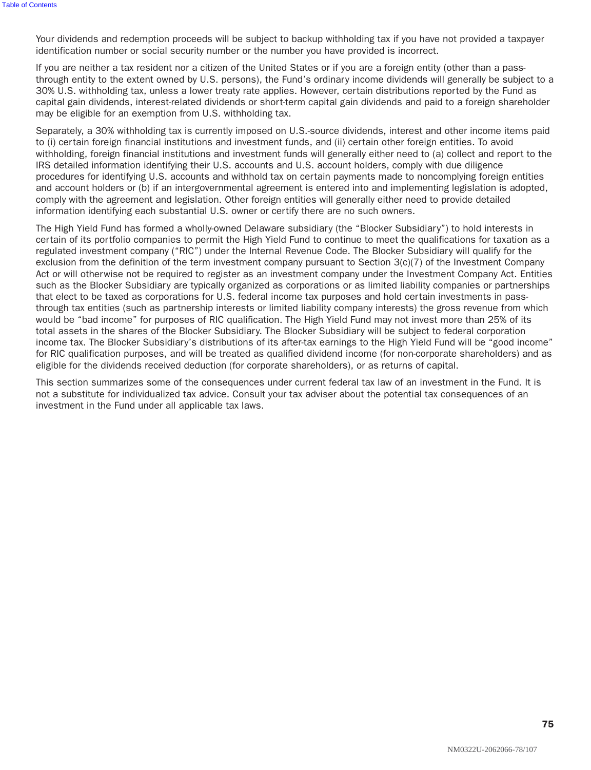Your dividends and redemption proceeds will be subject to backup withholding tax if you have not provided a taxpayer identification number or social security number or the number you have provided is incorrect.

If you are neither a tax resident nor a citizen of the United States or if you are a foreign entity (other than a passthrough entity to the extent owned by U.S. persons), the Fund's ordinary income dividends will generally be subject to a 30% U.S. withholding tax, unless a lower treaty rate applies. However, certain distributions reported by the Fund as capital gain dividends, interest-related dividends or short-term capital gain dividends and paid to a foreign shareholder may be eligible for an exemption from U.S. withholding tax.

Separately, a 30% withholding tax is currently imposed on U.S.-source dividends, interest and other income items paid to (i) certain foreign financial institutions and investment funds, and (ii) certain other foreign entities. To avoid withholding, foreign financial institutions and investment funds will generally either need to (a) collect and report to the IRS detailed information identifying their U.S. accounts and U.S. account holders, comply with due diligence procedures for identifying U.S. accounts and withhold tax on certain payments made to noncomplying foreign entities and account holders or (b) if an intergovernmental agreement is entered into and implementing legislation is adopted, comply with the agreement and legislation. Other foreign entities will generally either need to provide detailed information identifying each substantial U.S. owner or certify there are no such owners.

The High Yield Fund has formed a wholly-owned Delaware subsidiary (the "Blocker Subsidiary") to hold interests in certain of its portfolio companies to permit the High Yield Fund to continue to meet the qualifications for taxation as a regulated investment company ("RIC") under the Internal Revenue Code. The Blocker Subsidiary will qualify for the exclusion from the definition of the term investment company pursuant to Section 3(c)(7) of the Investment Company Act or will otherwise not be required to register as an investment company under the Investment Company Act. Entities such as the Blocker Subsidiary are typically organized as corporations or as limited liability companies or partnerships that elect to be taxed as corporations for U.S. federal income tax purposes and hold certain investments in passthrough tax entities (such as partnership interests or limited liability company interests) the gross revenue from which would be "bad income" for purposes of RIC qualification. The High Yield Fund may not invest more than 25% of its total assets in the shares of the Blocker Subsidiary. The Blocker Subsidiary will be subject to federal corporation income tax. The Blocker Subsidiary's distributions of its after-tax earnings to the High Yield Fund will be "good income" for RIC qualification purposes, and will be treated as qualified dividend income (for non-corporate shareholders) and as eligible for the dividends received deduction (for corporate shareholders), or as returns of capital.

This section summarizes some of the consequences under current federal tax law of an investment in the Fund. It is not a substitute for individualized tax advice. Consult your tax adviser about the potential tax consequences of an investment in the Fund under all applicable tax laws.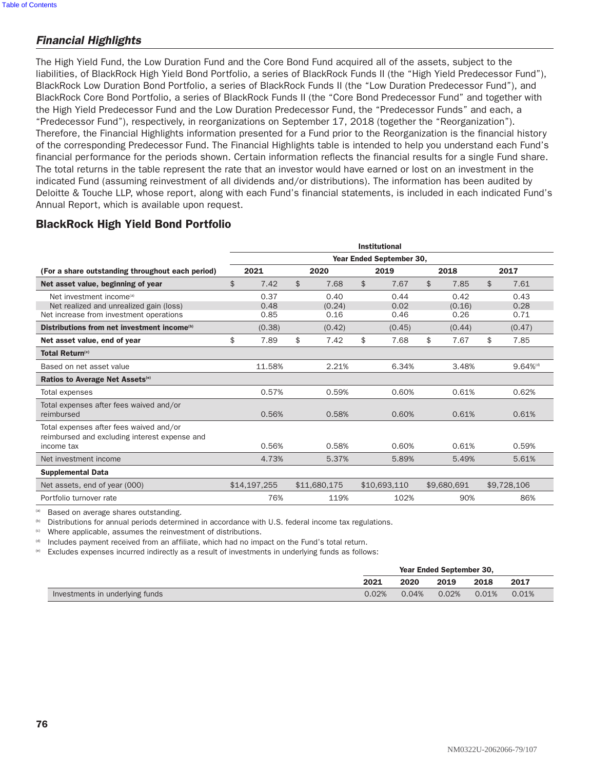# *Financial Highlights*

The High Yield Fund, the Low Duration Fund and the Core Bond Fund acquired all of the assets, subject to the liabilities, of BlackRock High Yield Bond Portfolio, a series of BlackRock Funds II (the "High Yield Predecessor Fund"), BlackRock Low Duration Bond Portfolio, a series of BlackRock Funds II (the "Low Duration Predecessor Fund"), and BlackRock Core Bond Portfolio, a series of BlackRock Funds II (the "Core Bond Predecessor Fund" and together with the High Yield Predecessor Fund and the Low Duration Predecessor Fund, the "Predecessor Funds" and each, a "Predecessor Fund"), respectively, in reorganizations on September 17, 2018 (together the "Reorganization"). Therefore, the Financial Highlights information presented for a Fund prior to the Reorganization is the financial history of the corresponding Predecessor Fund. The Financial Highlights table is intended to help you understand each Fund's financial performance for the periods shown. Certain information reflects the financial results for a single Fund share. The total returns in the table represent the rate that an investor would have earned or lost on an investment in the indicated Fund (assuming reinvestment of all dividends and/or distributions). The information has been audited by Deloitte & Touche LLP, whose report, along with each Fund's financial statements, is included in each indicated Fund's Annual Report, which is available upon request.

# BlackRock High Yield Bond Portfolio

| <b>Institutional</b> |        |                               |        |                               |        |                               |                          |                                      |                        |  |  |
|----------------------|--------|-------------------------------|--------|-------------------------------|--------|-------------------------------|--------------------------|--------------------------------------|------------------------|--|--|
|                      |        |                               |        |                               |        |                               |                          |                                      |                        |  |  |
| 2021                 |        | 2020                          |        |                               | 2019   |                               |                          | 2017                                 |                        |  |  |
| \$                   | 7.42   | \$                            | 7.68   | $\mathfrak{P}$                | 7.67   | $\mathfrak{P}$                | 7.85                     | $\mathfrak{P}$                       | 7.61                   |  |  |
|                      | 0.37   |                               | 0.40   |                               | 0.44   |                               | 0.42                     |                                      | 0.43                   |  |  |
|                      | 0.48   |                               | (0.24) |                               | 0.02   |                               | (0.16)                   |                                      | 0.28                   |  |  |
|                      |        |                               |        |                               |        |                               |                          |                                      | 0.71                   |  |  |
|                      | (0.38) |                               | (0.42) |                               | (0.45) |                               | (0.44)                   |                                      | (0.47)                 |  |  |
| \$                   | 7.89   | \$                            | 7.42   | \$                            | 7.68   | \$                            | 7.67                     | \$                                   | 7.85                   |  |  |
|                      |        |                               |        |                               |        |                               |                          |                                      |                        |  |  |
|                      | 11.58% |                               | 2.21%  |                               | 6.34%  |                               | 3.48%                    |                                      | $9.64%$ <sup>(d)</sup> |  |  |
|                      |        |                               |        |                               |        |                               |                          |                                      |                        |  |  |
|                      | 0.57%  |                               | 0.59%  |                               | 0.60%  |                               | 0.61%                    |                                      | 0.62%                  |  |  |
|                      |        |                               |        |                               |        |                               |                          |                                      |                        |  |  |
|                      |        |                               |        |                               |        |                               |                          |                                      | 0.61%                  |  |  |
|                      |        |                               |        |                               |        |                               |                          |                                      |                        |  |  |
|                      | 0.56%  |                               | 0.58%  |                               | 0.60%  |                               | 0.61%                    |                                      | 0.59%                  |  |  |
|                      | 4.73%  |                               | 5.37%  |                               | 5.89%  |                               | 5.49%                    |                                      | 5.61%                  |  |  |
|                      |        |                               |        |                               |        |                               |                          |                                      |                        |  |  |
|                      |        |                               |        |                               |        |                               |                          |                                      | \$9,728,106            |  |  |
|                      | 76%    |                               | 119%   |                               | 102%   |                               | 90%                      |                                      | 86%                    |  |  |
|                      |        | 0.85<br>0.56%<br>\$14,197,255 |        | 0.16<br>0.58%<br>\$11,680,175 |        | 0.46<br>0.60%<br>\$10,693.110 | Year Ended September 30, | 2018<br>0.26<br>0.61%<br>\$9,680,691 |                        |  |  |

(a) Based on average shares outstanding.

(b) Distributions for annual periods determined in accordance with U.S. federal income tax regulations.

(c) Where applicable, assumes the reinvestment of distributions.

(d) Includes payment received from an affiliate, which had no impact on the Fund's total return.

(e) Excludes expenses incurred indirectly as a result of investments in underlying funds as follows:

|                                 | Year Ended September 30, |       |       |       |       |  |  |  |
|---------------------------------|--------------------------|-------|-------|-------|-------|--|--|--|
|                                 | 2021                     | 2020  | 2019  | 2018  | 2017  |  |  |  |
| Investments in underlying funds | 0.02%                    | 0.04% | 0.02% | 0.01% | 0.01% |  |  |  |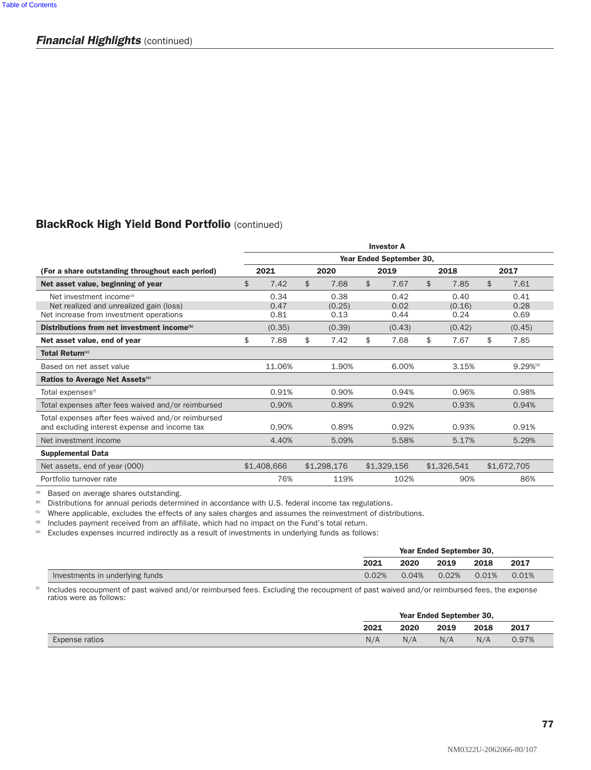# BlackRock High Yield Bond Portfolio (continued)

|                                                                                                                            | <b>Investor A</b> |                      |      |                        |      |                      |      |                        |    |                        |  |  |
|----------------------------------------------------------------------------------------------------------------------------|-------------------|----------------------|------|------------------------|------|----------------------|------|------------------------|----|------------------------|--|--|
|                                                                                                                            |                   |                      |      |                        |      |                      |      |                        |    |                        |  |  |
| (For a share outstanding throughout each period)                                                                           | 2021              |                      | 2020 |                        | 2019 |                      | 2018 |                        |    | 2017                   |  |  |
| Net asset value, beginning of year                                                                                         | $$\mathbb{S}$$    | 7.42                 | \$   | 7.68                   | \$   | 7.67                 |      | 7.85                   | \$ | 7.61                   |  |  |
| Net investment income <sup>(a)</sup><br>Net realized and unrealized gain (loss)<br>Net increase from investment operations |                   | 0.34<br>0.47<br>0.81 |      | 0.38<br>(0.25)<br>0.13 |      | 0.42<br>0.02<br>0.44 |      | 0.40<br>(0.16)<br>0.24 |    | 0.41<br>0.28<br>0.69   |  |  |
| Distributions from net investment income <sup>(b)</sup>                                                                    |                   | (0.35)               |      | (0.39)                 |      | (0.43)               |      | (0.42)                 |    | (0.45)                 |  |  |
| Net asset value, end of year                                                                                               | \$                | 7.88                 | \$   | 7.42                   | \$   | 7.68                 | \$   | 7.67                   | \$ | 7.85                   |  |  |
| Total Return <sup>(c)</sup>                                                                                                |                   |                      |      |                        |      |                      |      |                        |    |                        |  |  |
| Based on net asset value                                                                                                   |                   | 11.06%               |      | 1.90%                  |      | 6.00%                |      | 3.15%                  |    | $9.29%$ <sup>(d)</sup> |  |  |
| Ratios to Average Net Assets <sup>(e)</sup>                                                                                |                   |                      |      |                        |      |                      |      |                        |    |                        |  |  |
| Total expenses <sup>(f)</sup>                                                                                              |                   | 0.91%                |      | 0.90%                  |      | 0.94%                |      | 0.96%                  |    | 0.98%                  |  |  |
| Total expenses after fees waived and/or reimbursed                                                                         |                   | 0.90%                |      | 0.89%                  |      | 0.92%                |      | 0.93%                  |    | 0.94%                  |  |  |
| Total expenses after fees waived and/or reimbursed<br>and excluding interest expense and income tax                        |                   | 0.90%                |      | 0.89%                  |      | 0.92%                |      | 0.93%                  |    | 0.91%                  |  |  |
| Net investment income                                                                                                      |                   | 4.40%                |      | 5.09%                  |      | 5.58%                |      | 5.17%                  |    | 5.29%                  |  |  |
| <b>Supplemental Data</b>                                                                                                   |                   |                      |      |                        |      |                      |      |                        |    |                        |  |  |
| Net assets, end of year (000)                                                                                              |                   | \$1,408,666          |      | \$1,298,176            |      | \$1,329,156          |      | \$1,326,541            |    | \$1,672,705            |  |  |
| Portfolio turnover rate                                                                                                    |                   | 76%                  |      | 119%                   |      | 102%                 |      | 90%                    |    | 86%                    |  |  |

(a) Based on average shares outstanding.

(b) Distributions for annual periods determined in accordance with U.S. federal income tax regulations.

(c) Where applicable, excludes the effects of any sales charges and assumes the reinvestment of distributions.

(d) Includes payment received from an affiliate, which had no impact on the Fund's total return.

(e) Excludes expenses incurred indirectly as a result of investments in underlying funds as follows:

|                                 | Year Ended September 30, |       |       |       |       |  |  |  |
|---------------------------------|--------------------------|-------|-------|-------|-------|--|--|--|
|                                 | 2021                     | 2020  | 2019  | 2018  | 2017  |  |  |  |
| Investments in underlying funds | 0.02%                    | 0.04% | 0.02% | 0.01% | 0.01% |  |  |  |

 $<sup>6</sup>$  Includes recoupment of past waived and/or reimbursed fees. Excluding the recoupment of past waived and/or reimbursed fees, the expense</sup> ratios were as follows:

|                |      | Year Ended September 30, |      |      |       |  |  |  |  |
|----------------|------|--------------------------|------|------|-------|--|--|--|--|
|                | 2021 | 2020                     | 2019 | 2018 | 2017  |  |  |  |  |
| Expense ratios | N/A  | N/A                      | N/A  | N/A  | 0.97% |  |  |  |  |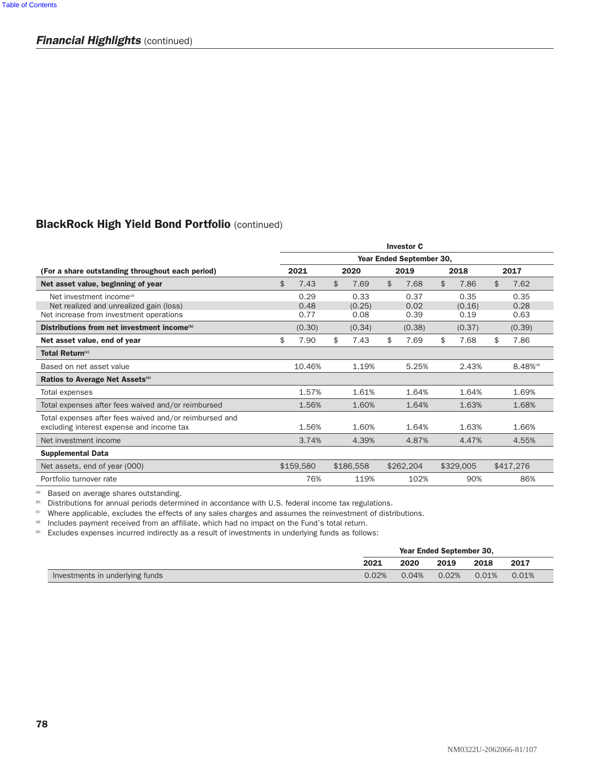# BlackRock High Yield Bond Portfolio (continued)

|                                                         | <b>Investor C</b> |           |                |           |                |                          |                |           |                |                      |  |
|---------------------------------------------------------|-------------------|-----------|----------------|-----------|----------------|--------------------------|----------------|-----------|----------------|----------------------|--|
|                                                         |                   |           |                |           |                | Year Ended September 30, |                |           |                |                      |  |
| (For a share outstanding throughout each period)        | 2021              |           | 2020           |           | 2019           |                          | 2018           |           |                | 2017                 |  |
| Net asset value, beginning of year                      | \$                | 7.43      | $\mathfrak{P}$ | 7.69      | $\mathfrak{P}$ | 7.68                     | $\mathfrak{L}$ | 7.86      | $\mathfrak{P}$ | 7.62                 |  |
| Net investment income <sup>(a)</sup>                    |                   | 0.29      |                | 0.33      |                | 0.37                     |                | 0.35      |                | 0.35                 |  |
| Net realized and unrealized gain (loss)                 |                   | 0.48      |                | (0.25)    |                | 0.02                     |                | (0.16)    |                | 0.28                 |  |
| Net increase from investment operations                 |                   | 0.77      |                | 0.08      |                | 0.39                     |                | 0.19      |                | 0.63                 |  |
| Distributions from net investment income <sup>(b)</sup> |                   | (0.30)    |                | (0.34)    |                | (0.38)                   |                | (0.37)    |                | (0.39)               |  |
| Net asset value, end of year                            | \$                | 7.90      | \$.            | 7.43      | \$             | 7.69                     | \$             | 7.68      | \$             | 7.86                 |  |
| <b>Total Return(c)</b>                                  |                   |           |                |           |                |                          |                |           |                |                      |  |
| Based on net asset value                                |                   | 10.46%    |                | 1.19%     |                | 5.25%                    |                | 2.43%     |                | 8.48% <sup>(d)</sup> |  |
| Ratios to Average Net Assets <sup>(e)</sup>             |                   |           |                |           |                |                          |                |           |                |                      |  |
| Total expenses                                          |                   | 1.57%     |                | 1.61%     |                | 1.64%                    |                | 1.64%     |                | 1.69%                |  |
| Total expenses after fees waived and/or reimbursed      |                   | 1.56%     |                | 1.60%     |                | 1.64%                    |                | 1.63%     |                | 1.68%                |  |
| Total expenses after fees waived and/or reimbursed and  |                   |           |                |           |                |                          |                |           |                |                      |  |
| excluding interest expense and income tax               |                   | 1.56%     |                | 1.60%     |                | 1.64%                    |                | 1.63%     |                | 1.66%                |  |
| Net investment income                                   |                   | 3.74%     |                | 4.39%     |                | 4.87%                    |                | 4.47%     |                | 4.55%                |  |
| <b>Supplemental Data</b>                                |                   |           |                |           |                |                          |                |           |                |                      |  |
| Net assets, end of year (000)                           |                   | \$159,580 |                | \$186,558 |                | \$262,204                |                | \$329,005 |                | \$417,276            |  |
| Portfolio turnover rate                                 |                   | 76%       |                | 119%      |                | 102%                     |                | 90%       |                | 86%                  |  |

(a) Based on average shares outstanding.

(b) Distributions for annual periods determined in accordance with U.S. federal income tax regulations.

(c) Where applicable, excludes the effects of any sales charges and assumes the reinvestment of distributions.

(d) Includes payment received from an affiliate, which had no impact on the Fund's total return.

(e) Excludes expenses incurred indirectly as a result of investments in underlying funds as follows:

|                                 |       | Year Ended September 30, |       |       |       |  |  |  |  |
|---------------------------------|-------|--------------------------|-------|-------|-------|--|--|--|--|
|                                 | 2021  | 2020                     | 2019  | 2018  | 2017  |  |  |  |  |
| Investments in underlying funds | 0.02% | 0.04%                    | 0.02% | 0.01% | 0.01% |  |  |  |  |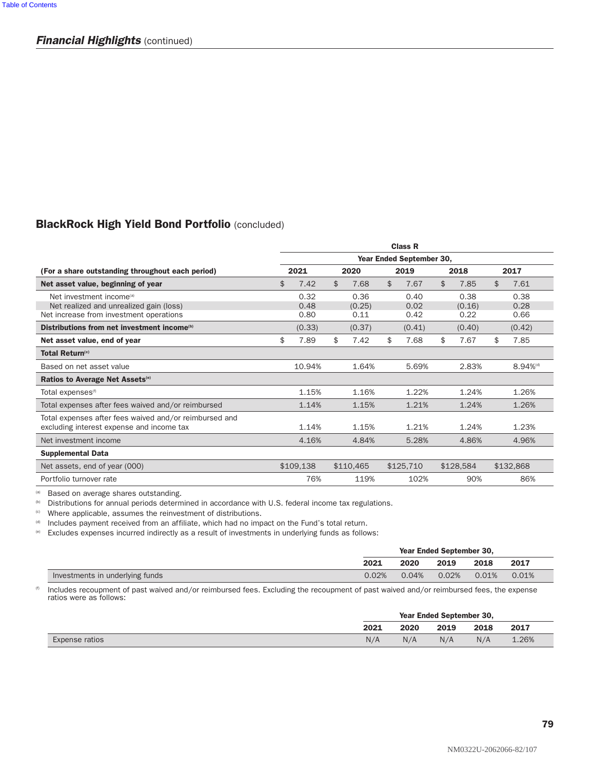# BlackRock High Yield Bond Portfolio (concluded)

|                                                         | <b>Class R</b>           |           |                |           |                |           |                |           |                |                         |  |
|---------------------------------------------------------|--------------------------|-----------|----------------|-----------|----------------|-----------|----------------|-----------|----------------|-------------------------|--|
|                                                         | Year Ended September 30, |           |                |           |                |           |                |           |                |                         |  |
| (For a share outstanding throughout each period)        | 2021                     |           | 2020           |           | 2019           |           | 2018           |           |                | 2017                    |  |
| Net asset value, beginning of year                      | \$                       | 7.42      | $\mathfrak{P}$ | 7.68      | $\mathfrak{P}$ | 7.67      | $\mathfrak{L}$ | 7.85      | $\mathfrak{L}$ | 7.61                    |  |
| Net investment income <sup>(a)</sup>                    |                          | 0.32      |                | 0.36      |                | 0.40      |                | 0.38      |                | 0.38                    |  |
| Net realized and unrealized gain (loss)                 |                          | 0.48      |                | (0.25)    |                | 0.02      |                | (0.16)    |                | 0.28                    |  |
| Net increase from investment operations                 |                          | 0.80      |                | 0.11      |                | 0.42      |                | 0.22      |                | 0.66                    |  |
| Distributions from net investment income <sup>(b)</sup> |                          | (0.33)    |                | (0.37)    |                | (0.41)    |                | (0.40)    |                | (0.42)                  |  |
| Net asset value, end of year                            | \$                       | 7.89      | \$             | 7.42      | \$             | 7.68      | \$             | 7.67      | \$             | 7.85                    |  |
| Total Return <sup>(c)</sup>                             |                          |           |                |           |                |           |                |           |                |                         |  |
| Based on net asset value                                |                          | 10.94%    |                | 1.64%     |                | 5.69%     |                | 2.83%     |                | $8.94\%$ <sup>(d)</sup> |  |
| Ratios to Average Net Assets <sup>(e)</sup>             |                          |           |                |           |                |           |                |           |                |                         |  |
| Total expenses <sup>(f)</sup>                           |                          | 1.15%     |                | 1.16%     |                | 1.22%     |                | 1.24%     |                | 1.26%                   |  |
| Total expenses after fees waived and/or reimbursed      |                          | 1.14%     |                | 1.15%     |                | 1.21%     |                | 1.24%     |                | 1.26%                   |  |
| Total expenses after fees waived and/or reimbursed and  |                          |           |                |           |                |           |                |           |                |                         |  |
| excluding interest expense and income tax               |                          | 1.14%     |                | 1.15%     |                | 1.21%     |                | 1.24%     |                | 1.23%                   |  |
| Net investment income                                   |                          | 4.16%     |                | 4.84%     |                | 5.28%     |                | 4.86%     |                | 4.96%                   |  |
| <b>Supplemental Data</b>                                |                          |           |                |           |                |           |                |           |                |                         |  |
| Net assets, end of year (000)                           |                          | \$109,138 |                | \$110,465 |                | \$125,710 |                | \$128,584 |                | \$132,868               |  |
| Portfolio turnover rate                                 |                          | 76%       |                | 119%      |                | 102%      |                | 90%       |                | 86%                     |  |

(a) Based on average shares outstanding.

(b) Distributions for annual periods determined in accordance with U.S. federal income tax regulations.

(c) Where applicable, assumes the reinvestment of distributions.

(d) Includes payment received from an affiliate, which had no impact on the Fund's total return.

(e) Excludes expenses incurred indirectly as a result of investments in underlying funds as follows:

|                                 | Year Ended September 30, |       |       |       |       |  |  |  |
|---------------------------------|--------------------------|-------|-------|-------|-------|--|--|--|
|                                 | 2021                     | 2020  | 2019  | 2018  | 2017  |  |  |  |
| Investments in underlying funds | 0.02%                    | 0.04% | 0.02% | 0.01% | 0.01% |  |  |  |

 $<sup>6</sup>$  Includes recoupment of past waived and/or reimbursed fees. Excluding the recoupment of past waived and/or reimbursed fees, the expense</sup> ratios were as follows:

|                | Year Ended September 30, |      |      |      |       |  |  |  |
|----------------|--------------------------|------|------|------|-------|--|--|--|
|                | 2021                     | 2020 | 2019 | 2018 | 2017  |  |  |  |
| Expense ratios | N/A                      | N/A  | N/A  | N/A  | 1.26% |  |  |  |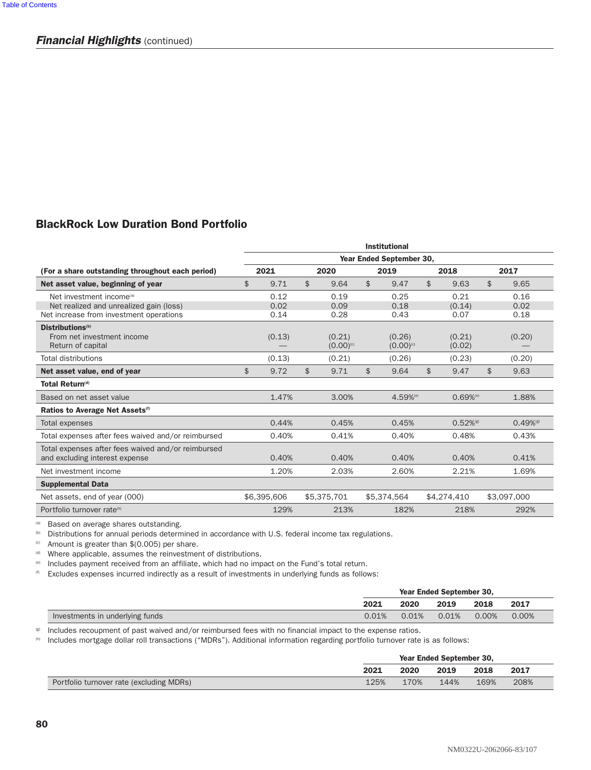# BlackRock Low Duration Bond Portfolio

|                                                                                      | <b>Institutional</b> |              |    |                          |                |                          |                |                        |    |              |
|--------------------------------------------------------------------------------------|----------------------|--------------|----|--------------------------|----------------|--------------------------|----------------|------------------------|----|--------------|
|                                                                                      |                      |              |    |                          |                | Year Ended September 30, |                |                        |    |              |
| (For a share outstanding throughout each period)                                     |                      | 2021         |    | 2020                     |                | 2019                     | 2018           |                        |    | 2017         |
| Net asset value, beginning of year                                                   | \$                   | 9.71         | \$ | 9.64                     | $\mathfrak{P}$ | 9.47                     | $\mathfrak{P}$ | 9.63                   | \$ | 9.65         |
| Net investment income <sup>(a)</sup><br>Net realized and unrealized gain (loss)      |                      | 0.12<br>0.02 |    | 0.19<br>0.09             |                | 0.25<br>0.18             |                | 0.21<br>(0.14)         |    | 0.16<br>0.02 |
| Net increase from investment operations                                              |                      | 0.14         |    | 0.28                     |                | 0.43                     |                | 0.07                   |    | 0.18         |
| Distributions <sup>(b)</sup><br>From net investment income<br>Return of capital      |                      | (0.13)       |    | (0.21)<br>$(0.00)^{(c)}$ |                | (0.26)<br>$(0.00)^{c}$   |                | (0.21)<br>(0.02)       |    | (0.20)       |
| <b>Total distributions</b>                                                           |                      | (0.13)       |    | (0.21)                   |                | (0.26)                   |                | (0.23)                 |    | (0.20)       |
| Net asset value, end of year                                                         | \$                   | 9.72         | \$ | 9.71                     | $$\mathbb{S}$$ | 9.64                     | $\mathfrak{L}$ | 9.47                   | \$ | 9.63         |
| Total Return <sup>(d)</sup>                                                          |                      |              |    |                          |                |                          |                |                        |    |              |
| Based on net asset value                                                             |                      | 1.47%        |    | 3.00%                    |                | 4.59% <sup>(e)</sup>     |                | $0.69%$ <sup>(e)</sup> |    | 1.88%        |
| Ratios to Average Net Assets <sup>(f)</sup>                                          |                      |              |    |                          |                |                          |                |                        |    |              |
| Total expenses                                                                       |                      | 0.44%        |    | 0.45%                    |                | 0.45%                    |                | 0.52%                  |    | 0.49%        |
| Total expenses after fees waived and/or reimbursed                                   |                      | 0.40%        |    | 0.41%                    |                | 0.40%                    |                | 0.48%                  |    | 0.43%        |
| Total expenses after fees waived and/or reimbursed<br>and excluding interest expense |                      | 0.40%        |    | 0.40%                    |                | 0.40%                    |                | 0.40%                  |    | 0.41%        |
| Net investment income                                                                |                      | 1.20%        |    | 2.03%                    |                | 2.60%                    |                | 2.21%                  |    | 1.69%        |
| <b>Supplemental Data</b>                                                             |                      |              |    |                          |                |                          |                |                        |    |              |
| Net assets, end of year (000)                                                        |                      | \$6,395,606  |    | \$5,375,701              |                | \$5,374,564              |                | \$4.274.410            |    | \$3,097,000  |
| Portfolio turnover rate <sup>(h)</sup>                                               |                      | 129%         |    | 213%                     |                | 182%                     |                | 218%                   |    | 292%         |

(a) Based on average shares outstanding.

(b) Distributions for annual periods determined in accordance with U.S. federal income tax regulations.

 $($ c) Amount is greater than \$(0.005) per share.

(d) Where applicable, assumes the reinvestment of distributions.

(e) Includes payment received from an affiliate, which had no impact on the Fund's total return.

 $<sup>(f)</sup>$  Excludes expenses incurred indirectly as a result of investments in underlying funds as follows:</sup>

|                                 | <b>Year Ended September 30.</b> |       |       |       |          |  |  |  |
|---------------------------------|---------------------------------|-------|-------|-------|----------|--|--|--|
|                                 | 2021                            | 2020  | 2019  | 2018  | 2017     |  |  |  |
| Investments in underlying funds | 0.01%                           | 0.01% | 0.01% | 0.00% | $0.00\%$ |  |  |  |

(g) Includes recoupment of past waived and/or reimbursed fees with no financial impact to the expense ratios.

(h) Includes mortgage dollar roll transactions ("MDRs"). Additional information regarding portfolio turnover rate is as follows:

|                                          | Year Ended September 30, |      |      |      |      |  |  |  |
|------------------------------------------|--------------------------|------|------|------|------|--|--|--|
|                                          | 2021                     | 2020 | 2019 | 2018 | 2017 |  |  |  |
| Portfolio turnover rate (excluding MDRs) | 125%                     | 170% | 144% | 169% | 208% |  |  |  |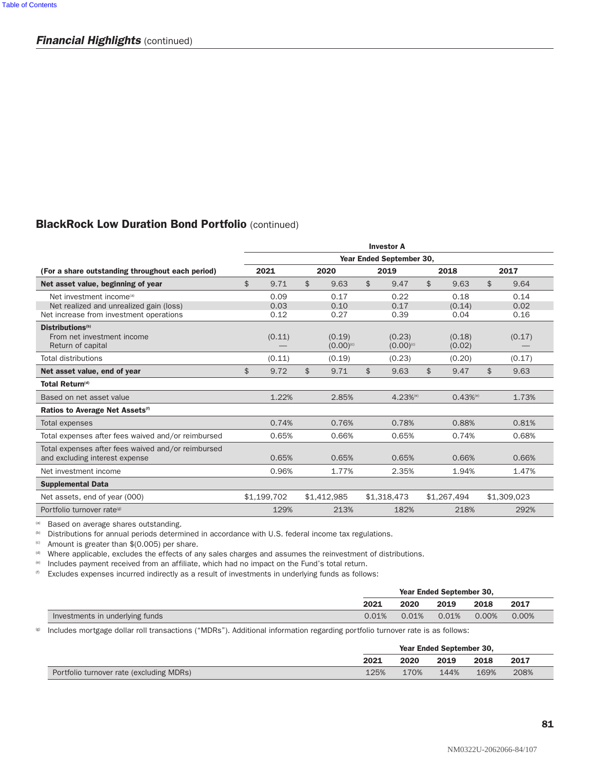# BlackRock Low Duration Bond Portfolio (continued)

|                                                                                      | <b>Investor A</b> |             |                |                          |                |                                   |      |                        |                |             |
|--------------------------------------------------------------------------------------|-------------------|-------------|----------------|--------------------------|----------------|-----------------------------------|------|------------------------|----------------|-------------|
|                                                                                      |                   |             |                |                          |                | Year Ended September 30,          |      |                        |                |             |
| (For a share outstanding throughout each period)                                     |                   | 2021        |                | 2020                     | 2019           |                                   | 2018 |                        |                | 2017        |
| Net asset value, beginning of year                                                   | \$                | 9.71        | $\mathfrak{P}$ | 9.63                     | \$             | 9.47                              | \$   | 9.63                   | $\mathfrak{P}$ | 9.64        |
| Net investment income <sup>(a)</sup>                                                 |                   | 0.09        |                | 0.17                     |                | 0.22                              |      | 0.18                   |                | 0.14        |
| Net realized and unrealized gain (loss)                                              |                   | 0.03        |                | 0.10                     |                | 0.17                              |      | (0.14)                 |                | 0.02        |
| Net increase from investment operations                                              |                   | 0.12        |                | 0.27                     |                | 0.39                              |      | 0.04                   |                | 0.16        |
| Distributions <sup>(b)</sup><br>From net investment income<br>Return of capital      |                   | (0.11)      |                | (0.19)<br>$(0.00)^{(c)}$ |                | (0.23)<br>$(0.00)$ <sup>(c)</sup> |      | (0.18)<br>(0.02)       |                | (0.17)      |
| <b>Total distributions</b>                                                           |                   | (0.11)      |                | (0.19)                   |                | (0.23)                            |      | (0.20)                 |                | (0.17)      |
| Net asset value, end of year                                                         | \$                | 9.72        | $\mathfrak{P}$ | 9.71                     | $\mathfrak{P}$ | 9.63                              | \$   | 9.47                   | $\mathfrak{P}$ | 9.63        |
| Total Return <sup>(d)</sup>                                                          |                   |             |                |                          |                |                                   |      |                        |                |             |
| Based on net asset value                                                             |                   | 1.22%       |                | 2.85%                    |                | $4.23%$ <sup>(e)</sup>            |      | $0.43%$ <sup>(e)</sup> |                | 1.73%       |
| Ratios to Average Net Assets <sup>(f)</sup>                                          |                   |             |                |                          |                |                                   |      |                        |                |             |
| Total expenses                                                                       |                   | 0.74%       |                | 0.76%                    |                | 0.78%                             |      | 0.88%                  |                | 0.81%       |
| Total expenses after fees waived and/or reimbursed                                   |                   | 0.65%       |                | 0.66%                    |                | 0.65%                             |      | 0.74%                  |                | 0.68%       |
| Total expenses after fees waived and/or reimbursed<br>and excluding interest expense |                   | 0.65%       |                | 0.65%                    |                | 0.65%                             |      | 0.66%                  |                | 0.66%       |
| Net investment income                                                                |                   | 0.96%       |                | 1.77%                    |                | 2.35%                             |      | 1.94%                  |                | 1.47%       |
| <b>Supplemental Data</b>                                                             |                   |             |                |                          |                |                                   |      |                        |                |             |
| Net assets, end of year (000)                                                        |                   | \$1.199.702 |                | \$1,412.985              |                | \$1,318,473                       |      | \$1,267,494            |                | \$1,309,023 |
| Portfolio turnover rate <sup>(g)</sup>                                               |                   | 129%        |                | 213%                     |                | 182%                              |      | 218%                   |                | 292%        |

(a) Based on average shares outstanding.

(b) Distributions for annual periods determined in accordance with U.S. federal income tax regulations.

 $($ c) Amount is greater than \$(0.005) per share.

(d) Where applicable, excludes the effects of any sales charges and assumes the reinvestment of distributions.

(e) Includes payment received from an affiliate, which had no impact on the Fund's total return.

 $<sup>(6)</sup>$  Excludes expenses incurred indirectly as a result of investments in underlying funds as follows:</sup>

|                                 | Year Ended September 30, |       |       |       |       |  |  |  |
|---------------------------------|--------------------------|-------|-------|-------|-------|--|--|--|
|                                 | 2021                     | 2020  | 2019  | 2018  | 2017  |  |  |  |
| Investments in underlying funds | 0.01%                    | 0.01% | 0.01% | 0.00% | 0.00% |  |  |  |

(g) Includes mortgage dollar roll transactions ("MDRs"). Additional information regarding portfolio turnover rate is as follows:

|                                          | Year Ended September 30, |      |      |      |      |  |  |  |
|------------------------------------------|--------------------------|------|------|------|------|--|--|--|
|                                          | 2021                     | 2020 | 2019 | 2018 | 2017 |  |  |  |
| Portfolio turnover rate (excluding MDRs) | 125%                     | 170% | 144% | 169% | 208% |  |  |  |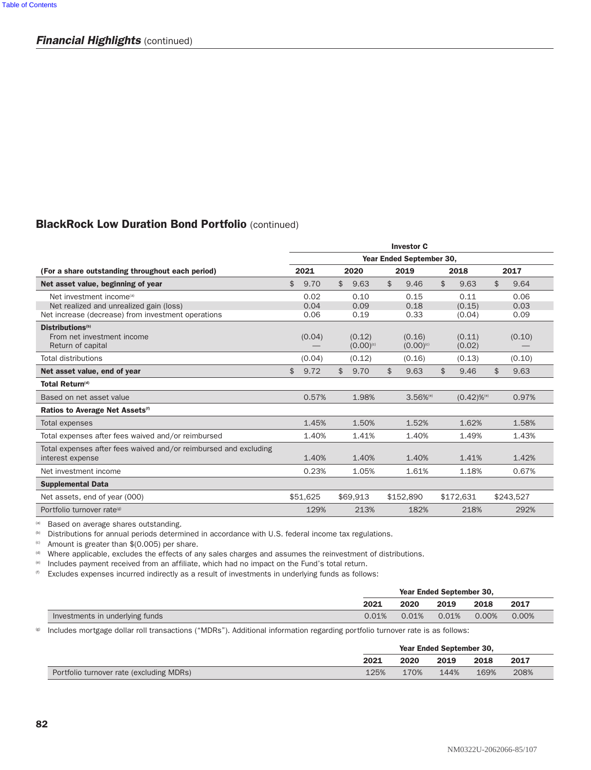# BlackRock Low Duration Bond Portfolio (continued)

|                                                                  | <b>Investor C</b> |          |                |              |                |                          |                |                            |    |           |
|------------------------------------------------------------------|-------------------|----------|----------------|--------------|----------------|--------------------------|----------------|----------------------------|----|-----------|
|                                                                  |                   |          |                |              |                | Year Ended September 30, |                |                            |    |           |
| (For a share outstanding throughout each period)                 |                   | 2021     |                | 2020         | 2019           |                          | 2018           |                            |    | 2017      |
| Net asset value, beginning of year                               | $\mathfrak{P}$    | 9.70     | $\mathfrak{P}$ | 9.63         | $\mathfrak{P}$ | 9.46                     | $\mathfrak{L}$ | 9.63                       | \$ | 9.64      |
| Net investment income <sup>(a)</sup>                             |                   | 0.02     |                | 0.10         |                | 0.15                     |                | 0.11                       |    | 0.06      |
| Net realized and unrealized gain (loss)                          |                   | 0.04     |                | 0.09         |                | 0.18                     |                | (0.15)                     |    | 0.03      |
| Net increase (decrease) from investment operations               |                   | 0.06     |                | 0.19         |                | 0.33                     |                | (0.04)                     |    | 0.09      |
| Distributions <sup>(b)</sup>                                     |                   |          |                |              |                |                          |                |                            |    |           |
| From net investment income                                       |                   | (0.04)   |                | (0.12)       |                | (0.16)                   |                | (0.11)                     |    | (0.10)    |
| Return of capital                                                |                   |          |                | $(0.00)^{c}$ |                | $(0.00)^{(c)}$           |                | (0.02)                     |    |           |
| <b>Total distributions</b>                                       |                   | (0.04)   |                | (0.12)       |                | (0.16)                   |                | (0.13)                     |    | (0.10)    |
| Net asset value, end of year                                     | \$                | 9.72     | $\mathfrak{P}$ | 9.70         | $\mathfrak{L}$ | 9.63                     | $\mathfrak{L}$ | 9.46                       | \$ | 9.63      |
| Total Return <sup>(d)</sup>                                      |                   |          |                |              |                |                          |                |                            |    |           |
| Based on net asset value                                         |                   | 0.57%    |                | 1.98%        |                | $3.56%$ <sup>(e)</sup>   |                | $(0.42) \%$ <sup>(e)</sup> |    | 0.97%     |
| Ratios to Average Net Assets <sup>(f)</sup>                      |                   |          |                |              |                |                          |                |                            |    |           |
| Total expenses                                                   |                   | 1.45%    |                | 1.50%        |                | 1.52%                    |                | 1.62%                      |    | 1.58%     |
| Total expenses after fees waived and/or reimbursed               |                   | 1.40%    |                | 1.41%        |                | 1.40%                    |                | 1.49%                      |    | 1.43%     |
| Total expenses after fees waived and/or reimbursed and excluding |                   |          |                |              |                |                          |                |                            |    |           |
| interest expense                                                 |                   | 1.40%    |                | 1.40%        |                | 1.40%                    |                | 1.41%                      |    | 1.42%     |
| Net investment income                                            |                   | 0.23%    |                | 1.05%        |                | 1.61%                    |                | 1.18%                      |    | 0.67%     |
| <b>Supplemental Data</b>                                         |                   |          |                |              |                |                          |                |                            |    |           |
| Net assets, end of year (000)                                    |                   | \$51,625 |                | \$69,913     |                | \$152,890                |                | \$172.631                  |    | \$243.527 |
| Portfolio turnover rate®                                         |                   | 129%     |                | 213%         |                | 182%                     |                | 218%                       |    | 292%      |

(a) Based on average shares outstanding.

(b) Distributions for annual periods determined in accordance with U.S. federal income tax regulations.

 $($ c) Amount is greater than \$(0.005) per share.

(d) Where applicable, excludes the effects of any sales charges and assumes the reinvestment of distributions.

(e) Includes payment received from an affiliate, which had no impact on the Fund's total return.

 $<sup>(f)</sup>$  Excludes expenses incurred indirectly as a result of investments in underlying funds as follows:</sup>

|                                 | Year Ended September 30, |       |       |          |          |  |  |  |
|---------------------------------|--------------------------|-------|-------|----------|----------|--|--|--|
|                                 | 2021                     | 2020  | 2019  | 2018     | 2017     |  |  |  |
| Investments in underlying funds | 0.01%                    | 0.01% | 0.01% | $0.00\%$ | $0.00\%$ |  |  |  |

(g) Includes mortgage dollar roll transactions ("MDRs"). Additional information regarding portfolio turnover rate is as follows:

|                                          | Year Ended September 30, |      |      |      |      |  |  |  |
|------------------------------------------|--------------------------|------|------|------|------|--|--|--|
|                                          | 2021                     | 2020 | 2019 | 2018 | 2017 |  |  |  |
| Portfolio turnover rate (excluding MDRs) | 125%                     | 170% | 144% | 169% | 208% |  |  |  |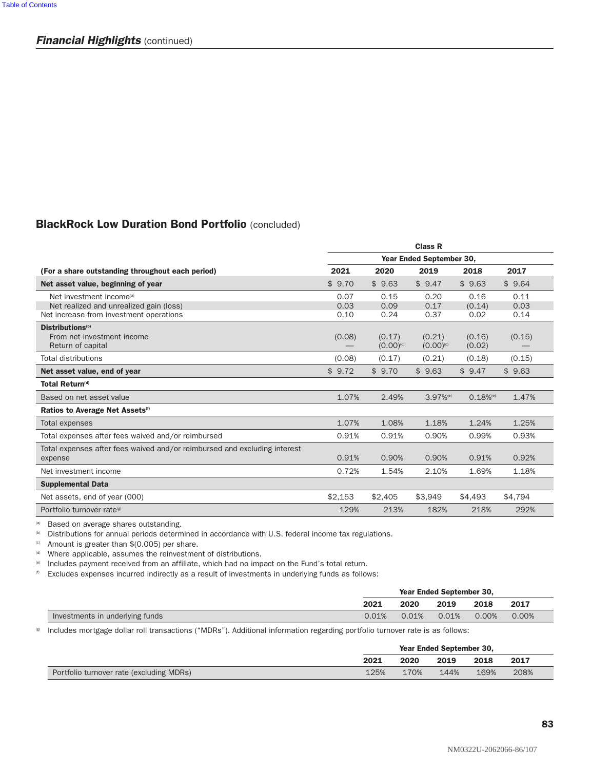# BlackRock Low Duration Bond Portfolio (concluded)

|                                                                                      | <b>Class R</b> |                        |                          |                        |         |  |  |  |  |  |
|--------------------------------------------------------------------------------------|----------------|------------------------|--------------------------|------------------------|---------|--|--|--|--|--|
|                                                                                      |                |                        | Year Ended September 30, |                        |         |  |  |  |  |  |
| (For a share outstanding throughout each period)                                     | 2021           | 2020                   | 2019                     | 2018                   | 2017    |  |  |  |  |  |
| Net asset value, beginning of year                                                   | \$9.70         | \$9.63                 | \$9.47                   | \$9.63                 | \$9.64  |  |  |  |  |  |
| Net investment income <sup>(a)</sup>                                                 | 0.07           | 0.15                   | 0.20                     | 0.16                   | 0.11    |  |  |  |  |  |
| Net realized and unrealized gain (loss)                                              | 0.03           | 0.09                   | 0.17                     | (0.14)                 | 0.03    |  |  |  |  |  |
| Net increase from investment operations                                              | 0.10           | 0.24                   | 0.37                     | 0.02                   | 0.14    |  |  |  |  |  |
| Distributions <sup>(b)</sup><br>From net investment income<br>Return of capital      | (0.08)         | (0.17)<br>$(0.00)^{c}$ | (0.21)<br>$(0.00)^{c}$   | (0.16)<br>(0.02)       | (0.15)  |  |  |  |  |  |
| <b>Total distributions</b>                                                           | (0.08)         | (0.17)                 | (0.21)                   | (0.18)                 | (0.15)  |  |  |  |  |  |
| Net asset value, end of year                                                         | \$9.72         | \$9.70                 | \$9.63                   | \$9.47                 | \$9.63  |  |  |  |  |  |
| Total Return <sup>(d)</sup>                                                          |                |                        |                          |                        |         |  |  |  |  |  |
| Based on net asset value                                                             | 1.07%          | 2.49%                  | 3.97% <sup>(e)</sup>     | $0.18%$ <sup>(e)</sup> | 1.47%   |  |  |  |  |  |
| Ratios to Average Net Assets <sup>(f)</sup>                                          |                |                        |                          |                        |         |  |  |  |  |  |
| Total expenses                                                                       | 1.07%          | 1.08%                  | 1.18%                    | 1.24%                  | 1.25%   |  |  |  |  |  |
| Total expenses after fees waived and/or reimbursed                                   | 0.91%          | 0.91%                  | 0.90%                    | 0.99%                  | 0.93%   |  |  |  |  |  |
| Total expenses after fees waived and/or reimbursed and excluding interest<br>expense | 0.91%          | 0.90%                  | 0.90%                    | 0.91%                  | 0.92%   |  |  |  |  |  |
| Net investment income                                                                | 0.72%          | 1.54%                  | 2.10%                    | 1.69%                  | 1.18%   |  |  |  |  |  |
| <b>Supplemental Data</b>                                                             |                |                        |                          |                        |         |  |  |  |  |  |
| Net assets, end of year (000)                                                        | \$2,153        | \$2,405                | \$3.949                  | \$4,493                | \$4.794 |  |  |  |  |  |
| Portfolio turnover rate®                                                             | 129%           | 213%                   | 182%                     | 218%                   | 292%    |  |  |  |  |  |

(a) Based on average shares outstanding.

(b) Distributions for annual periods determined in accordance with U.S. federal income tax regulations.

 $($ c) Amount is greater than \$(0.005) per share.

(d) Where applicable, assumes the reinvestment of distributions.

(e) Includes payment received from an affiliate, which had no impact on the Fund's total return.

 $<sup>(6)</sup>$  Excludes expenses incurred indirectly as a result of investments in underlying funds as follows:</sup>

|                                 | Year Ended September 30, |       |       |       |       |  |  |
|---------------------------------|--------------------------|-------|-------|-------|-------|--|--|
|                                 | 2021                     | 2020  | 2019  | 2018  | 2017  |  |  |
| Investments in underlying funds | 0.01%                    | 0.01% | 0.01% | 0.00% | 0.00% |  |  |

(g) Includes mortgage dollar roll transactions ("MDRs"). Additional information regarding portfolio turnover rate is as follows:

|                                          |      | Year Ended September 30, |      |      |      |  |  |  |
|------------------------------------------|------|--------------------------|------|------|------|--|--|--|
|                                          | 2021 | 2020                     | 2019 | 2018 | 2017 |  |  |  |
| Portfolio turnover rate (excluding MDRs) | 125% | 170%                     | 144% | 169% | 208% |  |  |  |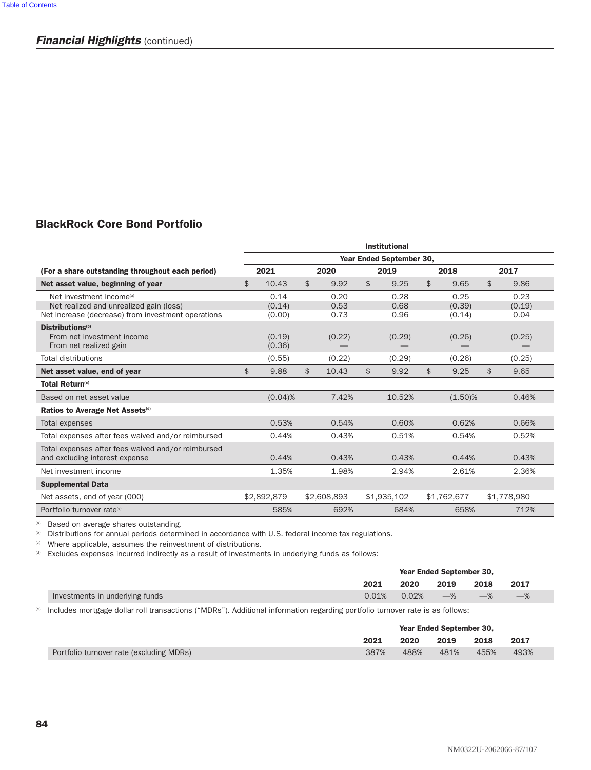# BlackRock Core Bond Portfolio

|                                                    | <b>Institutional</b>     |             |                |             |                |             |                |             |                |             |  |
|----------------------------------------------------|--------------------------|-------------|----------------|-------------|----------------|-------------|----------------|-------------|----------------|-------------|--|
|                                                    | Year Ended September 30, |             |                |             |                |             |                |             |                |             |  |
| (For a share outstanding throughout each period)   | 2021                     |             |                | 2020        | 2019           |             | 2018           |             |                | 2017        |  |
| Net asset value, beginning of year                 | \$                       | 10.43       | $\mathfrak{P}$ | 9.92        | \$             | 9.25        | $\mathfrak{P}$ | 9.65        | $\mathfrak{P}$ | 9.86        |  |
| Net investment income <sup>(a)</sup>               |                          | 0.14        |                | 0.20        |                | 0.28        |                | 0.25        |                | 0.23        |  |
| Net realized and unrealized gain (loss)            |                          | (0.14)      |                | 0.53        |                | 0.68        |                | (0.39)      |                | (0.19)      |  |
| Net increase (decrease) from investment operations |                          | (0.00)      |                | 0.73        |                | 0.96        |                | (0.14)      |                | 0.04        |  |
| Distributions <sup>(b)</sup>                       |                          |             |                |             |                |             |                |             |                |             |  |
| From net investment income                         |                          | (0.19)      |                | (0.22)      |                | (0.29)      |                | (0.26)      |                | (0.25)      |  |
| From net realized gain                             |                          | (0.36)      |                |             |                |             |                |             |                |             |  |
| Total distributions                                |                          | (0.55)      |                | (0.22)      |                | (0.29)      |                | (0.26)      |                | (0.25)      |  |
| Net asset value, end of year                       | \$                       | 9.88        | $\mathfrak{P}$ | 10.43       | $$\mathbb{S}$$ | 9.92        | $\mathfrak{P}$ | 9.25        | \$             | 9.65        |  |
| Total Return <sup>(c)</sup>                        |                          |             |                |             |                |             |                |             |                |             |  |
| Based on net asset value                           |                          | (0.04)%     |                | 7.42%       |                | 10.52%      |                | $(1.50)\%$  |                | 0.46%       |  |
| Ratios to Average Net Assets <sup>(d)</sup>        |                          |             |                |             |                |             |                |             |                |             |  |
| Total expenses                                     |                          | 0.53%       |                | 0.54%       |                | 0.60%       |                | 0.62%       |                | 0.66%       |  |
| Total expenses after fees waived and/or reimbursed |                          | 0.44%       |                | 0.43%       |                | 0.51%       |                | 0.54%       |                | 0.52%       |  |
| Total expenses after fees waived and/or reimbursed |                          |             |                |             |                |             |                |             |                |             |  |
| and excluding interest expense                     |                          | 0.44%       |                | 0.43%       |                | 0.43%       |                | 0.44%       |                | 0.43%       |  |
| Net investment income                              |                          | 1.35%       |                | 1.98%       |                | 2.94%       |                | 2.61%       |                | 2.36%       |  |
| <b>Supplemental Data</b>                           |                          |             |                |             |                |             |                |             |                |             |  |
| Net assets, end of year (000)                      |                          | \$2,892,879 |                | \$2,608,893 |                | \$1,935,102 |                | \$1,762,677 |                | \$1,778,980 |  |
| Portfolio turnover rate <sup>(e)</sup>             |                          | 585%        |                | 692%        |                | 684%        |                | 658%        |                | 712%        |  |

(a) Based on average shares outstanding.

(b) Distributions for annual periods determined in accordance with U.S. federal income tax regulations.

(c) Where applicable, assumes the reinvestment of distributions.

(d) Excludes expenses incurred indirectly as a result of investments in underlying funds as follows:

|                                 |       | Year Ended September 30, |       |      |       |  |  |  |
|---------------------------------|-------|--------------------------|-------|------|-------|--|--|--|
|                                 | 2021  | 2020                     | 2019  | 2018 | 2017  |  |  |  |
| Investments in underlying funds | 0.01% | 0.02%                    | $-\%$ | —%   | $-\%$ |  |  |  |

(e) Includes mortgage dollar roll transactions ("MDRs"). Additional information regarding portfolio turnover rate is as follows:

|                                          |      | Year Ended September 30, |      |      |      |  |  |  |
|------------------------------------------|------|--------------------------|------|------|------|--|--|--|
|                                          | 2021 | 2020                     | 2019 | 2018 | 2017 |  |  |  |
| Portfolio turnover rate (excluding MDRs) | 387% | 488%                     | 481% | 455% | 493% |  |  |  |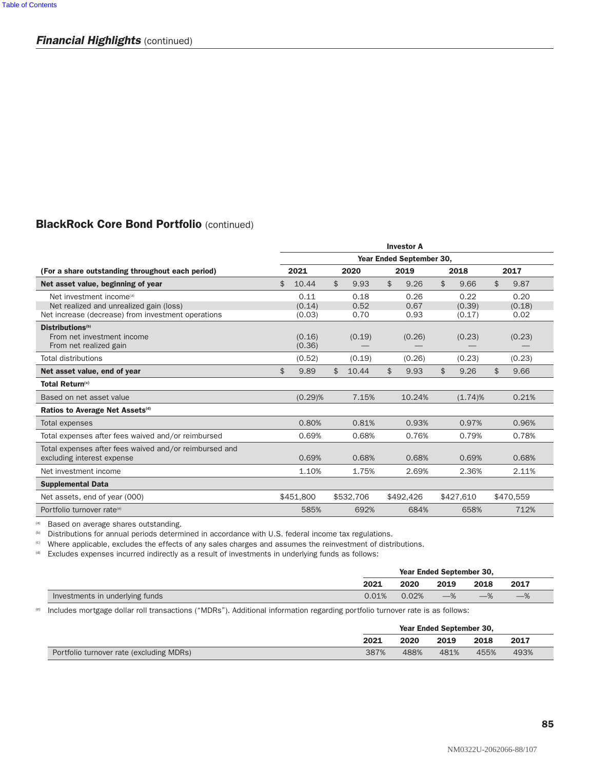# BlackRock Core Bond Portfolio (continued)

|                                                                                      | <b>Investor A</b>        |                  |                |           |                |           |                |           |                |           |
|--------------------------------------------------------------------------------------|--------------------------|------------------|----------------|-----------|----------------|-----------|----------------|-----------|----------------|-----------|
|                                                                                      | Year Ended September 30, |                  |                |           |                |           |                |           |                |           |
| (For a share outstanding throughout each period)                                     |                          | 2021             | 2020           |           | 2019           |           | 2018           |           | 2017           |           |
| Net asset value, beginning of year                                                   | $\mathfrak{L}$           | 10.44            | $\mathfrak{L}$ | 9.93      | $\mathfrak{P}$ | 9.26      | \$             | 9.66      | $\mathfrak{P}$ | 9.87      |
| Net investment income <sup>(a)</sup>                                                 |                          | 0.11             |                | 0.18      |                | 0.26      |                | 0.22      |                | 0.20      |
| Net realized and unrealized gain (loss)                                              |                          | (0.14)           |                | 0.52      |                | 0.67      |                | (0.39)    |                | (0.18)    |
| Net increase (decrease) from investment operations                                   |                          | (0.03)           |                | 0.70      |                | 0.93      |                | (0.17)    |                | 0.02      |
| Distributions <sup>(b)</sup><br>From net investment income<br>From net realized gain |                          | (0.16)<br>(0.36) |                | (0.19)    |                | (0.26)    |                | (0.23)    |                | (0.23)    |
| Total distributions                                                                  |                          | (0.52)           |                | (0.19)    |                | (0.26)    |                | (0.23)    |                | (0.23)    |
| Net asset value, end of year                                                         | \$                       | 9.89             | \$             | 10.44     | $\mathfrak{P}$ | 9.93      | $\mathfrak{P}$ | 9.26      | $\mathfrak{P}$ | 9.66      |
| Total Return <sup>(c)</sup>                                                          |                          |                  |                |           |                |           |                |           |                |           |
| Based on net asset value                                                             |                          | $(0.29)$ %       |                | 7.15%     |                | 10.24%    |                | (1.74)%   |                | 0.21%     |
| Ratios to Average Net Assets <sup>(d)</sup>                                          |                          |                  |                |           |                |           |                |           |                |           |
| <b>Total expenses</b>                                                                |                          | 0.80%            |                | 0.81%     |                | 0.93%     |                | 0.97%     |                | 0.96%     |
| Total expenses after fees waived and/or reimbursed                                   |                          | 0.69%            |                | 0.68%     |                | 0.76%     |                | 0.79%     |                | 0.78%     |
| Total expenses after fees waived and/or reimbursed and<br>excluding interest expense |                          | 0.69%            |                | 0.68%     |                | 0.68%     |                | 0.69%     |                | 0.68%     |
| Net investment income                                                                |                          | 1.10%            |                | 1.75%     |                | 2.69%     |                | 2.36%     |                | 2.11%     |
| <b>Supplemental Data</b>                                                             |                          |                  |                |           |                |           |                |           |                |           |
| Net assets, end of year (000)                                                        |                          | \$451,800        |                | \$532,706 |                | \$492,426 |                | \$427,610 |                | \$470,559 |
| Portfolio turnover rate <sup>(e)</sup>                                               |                          | 585%             |                | 692%      |                | 684%      |                | 658%      |                | 712%      |

(a) Based on average shares outstanding.

(b) Distributions for annual periods determined in accordance with U.S. federal income tax regulations.

<sup>(c)</sup> Where applicable, excludes the effects of any sales charges and assumes the reinvestment of distributions.

(d) Excludes expenses incurred indirectly as a result of investments in underlying funds as follows:

|                                 |       | <b>Year Ended September 30.</b> |       |      |       |  |  |  |
|---------------------------------|-------|---------------------------------|-------|------|-------|--|--|--|
|                                 | 2021  | 2020                            | 2019  | 2018 | 2017  |  |  |  |
| Investments in underlying funds | 0.01% | 0.02%                           | $-\%$ |      | $-\%$ |  |  |  |

(e) Includes mortgage dollar roll transactions ("MDRs"). Additional information regarding portfolio turnover rate is as follows:

|                                          |      | Year Ended September 30, |      |      |      |  |  |  |
|------------------------------------------|------|--------------------------|------|------|------|--|--|--|
|                                          | 2021 | 2020                     | 2019 | 2018 | 2017 |  |  |  |
| Portfolio turnover rate (excluding MDRs) | 387% | 488%                     | 481% | 455% | 493% |  |  |  |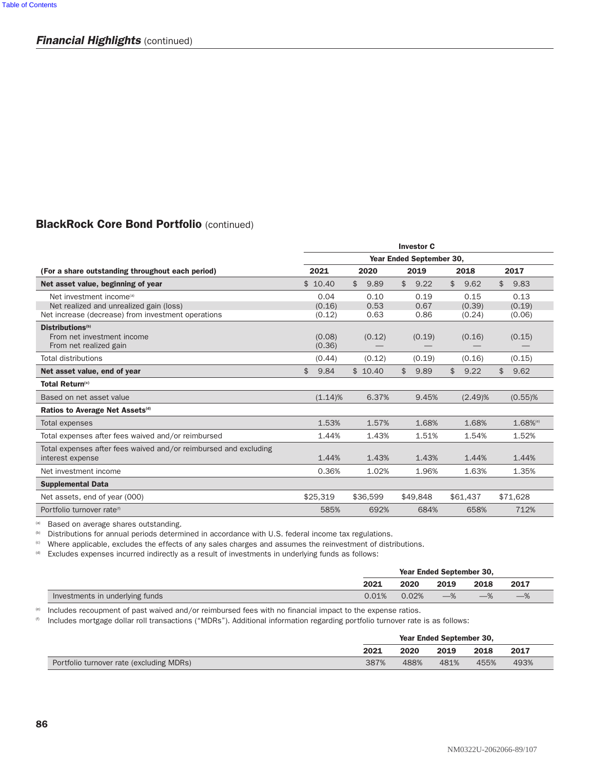## BlackRock Core Bond Portfolio (continued)

|                                                                                      | <b>Investor C</b>      |                     |                          |                        |                        |  |  |  |  |
|--------------------------------------------------------------------------------------|------------------------|---------------------|--------------------------|------------------------|------------------------|--|--|--|--|
|                                                                                      |                        |                     | Year Ended September 30, |                        |                        |  |  |  |  |
| (For a share outstanding throughout each period)                                     | 2021                   | 2020                | 2019                     | 2018                   | 2017                   |  |  |  |  |
| Net asset value, beginning of year                                                   | \$10.40                | $$^{\circ}$<br>9.89 | \$<br>9.22               | \$<br>9.62             | \$<br>9.83             |  |  |  |  |
| Net investment income <sup>(a)</sup>                                                 | 0.04                   | 0.10                | 0.19                     | 0.15                   | 0.13                   |  |  |  |  |
| Net realized and unrealized gain (loss)                                              | (0.16)                 | 0.53                | 0.67                     | (0.39)                 | (0.19)                 |  |  |  |  |
| Net increase (decrease) from investment operations                                   | (0.12)                 | 0.63                | 0.86                     | (0.24)                 | (0.06)                 |  |  |  |  |
| Distributions <sup>(b)</sup><br>From net investment income<br>From net realized gain | (0.08)<br>(0.36)       | (0.12)              | (0.19)                   | (0.16)                 | (0.15)                 |  |  |  |  |
| Total distributions                                                                  | (0.44)                 | (0.12)              | (0.19)                   | (0.16)                 | (0.15)                 |  |  |  |  |
| Net asset value, end of year                                                         | $\mathfrak{P}$<br>9.84 | \$10.40             | $$^{\circ}$<br>9.89      | $\mathfrak{P}$<br>9.22 | \$<br>9.62             |  |  |  |  |
| Total Return <sup>(c)</sup>                                                          |                        |                     |                          |                        |                        |  |  |  |  |
| Based on net asset value                                                             | (1.14)%                | 6.37%               | 9.45%                    | (2.49)%                | $(0.55)$ %             |  |  |  |  |
| Ratios to Average Net Assets <sup>(d)</sup>                                          |                        |                     |                          |                        |                        |  |  |  |  |
| <b>Total expenses</b>                                                                | 1.53%                  | 1.57%               | 1.68%                    | 1.68%                  | $1.68%$ <sup>(e)</sup> |  |  |  |  |
| Total expenses after fees waived and/or reimbursed                                   | 1.44%                  | 1.43%               | 1.51%                    | 1.54%                  | 1.52%                  |  |  |  |  |
| Total expenses after fees waived and/or reimbursed and excluding<br>interest expense | 1.44%                  | 1.43%               | 1.43%                    | 1.44%                  | 1.44%                  |  |  |  |  |
| Net investment income                                                                | 0.36%                  | 1.02%               | 1.96%                    | 1.63%                  | 1.35%                  |  |  |  |  |
| <b>Supplemental Data</b>                                                             |                        |                     |                          |                        |                        |  |  |  |  |
| Net assets, end of year (000)                                                        | \$25,319               | \$36,599            | \$49.848                 | \$61,437               | \$71,628               |  |  |  |  |
| Portfolio turnover rate <sup>(f)</sup>                                               | 585%                   | 692%                | 684%                     | 658%                   | 712%                   |  |  |  |  |

(a) Based on average shares outstanding.

(b) Distributions for annual periods determined in accordance with U.S. federal income tax regulations.

<sup>(c)</sup> Where applicable, excludes the effects of any sales charges and assumes the reinvestment of distributions.

(d) Excludes expenses incurred indirectly as a result of investments in underlying funds as follows:

|                                 |       | Year Ended September 30, |      |       |      |  |  |  |
|---------------------------------|-------|--------------------------|------|-------|------|--|--|--|
|                                 | 2021  | 2020                     | 2019 | 2018  | 2017 |  |  |  |
| Investments in underlying funds | 0.01% | 0.02%                    | —%   | $-\%$ |      |  |  |  |

(e) Includes recoupment of past waived and/or reimbursed fees with no financial impact to the expense ratios.

 $<sup>(6)</sup>$  Includes mortgage dollar roll transactions ("MDRs"). Additional information regarding portfolio turnover rate is as follows:</sup>

|                                          |      | Year Ended September 30, |      |      |      |  |  |  |
|------------------------------------------|------|--------------------------|------|------|------|--|--|--|
|                                          | 2021 | 2020                     | 2019 | 2018 | 2017 |  |  |  |
| Portfolio turnover rate (excluding MDRs) | 387% | 488%                     | 481% | 455% | 493% |  |  |  |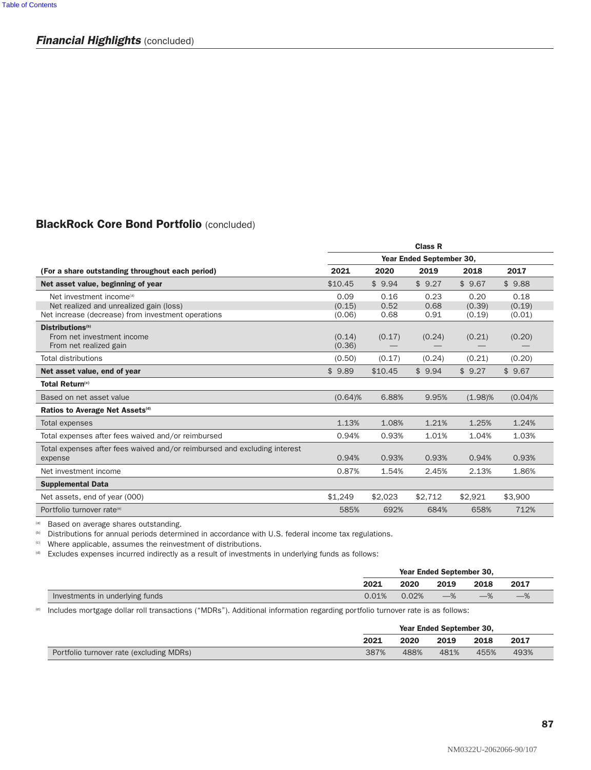# BlackRock Core Bond Portfolio (concluded)

|                                                                           | <b>Class R</b>           |         |         |            |            |  |  |  |
|---------------------------------------------------------------------------|--------------------------|---------|---------|------------|------------|--|--|--|
|                                                                           | Year Ended September 30, |         |         |            |            |  |  |  |
| (For a share outstanding throughout each period)                          | 2021                     | 2020    | 2019    | 2018       | 2017       |  |  |  |
| Net asset value, beginning of year                                        | \$10.45                  | \$9.94  | \$9.27  | \$9.67     | \$9.88     |  |  |  |
| Net investment income <sup>(a)</sup>                                      | 0.09                     | 0.16    | 0.23    | 0.20       | 0.18       |  |  |  |
| Net realized and unrealized gain (loss)                                   | (0.15)                   | 0.52    | 0.68    | (0.39)     | (0.19)     |  |  |  |
| Net increase (decrease) from investment operations                        | (0.06)                   | 0.68    | 0.91    | (0.19)     | (0.01)     |  |  |  |
| Distributions <sup>(b)</sup>                                              |                          |         |         |            |            |  |  |  |
| From net investment income                                                | (0.14)                   | (0.17)  | (0.24)  | (0.21)     | (0.20)     |  |  |  |
| From net realized gain                                                    | (0.36)                   |         |         |            |            |  |  |  |
| Total distributions                                                       | (0.50)                   | (0.17)  | (0.24)  | (0.21)     | (0.20)     |  |  |  |
| Net asset value, end of year                                              | \$9.89                   | \$10.45 | \$9.94  | \$9.27     | \$9.67     |  |  |  |
| Total Return(c)                                                           |                          |         |         |            |            |  |  |  |
| Based on net asset value                                                  | $(0.64)$ %               | 6.88%   | 9.95%   | $(1.98)\%$ | $(0.04)$ % |  |  |  |
| Ratios to Average Net Assets <sup>(d)</sup>                               |                          |         |         |            |            |  |  |  |
| Total expenses                                                            | 1.13%                    | 1.08%   | 1.21%   | 1.25%      | 1.24%      |  |  |  |
| Total expenses after fees waived and/or reimbursed                        | 0.94%                    | 0.93%   | 1.01%   | 1.04%      | 1.03%      |  |  |  |
| Total expenses after fees waived and/or reimbursed and excluding interest |                          |         |         |            |            |  |  |  |
| expense                                                                   | 0.94%                    | 0.93%   | 0.93%   | 0.94%      | 0.93%      |  |  |  |
| Net investment income                                                     | 0.87%                    | 1.54%   | 2.45%   | 2.13%      | 1.86%      |  |  |  |
| <b>Supplemental Data</b>                                                  |                          |         |         |            |            |  |  |  |
| Net assets, end of year (000)                                             | \$1.249                  | \$2.023 | \$2,712 | \$2,921    | \$3,900    |  |  |  |
| Portfolio turnover rate <sup>(e)</sup>                                    | 585%                     | 692%    | 684%    | 658%       | 712%       |  |  |  |

(a) Based on average shares outstanding.

(b) Distributions for annual periods determined in accordance with U.S. federal income tax regulations.

(c) Where applicable, assumes the reinvestment of distributions.

(d) Excludes expenses incurred indirectly as a result of investments in underlying funds as follows:

|                                 |       | Year Ended September 30, |       |      |       |  |  |  |  |
|---------------------------------|-------|--------------------------|-------|------|-------|--|--|--|--|
|                                 | 2021  | 2020                     | 2019  | 2018 | 2017  |  |  |  |  |
| Investments in underlying funds | 0.01% | 0.02%                    | $-\%$ |      | $-\%$ |  |  |  |  |

(e) Includes mortgage dollar roll transactions ("MDRs"). Additional information regarding portfolio turnover rate is as follows:

|                                          |      | Year Ended September 30, |      |      |      |  |  |  |  |
|------------------------------------------|------|--------------------------|------|------|------|--|--|--|--|
|                                          | 2021 | 2020                     | 2019 | 2018 | 2017 |  |  |  |  |
| Portfolio turnover rate (excluding MDRs) | 387% | 488%                     | 481% | 455% | 493% |  |  |  |  |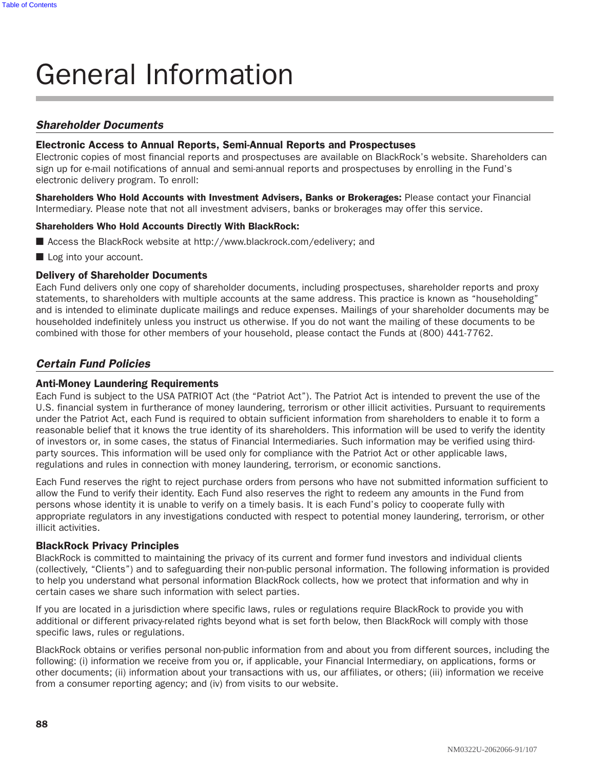# General Information

## *Shareholder Documents*

#### Electronic Access to Annual Reports, Semi-Annual Reports and Prospectuses

Electronic copies of most financial reports and prospectuses are available on BlackRock's website. Shareholders can sign up for e-mail notifications of annual and semi-annual reports and prospectuses by enrolling in the Fund's electronic delivery program. To enroll:

Shareholders Who Hold Accounts with Investment Advisers, Banks or Brokerages: Please contact your Financial Intermediary. Please note that not all investment advisers, banks or brokerages may offer this service.

#### Shareholders Who Hold Accounts Directly With BlackRock:

- Access the BlackRock website at http://www.blackrock.com/edelivery; and
- Log into your account.

### Delivery of Shareholder Documents

Each Fund delivers only one copy of shareholder documents, including prospectuses, shareholder reports and proxy statements, to shareholders with multiple accounts at the same address. This practice is known as "householding" and is intended to eliminate duplicate mailings and reduce expenses. Mailings of your shareholder documents may be householded indefinitely unless you instruct us otherwise. If you do not want the mailing of these documents to be combined with those for other members of your household, please contact the Funds at (800) 441-7762.

## *Certain Fund Policies*

### Anti-Money Laundering Requirements

Each Fund is subject to the USA PATRIOT Act (the "Patriot Act"). The Patriot Act is intended to prevent the use of the U.S. financial system in furtherance of money laundering, terrorism or other illicit activities. Pursuant to requirements under the Patriot Act, each Fund is required to obtain sufficient information from shareholders to enable it to form a reasonable belief that it knows the true identity of its shareholders. This information will be used to verify the identity of investors or, in some cases, the status of Financial Intermediaries. Such information may be verified using thirdparty sources. This information will be used only for compliance with the Patriot Act or other applicable laws, regulations and rules in connection with money laundering, terrorism, or economic sanctions.

Each Fund reserves the right to reject purchase orders from persons who have not submitted information sufficient to allow the Fund to verify their identity. Each Fund also reserves the right to redeem any amounts in the Fund from persons whose identity it is unable to verify on a timely basis. It is each Fund's policy to cooperate fully with appropriate regulators in any investigations conducted with respect to potential money laundering, terrorism, or other illicit activities.

## BlackRock Privacy Principles

BlackRock is committed to maintaining the privacy of its current and former fund investors and individual clients (collectively, "Clients") and to safeguarding their non-public personal information. The following information is provided to help you understand what personal information BlackRock collects, how we protect that information and why in certain cases we share such information with select parties.

If you are located in a jurisdiction where specific laws, rules or regulations require BlackRock to provide you with additional or different privacy-related rights beyond what is set forth below, then BlackRock will comply with those specific laws, rules or regulations.

BlackRock obtains or verifies personal non-public information from and about you from different sources, including the following: (i) information we receive from you or, if applicable, your Financial Intermediary, on applications, forms or other documents; (ii) information about your transactions with us, our affiliates, or others; (iii) information we receive from a consumer reporting agency; and (iv) from visits to our website.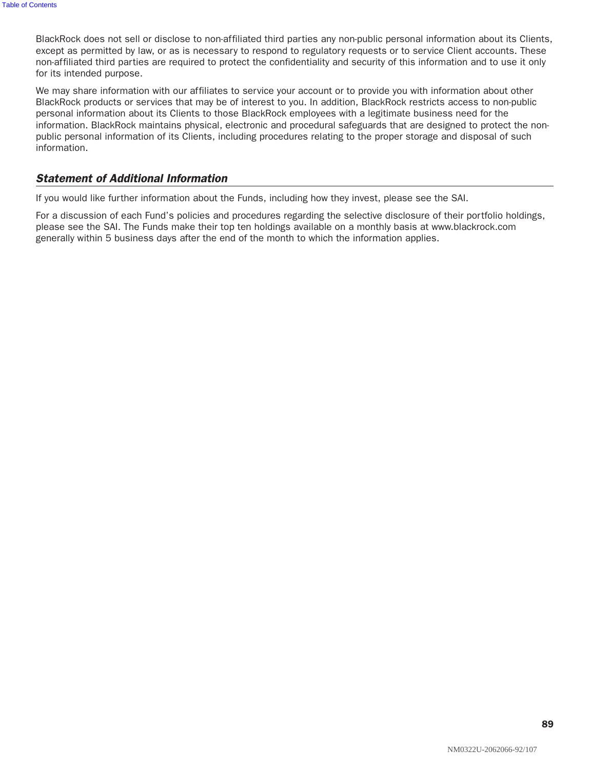BlackRock does not sell or disclose to non-affiliated third parties any non-public personal information about its Clients, except as permitted by law, or as is necessary to respond to regulatory requests or to service Client accounts. These non-affiliated third parties are required to protect the confidentiality and security of this information and to use it only for its intended purpose.

We may share information with our affiliates to service your account or to provide you with information about other BlackRock products or services that may be of interest to you. In addition, BlackRock restricts access to non-public personal information about its Clients to those BlackRock employees with a legitimate business need for the information. BlackRock maintains physical, electronic and procedural safeguards that are designed to protect the nonpublic personal information of its Clients, including procedures relating to the proper storage and disposal of such information.

# *Statement of Additional Information*

If you would like further information about the Funds, including how they invest, please see the SAI.

For a discussion of each Fund's policies and procedures regarding the selective disclosure of their portfolio holdings, please see the SAI. The Funds make their top ten holdings available on a monthly basis at www.blackrock.com generally within 5 business days after the end of the month to which the information applies.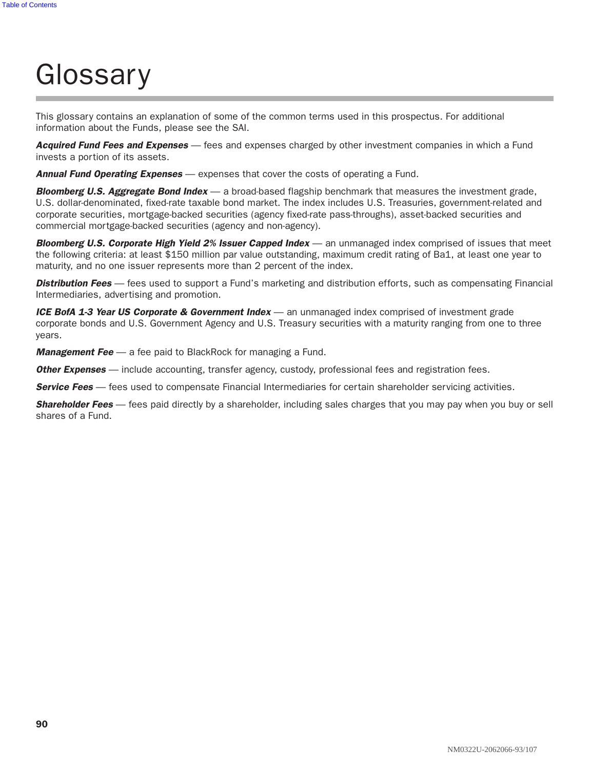# **Glossary**

This glossary contains an explanation of some of the common terms used in this prospectus. For additional information about the Funds, please see the SAI.

*Acquired Fund Fees and Expenses* — fees and expenses charged by other investment companies in which a Fund invests a portion of its assets.

*Annual Fund Operating Expenses* — expenses that cover the costs of operating a Fund.

*Bloomberg U.S. Aggregate Bond Index* — a broad-based flagship benchmark that measures the investment grade, U.S. dollar-denominated, fixed-rate taxable bond market. The index includes U.S. Treasuries, government-related and corporate securities, mortgage-backed securities (agency fixed-rate pass-throughs), asset-backed securities and commercial mortgage-backed securities (agency and non-agency).

*Bloomberg U.S. Corporate High Yield 2% Issuer Capped Index* — an unmanaged index comprised of issues that meet the following criteria: at least \$150 million par value outstanding, maximum credit rating of Ba1, at least one year to maturity, and no one issuer represents more than 2 percent of the index.

*Distribution Fees* — fees used to support a Fund's marketing and distribution efforts, such as compensating Financial Intermediaries, advertising and promotion.

*ICE BofA 1-3 Year US Corporate & Government Index* **— an unmanaged index comprised of investment grade** corporate bonds and U.S. Government Agency and U.S. Treasury securities with a maturity ranging from one to three years.

*Management Fee* — a fee paid to BlackRock for managing a Fund.

**Other Expenses** — include accounting, transfer agency, custody, professional fees and registration fees.

*Service Fees* — fees used to compensate Financial Intermediaries for certain shareholder servicing activities.

*Shareholder Fees* — fees paid directly by a shareholder, including sales charges that you may pay when you buy or sell shares of a Fund.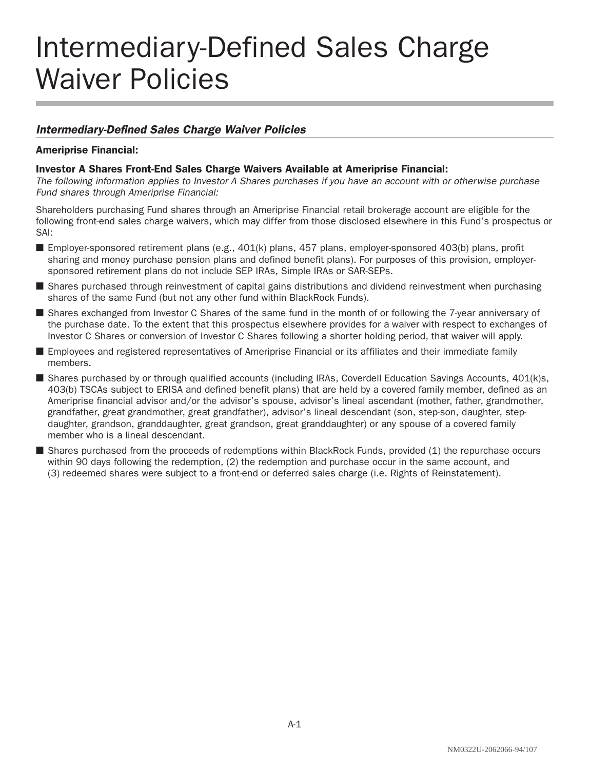# Intermediary-Defined Sales Charge Waiver Policies

# *Intermediary-Defined Sales Charge Waiver Policies*

## Ameriprise Financial:

# Investor A Shares Front-End Sales Charge Waivers Available at Ameriprise Financial:

*The following information applies to Investor A Shares purchases if you have an account with or otherwise purchase Fund shares through Ameriprise Financial:*

Shareholders purchasing Fund shares through an Ameriprise Financial retail brokerage account are eligible for the following front-end sales charge waivers, which may differ from those disclosed elsewhere in this Fund's prospectus or SAI:

- Employer-sponsored retirement plans (e.g., 401(k) plans, 457 plans, employer-sponsored 403(b) plans, profit sharing and money purchase pension plans and defined benefit plans). For purposes of this provision, employersponsored retirement plans do not include SEP IRAs, Simple IRAs or SAR-SEPs.
- Shares purchased through reinvestment of capital gains distributions and dividend reinvestment when purchasing shares of the same Fund (but not any other fund within BlackRock Funds).
- Shares exchanged from Investor C Shares of the same fund in the month of or following the 7-year anniversary of the purchase date. To the extent that this prospectus elsewhere provides for a waiver with respect to exchanges of Investor C Shares or conversion of Investor C Shares following a shorter holding period, that waiver will apply.
- Employees and registered representatives of Ameriprise Financial or its affiliates and their immediate family members.
- Shares purchased by or through qualified accounts (including IRAs, Coverdell Education Savings Accounts, 401(k)s, 403(b) TSCAs subject to ERISA and defined benefit plans) that are held by a covered family member, defined as an Ameriprise financial advisor and/or the advisor's spouse, advisor's lineal ascendant (mother, father, grandmother, grandfather, great grandmother, great grandfather), advisor's lineal descendant (son, step-son, daughter, stepdaughter, grandson, granddaughter, great grandson, great granddaughter) or any spouse of a covered family member who is a lineal descendant.
- Shares purchased from the proceeds of redemptions within BlackRock Funds, provided (1) the repurchase occurs within 90 days following the redemption, (2) the redemption and purchase occur in the same account, and (3) redeemed shares were subject to a front-end or deferred sales charge (i.e. Rights of Reinstatement).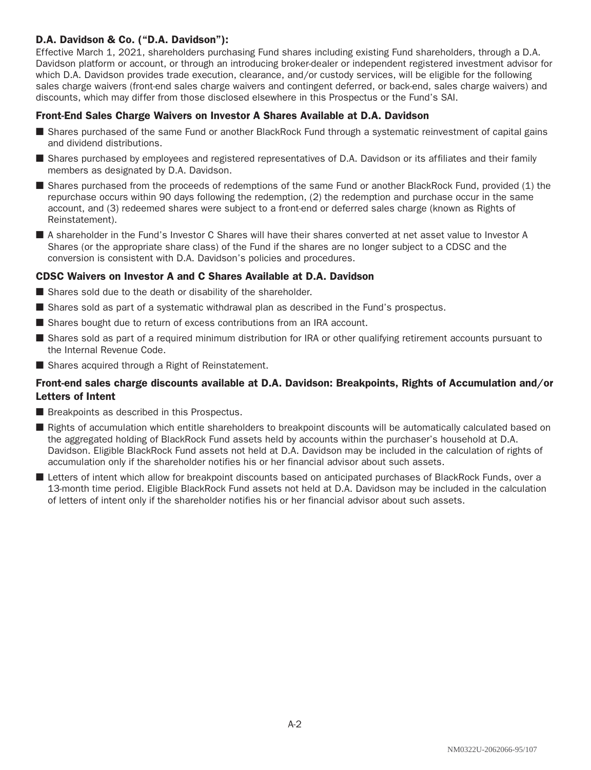## D.A. Davidson & Co. ("D.A. Davidson"):

Effective March 1, 2021, shareholders purchasing Fund shares including existing Fund shareholders, through a D.A. Davidson platform or account, or through an introducing broker-dealer or independent registered investment advisor for which D.A. Davidson provides trade execution, clearance, and/or custody services, will be eligible for the following sales charge waivers (front-end sales charge waivers and contingent deferred, or back-end, sales charge waivers) and discounts, which may differ from those disclosed elsewhere in this Prospectus or the Fund's SAI.

## Front-End Sales Charge Waivers on Investor A Shares Available at D.A. Davidson

- Shares purchased of the same Fund or another BlackRock Fund through a systematic reinvestment of capital gains and dividend distributions.
- Shares purchased by employees and registered representatives of D.A. Davidson or its affiliates and their family members as designated by D.A. Davidson.
- Shares purchased from the proceeds of redemptions of the same Fund or another BlackRock Fund, provided (1) the repurchase occurs within 90 days following the redemption, (2) the redemption and purchase occur in the same account, and (3) redeemed shares were subject to a front-end or deferred sales charge (known as Rights of Reinstatement).
- A shareholder in the Fund's Investor C Shares will have their shares converted at net asset value to Investor A Shares (or the appropriate share class) of the Fund if the shares are no longer subject to a CDSC and the conversion is consistent with D.A. Davidson's policies and procedures.

### CDSC Waivers on Investor A and C Shares Available at D.A. Davidson

- Shares sold due to the death or disability of the shareholder.
- **Shares sold as part of a systematic withdrawal plan as described in the Fund's prospectus.**
- Shares bought due to return of excess contributions from an IRA account.
- Shares sold as part of a required minimum distribution for IRA or other qualifying retirement accounts pursuant to the Internal Revenue Code.
- Shares acquired through a Right of Reinstatement.

## Front-end sales charge discounts available at D.A. Davidson: Breakpoints, Rights of Accumulation and/or Letters of Intent

- **Breakpoints as described in this Prospectus.**
- Rights of accumulation which entitle shareholders to breakpoint discounts will be automatically calculated based on the aggregated holding of BlackRock Fund assets held by accounts within the purchaser's household at D.A. Davidson. Eligible BlackRock Fund assets not held at D.A. Davidson may be included in the calculation of rights of accumulation only if the shareholder notifies his or her financial advisor about such assets.
- Letters of intent which allow for breakpoint discounts based on anticipated purchases of BlackRock Funds, over a 13-month time period. Eligible BlackRock Fund assets not held at D.A. Davidson may be included in the calculation of letters of intent only if the shareholder notifies his or her financial advisor about such assets.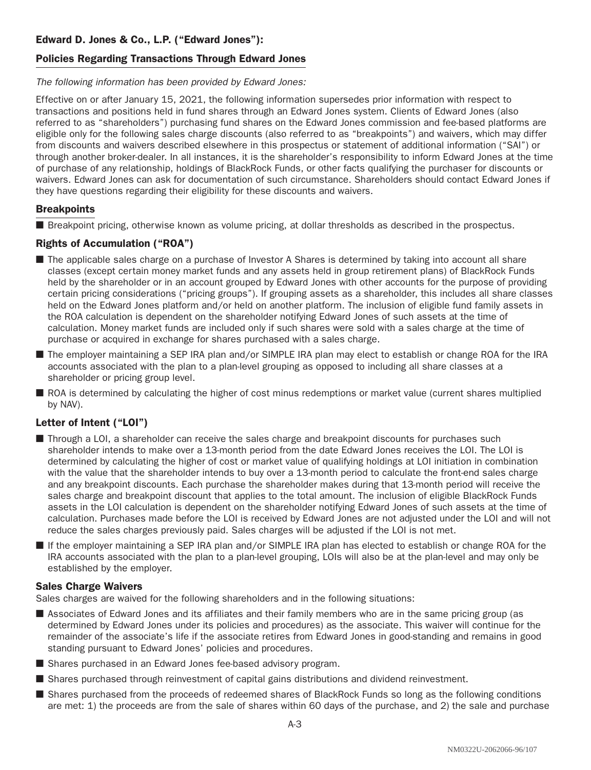# Edward D. Jones & Co., L.P. ("Edward Jones"):

## Policies Regarding Transactions Through Edward Jones

#### *The following information has been provided by Edward Jones:*

Effective on or after January 15, 2021, the following information supersedes prior information with respect to transactions and positions held in fund shares through an Edward Jones system. Clients of Edward Jones (also referred to as "shareholders") purchasing fund shares on the Edward Jones commission and fee-based platforms are eligible only for the following sales charge discounts (also referred to as "breakpoints") and waivers, which may differ from discounts and waivers described elsewhere in this prospectus or statement of additional information ("SAI") or through another broker-dealer. In all instances, it is the shareholder's responsibility to inform Edward Jones at the time of purchase of any relationship, holdings of BlackRock Funds, or other facts qualifying the purchaser for discounts or waivers. Edward Jones can ask for documentation of such circumstance. Shareholders should contact Edward Jones if they have questions regarding their eligibility for these discounts and waivers.

## **Breakpoints**

**E** Breakpoint pricing, otherwise known as volume pricing, at dollar thresholds as described in the prospectus.

## Rights of Accumulation ("ROA")

- The applicable sales charge on a purchase of Investor A Shares is determined by taking into account all share classes (except certain money market funds and any assets held in group retirement plans) of BlackRock Funds held by the shareholder or in an account grouped by Edward Jones with other accounts for the purpose of providing certain pricing considerations ("pricing groups"). If grouping assets as a shareholder, this includes all share classes held on the Edward Jones platform and/or held on another platform. The inclusion of eligible fund family assets in the ROA calculation is dependent on the shareholder notifying Edward Jones of such assets at the time of calculation. Money market funds are included only if such shares were sold with a sales charge at the time of purchase or acquired in exchange for shares purchased with a sales charge.
- The employer maintaining a SEP IRA plan and/or SIMPLE IRA plan may elect to establish or change ROA for the IRA accounts associated with the plan to a plan-level grouping as opposed to including all share classes at a shareholder or pricing group level.
- ROA is determined by calculating the higher of cost minus redemptions or market value (current shares multiplied by NAV).

## Letter of Intent ("LOI")

- **Through a LOI, a shareholder can receive the sales charge and breakpoint discounts for purchases such** shareholder intends to make over a 13-month period from the date Edward Jones receives the LOI. The LOI is determined by calculating the higher of cost or market value of qualifying holdings at LOI initiation in combination with the value that the shareholder intends to buy over a 13-month period to calculate the front-end sales charge and any breakpoint discounts. Each purchase the shareholder makes during that 13-month period will receive the sales charge and breakpoint discount that applies to the total amount. The inclusion of eligible BlackRock Funds assets in the LOI calculation is dependent on the shareholder notifying Edward Jones of such assets at the time of calculation. Purchases made before the LOI is received by Edward Jones are not adjusted under the LOI and will not reduce the sales charges previously paid. Sales charges will be adjusted if the LOI is not met.
- If the employer maintaining a SEP IRA plan and/or SIMPLE IRA plan has elected to establish or change ROA for the IRA accounts associated with the plan to a plan-level grouping, LOIs will also be at the plan-level and may only be established by the employer.

### Sales Charge Waivers

Sales charges are waived for the following shareholders and in the following situations:

- Associates of Edward Jones and its affiliates and their family members who are in the same pricing group (as determined by Edward Jones under its policies and procedures) as the associate. This waiver will continue for the remainder of the associate's life if the associate retires from Edward Jones in good-standing and remains in good standing pursuant to Edward Jones' policies and procedures.
- Shares purchased in an Edward Jones fee-based advisory program.
- **Shares purchased through reinvestment of capital gains distributions and dividend reinvestment.**
- Shares purchased from the proceeds of redeemed shares of BlackRock Funds so long as the following conditions are met: 1) the proceeds are from the sale of shares within 60 days of the purchase, and 2) the sale and purchase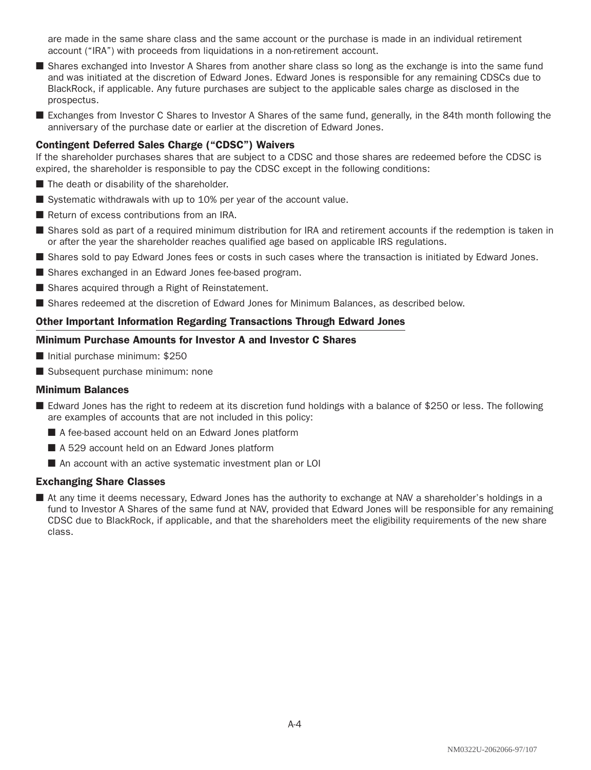are made in the same share class and the same account or the purchase is made in an individual retirement account ("IRA") with proceeds from liquidations in a non-retirement account.

- **Shares exchanged into Investor A Shares from another share class so long as the exchange is into the same fund** and was initiated at the discretion of Edward Jones. Edward Jones is responsible for any remaining CDSCs due to BlackRock, if applicable. Any future purchases are subject to the applicable sales charge as disclosed in the prospectus.
- Exchanges from Investor C Shares to Investor A Shares of the same fund, generally, in the 84th month following the anniversary of the purchase date or earlier at the discretion of Edward Jones.

#### Contingent Deferred Sales Charge ("CDSC") Waivers

If the shareholder purchases shares that are subject to a CDSC and those shares are redeemed before the CDSC is expired, the shareholder is responsible to pay the CDSC except in the following conditions:

- The death or disability of the shareholder.
- Systematic withdrawals with up to 10% per year of the account value.
- Return of excess contributions from an IRA.
- Shares sold as part of a required minimum distribution for IRA and retirement accounts if the redemption is taken in or after the year the shareholder reaches qualified age based on applicable IRS regulations.
- Shares sold to pay Edward Jones fees or costs in such cases where the transaction is initiated by Edward Jones.
- Shares exchanged in an Edward Jones fee-based program.
- Shares acquired through a Right of Reinstatement.
- **Shares redeemed at the discretion of Edward Jones for Minimum Balances, as described below.**

#### Other Important Information Regarding Transactions Through Edward Jones

#### Minimum Purchase Amounts for Investor A and Investor C Shares

- Initial purchase minimum: \$250
- Subsequent purchase minimum: none

#### Minimum Balances

- Edward Jones has the right to redeem at its discretion fund holdings with a balance of \$250 or less. The following are examples of accounts that are not included in this policy:
	- A fee-based account held on an Edward Jones platform
	- A 529 account held on an Edward Jones platform
	- An account with an active systematic investment plan or LOI

#### Exchanging Share Classes

■ At any time it deems necessary, Edward Jones has the authority to exchange at NAV a shareholder's holdings in a fund to Investor A Shares of the same fund at NAV, provided that Edward Jones will be responsible for any remaining CDSC due to BlackRock, if applicable, and that the shareholders meet the eligibility requirements of the new share class.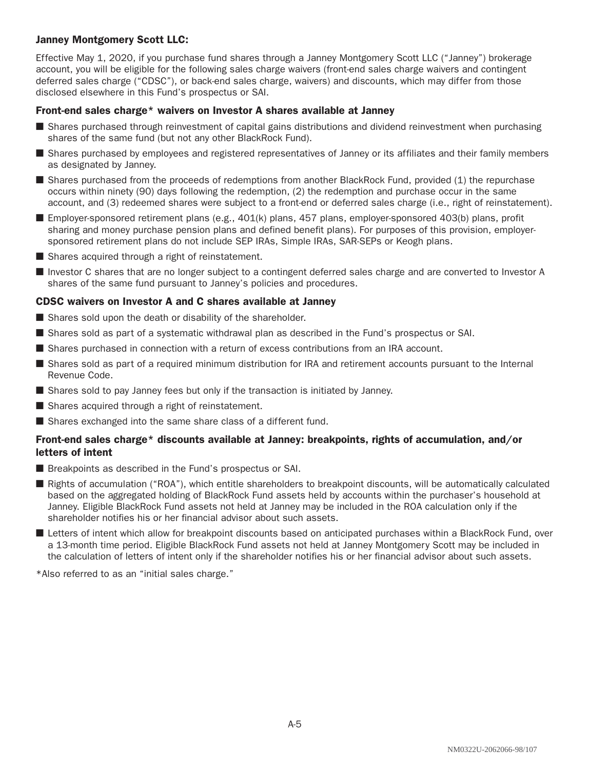## Janney Montgomery Scott LLC:

Effective May 1, 2020, if you purchase fund shares through a Janney Montgomery Scott LLC ("Janney") brokerage account, you will be eligible for the following sales charge waivers (front-end sales charge waivers and contingent deferred sales charge ("CDSC"), or back-end sales charge, waivers) and discounts, which may differ from those disclosed elsewhere in this Fund's prospectus or SAI.

## Front-end sales charge\* waivers on Investor A shares available at Janney

- Shares purchased through reinvestment of capital gains distributions and dividend reinvestment when purchasing shares of the same fund (but not any other BlackRock Fund).
- Shares purchased by employees and registered representatives of Janney or its affiliates and their family members as designated by Janney.
- Shares purchased from the proceeds of redemptions from another BlackRock Fund, provided (1) the repurchase occurs within ninety (90) days following the redemption, (2) the redemption and purchase occur in the same account, and (3) redeemed shares were subject to a front-end or deferred sales charge (i.e., right of reinstatement).
- Employer-sponsored retirement plans (e.g., 401(k) plans, 457 plans, employer-sponsored 403(b) plans, profit sharing and money purchase pension plans and defined benefit plans). For purposes of this provision, employersponsored retirement plans do not include SEP IRAs, Simple IRAs, SAR-SEPs or Keogh plans.
- Shares acquired through a right of reinstatement.
- Investor C shares that are no longer subject to a contingent deferred sales charge and are converted to Investor A shares of the same fund pursuant to Janney's policies and procedures.

### CDSC waivers on Investor A and C shares available at Janney

- **Shares sold upon the death or disability of the shareholder.**
- **Shares sold as part of a systematic withdrawal plan as described in the Fund's prospectus or SAI.**
- **Shares purchased in connection with a return of excess contributions from an IRA account.**
- Shares sold as part of a required minimum distribution for IRA and retirement accounts pursuant to the Internal Revenue Code.
- Shares sold to pay Janney fees but only if the transaction is initiated by Janney.
- Shares acquired through a right of reinstatement.
- Shares exchanged into the same share class of a different fund.

## Front-end sales charge\* discounts available at Janney: breakpoints, rights of accumulation, and/or letters of intent

- **E** Breakpoints as described in the Fund's prospectus or SAI.
- Rights of accumulation ("ROA"), which entitle shareholders to breakpoint discounts, will be automatically calculated based on the aggregated holding of BlackRock Fund assets held by accounts within the purchaser's household at Janney. Eligible BlackRock Fund assets not held at Janney may be included in the ROA calculation only if the shareholder notifies his or her financial advisor about such assets.
- Letters of intent which allow for breakpoint discounts based on anticipated purchases within a BlackRock Fund, over a 13-month time period. Eligible BlackRock Fund assets not held at Janney Montgomery Scott may be included in the calculation of letters of intent only if the shareholder notifies his or her financial advisor about such assets.

\*Also referred to as an "initial sales charge."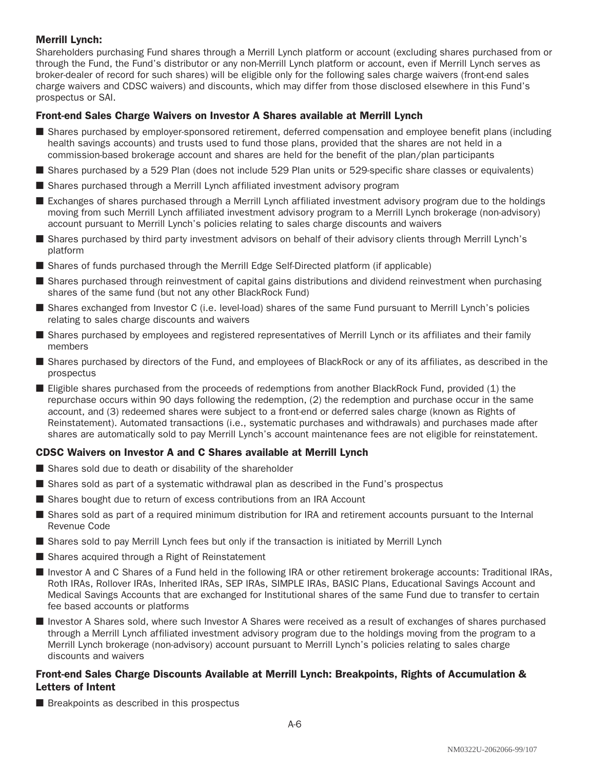## Merrill Lynch:

Shareholders purchasing Fund shares through a Merrill Lynch platform or account (excluding shares purchased from or through the Fund, the Fund's distributor or any non-Merrill Lynch platform or account, even if Merrill Lynch serves as broker-dealer of record for such shares) will be eligible only for the following sales charge waivers (front-end sales charge waivers and CDSC waivers) and discounts, which may differ from those disclosed elsewhere in this Fund's prospectus or SAI.

## Front-end Sales Charge Waivers on Investor A Shares available at Merrill Lynch

- Shares purchased by employer-sponsored retirement, deferred compensation and employee benefit plans (including health savings accounts) and trusts used to fund those plans, provided that the shares are not held in a commission-based brokerage account and shares are held for the benefit of the plan/plan participants
- Shares purchased by a 529 Plan (does not include 529 Plan units or 529-specific share classes or equivalents)
- Shares purchased through a Merrill Lynch affiliated investment advisory program
- Exchanges of shares purchased through a Merrill Lynch affiliated investment advisory program due to the holdings moving from such Merrill Lynch affiliated investment advisory program to a Merrill Lynch brokerage (non-advisory) account pursuant to Merrill Lynch's policies relating to sales charge discounts and waivers
- Shares purchased by third party investment advisors on behalf of their advisory clients through Merrill Lynch's platform
- Shares of funds purchased through the Merrill Edge Self-Directed platform (if applicable)
- Shares purchased through reinvestment of capital gains distributions and dividend reinvestment when purchasing shares of the same fund (but not any other BlackRock Fund)
- Shares exchanged from Investor C (i.e. level-load) shares of the same Fund pursuant to Merrill Lynch's policies relating to sales charge discounts and waivers
- Shares purchased by employees and registered representatives of Merrill Lynch or its affiliates and their family members
- Shares purchased by directors of the Fund, and employees of BlackRock or any of its affiliates, as described in the prospectus
- Eligible shares purchased from the proceeds of redemptions from another BlackRock Fund, provided (1) the repurchase occurs within 90 days following the redemption, (2) the redemption and purchase occur in the same account, and (3) redeemed shares were subject to a front-end or deferred sales charge (known as Rights of Reinstatement). Automated transactions (i.e., systematic purchases and withdrawals) and purchases made after shares are automatically sold to pay Merrill Lynch's account maintenance fees are not eligible for reinstatement.

## CDSC Waivers on Investor A and C Shares available at Merrill Lynch

- Shares sold due to death or disability of the shareholder
- **Shares sold as part of a systematic withdrawal plan as described in the Fund's prospectus**
- Shares bought due to return of excess contributions from an IRA Account
- Shares sold as part of a required minimum distribution for IRA and retirement accounts pursuant to the Internal Revenue Code
- Shares sold to pay Merrill Lynch fees but only if the transaction is initiated by Merrill Lynch
- Shares acquired through a Right of Reinstatement
- Investor A and C Shares of a Fund held in the following IRA or other retirement brokerage accounts: Traditional IRAs, Roth IRAs, Rollover IRAs, Inherited IRAs, SEP IRAs, SIMPLE IRAs, BASIC Plans, Educational Savings Account and Medical Savings Accounts that are exchanged for Institutional shares of the same Fund due to transfer to certain fee based accounts or platforms
- Investor A Shares sold, where such Investor A Shares were received as a result of exchanges of shares purchased through a Merrill Lynch affiliated investment advisory program due to the holdings moving from the program to a Merrill Lynch brokerage (non-advisory) account pursuant to Merrill Lynch's policies relating to sales charge discounts and waivers

## Front-end Sales Charge Discounts Available at Merrill Lynch: Breakpoints, Rights of Accumulation & Letters of Intent

**Breakpoints as described in this prospectus**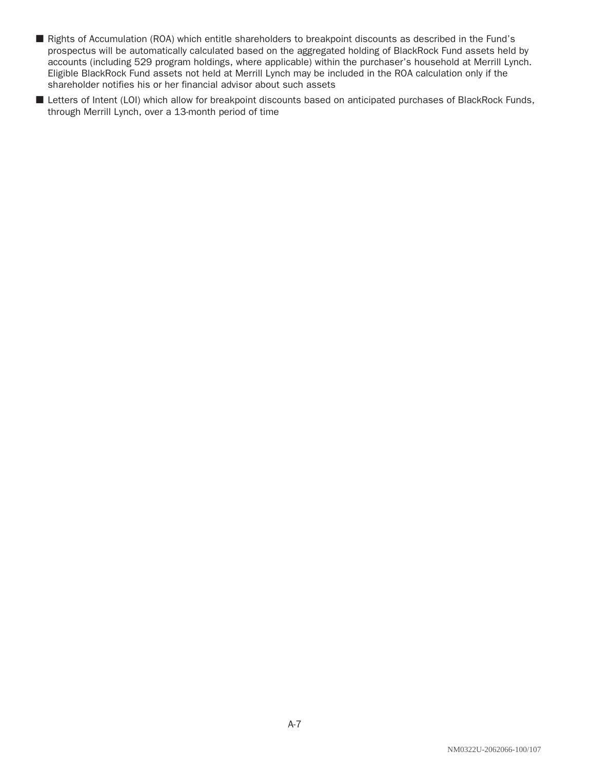- Rights of Accumulation (ROA) which entitle shareholders to breakpoint discounts as described in the Fund's prospectus will be automatically calculated based on the aggregated holding of BlackRock Fund assets held by accounts (including 529 program holdings, where applicable) within the purchaser's household at Merrill Lynch. Eligible BlackRock Fund assets not held at Merrill Lynch may be included in the ROA calculation only if the shareholder notifies his or her financial advisor about such assets
- Letters of Intent (LOI) which allow for breakpoint discounts based on anticipated purchases of BlackRock Funds, through Merrill Lynch, over a 13-month period of time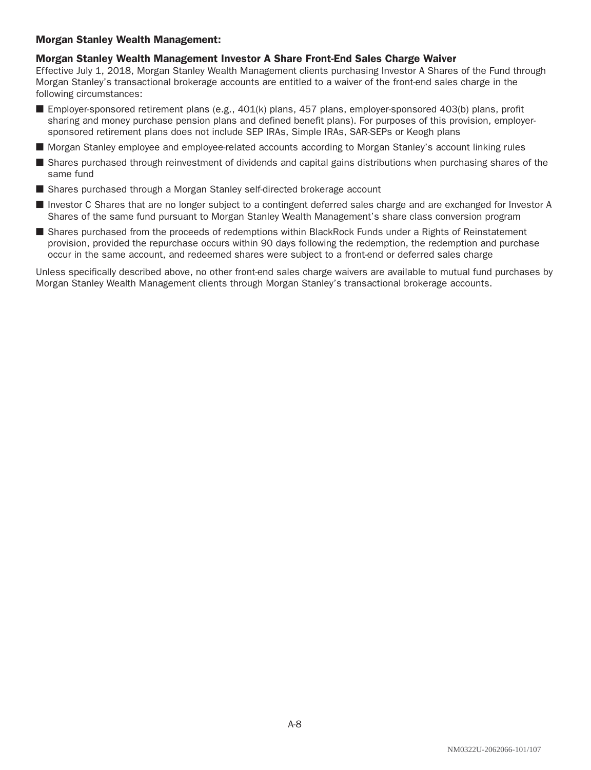## Morgan Stanley Wealth Management:

## Morgan Stanley Wealth Management Investor A Share Front-End Sales Charge Waiver

Effective July 1, 2018, Morgan Stanley Wealth Management clients purchasing Investor A Shares of the Fund through Morgan Stanley's transactional brokerage accounts are entitled to a waiver of the front-end sales charge in the following circumstances:

- Employer-sponsored retirement plans (e.g., 401(k) plans, 457 plans, employer-sponsored 403(b) plans, profit sharing and money purchase pension plans and defined benefit plans). For purposes of this provision, employersponsored retirement plans does not include SEP IRAs, Simple IRAs, SAR-SEPs or Keogh plans
- Morgan Stanley employee and employee-related accounts according to Morgan Stanley's account linking rules
- Shares purchased through reinvestment of dividends and capital gains distributions when purchasing shares of the same fund
- Shares purchased through a Morgan Stanley self-directed brokerage account
- Investor C Shares that are no longer subject to a contingent deferred sales charge and are exchanged for Investor A Shares of the same fund pursuant to Morgan Stanley Wealth Management's share class conversion program
- Shares purchased from the proceeds of redemptions within BlackRock Funds under a Rights of Reinstatement provision, provided the repurchase occurs within 90 days following the redemption, the redemption and purchase occur in the same account, and redeemed shares were subject to a front-end or deferred sales charge

Unless specifically described above, no other front-end sales charge waivers are available to mutual fund purchases by Morgan Stanley Wealth Management clients through Morgan Stanley's transactional brokerage accounts.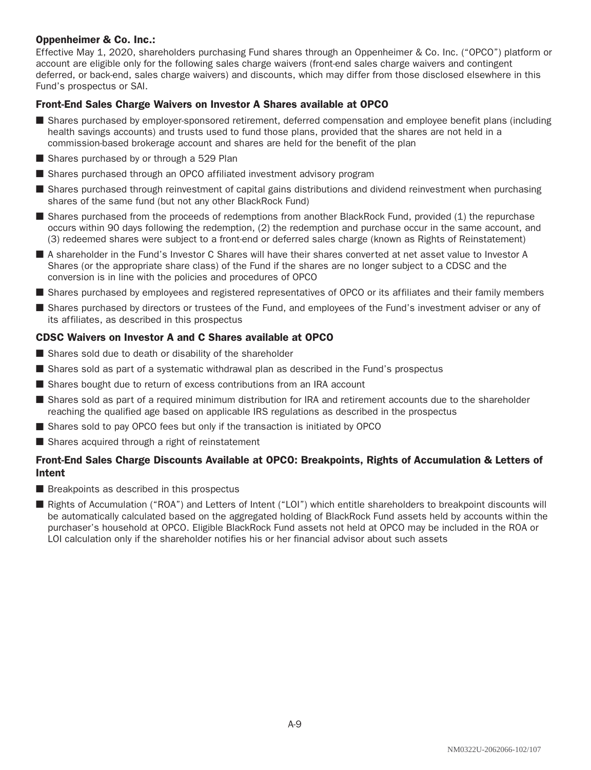## Oppenheimer & Co. Inc.:

Effective May 1, 2020, shareholders purchasing Fund shares through an Oppenheimer & Co. Inc. ("OPCO") platform or account are eligible only for the following sales charge waivers (front-end sales charge waivers and contingent deferred, or back-end, sales charge waivers) and discounts, which may differ from those disclosed elsewhere in this Fund's prospectus or SAI.

## Front-End Sales Charge Waivers on Investor A Shares available at OPCO

- Shares purchased by employer-sponsored retirement, deferred compensation and employee benefit plans (including health savings accounts) and trusts used to fund those plans, provided that the shares are not held in a commission-based brokerage account and shares are held for the benefit of the plan
- Shares purchased by or through a 529 Plan
- Shares purchased through an OPCO affiliated investment advisory program
- Shares purchased through reinvestment of capital gains distributions and dividend reinvestment when purchasing shares of the same fund (but not any other BlackRock Fund)
- Shares purchased from the proceeds of redemptions from another BlackRock Fund, provided (1) the repurchase occurs within 90 days following the redemption, (2) the redemption and purchase occur in the same account, and (3) redeemed shares were subject to a front-end or deferred sales charge (known as Rights of Reinstatement)
- A shareholder in the Fund's Investor C Shares will have their shares converted at net asset value to Investor A Shares (or the appropriate share class) of the Fund if the shares are no longer subject to a CDSC and the conversion is in line with the policies and procedures of OPCO
- Shares purchased by employees and registered representatives of OPCO or its affiliates and their family members
- Shares purchased by directors or trustees of the Fund, and employees of the Fund's investment adviser or any of its affiliates, as described in this prospectus

#### CDSC Waivers on Investor A and C Shares available at OPCO

- Shares sold due to death or disability of the shareholder
- Shares sold as part of a systematic withdrawal plan as described in the Fund's prospectus
- Shares bought due to return of excess contributions from an IRA account
- Shares sold as part of a required minimum distribution for IRA and retirement accounts due to the shareholder reaching the qualified age based on applicable IRS regulations as described in the prospectus
- Shares sold to pay OPCO fees but only if the transaction is initiated by OPCO
- Shares acquired through a right of reinstatement

### Front-End Sales Charge Discounts Available at OPCO: Breakpoints, Rights of Accumulation & Letters of Intent

- **E** Breakpoints as described in this prospectus
- Rights of Accumulation ("ROA") and Letters of Intent ("LOI") which entitle shareholders to breakpoint discounts will be automatically calculated based on the aggregated holding of BlackRock Fund assets held by accounts within the purchaser's household at OPCO. Eligible BlackRock Fund assets not held at OPCO may be included in the ROA or LOI calculation only if the shareholder notifies his or her financial advisor about such assets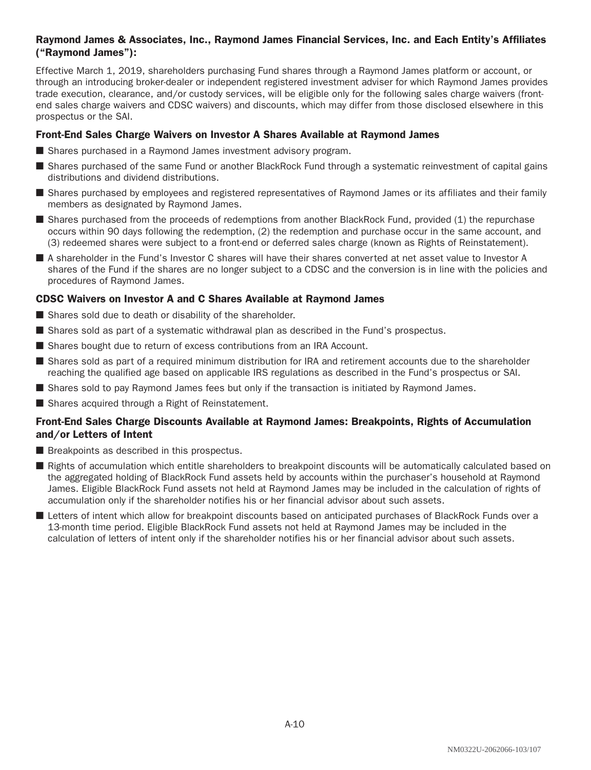# Raymond James & Associates, Inc., Raymond James Financial Services, Inc. and Each Entity's Affiliates ("Raymond James"):

Effective March 1, 2019, shareholders purchasing Fund shares through a Raymond James platform or account, or through an introducing broker-dealer or independent registered investment adviser for which Raymond James provides trade execution, clearance, and/or custody services, will be eligible only for the following sales charge waivers (frontend sales charge waivers and CDSC waivers) and discounts, which may differ from those disclosed elsewhere in this prospectus or the SAI.

## Front-End Sales Charge Waivers on Investor A Shares Available at Raymond James

- Shares purchased in a Raymond James investment advisory program.
- Shares purchased of the same Fund or another BlackRock Fund through a systematic reinvestment of capital gains distributions and dividend distributions.
- Shares purchased by employees and registered representatives of Raymond James or its affiliates and their family members as designated by Raymond James.
- Shares purchased from the proceeds of redemptions from another BlackRock Fund, provided (1) the repurchase occurs within 90 days following the redemption, (2) the redemption and purchase occur in the same account, and (3) redeemed shares were subject to a front-end or deferred sales charge (known as Rights of Reinstatement).
- A shareholder in the Fund's Investor C shares will have their shares converted at net asset value to Investor A shares of the Fund if the shares are no longer subject to a CDSC and the conversion is in line with the policies and procedures of Raymond James.

### CDSC Waivers on Investor A and C Shares Available at Raymond James

- Shares sold due to death or disability of the shareholder.
- **Shares sold as part of a systematic withdrawal plan as described in the Fund's prospectus.**
- Shares bought due to return of excess contributions from an IRA Account.
- Shares sold as part of a required minimum distribution for IRA and retirement accounts due to the shareholder reaching the qualified age based on applicable IRS regulations as described in the Fund's prospectus or SAI.
- Shares sold to pay Raymond James fees but only if the transaction is initiated by Raymond James.
- Shares acquired through a Right of Reinstatement.

### Front-End Sales Charge Discounts Available at Raymond James: Breakpoints, Rights of Accumulation and/or Letters of Intent

- **Breakpoints as described in this prospectus.**
- Rights of accumulation which entitle shareholders to breakpoint discounts will be automatically calculated based on the aggregated holding of BlackRock Fund assets held by accounts within the purchaser's household at Raymond James. Eligible BlackRock Fund assets not held at Raymond James may be included in the calculation of rights of accumulation only if the shareholder notifies his or her financial advisor about such assets.
- Letters of intent which allow for breakpoint discounts based on anticipated purchases of BlackRock Funds over a 13-month time period. Eligible BlackRock Fund assets not held at Raymond James may be included in the calculation of letters of intent only if the shareholder notifies his or her financial advisor about such assets.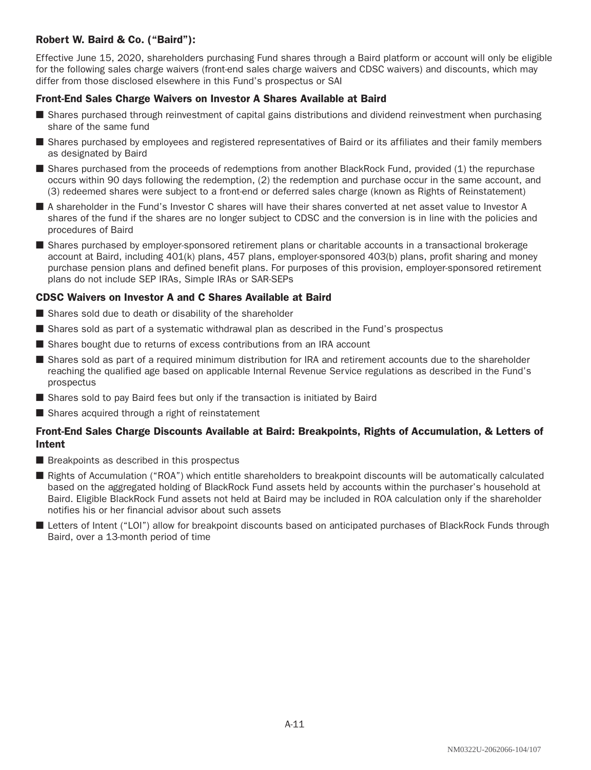## Robert W. Baird & Co. ("Baird"):

Effective June 15, 2020, shareholders purchasing Fund shares through a Baird platform or account will only be eligible for the following sales charge waivers (front-end sales charge waivers and CDSC waivers) and discounts, which may differ from those disclosed elsewhere in this Fund's prospectus or SAI

## Front-End Sales Charge Waivers on Investor A Shares Available at Baird

- Shares purchased through reinvestment of capital gains distributions and dividend reinvestment when purchasing share of the same fund
- Shares purchased by employees and registered representatives of Baird or its affiliates and their family members as designated by Baird
- Shares purchased from the proceeds of redemptions from another BlackRock Fund, provided (1) the repurchase occurs within 90 days following the redemption, (2) the redemption and purchase occur in the same account, and (3) redeemed shares were subject to a front-end or deferred sales charge (known as Rights of Reinstatement)
- A shareholder in the Fund's Investor C shares will have their shares converted at net asset value to Investor A shares of the fund if the shares are no longer subject to CDSC and the conversion is in line with the policies and procedures of Baird
- Shares purchased by employer-sponsored retirement plans or charitable accounts in a transactional brokerage account at Baird, including 401(k) plans, 457 plans, employer-sponsored 403(b) plans, profit sharing and money purchase pension plans and defined benefit plans. For purposes of this provision, employer-sponsored retirement plans do not include SEP IRAs, Simple IRAs or SAR-SEPs

### CDSC Waivers on Investor A and C Shares Available at Baird

- Shares sold due to death or disability of the shareholder
- **Shares sold as part of a systematic withdrawal plan as described in the Fund's prospectus**
- Shares bought due to returns of excess contributions from an IRA account
- Shares sold as part of a required minimum distribution for IRA and retirement accounts due to the shareholder reaching the qualified age based on applicable Internal Revenue Service regulations as described in the Fund's prospectus
- Shares sold to pay Baird fees but only if the transaction is initiated by Baird
- Shares acquired through a right of reinstatement

## Front-End Sales Charge Discounts Available at Baird: Breakpoints, Rights of Accumulation, & Letters of Intent

- **E** Breakpoints as described in this prospectus
- Rights of Accumulation ("ROA") which entitle shareholders to breakpoint discounts will be automatically calculated based on the aggregated holding of BlackRock Fund assets held by accounts within the purchaser's household at Baird. Eligible BlackRock Fund assets not held at Baird may be included in ROA calculation only if the shareholder notifies his or her financial advisor about such assets
- Letters of Intent ("LOI") allow for breakpoint discounts based on anticipated purchases of BlackRock Funds through Baird, over a 13-month period of time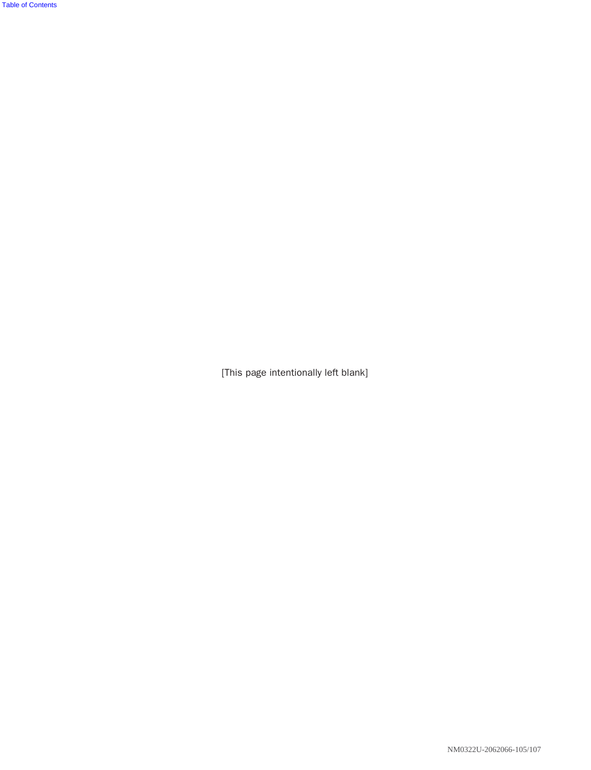[This page intentionally left blank]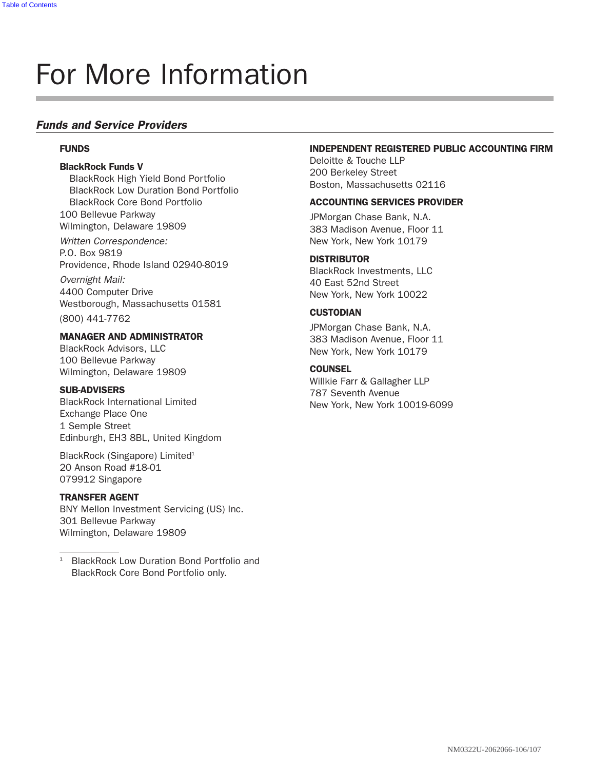# For More Information

# *Funds and Service Providers*

### FUNDS

#### BlackRock Funds V

BlackRock High Yield Bond Portfolio BlackRock Low Duration Bond Portfolio BlackRock Core Bond Portfolio 100 Bellevue Parkway Wilmington, Delaware 19809

*Written Correspondence:* P.O. Box 9819 Providence, Rhode Island 02940-8019

*Overnight Mail:* 4400 Computer Drive Westborough, Massachusetts 01581

(800) 441-7762

### MANAGER AND ADMINISTRATOR

BlackRock Advisors, LLC 100 Bellevue Parkway Wilmington, Delaware 19809

#### SUB-ADVISERS

BlackRock International Limited Exchange Place One 1 Semple Street Edinburgh, EH3 8BL, United Kingdom

BlackRock (Singapore) Limited<sup>1</sup> 20 Anson Road #18-01 079912 Singapore

### TRANSFER AGENT

BNY Mellon Investment Servicing (US) Inc. 301 Bellevue Parkway Wilmington, Delaware 19809

### INDEPENDENT REGISTERED PUBLIC ACCOUNTING FIRM

Deloitte & Touche LLP 200 Berkeley Street Boston, Massachusetts 02116

#### ACCOUNTING SERVICES PROVIDER

JPMorgan Chase Bank, N.A. 383 Madison Avenue, Floor 11 New York, New York 10179

#### **DISTRIBUTOR**

BlackRock Investments, LLC 40 East 52nd Street New York, New York 10022

### **CUSTODIAN**

JPMorgan Chase Bank, N.A. 383 Madison Avenue, Floor 11 New York, New York 10179

#### **COUNSEL**

Willkie Farr & Gallagher LLP 787 Seventh Avenue New York, New York 10019-6099

<sup>&</sup>lt;sup>1</sup> BlackRock Low Duration Bond Portfolio and BlackRock Core Bond Portfolio only.